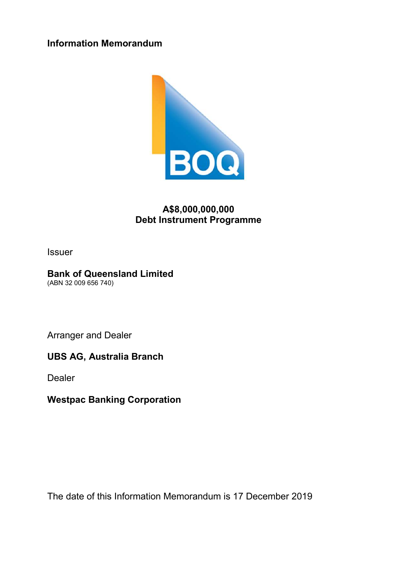**Information Memorandum** 



# **A\$8,000,000,000 Debt Instrument Programme**

Issuer

# **Bank of Queensland Limited**

(ABN 32 009 656 740)

Arranger and Dealer

**UBS AG, Australia Branch** 

Dealer

**Westpac Banking Corporation** 

The date of this Information Memorandum is 17 December 2019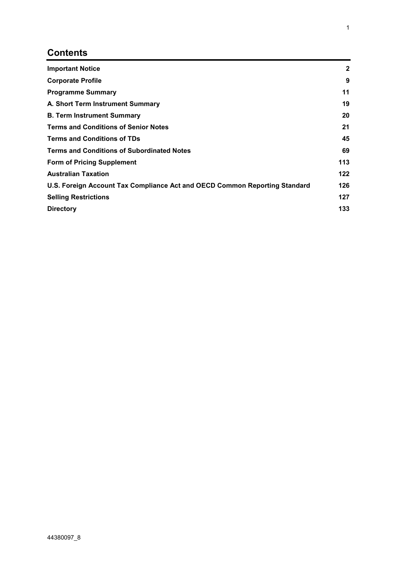# **Contents**

| <b>Important Notice</b>                                                    | $\mathbf{2}$ |
|----------------------------------------------------------------------------|--------------|
| <b>Corporate Profile</b>                                                   | 9            |
| <b>Programme Summary</b>                                                   | 11           |
| A. Short Term Instrument Summary                                           | 19           |
| <b>B. Term Instrument Summary</b>                                          | 20           |
| <b>Terms and Conditions of Senior Notes</b>                                | 21           |
| <b>Terms and Conditions of TDs</b>                                         | 45           |
| <b>Terms and Conditions of Subordinated Notes</b>                          | 69           |
| <b>Form of Pricing Supplement</b>                                          | 113          |
| <b>Australian Taxation</b>                                                 | 122          |
| U.S. Foreign Account Tax Compliance Act and OECD Common Reporting Standard | 126          |
| <b>Selling Restrictions</b>                                                | 127          |
| <b>Directory</b>                                                           | 133          |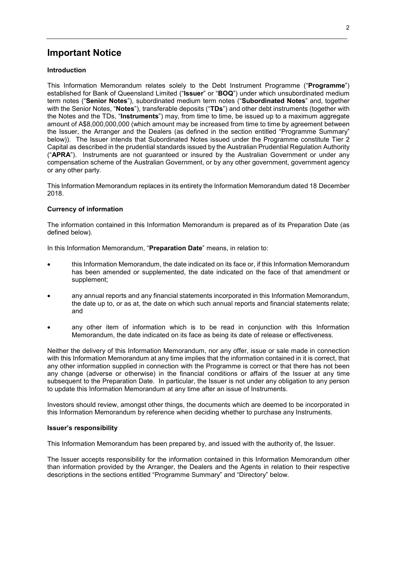# **Important Notice**

## **Introduction**

This Information Memorandum relates solely to the Debt Instrument Programme ("**Programme**") established for Bank of Queensland Limited ("**Issuer**" or "**BOQ**") under which unsubordinated medium term notes ("**Senior Notes**"), subordinated medium term notes ("**Subordinated Notes**" and, together with the Senior Notes, "**Notes**"), transferable deposits ("**TDs**") and other debt instruments (together with the Notes and the TDs, "**Instruments**") may, from time to time, be issued up to a maximum aggregate amount of A\$8,000,000,000 (which amount may be increased from time to time by agreement between the Issuer, the Arranger and the Dealers (as defined in the section entitled "Programme Summary" below)). The Issuer intends that Subordinated Notes issued under the Programme constitute Tier 2 Capital as described in the prudential standards issued by the Australian Prudential Regulation Authority ("**APRA**"). Instruments are not guaranteed or insured by the Australian Government or under any compensation scheme of the Australian Government, or by any other government, government agency or any other party.

This Information Memorandum replaces in its entirety the Information Memorandum dated 18 December 2018.

#### **Currency of information**

The information contained in this Information Memorandum is prepared as of its Preparation Date (as defined below).

In this Information Memorandum, "**Preparation Date**" means, in relation to:

- this Information Memorandum, the date indicated on its face or, if this Information Memorandum has been amended or supplemented, the date indicated on the face of that amendment or supplement;
- any annual reports and any financial statements incorporated in this Information Memorandum, the date up to, or as at, the date on which such annual reports and financial statements relate; and
- any other item of information which is to be read in conjunction with this Information Memorandum, the date indicated on its face as being its date of release or effectiveness.

Neither the delivery of this Information Memorandum, nor any offer, issue or sale made in connection with this Information Memorandum at any time implies that the information contained in it is correct, that any other information supplied in connection with the Programme is correct or that there has not been any change (adverse or otherwise) in the financial conditions or affairs of the Issuer at any time subsequent to the Preparation Date. In particular, the Issuer is not under any obligation to any person to update this Information Memorandum at any time after an issue of Instruments.

Investors should review, amongst other things, the documents which are deemed to be incorporated in this Information Memorandum by reference when deciding whether to purchase any Instruments.

#### **Issuer's responsibility**

This Information Memorandum has been prepared by, and issued with the authority of, the Issuer.

The Issuer accepts responsibility for the information contained in this Information Memorandum other than information provided by the Arranger, the Dealers and the Agents in relation to their respective descriptions in the sections entitled "Programme Summary" and "Directory" below.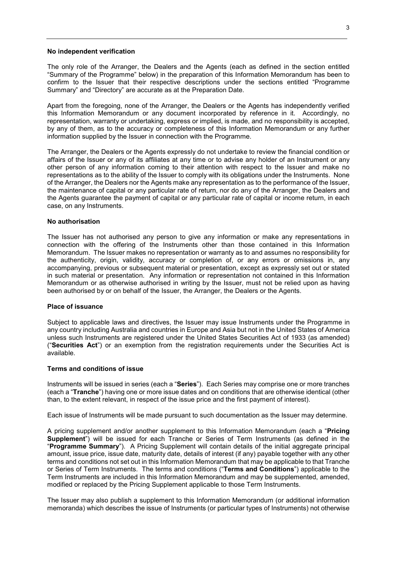#### **No independent verification**

The only role of the Arranger, the Dealers and the Agents (each as defined in the section entitled "Summary of the Programme" below) in the preparation of this Information Memorandum has been to confirm to the Issuer that their respective descriptions under the sections entitled "Programme Summary" and "Directory" are accurate as at the Preparation Date.

Apart from the foregoing, none of the Arranger, the Dealers or the Agents has independently verified this Information Memorandum or any document incorporated by reference in it. Accordingly, no representation, warranty or undertaking, express or implied, is made, and no responsibility is accepted, by any of them, as to the accuracy or completeness of this Information Memorandum or any further information supplied by the Issuer in connection with the Programme.

The Arranger, the Dealers or the Agents expressly do not undertake to review the financial condition or affairs of the Issuer or any of its affiliates at any time or to advise any holder of an Instrument or any other person of any information coming to their attention with respect to the Issuer and make no representations as to the ability of the Issuer to comply with its obligations under the Instruments. None of the Arranger, the Dealers nor the Agents make any representation as to the performance of the Issuer, the maintenance of capital or any particular rate of return, nor do any of the Arranger, the Dealers and the Agents guarantee the payment of capital or any particular rate of capital or income return, in each case, on any Instruments.

#### **No authorisation**

The Issuer has not authorised any person to give any information or make any representations in connection with the offering of the Instruments other than those contained in this Information Memorandum. The Issuer makes no representation or warranty as to and assumes no responsibility for the authenticity, origin, validity, accuracy or completion of, or any errors or omissions in, any accompanying, previous or subsequent material or presentation, except as expressly set out or stated in such material or presentation. Any information or representation not contained in this Information Memorandum or as otherwise authorised in writing by the Issuer, must not be relied upon as having been authorised by or on behalf of the Issuer, the Arranger, the Dealers or the Agents.

#### **Place of issuance**

Subject to applicable laws and directives, the Issuer may issue Instruments under the Programme in any country including Australia and countries in Europe and Asia but not in the United States of America unless such Instruments are registered under the United States Securities Act of 1933 (as amended) ("**Securities Act**") or an exemption from the registration requirements under the Securities Act is available.

### **Terms and conditions of issue**

Instruments will be issued in series (each a "**Series**"). Each Series may comprise one or more tranches (each a "**Tranche**") having one or more issue dates and on conditions that are otherwise identical (other than, to the extent relevant, in respect of the issue price and the first payment of interest).

Each issue of Instruments will be made pursuant to such documentation as the Issuer may determine.

A pricing supplement and/or another supplement to this Information Memorandum (each a "**Pricing Supplement**") will be issued for each Tranche or Series of Term Instruments (as defined in the "**Programme Summary**"). A Pricing Supplement will contain details of the initial aggregate principal amount, issue price, issue date, maturity date, details of interest (if any) payable together with any other terms and conditions not set out in this Information Memorandum that may be applicable to that Tranche or Series of Term Instruments. The terms and conditions ("**Terms and Conditions**") applicable to the Term Instruments are included in this Information Memorandum and may be supplemented, amended, modified or replaced by the Pricing Supplement applicable to those Term Instruments.

The Issuer may also publish a supplement to this Information Memorandum (or additional information memoranda) which describes the issue of Instruments (or particular types of Instruments) not otherwise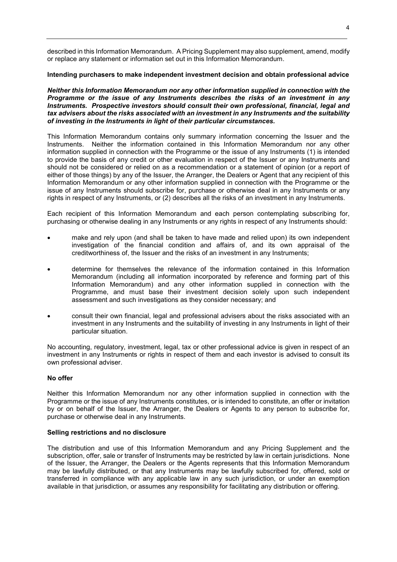described in this Information Memorandum. A Pricing Supplement may also supplement, amend, modify or replace any statement or information set out in this Information Memorandum.

## **Intending purchasers to make independent investment decision and obtain professional advice**

*Neither this Information Memorandum nor any other information supplied in connection with the Programme or the issue of any Instruments describes the risks of an investment in any Instruments. Prospective investors should consult their own professional, financial, legal and tax advisers about the risks associated with an investment in any Instruments and the suitability of investing in the Instruments in light of their particular circumstances.* 

This Information Memorandum contains only summary information concerning the Issuer and the Instruments. Neither the information contained in this Information Memorandum nor any other information supplied in connection with the Programme or the issue of any Instruments (1) is intended to provide the basis of any credit or other evaluation in respect of the Issuer or any Instruments and should not be considered or relied on as a recommendation or a statement of opinion (or a report of either of those things) by any of the Issuer, the Arranger, the Dealers or Agent that any recipient of this Information Memorandum or any other information supplied in connection with the Programme or the issue of any Instruments should subscribe for, purchase or otherwise deal in any Instruments or any rights in respect of any Instruments, or (2) describes all the risks of an investment in any Instruments.

Each recipient of this Information Memorandum and each person contemplating subscribing for, purchasing or otherwise dealing in any Instruments or any rights in respect of any Instruments should:

- make and rely upon (and shall be taken to have made and relied upon) its own independent investigation of the financial condition and affairs of, and its own appraisal of the creditworthiness of, the Issuer and the risks of an investment in any Instruments;
- determine for themselves the relevance of the information contained in this Information Memorandum (including all information incorporated by reference and forming part of this Information Memorandum) and any other information supplied in connection with the Programme, and must base their investment decision solely upon such independent assessment and such investigations as they consider necessary; and
- consult their own financial, legal and professional advisers about the risks associated with an investment in any Instruments and the suitability of investing in any Instruments in light of their particular situation.

No accounting, regulatory, investment, legal, tax or other professional advice is given in respect of an investment in any Instruments or rights in respect of them and each investor is advised to consult its own professional adviser.

#### **No offer**

Neither this Information Memorandum nor any other information supplied in connection with the Programme or the issue of any Instruments constitutes, or is intended to constitute, an offer or invitation by or on behalf of the Issuer, the Arranger, the Dealers or Agents to any person to subscribe for, purchase or otherwise deal in any Instruments.

#### **Selling restrictions and no disclosure**

The distribution and use of this Information Memorandum and any Pricing Supplement and the subscription, offer, sale or transfer of Instruments may be restricted by law in certain jurisdictions. None of the Issuer, the Arranger, the Dealers or the Agents represents that this Information Memorandum may be lawfully distributed, or that any Instruments may be lawfully subscribed for, offered, sold or transferred in compliance with any applicable law in any such jurisdiction, or under an exemption available in that jurisdiction, or assumes any responsibility for facilitating any distribution or offering.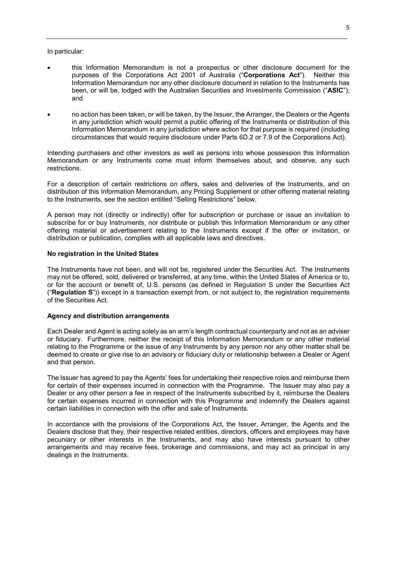#### In particular:

- this Information Memorandum is not a prospectus or other disclosure document for the purposes of the Corporations Act 2001 of Australia ("**Corporations Act**"). Neither this Information Memorandum nor any other disclosure document in relation to the Instruments has been, or will be, lodged with the Australian Securities and Investments Commission ("**ASIC**"); and
- no action has been taken, or will be taken, by the Issuer, the Arranger, the Dealers or the Agents in any jurisdiction which would permit a public offering of the Instruments or distribution of this Information Memorandum in any jurisdiction where action for that purpose is required (including circumstances that would require disclosure under Parts 6D.2 or 7.9 of the Corporations Act).

Intending purchasers and other investors as well as persons into whose possession this Information Memorandum or any Instruments come must inform themselves about, and observe, any such restrictions.

For a description of certain restrictions on offers, sales and deliveries of the Instruments, and on distribution of this Information Memorandum, any Pricing Supplement or other offering material relating to the Instruments, see the section entitled "Selling Restrictions" below.

A person may not (directly or indirectly) offer for subscription or purchase or issue an invitation to subscribe for or buy Instruments, nor distribute or publish this Information Memorandum or any other offering material or advertisement relating to the Instruments except if the offer or invitation, or distribution or publication, complies with all applicable laws and directives.

#### **No registration in the United States**

The Instruments have not been, and will not be, registered under the Securities Act. The Instruments may not be offered, sold, delivered or transferred, at any time, within the United States of America or to, or for the account or benefit of, U.S. persons (as defined in Regulation S under the Securities Act ("**Regulation S**")) except in a transaction exempt from, or not subject to, the registration requirements of the Securities Act.

#### **Agency and distribution arrangements**

Each Dealer and Agent is acting solely as an arm's length contractual counterparty and not as an adviser or fiduciary. Furthermore, neither the receipt of this Information Memorandum or any other material relating to the Programme or the issue of any Instruments by any person nor any other matter shall be deemed to create or give rise to an advisory or fiduciary duty or relationship between a Dealer or Agent and that person.

The Issuer has agreed to pay the Agents' fees for undertaking their respective roles and reimburse them for certain of their expenses incurred in connection with the Programme. The Issuer may also pay a Dealer or any other person a fee in respect of the Instruments subscribed by it, reimburse the Dealers for certain expenses incurred in connection with this Programme and indemnify the Dealers against certain liabilities in connection with the offer and sale of Instruments.

In accordance with the provisions of the Corporations Act, the Issuer, Arranger, the Agents and the Dealers disclose that they, their respective related entities, directors, officers and employees may have pecuniary or other interests in the Instruments, and may also have interests pursuant to other arrangements and may receive fees, brokerage and commissions, and may act as principal in any dealings in the Instruments.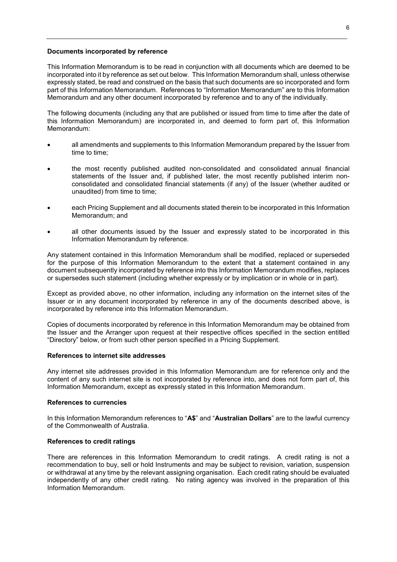#### **Documents incorporated by reference**

This Information Memorandum is to be read in conjunction with all documents which are deemed to be incorporated into it by reference as set out below. This Information Memorandum shall, unless otherwise expressly stated, be read and construed on the basis that such documents are so incorporated and form part of this Information Memorandum. References to "Information Memorandum" are to this Information Memorandum and any other document incorporated by reference and to any of the individually.

The following documents (including any that are published or issued from time to time after the date of this Information Memorandum) are incorporated in, and deemed to form part of, this Information Memorandum:

- all amendments and supplements to this Information Memorandum prepared by the Issuer from time to time;
- the most recently published audited non-consolidated and consolidated annual financial statements of the Issuer and, if published later, the most recently published interim nonconsolidated and consolidated financial statements (if any) of the Issuer (whether audited or unaudited) from time to time;
- each Pricing Supplement and all documents stated therein to be incorporated in this Information Memorandum; and
- all other documents issued by the Issuer and expressly stated to be incorporated in this Information Memorandum by reference.

Any statement contained in this Information Memorandum shall be modified, replaced or superseded for the purpose of this Information Memorandum to the extent that a statement contained in any document subsequently incorporated by reference into this Information Memorandum modifies, replaces or supersedes such statement (including whether expressly or by implication or in whole or in part).

Except as provided above, no other information, including any information on the internet sites of the Issuer or in any document incorporated by reference in any of the documents described above, is incorporated by reference into this Information Memorandum.

Copies of documents incorporated by reference in this Information Memorandum may be obtained from the Issuer and the Arranger upon request at their respective offices specified in the section entitled "Directory" below, or from such other person specified in a Pricing Supplement.

#### **References to internet site addresses**

Any internet site addresses provided in this Information Memorandum are for reference only and the content of any such internet site is not incorporated by reference into, and does not form part of, this Information Memorandum, except as expressly stated in this Information Memorandum.

#### **References to currencies**

In this Information Memorandum references to "**A\$**" and "**Australian Dollars**" are to the lawful currency of the Commonwealth of Australia.

#### **References to credit ratings**

There are references in this Information Memorandum to credit ratings. A credit rating is not a recommendation to buy, sell or hold Instruments and may be subject to revision, variation, suspension or withdrawal at any time by the relevant assigning organisation. Each credit rating should be evaluated independently of any other credit rating. No rating agency was involved in the preparation of this Information Memorandum.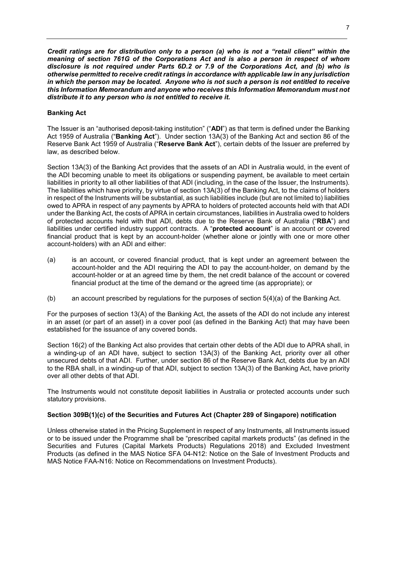*Credit ratings are for distribution only to a person (a) who is not a "retail client" within the meaning of section 761G of the Corporations Act and is also a person in respect of whom disclosure is not required under Parts 6D.2 or 7.9 of the Corporations Act, and (b) who is otherwise permitted to receive credit ratings in accordance with applicable law in any jurisdiction in which the person may be located. Anyone who is not such a person is not entitled to receive this Information Memorandum and anyone who receives this Information Memorandum must not distribute it to any person who is not entitled to receive it.*

# **Banking Act**

The Issuer is an "authorised deposit-taking institution" ("**ADI**") as that term is defined under the Banking Act 1959 of Australia ("**Banking Act**"). Under section 13A(3) of the Banking Act and section 86 of the Reserve Bank Act 1959 of Australia ("**Reserve Bank Act**"), certain debts of the Issuer are preferred by law, as described below.

Section 13A(3) of the Banking Act provides that the assets of an ADI in Australia would, in the event of the ADI becoming unable to meet its obligations or suspending payment, be available to meet certain liabilities in priority to all other liabilities of that ADI (including, in the case of the Issuer, the Instruments). The liabilities which have priority, by virtue of section 13A(3) of the Banking Act, to the claims of holders in respect of the Instruments will be substantial, as such liabilities include (but are not limited to) liabilities owed to APRA in respect of any payments by APRA to holders of protected accounts held with that ADI under the Banking Act, the costs of APRA in certain circumstances, liabilities in Australia owed to holders of protected accounts held with that ADI, debts due to the Reserve Bank of Australia ("**RBA**") and liabilities under certified industry support contracts. A "**protected account**" is an account or covered financial product that is kept by an account-holder (whether alone or jointly with one or more other account-holders) with an ADI and either:

- (a) is an account, or covered financial product, that is kept under an agreement between the account-holder and the ADI requiring the ADI to pay the account-holder, on demand by the account-holder or at an agreed time by them, the net credit balance of the account or covered financial product at the time of the demand or the agreed time (as appropriate); or
- (b) an account prescribed by regulations for the purposes of section 5(4)(a) of the Banking Act.

For the purposes of section 13(A) of the Banking Act, the assets of the ADI do not include any interest in an asset (or part of an asset) in a cover pool (as defined in the Banking Act) that may have been established for the issuance of any covered bonds.

Section 16(2) of the Banking Act also provides that certain other debts of the ADI due to APRA shall, in a winding-up of an ADI have, subject to section 13A(3) of the Banking Act, priority over all other unsecured debts of that ADI. Further, under section 86 of the Reserve Bank Act, debts due by an ADI to the RBA shall, in a winding-up of that ADI, subject to section 13A(3) of the Banking Act, have priority over all other debts of that ADI.

The Instruments would not constitute deposit liabilities in Australia or protected accounts under such statutory provisions.

# **Section 309B(1)(c) of the Securities and Futures Act (Chapter 289 of Singapore) notification**

Unless otherwise stated in the Pricing Supplement in respect of any Instruments, all Instruments issued or to be issued under the Programme shall be "prescribed capital markets products" (as defined in the Securities and Futures (Capital Markets Products) Regulations 2018) and Excluded Investment Products (as defined in the MAS Notice SFA 04-N12: Notice on the Sale of Investment Products and MAS Notice FAA-N16: Notice on Recommendations on Investment Products).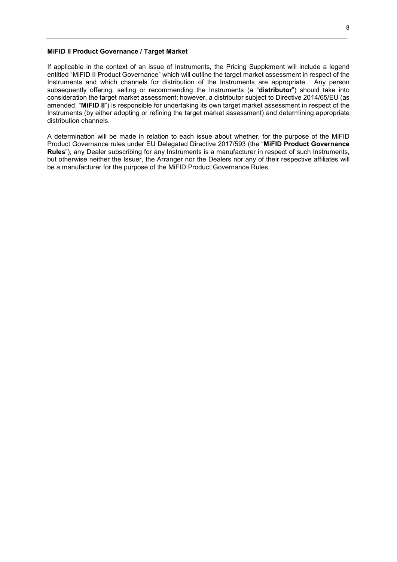#### **MiFID II Product Governance / Target Market**

If applicable in the context of an issue of Instruments, the Pricing Supplement will include a legend entitled "MiFID II Product Governance" which will outline the target market assessment in respect of the Instruments and which channels for distribution of the Instruments are appropriate. Any person subsequently offering, selling or recommending the Instruments (a "**distributor**") should take into consideration the target market assessment; however, a distributor subject to Directive 2014/65/EU (as amended, "**MiFID II**") is responsible for undertaking its own target market assessment in respect of the Instruments (by either adopting or refining the target market assessment) and determining appropriate distribution channels.

A determination will be made in relation to each issue about whether, for the purpose of the MiFID Product Governance rules under EU Delegated Directive 2017/593 (the "**MiFID Product Governance Rules**"), any Dealer subscribing for any Instruments is a manufacturer in respect of such Instruments, but otherwise neither the Issuer, the Arranger nor the Dealers nor any of their respective affiliates will be a manufacturer for the purpose of the MiFID Product Governance Rules.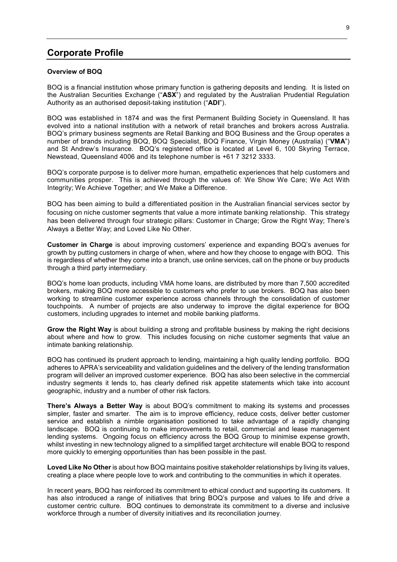# **Corporate Profile**

#### **Overview of BOQ**

BOQ is a financial institution whose primary function is gathering deposits and lending. It is listed on the Australian Securities Exchange ("**ASX**") and regulated by the Australian Prudential Regulation Authority as an authorised deposit-taking institution ("**ADI**").

BOQ was established in 1874 and was the first Permanent Building Society in Queensland. It has evolved into a national institution with a network of retail branches and brokers across Australia. BOQ's primary business segments are Retail Banking and BOQ Business and the Group operates a number of brands including BOQ, BOQ Specialist, BOQ Finance, Virgin Money (Australia) ("**VMA**") and St Andrew's Insurance. BOQ's registered office is located at Level 6, 100 Skyring Terrace, Newstead, Queensland 4006 and its telephone number is +61 7 3212 3333.

BOQ's corporate purpose is to deliver more human, empathetic experiences that help customers and communities prosper. This is achieved through the values of: We Show We Care; We Act With Integrity; We Achieve Together; and We Make a Difference.

BOQ has been aiming to build a differentiated position in the Australian financial services sector by focusing on niche customer segments that value a more intimate banking relationship. This strategy has been delivered through four strategic pillars: Customer in Charge; Grow the Right Way; There's Always a Better Way; and Loved Like No Other.

**Customer in Charge** is about improving customers' experience and expanding BOQ's avenues for growth by putting customers in charge of when, where and how they choose to engage with BOQ. This is regardless of whether they come into a branch, use online services, call on the phone or buy products through a third party intermediary.

BOQ's home loan products, including VMA home loans, are distributed by more than 7,500 accredited brokers, making BOQ more accessible to customers who prefer to use brokers. BOQ has also been working to streamline customer experience across channels through the consolidation of customer touchpoints. A number of projects are also underway to improve the digital experience for BOQ customers, including upgrades to internet and mobile banking platforms.

**Grow the Right Way** is about building a strong and profitable business by making the right decisions about where and how to grow. This includes focusing on niche customer segments that value an intimate banking relationship.

BOQ has continued its prudent approach to lending, maintaining a high quality lending portfolio. BOQ adheres to APRA's serviceability and validation guidelines and the delivery of the lending transformation program will deliver an improved customer experience. BOQ has also been selective in the commercial industry segments it lends to, has clearly defined risk appetite statements which take into account geographic, industry and a number of other risk factors.

**There's Always a Better Way** is about BOQ's commitment to making its systems and processes simpler, faster and smarter. The aim is to improve efficiency, reduce costs, deliver better customer service and establish a nimble organisation positioned to take advantage of a rapidly changing landscape. BOQ is continuing to make improvements to retail, commercial and lease management lending systems. Ongoing focus on efficiency across the BOQ Group to minimise expense growth, whilst investing in new technology aligned to a simplified target architecture will enable BOQ to respond more quickly to emerging opportunities than has been possible in the past.

**Loved Like No Other** is about how BOQ maintains positive stakeholder relationships by living its values, creating a place where people love to work and contributing to the communities in which it operates.

In recent years, BOQ has reinforced its commitment to ethical conduct and supporting its customers. It has also introduced a range of initiatives that bring BOQ's purpose and values to life and drive a customer centric culture. BOQ continues to demonstrate its commitment to a diverse and inclusive workforce through a number of diversity initiatives and its reconciliation journey.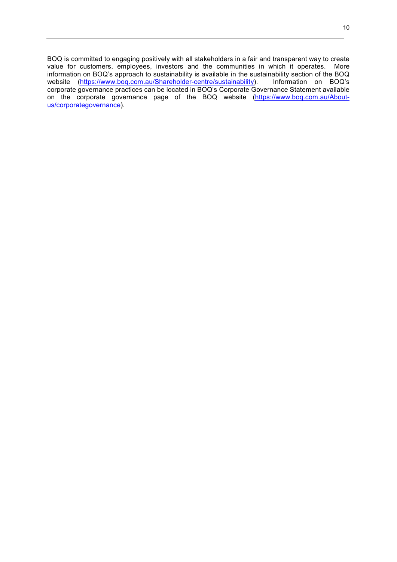BOQ is committed to engaging positively with all stakeholders in a fair and transparent way to create value for customers, employees, investors and the communities in which it operates. More information on BOQ's approach to sustainability is available in the sustainability section of the BOQ website (https://www.boq.com.au/Shareholder-centre/sustainability). Information on BOQ's corporate governance practices can be located in BOQ's Corporate Governance Statement available on the corporate governance page of the BOQ website (https://www.boq.com.au/Aboutus/corporategovernance).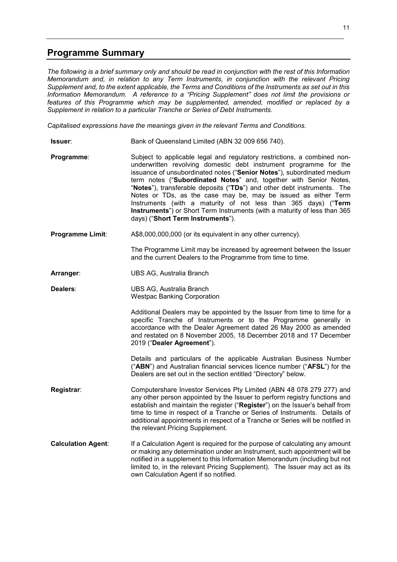# **Programme Summary**

*The following is a brief summary only and should be read in conjunction with the rest of this Information Memorandum and, in relation to any Term Instruments, in conjunction with the relevant Pricing Supplement and, to the extent applicable, the Terms and Conditions of the Instruments as set out in this Information Memorandum. A reference to a "Pricing Supplement" does not limit the provisions or features of this Programme which may be supplemented, amended, modified or replaced by a Supplement in relation to a particular Tranche or Series of Debt Instruments.* 

*Capitalised expressions have the meanings given in the relevant Terms and Conditions.* 

- **Issuer:** Bank of Queensland Limited (ABN 32 009 656 740).
- **Programme:** Subject to applicable legal and regulatory restrictions, a combined nonunderwritten revolving domestic debt instrument programme for the issuance of unsubordinated notes ("**Senior Notes**"), subordinated medium term notes ("**Subordinated Notes**" and, together with Senior Notes, "**Notes**"), transferable deposits ("**TDs**") and other debt instruments. The Notes or TDs, as the case may be, may be issued as either Term Instruments (with a maturity of not less than 365 days) ("**Term Instruments**") or Short Term Instruments (with a maturity of less than 365 days) ("**Short Term Instruments**").
- **Programme Limit:** A\$8,000,000,000 (or its equivalent in any other currency).

The Programme Limit may be increased by agreement between the Issuer and the current Dealers to the Programme from time to time.

**Arranger**: UBS AG, Australia Branch

**Dealers**: UBS AG, Australia Branch Westpac Banking Corporation

> Additional Dealers may be appointed by the Issuer from time to time for a specific Tranche of Instruments or to the Programme generally in accordance with the Dealer Agreement dated 26 May 2000 as amended and restated on 8 November 2005, 18 December 2018 and 17 December 2019 ("**Dealer Agreement**").

> Details and particulars of the applicable Australian Business Number ("**ABN**") and Australian financial services licence number ("**AFSL**") for the Dealers are set out in the section entitled "Directory" below.

**Registrar**: Computershare Investor Services Pty Limited (ABN 48 078 279 277) and any other person appointed by the Issuer to perform registry functions and establish and maintain the register ("**Register**") on the Issuer's behalf from time to time in respect of a Tranche or Series of Instruments. Details of additional appointments in respect of a Tranche or Series will be notified in the relevant Pricing Supplement.

**Calculation Agent**: If a Calculation Agent is required for the purpose of calculating any amount or making any determination under an Instrument, such appointment will be notified in a supplement to this Information Memorandum (including but not limited to, in the relevant Pricing Supplement). The Issuer may act as its own Calculation Agent if so notified.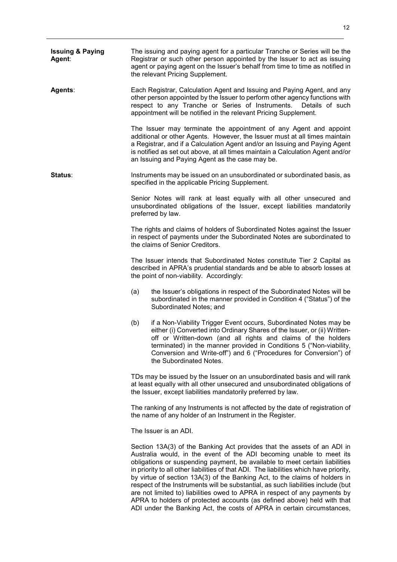| <b>Issuing &amp; Paying</b><br>Agent: | The issuing and paying agent for a particular Tranche or Series will be the<br>Registrar or such other person appointed by the Issuer to act as issuing<br>agent or paying agent on the Issuer's behalf from time to time as notified in<br>the relevant Pricing Supplement. |                                                                                                                                                                                                                                                                                                                                                                                                                                                                                                                                                                           |  |
|---------------------------------------|------------------------------------------------------------------------------------------------------------------------------------------------------------------------------------------------------------------------------------------------------------------------------|---------------------------------------------------------------------------------------------------------------------------------------------------------------------------------------------------------------------------------------------------------------------------------------------------------------------------------------------------------------------------------------------------------------------------------------------------------------------------------------------------------------------------------------------------------------------------|--|
| <b>Agents:</b>                        |                                                                                                                                                                                                                                                                              | Each Registrar, Calculation Agent and Issuing and Paying Agent, and any<br>other person appointed by the Issuer to perform other agency functions with<br>respect to any Tranche or Series of Instruments. Details of such<br>appointment will be notified in the relevant Pricing Supplement.                                                                                                                                                                                                                                                                            |  |
|                                       |                                                                                                                                                                                                                                                                              | The Issuer may terminate the appointment of any Agent and appoint<br>additional or other Agents. However, the Issuer must at all times maintain<br>a Registrar, and if a Calculation Agent and/or an Issuing and Paying Agent<br>is notified as set out above, at all times maintain a Calculation Agent and/or<br>an Issuing and Paying Agent as the case may be.                                                                                                                                                                                                        |  |
| <b>Status:</b>                        |                                                                                                                                                                                                                                                                              | Instruments may be issued on an unsubordinated or subordinated basis, as<br>specified in the applicable Pricing Supplement.                                                                                                                                                                                                                                                                                                                                                                                                                                               |  |
|                                       |                                                                                                                                                                                                                                                                              | Senior Notes will rank at least equally with all other unsecured and<br>unsubordinated obligations of the Issuer, except liabilities mandatorily<br>preferred by law.                                                                                                                                                                                                                                                                                                                                                                                                     |  |
|                                       |                                                                                                                                                                                                                                                                              | The rights and claims of holders of Subordinated Notes against the Issuer<br>in respect of payments under the Subordinated Notes are subordinated to<br>the claims of Senior Creditors.                                                                                                                                                                                                                                                                                                                                                                                   |  |
|                                       |                                                                                                                                                                                                                                                                              | The Issuer intends that Subordinated Notes constitute Tier 2 Capital as<br>described in APRA's prudential standards and be able to absorb losses at<br>the point of non-viability. Accordingly:                                                                                                                                                                                                                                                                                                                                                                           |  |
|                                       | (a)                                                                                                                                                                                                                                                                          | the Issuer's obligations in respect of the Subordinated Notes will be<br>subordinated in the manner provided in Condition 4 ("Status") of the<br>Subordinated Notes; and                                                                                                                                                                                                                                                                                                                                                                                                  |  |
|                                       | (b)                                                                                                                                                                                                                                                                          | if a Non-Viability Trigger Event occurs, Subordinated Notes may be<br>either (i) Converted into Ordinary Shares of the Issuer, or (ii) Written-<br>off or Written-down (and all rights and claims of the holders<br>terminated) in the manner provided in Conditions 5 ("Non-viability,<br>Conversion and Write-off") and 6 ("Procedures for Conversion") of<br>the Subordinated Notes.                                                                                                                                                                                   |  |
|                                       |                                                                                                                                                                                                                                                                              | TDs may be issued by the Issuer on an unsubordinated basis and will rank<br>at least equally with all other unsecured and unsubordinated obligations of<br>the Issuer, except liabilities mandatorily preferred by law.                                                                                                                                                                                                                                                                                                                                                   |  |
|                                       | The ranking of any Instruments is not affected by the date of registration of<br>the name of any holder of an Instrument in the Register.                                                                                                                                    |                                                                                                                                                                                                                                                                                                                                                                                                                                                                                                                                                                           |  |
|                                       | The Issuer is an ADI.                                                                                                                                                                                                                                                        |                                                                                                                                                                                                                                                                                                                                                                                                                                                                                                                                                                           |  |
|                                       |                                                                                                                                                                                                                                                                              | Section 13A(3) of the Banking Act provides that the assets of an ADI in<br>Australia would, in the event of the ADI becoming unable to meet its<br>obligations or suspending payment, be available to meet certain liabilities<br>in priority to all other liabilities of that ADI. The liabilities which have priority,<br>by virtue of section 13A(3) of the Banking Act, to the claims of holders in<br>respect of the Instruments will be substantial, as such liabilities include (but<br>are not limited to) liabilities owed to APRA in respect of any payments by |  |

APRA to holders of protected accounts (as defined above) held with that ADI under the Banking Act, the costs of APRA in certain circumstances,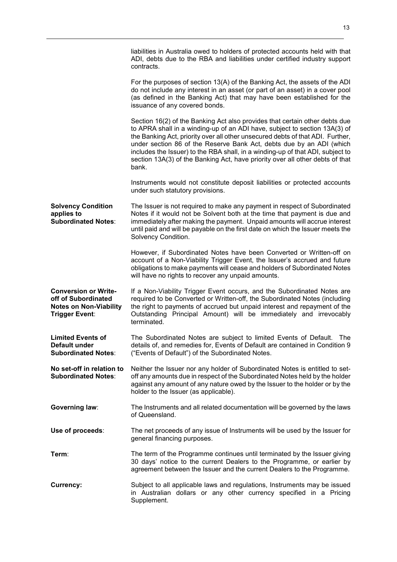|                                                                                                              | liabilities in Australia owed to holders of protected accounts held with that<br>ADI, debts due to the RBA and liabilities under certified industry support<br>contracts.                                                                                                                                                                                                                                                                                                                       |
|--------------------------------------------------------------------------------------------------------------|-------------------------------------------------------------------------------------------------------------------------------------------------------------------------------------------------------------------------------------------------------------------------------------------------------------------------------------------------------------------------------------------------------------------------------------------------------------------------------------------------|
|                                                                                                              | For the purposes of section 13(A) of the Banking Act, the assets of the ADI<br>do not include any interest in an asset (or part of an asset) in a cover pool<br>(as defined in the Banking Act) that may have been established for the<br>issuance of any covered bonds.                                                                                                                                                                                                                        |
|                                                                                                              | Section 16(2) of the Banking Act also provides that certain other debts due<br>to APRA shall in a winding-up of an ADI have, subject to section 13A(3) of<br>the Banking Act, priority over all other unsecured debts of that ADI. Further,<br>under section 86 of the Reserve Bank Act, debts due by an ADI (which<br>includes the Issuer) to the RBA shall, in a winding-up of that ADI, subject to<br>section 13A(3) of the Banking Act, have priority over all other debts of that<br>bank. |
|                                                                                                              | Instruments would not constitute deposit liabilities or protected accounts<br>under such statutory provisions.                                                                                                                                                                                                                                                                                                                                                                                  |
| <b>Solvency Condition</b><br>applies to<br><b>Subordinated Notes:</b>                                        | The Issuer is not required to make any payment in respect of Subordinated<br>Notes if it would not be Solvent both at the time that payment is due and<br>immediately after making the payment. Unpaid amounts will accrue interest<br>until paid and will be payable on the first date on which the Issuer meets the<br>Solvency Condition.                                                                                                                                                    |
|                                                                                                              | However, if Subordinated Notes have been Converted or Written-off on<br>account of a Non-Viability Trigger Event, the Issuer's accrued and future<br>obligations to make payments will cease and holders of Subordinated Notes<br>will have no rights to recover any unpaid amounts.                                                                                                                                                                                                            |
| <b>Conversion or Write-</b><br>off of Subordinated<br><b>Notes on Non-Viability</b><br><b>Trigger Event:</b> | If a Non-Viability Trigger Event occurs, and the Subordinated Notes are<br>required to be Converted or Written-off, the Subordinated Notes (including<br>the right to payments of accrued but unpaid interest and repayment of the<br>Outstanding Principal Amount) will be immediately and irrevocably<br>terminated.                                                                                                                                                                          |
| <b>Limited Events of</b><br>Default under<br><b>Subordinated Notes:</b>                                      | The Subordinated Notes are subject to limited Events of Default.<br>The<br>details of, and remedies for, Events of Default are contained in Condition 9<br>("Events of Default") of the Subordinated Notes.                                                                                                                                                                                                                                                                                     |
| No set-off in relation to<br><b>Subordinated Notes:</b>                                                      | Neither the Issuer nor any holder of Subordinated Notes is entitled to set-<br>off any amounts due in respect of the Subordinated Notes held by the holder<br>against any amount of any nature owed by the Issuer to the holder or by the<br>holder to the Issuer (as applicable).                                                                                                                                                                                                              |
| Governing law:                                                                                               | The Instruments and all related documentation will be governed by the laws<br>of Queensland.                                                                                                                                                                                                                                                                                                                                                                                                    |
| Use of proceeds:                                                                                             | The net proceeds of any issue of Instruments will be used by the Issuer for<br>general financing purposes.                                                                                                                                                                                                                                                                                                                                                                                      |
| Term:                                                                                                        | The term of the Programme continues until terminated by the Issuer giving<br>30 days' notice to the current Dealers to the Programme, or earlier by<br>agreement between the Issuer and the current Dealers to the Programme.                                                                                                                                                                                                                                                                   |
| Currency:                                                                                                    | Subject to all applicable laws and regulations, Instruments may be issued<br>in Australian dollars or any other currency specified in a Pricing<br>Supplement.                                                                                                                                                                                                                                                                                                                                  |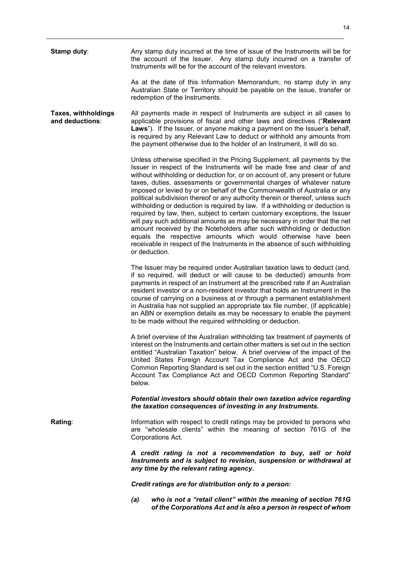**Stamp duty:** Any stamp duty incurred at the time of issue of the Instruments will be for the account of the Issuer. Any stamp duty incurred on a transfer of Instruments will be for the account of the relevant investors. As at the date of this Information Memorandum, no stamp duty in any Australian State or Territory should be payable on the issue, transfer or redemption of the Instruments. **Taxes, withholdings and deductions**: All payments made in respect of Instruments are subject in all cases to applicable provisions of fiscal and other laws and directives ("**Relevant Laws**"). If the Issuer, or anyone making a payment on the Issuer's behalf, is required by any Relevant Law to deduct or withhold any amounts from the payment otherwise due to the holder of an Instrument, it will do so. Unless otherwise specified in the Pricing Supplement, all payments by the Issuer in respect of the Instruments will be made free and clear of and without withholding or deduction for, or on account of, any present or future taxes, duties, assessments or governmental charges of whatever nature imposed or levied by or on behalf of the Commonwealth of Australia or any political subdivision thereof or any authority therein or thereof, unless such withholding or deduction is required by law. If a withholding or deduction is required by law, then, subject to certain customary exceptions, the Issuer will pay such additional amounts as may be necessary in order that the net amount received by the Noteholders after such withholding or deduction equals the respective amounts which would otherwise have been receivable in respect of the Instruments in the absence of such withholding or deduction. The Issuer may be required under Australian taxation laws to deduct (and, if so required, will deduct or will cause to be deducted) amounts from payments in respect of an Instrument at the prescribed rate if an Australian resident investor or a non-resident investor that holds an Instrument in the course of carrying on a business at or through a permanent establishment in Australia has not supplied an appropriate tax file number, (if applicable) an ABN or exemption details as may be necessary to enable the payment to be made without the required withholding or deduction. A brief overview of the Australian withholding tax treatment of payments of interest on the Instruments and certain other matters is set out in the section entitled "Australian Taxation" below. A brief overview of the impact of the United States Foreign Account Tax Compliance Act and the OECD Common Reporting Standard is set out in the section entitled "U.S. Foreign Account Tax Compliance Act and OECD Common Reporting Standard" below. *Potential investors should obtain their own taxation advice regarding the taxation consequences of investing in any Instruments.*  **Rating:** Information with respect to credit ratings may be provided to persons who are "wholesale clients" within the meaning of section 761G of the Corporations Act. *A credit rating is not a recommendation to buy, sell or hold Instruments and is subject to revision, suspension or withdrawal at any time by the relevant rating agency. Credit ratings are for distribution only to a person: (a) who is not a "retail client" within the meaning of section 761G of the Corporations Act and is also a person in respect of whom*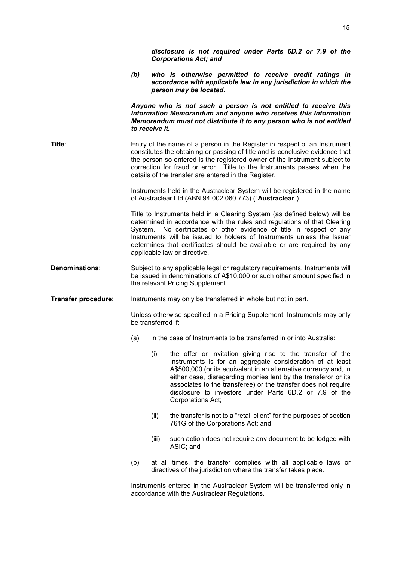|                     |                                                                                                                           | disclosure is not required under Parts 6D.2 or 7.9 of the<br><b>Corporations Act; and</b>                                                                                                                                                                                                                                                                                                                             |  |
|---------------------|---------------------------------------------------------------------------------------------------------------------------|-----------------------------------------------------------------------------------------------------------------------------------------------------------------------------------------------------------------------------------------------------------------------------------------------------------------------------------------------------------------------------------------------------------------------|--|
|                     | (b)                                                                                                                       | who is otherwise permitted to receive credit ratings in<br>accordance with applicable law in any jurisdiction in which the<br>person may be located.                                                                                                                                                                                                                                                                  |  |
|                     |                                                                                                                           | Anyone who is not such a person is not entitled to receive this<br>Information Memorandum and anyone who receives this Information<br>Memorandum must not distribute it to any person who is not entitled<br>to receive it.                                                                                                                                                                                           |  |
| Title:              |                                                                                                                           | Entry of the name of a person in the Register in respect of an Instrument<br>constitutes the obtaining or passing of title and is conclusive evidence that<br>the person so entered is the registered owner of the Instrument subject to<br>correction for fraud or error. Title to the Instruments passes when the<br>details of the transfer are entered in the Register.                                           |  |
|                     |                                                                                                                           | Instruments held in the Austraclear System will be registered in the name<br>of Austraclear Ltd (ABN 94 002 060 773) ("Austraclear").                                                                                                                                                                                                                                                                                 |  |
|                     |                                                                                                                           | Title to Instruments held in a Clearing System (as defined below) will be<br>determined in accordance with the rules and regulations of that Clearing<br>System. No certificates or other evidence of title in respect of any<br>Instruments will be issued to holders of Instruments unless the Issuer<br>determines that certificates should be available or are required by any<br>applicable law or directive.    |  |
| Denominations:      |                                                                                                                           | Subject to any applicable legal or regulatory requirements, Instruments will<br>be issued in denominations of A\$10,000 or such other amount specified in<br>the relevant Pricing Supplement.                                                                                                                                                                                                                         |  |
| Transfer procedure: |                                                                                                                           | Instruments may only be transferred in whole but not in part.                                                                                                                                                                                                                                                                                                                                                         |  |
|                     | Unless otherwise specified in a Pricing Supplement, Instruments may only<br>be transferred if:                            |                                                                                                                                                                                                                                                                                                                                                                                                                       |  |
|                     |                                                                                                                           | (a) in the case of Instruments to be transferred in or into Australia:                                                                                                                                                                                                                                                                                                                                                |  |
|                     |                                                                                                                           | (i)<br>the offer or invitation giving rise to the transfer of the<br>Instruments is for an aggregate consideration of at least<br>A\$500,000 (or its equivalent in an alternative currency and, in<br>either case, disregarding monies lent by the transferor or its<br>associates to the transferee) or the transfer does not require<br>disclosure to investors under Parts 6D.2 or 7.9 of the<br>Corporations Act; |  |
|                     |                                                                                                                           | (ii)<br>the transfer is not to a "retail client" for the purposes of section<br>761G of the Corporations Act; and                                                                                                                                                                                                                                                                                                     |  |
|                     |                                                                                                                           | such action does not require any document to be lodged with<br>(iii)<br>ASIC; and                                                                                                                                                                                                                                                                                                                                     |  |
|                     | (b)                                                                                                                       | at all times, the transfer complies with all applicable laws or<br>directives of the jurisdiction where the transfer takes place.                                                                                                                                                                                                                                                                                     |  |
|                     | Instruments entered in the Austraclear System will be transferred only in<br>accordance with the Austraclear Regulations. |                                                                                                                                                                                                                                                                                                                                                                                                                       |  |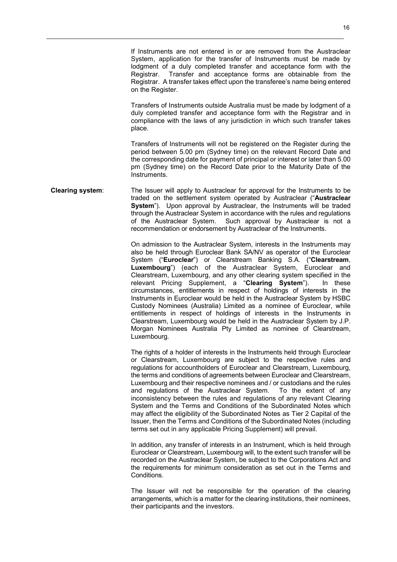If Instruments are not entered in or are removed from the Austraclear System, application for the transfer of Instruments must be made by lodgment of a duly completed transfer and acceptance form with the Registrar. Transfer and acceptance forms are obtainable from the Registrar. A transfer takes effect upon the transferee's name being entered on the Register.

Transfers of Instruments outside Australia must be made by lodgment of a duly completed transfer and acceptance form with the Registrar and in compliance with the laws of any jurisdiction in which such transfer takes place.

Transfers of Instruments will not be registered on the Register during the period between 5.00 pm (Sydney time) on the relevant Record Date and the corresponding date for payment of principal or interest or later than 5.00 pm (Sydney time) on the Record Date prior to the Maturity Date of the Instruments.

#### **Clearing system**: The Issuer will apply to Austraclear for approval for the Instruments to be traded on the settlement system operated by Austraclear ("**Austraclear System**"). Upon approval by Austraclear, the Instruments will be traded through the Austraclear System in accordance with the rules and regulations of the Austraclear System. Such approval by Austraclear is not a recommendation or endorsement by Austraclear of the Instruments.

On admission to the Austraclear System, interests in the Instruments may also be held through Euroclear Bank SA/NV as operator of the Euroclear System ("**Euroclear**") or Clearstream Banking S.A. ("**Clearstream**, **Luxembourg**") (each of the Austraclear System, Euroclear and Clearstream, Luxembourg, and any other clearing system specified in the relevant Pricing Supplement, a "**Clearing System**"). In these circumstances, entitlements in respect of holdings of interests in the Instruments in Euroclear would be held in the Austraclear System by HSBC Custody Nominees (Australia) Limited as a nominee of Euroclear, while entitlements in respect of holdings of interests in the Instruments in Clearstream, Luxembourg would be held in the Austraclear System by J.P. Morgan Nominees Australia Pty Limited as nominee of Clearstream, Luxembourg.

The rights of a holder of interests in the Instruments held through Euroclear or Clearstream, Luxembourg are subject to the respective rules and regulations for accountholders of Euroclear and Clearstream, Luxembourg, the terms and conditions of agreements between Euroclear and Clearstream, Luxembourg and their respective nominees and / or custodians and the rules and regulations of the Austraclear System. To the extent of any inconsistency between the rules and regulations of any relevant Clearing System and the Terms and Conditions of the Subordinated Notes which may affect the eligibility of the Subordinated Notes as Tier 2 Capital of the Issuer, then the Terms and Conditions of the Subordinated Notes (including terms set out in any applicable Pricing Supplement) will prevail.

In addition, any transfer of interests in an Instrument, which is held through Euroclear or Clearstream, Luxembourg will, to the extent such transfer will be recorded on the Austraclear System, be subject to the Corporations Act and the requirements for minimum consideration as set out in the Terms and Conditions.

The Issuer will not be responsible for the operation of the clearing arrangements, which is a matter for the clearing institutions, their nominees, their participants and the investors.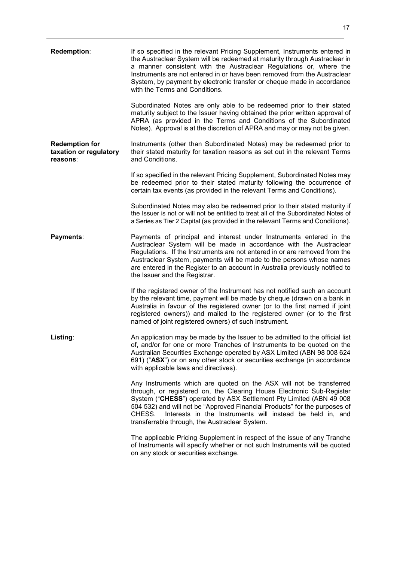| Redemption:                                                 | If so specified in the relevant Pricing Supplement, Instruments entered in<br>the Austraclear System will be redeemed at maturity through Austraclear in<br>a manner consistent with the Austraclear Regulations or, where the<br>Instruments are not entered in or have been removed from the Austraclear<br>System, by payment by electronic transfer or cheque made in accordance<br>with the Terms and Conditions.     |
|-------------------------------------------------------------|----------------------------------------------------------------------------------------------------------------------------------------------------------------------------------------------------------------------------------------------------------------------------------------------------------------------------------------------------------------------------------------------------------------------------|
|                                                             | Subordinated Notes are only able to be redeemed prior to their stated<br>maturity subject to the Issuer having obtained the prior written approval of<br>APRA (as provided in the Terms and Conditions of the Subordinated<br>Notes). Approval is at the discretion of APRA and may or may not be given.                                                                                                                   |
| <b>Redemption for</b><br>taxation or regulatory<br>reasons: | Instruments (other than Subordinated Notes) may be redeemed prior to<br>their stated maturity for taxation reasons as set out in the relevant Terms<br>and Conditions.                                                                                                                                                                                                                                                     |
|                                                             | If so specified in the relevant Pricing Supplement, Subordinated Notes may<br>be redeemed prior to their stated maturity following the occurrence of<br>certain tax events (as provided in the relevant Terms and Conditions).                                                                                                                                                                                             |
|                                                             | Subordinated Notes may also be redeemed prior to their stated maturity if<br>the Issuer is not or will not be entitled to treat all of the Subordinated Notes of<br>a Series as Tier 2 Capital (as provided in the relevant Terms and Conditions).                                                                                                                                                                         |
| Payments:                                                   | Payments of principal and interest under Instruments entered in the<br>Austraclear System will be made in accordance with the Austraclear<br>Regulations. If the Instruments are not entered in or are removed from the<br>Austraclear System, payments will be made to the persons whose names<br>are entered in the Register to an account in Australia previously notified to<br>the Issuer and the Registrar.          |
|                                                             | If the registered owner of the Instrument has not notified such an account<br>by the relevant time, payment will be made by cheque (drawn on a bank in<br>Australia in favour of the registered owner (or to the first named if joint<br>registered owners)) and mailed to the registered owner (or to the first<br>named of joint registered owners) of such Instrument.                                                  |
| Listing:                                                    | An application may be made by the Issuer to be admitted to the official list<br>of, and/or for one or more Tranches of Instruments to be quoted on the<br>Australian Securities Exchange operated by ASX Limited (ABN 98 008 624<br>691) ("ASX") or on any other stock or securities exchange (in accordance<br>with applicable laws and directives).                                                                      |
|                                                             | Any Instruments which are quoted on the ASX will not be transferred<br>through, or registered on, the Clearing House Electronic Sub-Register<br>System ("CHESS") operated by ASX Settlement Pty Limited (ABN 49 008<br>504 532) and will not be "Approved Financial Products" for the purposes of<br>Interests in the Instruments will instead be held in, and<br>CHESS.<br>transferrable through, the Austraclear System. |
|                                                             | The applicable Pricing Supplement in respect of the issue of any Tranche<br>of Instruments will specify whether or not such Instruments will be quoted<br>on any stock or securities exchange.                                                                                                                                                                                                                             |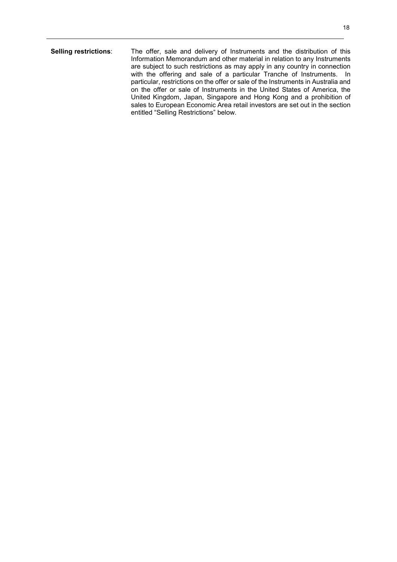**Selling restrictions**: The offer, sale and delivery of Instruments and the distribution of this Information Memorandum and other material in relation to any Instruments are subject to such restrictions as may apply in any country in connection with the offering and sale of a particular Tranche of Instruments. In particular, restrictions on the offer or sale of the Instruments in Australia and on the offer or sale of Instruments in the United States of America, the United Kingdom, Japan, Singapore and Hong Kong and a prohibition of sales to European Economic Area retail investors are set out in the section entitled "Selling Restrictions" below.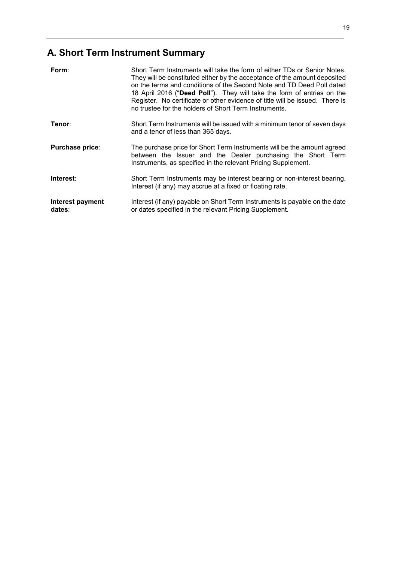# **A. Short Term Instrument Summary**

| Form:                      | Short Term Instruments will take the form of either TDs or Senior Notes.<br>They will be constituted either by the acceptance of the amount deposited<br>on the terms and conditions of the Second Note and TD Deed Poll dated<br>18 April 2016 ("Deed Poll"). They will take the form of entries on the<br>Register. No certificate or other evidence of title will be issued. There is<br>no trustee for the holders of Short Term Instruments. |
|----------------------------|---------------------------------------------------------------------------------------------------------------------------------------------------------------------------------------------------------------------------------------------------------------------------------------------------------------------------------------------------------------------------------------------------------------------------------------------------|
| Tenor∶                     | Short Term Instruments will be issued with a minimum tenor of seven days<br>and a tenor of less than 365 days.                                                                                                                                                                                                                                                                                                                                    |
| Purchase price:            | The purchase price for Short Term Instruments will be the amount agreed<br>between the Issuer and the Dealer purchasing the Short Term<br>Instruments, as specified in the relevant Pricing Supplement.                                                                                                                                                                                                                                           |
| Interest:                  | Short Term Instruments may be interest bearing or non-interest bearing.<br>Interest (if any) may accrue at a fixed or floating rate.                                                                                                                                                                                                                                                                                                              |
| Interest payment<br>dates: | Interest (if any) payable on Short Term Instruments is payable on the date<br>or dates specified in the relevant Pricing Supplement.                                                                                                                                                                                                                                                                                                              |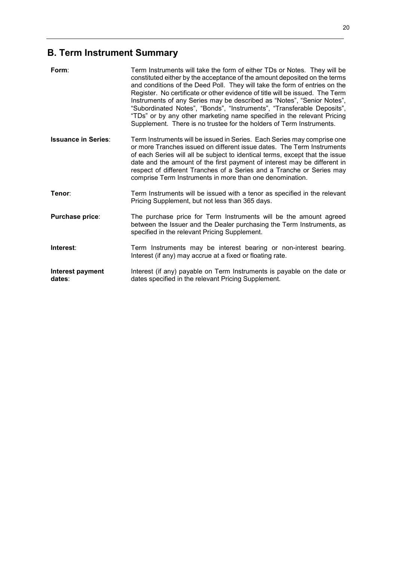# **B. Term Instrument Summary**

| Form:                      | Term Instruments will take the form of either TDs or Notes. They will be<br>constituted either by the acceptance of the amount deposited on the terms<br>and conditions of the Deed Poll. They will take the form of entries on the<br>Register. No certificate or other evidence of title will be issued. The Term<br>Instruments of any Series may be described as "Notes", "Senior Notes",<br>"Subordinated Notes", "Bonds", "Instruments", "Transferable Deposits",<br>"TDs" or by any other marketing name specified in the relevant Pricing<br>Supplement. There is no trustee for the holders of Term Instruments. |
|----------------------------|---------------------------------------------------------------------------------------------------------------------------------------------------------------------------------------------------------------------------------------------------------------------------------------------------------------------------------------------------------------------------------------------------------------------------------------------------------------------------------------------------------------------------------------------------------------------------------------------------------------------------|
| <b>Issuance in Series:</b> | Term Instruments will be issued in Series. Each Series may comprise one<br>or more Tranches issued on different issue dates. The Term Instruments<br>of each Series will all be subject to identical terms, except that the issue<br>date and the amount of the first payment of interest may be different in<br>respect of different Tranches of a Series and a Tranche or Series may<br>comprise Term Instruments in more than one denomination.                                                                                                                                                                        |
| Tenor:                     | Term Instruments will be issued with a tenor as specified in the relevant<br>Pricing Supplement, but not less than 365 days.                                                                                                                                                                                                                                                                                                                                                                                                                                                                                              |
| Purchase price:            | The purchase price for Term Instruments will be the amount agreed<br>between the Issuer and the Dealer purchasing the Term Instruments, as<br>specified in the relevant Pricing Supplement.                                                                                                                                                                                                                                                                                                                                                                                                                               |
| Interest:                  | Term Instruments may be interest bearing or non-interest bearing.<br>Interest (if any) may accrue at a fixed or floating rate.                                                                                                                                                                                                                                                                                                                                                                                                                                                                                            |
| Interest payment<br>dates: | Interest (if any) payable on Term Instruments is payable on the date or<br>dates specified in the relevant Pricing Supplement.                                                                                                                                                                                                                                                                                                                                                                                                                                                                                            |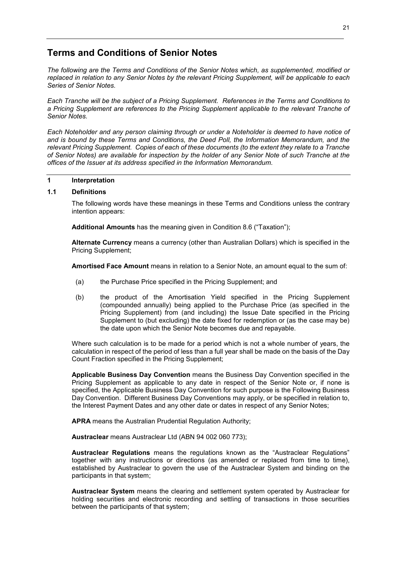# **Terms and Conditions of Senior Notes**

*The following are the Terms and Conditions of the Senior Notes which, as supplemented, modified or replaced in relation to any Senior Notes by the relevant Pricing Supplement, will be applicable to each Series of Senior Notes.* 

*Each Tranche will be the subject of a Pricing Supplement. References in the Terms and Conditions to a Pricing Supplement are references to the Pricing Supplement applicable to the relevant Tranche of Senior Notes.* 

*Each Noteholder and any person claiming through or under a Noteholder is deemed to have notice of and is bound by these Terms and Conditions, the Deed Poll, the Information Memorandum, and the relevant Pricing Supplement. Copies of each of these documents (to the extent they relate to a Tranche of Senior Notes) are available for inspection by the holder of any Senior Note of such Tranche at the offices of the Issuer at its address specified in the Information Memorandum.* 

## **1 Interpretation**

#### **1.1 Definitions**

The following words have these meanings in these Terms and Conditions unless the contrary intention appears:

**Additional Amounts** has the meaning given in Condition 8.6 ("Taxation");

**Alternate Currency** means a currency (other than Australian Dollars) which is specified in the Pricing Supplement;

**Amortised Face Amount** means in relation to a Senior Note, an amount equal to the sum of:

- (a) the Purchase Price specified in the Pricing Supplement; and
- (b) the product of the Amortisation Yield specified in the Pricing Supplement (compounded annually) being applied to the Purchase Price (as specified in the Pricing Supplement) from (and including) the Issue Date specified in the Pricing Supplement to (but excluding) the date fixed for redemption or (as the case may be) the date upon which the Senior Note becomes due and repayable.

Where such calculation is to be made for a period which is not a whole number of years, the calculation in respect of the period of less than a full year shall be made on the basis of the Day Count Fraction specified in the Pricing Supplement;

**Applicable Business Day Convention** means the Business Day Convention specified in the Pricing Supplement as applicable to any date in respect of the Senior Note or, if none is specified, the Applicable Business Day Convention for such purpose is the Following Business Day Convention. Different Business Day Conventions may apply, or be specified in relation to, the Interest Payment Dates and any other date or dates in respect of any Senior Notes;

**APRA** means the Australian Prudential Regulation Authority;

**Austraclear** means Austraclear Ltd (ABN 94 002 060 773);

**Austraclear Regulations** means the regulations known as the "Austraclear Regulations" together with any instructions or directions (as amended or replaced from time to time), established by Austraclear to govern the use of the Austraclear System and binding on the participants in that system;

**Austraclear System** means the clearing and settlement system operated by Austraclear for holding securities and electronic recording and settling of transactions in those securities between the participants of that system;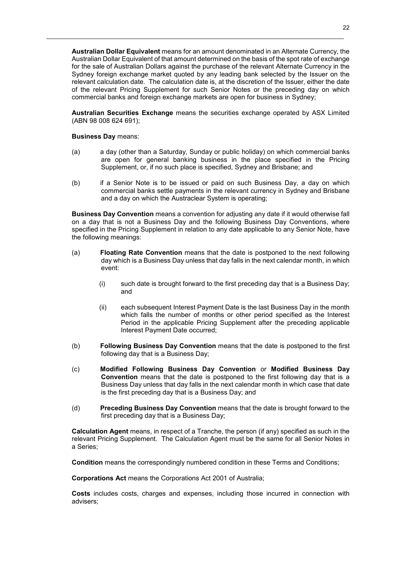**Australian Dollar Equivalent** means for an amount denominated in an Alternate Currency, the Australian Dollar Equivalent of that amount determined on the basis of the spot rate of exchange for the sale of Australian Dollars against the purchase of the relevant Alternate Currency in the Sydney foreign exchange market quoted by any leading bank selected by the Issuer on the relevant calculation date. The calculation date is, at the discretion of the Issuer, either the date of the relevant Pricing Supplement for such Senior Notes or the preceding day on which commercial banks and foreign exchange markets are open for business in Sydney;

**Australian Securities Exchange** means the securities exchange operated by ASX Limited (ABN 98 008 624 691);

**Business Day** means:

- (a) a day (other than a Saturday, Sunday or public holiday) on which commercial banks are open for general banking business in the place specified in the Pricing Supplement, or, if no such place is specified, Sydney and Brisbane; and
- (b) if a Senior Note is to be issued or paid on such Business Day, a day on which commercial banks settle payments in the relevant currency in Sydney and Brisbane and a day on which the Austraclear System is operating;

**Business Day Convention** means a convention for adjusting any date if it would otherwise fall on a day that is not a Business Day and the following Business Day Conventions, where specified in the Pricing Supplement in relation to any date applicable to any Senior Note, have the following meanings:

- (a) **Floating Rate Convention** means that the date is postponed to the next following day which is a Business Day unless that day falls in the next calendar month, in which event:
	- (i) such date is brought forward to the first preceding day that is a Business Day; and
	- (ii) each subsequent Interest Payment Date is the last Business Day in the month which falls the number of months or other period specified as the Interest Period in the applicable Pricing Supplement after the preceding applicable Interest Payment Date occurred;
- (b) **Following Business Day Convention** means that the date is postponed to the first following day that is a Business Day;
- (c) **Modified Following Business Day Convention** or **Modified Business Day Convention** means that the date is postponed to the first following day that is a Business Day unless that day falls in the next calendar month in which case that date is the first preceding day that is a Business Day; and
- (d) **Preceding Business Day Convention** means that the date is brought forward to the first preceding day that is a Business Day;

**Calculation Agent** means, in respect of a Tranche, the person (if any) specified as such in the relevant Pricing Supplement. The Calculation Agent must be the same for all Senior Notes in a Series;

**Condition** means the correspondingly numbered condition in these Terms and Conditions;

**Corporations Act** means the Corporations Act 2001 of Australia;

**Costs** includes costs, charges and expenses, including those incurred in connection with advisers;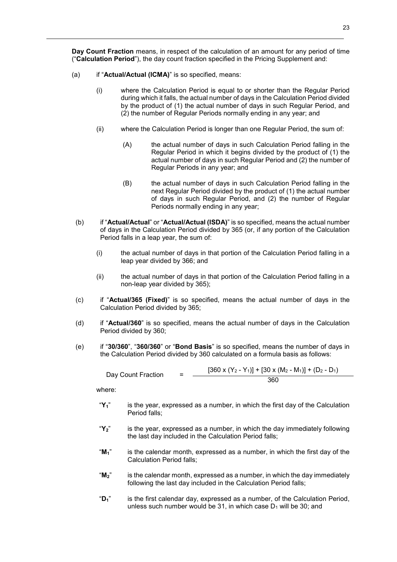**Day Count Fraction** means, in respect of the calculation of an amount for any period of time ("**Calculation Period**"), the day count fraction specified in the Pricing Supplement and:

- (a) if "**Actual/Actual (ICMA)**" is so specified, means:
	- (i) where the Calculation Period is equal to or shorter than the Regular Period during which it falls, the actual number of days in the Calculation Period divided by the product of (1) the actual number of days in such Regular Period, and (2) the number of Regular Periods normally ending in any year; and
	- (ii) where the Calculation Period is longer than one Regular Period, the sum of:
		- (A) the actual number of days in such Calculation Period falling in the Regular Period in which it begins divided by the product of (1) the actual number of days in such Regular Period and (2) the number of Regular Periods in any year; and
		- (B) the actual number of days in such Calculation Period falling in the next Regular Period divided by the product of (1) the actual number of days in such Regular Period, and (2) the number of Regular Periods normally ending in any year;
	- (b) if "**Actual/Actual**" or "**Actual/Actual (ISDA)**" is so specified, means the actual number of days in the Calculation Period divided by 365 (or, if any portion of the Calculation Period falls in a leap year, the sum of:
		- (i) the actual number of days in that portion of the Calculation Period falling in a leap year divided by 366; and
		- (ii) the actual number of days in that portion of the Calculation Period falling in a non-leap year divided by 365);
	- (c) if "**Actual/365 (Fixed)**" is so specified, means the actual number of days in the Calculation Period divided by 365;
	- (d) if "**Actual/360**" is so specified, means the actual number of days in the Calculation Period divided by 360;
	- (e) if "**30/360**", "**360/360**" or "**Bond Basis**" is so specified, means the number of days in the Calculation Period divided by 360 calculated on a formula basis as follows:

Day Count Fraction = 
$$
\frac{[360 \times (Y_2 - Y_1)] + [30 \times (M_2 - M_1)] + (D_2 - D_1)}{360}
$$

where:

- "**Y1**" is the year, expressed as a number, in which the first day of the Calculation Period falls;
- "**Y2**" is the year, expressed as a number, in which the day immediately following the last day included in the Calculation Period falls;
- "**M1**" is the calendar month, expressed as a number, in which the first day of the Calculation Period falls;
- "**M2**" is the calendar month, expressed as a number, in which the day immediately following the last day included in the Calculation Period falls;
- "**D1**" is the first calendar day, expressed as a number, of the Calculation Period, unless such number would be 31, in which case  $D_1$  will be 30; and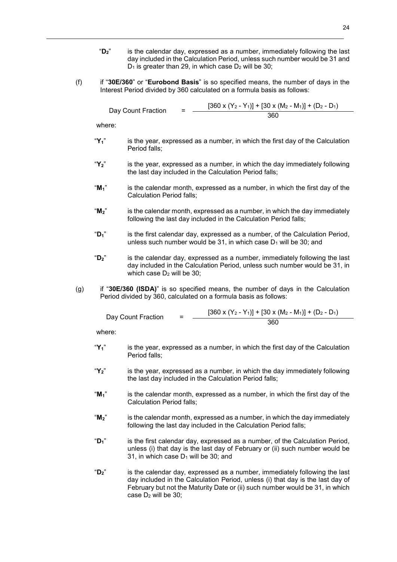- "**D2**" is the calendar day, expressed as a number, immediately following the last day included in the Calculation Period, unless such number would be 31 and  $D_1$  is greater than 29, in which case  $D_2$  will be 30;
- (f) if "**30E/360**" or "**Eurobond Basis**" is so specified means, the number of days in the Interest Period divided by 360 calculated on a formula basis as follows:

| Day Count Fraction | $\overline{\phantom{0}}$ | $[360 \times (Y_2 - Y_1)] + [30 \times (M_2 - M_1)] + (D_2 - D_1)$ |
|--------------------|--------------------------|--------------------------------------------------------------------|
|                    |                          | 360                                                                |

where:

- "**Y1**" is the year, expressed as a number, in which the first day of the Calculation Period falls;
- "**Y2**" is the year, expressed as a number, in which the day immediately following the last day included in the Calculation Period falls;
- "**M1**" is the calendar month, expressed as a number, in which the first day of the Calculation Period falls;
- "**M2**" is the calendar month, expressed as a number, in which the day immediately following the last day included in the Calculation Period falls;
- "**D1**" is the first calendar day, expressed as a number, of the Calculation Period, unless such number would be 31, in which case  $D_1$  will be 30; and
- "**D2**" is the calendar day, expressed as a number, immediately following the last day included in the Calculation Period, unless such number would be 31, in which case  $D_2$  will be 30;
- (g) if "**30E/360 (ISDA)**" is so specified means, the number of days in the Calculation Period divided by 360, calculated on a formula basis as follows:

| Day Count Fraction | $\overline{\phantom{a}}$<br>- | $[360 \times (Y_2 - Y_1)] + [30 \times (M_2 - M_1)] + (D_2 - D_1)$ |
|--------------------|-------------------------------|--------------------------------------------------------------------|
|                    |                               | 360                                                                |

where:

- "**Y1**" is the year, expressed as a number, in which the first day of the Calculation Period falls;
- "**Y2**" is the year, expressed as a number, in which the day immediately following the last day included in the Calculation Period falls;
- "**M1**" is the calendar month, expressed as a number, in which the first day of the Calculation Period falls;
- "**M2**" is the calendar month, expressed as a number, in which the day immediately following the last day included in the Calculation Period falls;
- "**D1**" is the first calendar day, expressed as a number, of the Calculation Period, unless (i) that day is the last day of February or (ii) such number would be 31, in which case  $D_1$  will be 30; and
- "**D2**" is the calendar day, expressed as a number, immediately following the last day included in the Calculation Period, unless (i) that day is the last day of February but not the Maturity Date or (ii) such number would be 31, in which case D<sub>2</sub> will be 30;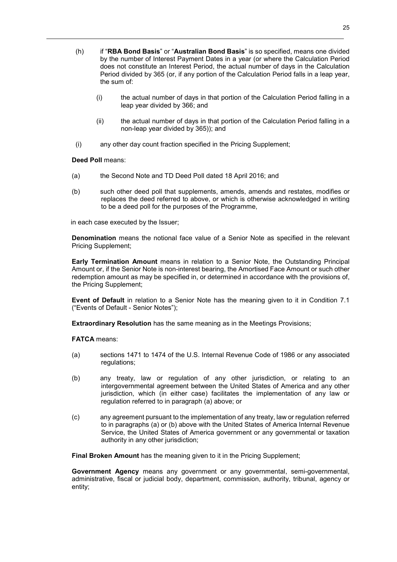- (h) if "**RBA Bond Basis**" or "**Australian Bond Basis**" is so specified, means one divided by the number of Interest Payment Dates in a year (or where the Calculation Period does not constitute an Interest Period, the actual number of days in the Calculation Period divided by 365 (or, if any portion of the Calculation Period falls in a leap year, the sum of:
	- (i) the actual number of days in that portion of the Calculation Period falling in a leap year divided by 366; and
	- (ii) the actual number of days in that portion of the Calculation Period falling in a non-leap year divided by 365)); and
- (i) any other day count fraction specified in the Pricing Supplement;

## **Deed Poll** means:

- (a) the Second Note and TD Deed Poll dated 18 April 2016; and
- (b) such other deed poll that supplements, amends, amends and restates, modifies or replaces the deed referred to above, or which is otherwise acknowledged in writing to be a deed poll for the purposes of the Programme,

in each case executed by the Issuer;

**Denomination** means the notional face value of a Senior Note as specified in the relevant Pricing Supplement;

**Early Termination Amount** means in relation to a Senior Note, the Outstanding Principal Amount or, if the Senior Note is non-interest bearing, the Amortised Face Amount or such other redemption amount as may be specified in, or determined in accordance with the provisions of, the Pricing Supplement;

**Event of Default** in relation to a Senior Note has the meaning given to it in Condition 7.1 ("Events of Default - Senior Notes");

**Extraordinary Resolution** has the same meaning as in the Meetings Provisions;

**FATCA** means:

- (a) sections 1471 to 1474 of the U.S. Internal Revenue Code of 1986 or any associated regulations;
- (b) any treaty, law or regulation of any other jurisdiction, or relating to an intergovernmental agreement between the United States of America and any other jurisdiction, which (in either case) facilitates the implementation of any law or regulation referred to in paragraph (a) above; or
- (c) any agreement pursuant to the implementation of any treaty, law or regulation referred to in paragraphs (a) or (b) above with the United States of America Internal Revenue Service, the United States of America government or any governmental or taxation authority in any other jurisdiction;

**Final Broken Amount** has the meaning given to it in the Pricing Supplement;

**Government Agency** means any government or any governmental, semi-governmental, administrative, fiscal or judicial body, department, commission, authority, tribunal, agency or entity;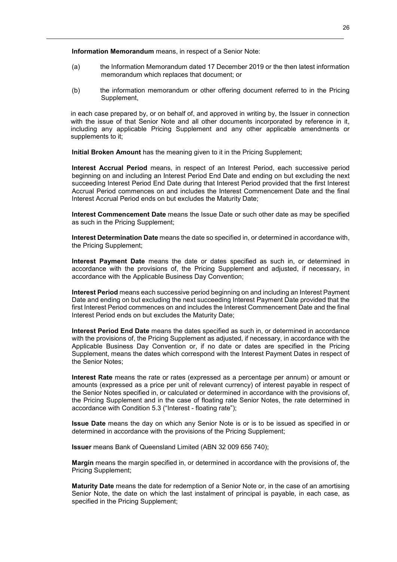**Information Memorandum** means, in respect of a Senior Note:

- (a) the Information Memorandum dated 17 December 2019 or the then latest information memorandum which replaces that document; or
- (b) the information memorandum or other offering document referred to in the Pricing Supplement,

in each case prepared by, or on behalf of, and approved in writing by, the Issuer in connection with the issue of that Senior Note and all other documents incorporated by reference in it, including any applicable Pricing Supplement and any other applicable amendments or supplements to it;

**Initial Broken Amount** has the meaning given to it in the Pricing Supplement;

**Interest Accrual Period** means, in respect of an Interest Period, each successive period beginning on and including an Interest Period End Date and ending on but excluding the next succeeding Interest Period End Date during that Interest Period provided that the first Interest Accrual Period commences on and includes the Interest Commencement Date and the final Interest Accrual Period ends on but excludes the Maturity Date;

**Interest Commencement Date** means the Issue Date or such other date as may be specified as such in the Pricing Supplement;

**Interest Determination Date** means the date so specified in, or determined in accordance with, the Pricing Supplement;

**Interest Payment Date** means the date or dates specified as such in, or determined in accordance with the provisions of, the Pricing Supplement and adjusted, if necessary, in accordance with the Applicable Business Day Convention;

**Interest Period** means each successive period beginning on and including an Interest Payment Date and ending on but excluding the next succeeding Interest Payment Date provided that the first Interest Period commences on and includes the Interest Commencement Date and the final Interest Period ends on but excludes the Maturity Date;

**Interest Period End Date** means the dates specified as such in, or determined in accordance with the provisions of, the Pricing Supplement as adjusted, if necessary, in accordance with the Applicable Business Day Convention or, if no date or dates are specified in the Pricing Supplement, means the dates which correspond with the Interest Payment Dates in respect of the Senior Notes;

**Interest Rate** means the rate or rates (expressed as a percentage per annum) or amount or amounts (expressed as a price per unit of relevant currency) of interest payable in respect of the Senior Notes specified in, or calculated or determined in accordance with the provisions of, the Pricing Supplement and in the case of floating rate Senior Notes, the rate determined in accordance with Condition 5.3 ("Interest - floating rate");

**Issue Date** means the day on which any Senior Note is or is to be issued as specified in or determined in accordance with the provisions of the Pricing Supplement;

**Issuer** means Bank of Queensland Limited (ABN 32 009 656 740);

**Margin** means the margin specified in, or determined in accordance with the provisions of, the Pricing Supplement;

**Maturity Date** means the date for redemption of a Senior Note or, in the case of an amortising Senior Note, the date on which the last instalment of principal is payable, in each case, as specified in the Pricing Supplement;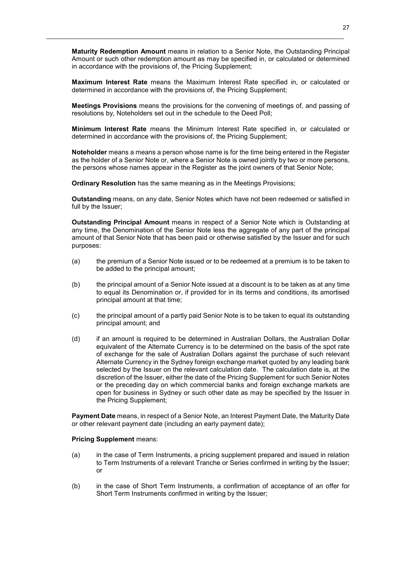**Maturity Redemption Amount** means in relation to a Senior Note, the Outstanding Principal Amount or such other redemption amount as may be specified in, or calculated or determined in accordance with the provisions of, the Pricing Supplement;

**Maximum Interest Rate** means the Maximum Interest Rate specified in, or calculated or determined in accordance with the provisions of, the Pricing Supplement;

**Meetings Provisions** means the provisions for the convening of meetings of, and passing of resolutions by, Noteholders set out in the schedule to the Deed Poll;

**Minimum Interest Rate** means the Minimum Interest Rate specified in, or calculated or determined in accordance with the provisions of, the Pricing Supplement;

**Noteholder** means a means a person whose name is for the time being entered in the Register as the holder of a Senior Note or, where a Senior Note is owned jointly by two or more persons, the persons whose names appear in the Register as the joint owners of that Senior Note;

**Ordinary Resolution** has the same meaning as in the Meetings Provisions;

**Outstanding** means, on any date, Senior Notes which have not been redeemed or satisfied in full by the Issuer;

**Outstanding Principal Amount** means in respect of a Senior Note which is Outstanding at any time, the Denomination of the Senior Note less the aggregate of any part of the principal amount of that Senior Note that has been paid or otherwise satisfied by the Issuer and for such purposes:

- (a) the premium of a Senior Note issued or to be redeemed at a premium is to be taken to be added to the principal amount;
- (b) the principal amount of a Senior Note issued at a discount is to be taken as at any time to equal its Denomination or, if provided for in its terms and conditions, its amortised principal amount at that time;
- (c) the principal amount of a partly paid Senior Note is to be taken to equal its outstanding principal amount; and
- (d) if an amount is required to be determined in Australian Dollars, the Australian Dollar equivalent of the Alternate Currency is to be determined on the basis of the spot rate of exchange for the sale of Australian Dollars against the purchase of such relevant Alternate Currency in the Sydney foreign exchange market quoted by any leading bank selected by the Issuer on the relevant calculation date. The calculation date is, at the discretion of the Issuer, either the date of the Pricing Supplement for such Senior Notes or the preceding day on which commercial banks and foreign exchange markets are open for business in Sydney or such other date as may be specified by the Issuer in the Pricing Supplement;

**Payment Date** means, in respect of a Senior Note, an Interest Payment Date, the Maturity Date or other relevant payment date (including an early payment date);

#### **Pricing Supplement** means:

- (a) in the case of Term Instruments, a pricing supplement prepared and issued in relation to Term Instruments of a relevant Tranche or Series confirmed in writing by the Issuer; or
- (b) in the case of Short Term Instruments, a confirmation of acceptance of an offer for Short Term Instruments confirmed in writing by the Issuer;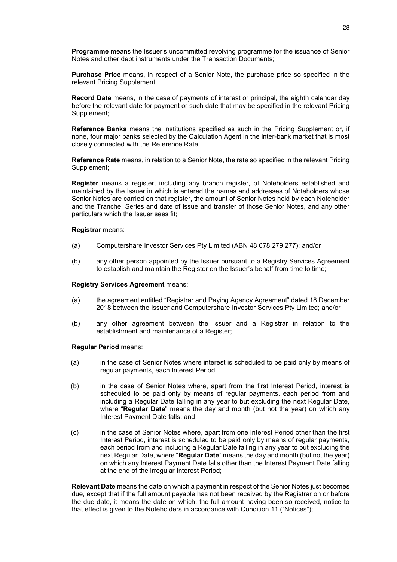**Programme** means the Issuer's uncommitted revolving programme for the issuance of Senior Notes and other debt instruments under the Transaction Documents;

**Purchase Price** means, in respect of a Senior Note, the purchase price so specified in the relevant Pricing Supplement;

**Record Date** means, in the case of payments of interest or principal, the eighth calendar day before the relevant date for payment or such date that may be specified in the relevant Pricing Supplement;

**Reference Banks** means the institutions specified as such in the Pricing Supplement or, if none, four major banks selected by the Calculation Agent in the inter-bank market that is most closely connected with the Reference Rate;

**Reference Rate** means, in relation to a Senior Note, the rate so specified in the relevant Pricing Supplement**;**

**Register** means a register, including any branch register, of Noteholders established and maintained by the Issuer in which is entered the names and addresses of Noteholders whose Senior Notes are carried on that register, the amount of Senior Notes held by each Noteholder and the Tranche, Series and date of issue and transfer of those Senior Notes, and any other particulars which the Issuer sees fit;

#### **Registrar** means:

- (a) Computershare Investor Services Pty Limited (ABN 48 078 279 277); and/or
- (b) any other person appointed by the Issuer pursuant to a Registry Services Agreement to establish and maintain the Register on the Issuer's behalf from time to time;

#### **Registry Services Agreement** means:

- (a) the agreement entitled "Registrar and Paying Agency Agreement" dated 18 December 2018 between the Issuer and Computershare Investor Services Pty Limited; and/or
- (b) any other agreement between the Issuer and a Registrar in relation to the establishment and maintenance of a Register;

#### **Regular Period** means:

- (a) in the case of Senior Notes where interest is scheduled to be paid only by means of regular payments, each Interest Period;
- (b) in the case of Senior Notes where, apart from the first Interest Period, interest is scheduled to be paid only by means of regular payments, each period from and including a Regular Date falling in any year to but excluding the next Regular Date, where "**Regular Date**" means the day and month (but not the year) on which any Interest Payment Date falls; and
- (c) in the case of Senior Notes where, apart from one Interest Period other than the first Interest Period, interest is scheduled to be paid only by means of regular payments, each period from and including a Regular Date falling in any year to but excluding the next Regular Date, where "**Regular Date**" means the day and month (but not the year) on which any Interest Payment Date falls other than the Interest Payment Date falling at the end of the irregular Interest Period;

**Relevant Date** means the date on which a payment in respect of the Senior Notes just becomes due, except that if the full amount payable has not been received by the Registrar on or before the due date, it means the date on which, the full amount having been so received, notice to that effect is given to the Noteholders in accordance with Condition 11 ("Notices");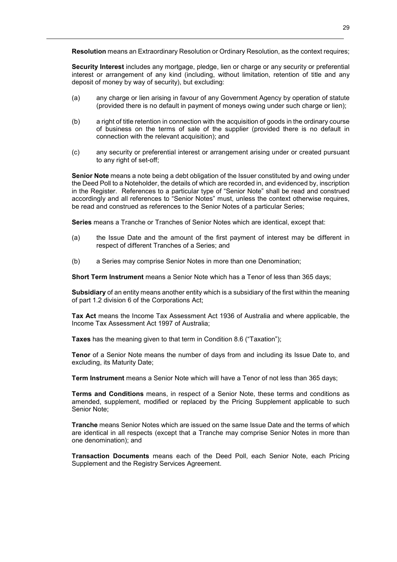**Resolution** means an Extraordinary Resolution or Ordinary Resolution, as the context requires;

**Security Interest** includes any mortgage, pledge, lien or charge or any security or preferential interest or arrangement of any kind (including, without limitation, retention of title and any deposit of money by way of security), but excluding:

- (a) any charge or lien arising in favour of any Government Agency by operation of statute (provided there is no default in payment of moneys owing under such charge or lien);
- (b) a right of title retention in connection with the acquisition of goods in the ordinary course of business on the terms of sale of the supplier (provided there is no default in connection with the relevant acquisition); and
- (c) any security or preferential interest or arrangement arising under or created pursuant to any right of set-off:

**Senior Note** means a note being a debt obligation of the Issuer constituted by and owing under the Deed Poll to a Noteholder, the details of which are recorded in, and evidenced by, inscription in the Register. References to a particular type of "Senior Note" shall be read and construed accordingly and all references to "Senior Notes" must, unless the context otherwise requires, be read and construed as references to the Senior Notes of a particular Series;

**Series** means a Tranche or Tranches of Senior Notes which are identical, except that:

- (a) the Issue Date and the amount of the first payment of interest may be different in respect of different Tranches of a Series; and
- (b) a Series may comprise Senior Notes in more than one Denomination;

**Short Term Instrument** means a Senior Note which has a Tenor of less than 365 days;

**Subsidiary** of an entity means another entity which is a subsidiary of the first within the meaning of part 1.2 division 6 of the Corporations Act;

**Tax Act** means the Income Tax Assessment Act 1936 of Australia and where applicable, the Income Tax Assessment Act 1997 of Australia;

**Taxes** has the meaning given to that term in Condition 8.6 ("Taxation");

**Tenor** of a Senior Note means the number of days from and including its Issue Date to, and excluding, its Maturity Date;

**Term Instrument** means a Senior Note which will have a Tenor of not less than 365 days;

**Terms and Conditions** means, in respect of a Senior Note, these terms and conditions as amended, supplement, modified or replaced by the Pricing Supplement applicable to such Senior Note;

**Tranche** means Senior Notes which are issued on the same Issue Date and the terms of which are identical in all respects (except that a Tranche may comprise Senior Notes in more than one denomination); and

**Transaction Documents** means each of the Deed Poll, each Senior Note, each Pricing Supplement and the Registry Services Agreement.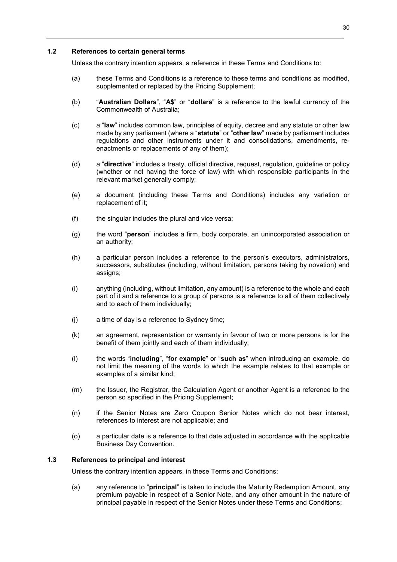#### **1.2 References to certain general terms**

Unless the contrary intention appears, a reference in these Terms and Conditions to:

- (a) these Terms and Conditions is a reference to these terms and conditions as modified, supplemented or replaced by the Pricing Supplement;
- (b) "**Australian Dollars**", "**A\$**" or "**dollars**" is a reference to the lawful currency of the Commonwealth of Australia;
- (c) a "**law**" includes common law, principles of equity, decree and any statute or other law made by any parliament (where a "**statute**" or "**other law**" made by parliament includes regulations and other instruments under it and consolidations, amendments, reenactments or replacements of any of them);
- (d) a "**directive**" includes a treaty, official directive, request, regulation, guideline or policy (whether or not having the force of law) with which responsible participants in the relevant market generally comply;
- (e) a document (including these Terms and Conditions) includes any variation or replacement of it;
- (f) the singular includes the plural and vice versa;
- (g) the word "**person**" includes a firm, body corporate, an unincorporated association or an authority;
- (h) a particular person includes a reference to the person's executors, administrators, successors, substitutes (including, without limitation, persons taking by novation) and assigns;
- (i) anything (including, without limitation, any amount) is a reference to the whole and each part of it and a reference to a group of persons is a reference to all of them collectively and to each of them individually;
- (j) a time of day is a reference to Sydney time;
- (k) an agreement, representation or warranty in favour of two or more persons is for the benefit of them jointly and each of them individually;
- (l) the words "**including**", "**for example**" or "**such as**" when introducing an example, do not limit the meaning of the words to which the example relates to that example or examples of a similar kind;
- (m) the Issuer, the Registrar, the Calculation Agent or another Agent is a reference to the person so specified in the Pricing Supplement;
- (n) if the Senior Notes are Zero Coupon Senior Notes which do not bear interest, references to interest are not applicable; and
- (o) a particular date is a reference to that date adjusted in accordance with the applicable Business Day Convention.

#### **1.3 References to principal and interest**

Unless the contrary intention appears, in these Terms and Conditions:

(a) any reference to "**principal**" is taken to include the Maturity Redemption Amount, any premium payable in respect of a Senior Note, and any other amount in the nature of principal payable in respect of the Senior Notes under these Terms and Conditions;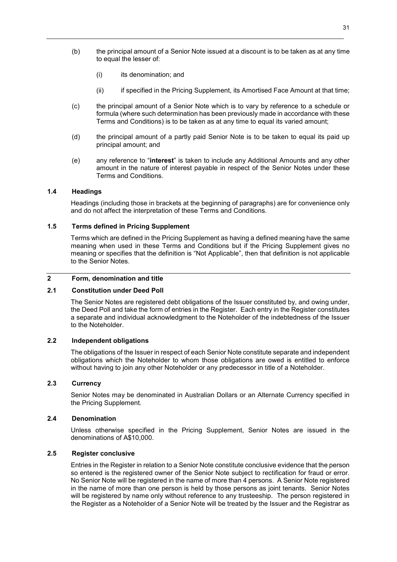- (b) the principal amount of a Senior Note issued at a discount is to be taken as at any time to equal the lesser of:
	- (i) its denomination; and
	- (ii) if specified in the Pricing Supplement, its Amortised Face Amount at that time;
- (c) the principal amount of a Senior Note which is to vary by reference to a schedule or formula (where such determination has been previously made in accordance with these Terms and Conditions) is to be taken as at any time to equal its varied amount;
- (d) the principal amount of a partly paid Senior Note is to be taken to equal its paid up principal amount; and
- (e) any reference to "**interest**" is taken to include any Additional Amounts and any other amount in the nature of interest payable in respect of the Senior Notes under these Terms and Conditions.

#### **1.4 Headings**

Headings (including those in brackets at the beginning of paragraphs) are for convenience only and do not affect the interpretation of these Terms and Conditions.

#### **1.5 Terms defined in Pricing Supplement**

Terms which are defined in the Pricing Supplement as having a defined meaning have the same meaning when used in these Terms and Conditions but if the Pricing Supplement gives no meaning or specifies that the definition is "Not Applicable", then that definition is not applicable to the Senior Notes.

### **2 Form, denomination and title**

## **2.1 Constitution under Deed Poll**

The Senior Notes are registered debt obligations of the Issuer constituted by, and owing under, the Deed Poll and take the form of entries in the Register. Each entry in the Register constitutes a separate and individual acknowledgment to the Noteholder of the indebtedness of the Issuer to the Noteholder.

# **2.2 Independent obligations**

The obligations of the Issuer in respect of each Senior Note constitute separate and independent obligations which the Noteholder to whom those obligations are owed is entitled to enforce without having to join any other Noteholder or any predecessor in title of a Noteholder.

# **2.3 Currency**

Senior Notes may be denominated in Australian Dollars or an Alternate Currency specified in the Pricing Supplement.

#### **2.4 Denomination**

Unless otherwise specified in the Pricing Supplement, Senior Notes are issued in the denominations of A\$10,000.

#### **2.5 Register conclusive**

Entries in the Register in relation to a Senior Note constitute conclusive evidence that the person so entered is the registered owner of the Senior Note subject to rectification for fraud or error. No Senior Note will be registered in the name of more than 4 persons. A Senior Note registered in the name of more than one person is held by those persons as joint tenants. Senior Notes will be registered by name only without reference to any trusteeship. The person registered in the Register as a Noteholder of a Senior Note will be treated by the Issuer and the Registrar as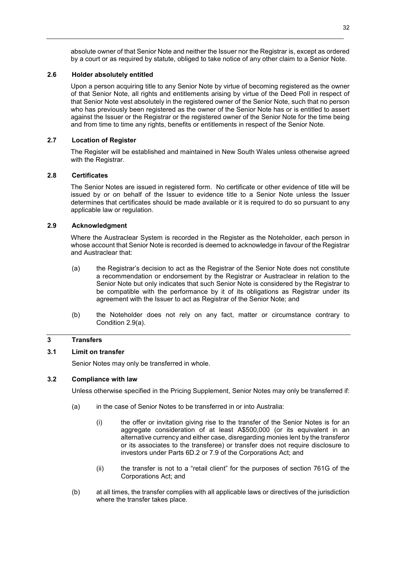absolute owner of that Senior Note and neither the Issuer nor the Registrar is, except as ordered by a court or as required by statute, obliged to take notice of any other claim to a Senior Note.

# **2.6 Holder absolutely entitled**

Upon a person acquiring title to any Senior Note by virtue of becoming registered as the owner of that Senior Note, all rights and entitlements arising by virtue of the Deed Poll in respect of that Senior Note vest absolutely in the registered owner of the Senior Note, such that no person who has previously been registered as the owner of the Senior Note has or is entitled to assert against the Issuer or the Registrar or the registered owner of the Senior Note for the time being and from time to time any rights, benefits or entitlements in respect of the Senior Note.

#### **2.7 Location of Register**

The Register will be established and maintained in New South Wales unless otherwise agreed with the Registrar.

## **2.8 Certificates**

The Senior Notes are issued in registered form. No certificate or other evidence of title will be issued by or on behalf of the Issuer to evidence title to a Senior Note unless the Issuer determines that certificates should be made available or it is required to do so pursuant to any applicable law or regulation.

# **2.9 Acknowledgment**

Where the Austraclear System is recorded in the Register as the Noteholder, each person in whose account that Senior Note is recorded is deemed to acknowledge in favour of the Registrar and Austraclear that:

- (a) the Registrar's decision to act as the Registrar of the Senior Note does not constitute a recommendation or endorsement by the Registrar or Austraclear in relation to the Senior Note but only indicates that such Senior Note is considered by the Registrar to be compatible with the performance by it of its obligations as Registrar under its agreement with the Issuer to act as Registrar of the Senior Note; and
- (b) the Noteholder does not rely on any fact, matter or circumstance contrary to Condition 2.9(a).

# **3 Transfers**

# **3.1 Limit on transfer**

Senior Notes may only be transferred in whole.

#### **3.2 Compliance with law**

Unless otherwise specified in the Pricing Supplement, Senior Notes may only be transferred if:

- (a) in the case of Senior Notes to be transferred in or into Australia:
	- (i) the offer or invitation giving rise to the transfer of the Senior Notes is for an aggregate consideration of at least A\$500,000 (or its equivalent in an alternative currency and either case, disregarding monies lent by the transferor or its associates to the transferee) or transfer does not require disclosure to investors under Parts 6D.2 or 7.9 of the Corporations Act; and
	- (ii) the transfer is not to a "retail client" for the purposes of section 761G of the Corporations Act; and
- (b) at all times, the transfer complies with all applicable laws or directives of the jurisdiction where the transfer takes place.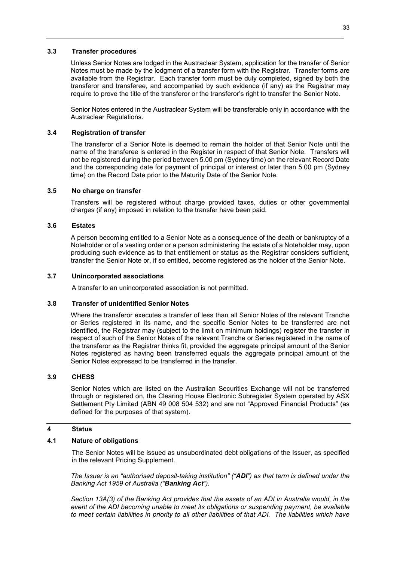#### **3.3 Transfer procedures**

Unless Senior Notes are lodged in the Austraclear System, application for the transfer of Senior Notes must be made by the lodgment of a transfer form with the Registrar. Transfer forms are available from the Registrar. Each transfer form must be duly completed, signed by both the transferor and transferee, and accompanied by such evidence (if any) as the Registrar may require to prove the title of the transferor or the transferor's right to transfer the Senior Note.

Senior Notes entered in the Austraclear System will be transferable only in accordance with the Austraclear Regulations.

#### **3.4 Registration of transfer**

The transferor of a Senior Note is deemed to remain the holder of that Senior Note until the name of the transferee is entered in the Register in respect of that Senior Note. Transfers will not be registered during the period between 5.00 pm (Sydney time) on the relevant Record Date and the corresponding date for payment of principal or interest or later than 5.00 pm (Sydney time) on the Record Date prior to the Maturity Date of the Senior Note.

#### **3.5 No charge on transfer**

Transfers will be registered without charge provided taxes, duties or other governmental charges (if any) imposed in relation to the transfer have been paid.

#### **3.6 Estates**

A person becoming entitled to a Senior Note as a consequence of the death or bankruptcy of a Noteholder or of a vesting order or a person administering the estate of a Noteholder may, upon producing such evidence as to that entitlement or status as the Registrar considers sufficient, transfer the Senior Note or, if so entitled, become registered as the holder of the Senior Note.

#### **3.7 Unincorporated associations**

A transfer to an unincorporated association is not permitted.

#### **3.8 Transfer of unidentified Senior Notes**

Where the transferor executes a transfer of less than all Senior Notes of the relevant Tranche or Series registered in its name, and the specific Senior Notes to be transferred are not identified, the Registrar may (subject to the limit on minimum holdings) register the transfer in respect of such of the Senior Notes of the relevant Tranche or Series registered in the name of the transferor as the Registrar thinks fit, provided the aggregate principal amount of the Senior Notes registered as having been transferred equals the aggregate principal amount of the Senior Notes expressed to be transferred in the transfer.

#### **3.9 CHESS**

Senior Notes which are listed on the Australian Securities Exchange will not be transferred through or registered on, the Clearing House Electronic Subregister System operated by ASX Settlement Pty Limited (ABN 49 008 504 532) and are not "Approved Financial Products" (as defined for the purposes of that system).

#### **4 Status**

#### **4.1 Nature of obligations**

The Senior Notes will be issued as unsubordinated debt obligations of the Issuer, as specified in the relevant Pricing Supplement.

*The Issuer is an "authorised deposit-taking institution" ("ADI") as that term is defined under the Banking Act 1959 of Australia ("Banking Act").* 

*Section 13A(3) of the Banking Act provides that the assets of an ADI in Australia would, in the event of the ADI becoming unable to meet its obligations or suspending payment, be available to meet certain liabilities in priority to all other liabilities of that ADI. The liabilities which have*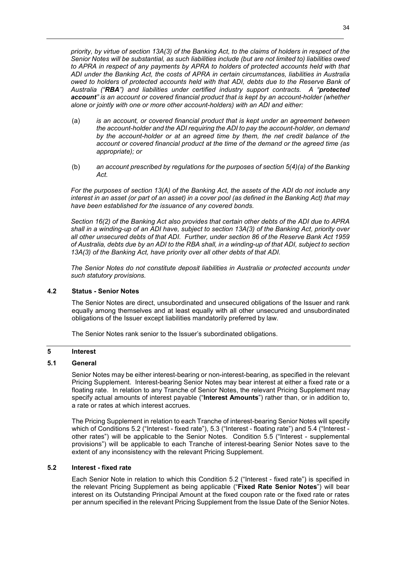*priority, by virtue of section 13A(3) of the Banking Act, to the claims of holders in respect of the Senior Notes will be substantial, as such liabilities include (but are not limited to) liabilities owed to APRA in respect of any payments by APRA to holders of protected accounts held with that ADI under the Banking Act, the costs of APRA in certain circumstances, liabilities in Australia owed to holders of protected accounts held with that ADI, debts due to the Reserve Bank of Australia ("RBA") and liabilities under certified industry support contracts. A "protected account" is an account or covered financial product that is kept by an account-holder (whether alone or jointly with one or more other account-holders) with an ADI and either:* 

- (a) *is an account, or covered financial product that is kept under an agreement between the account-holder and the ADI requiring the ADI to pay the account-holder, on demand by the account-holder or at an agreed time by them, the net credit balance of the account or covered financial product at the time of the demand or the agreed time (as appropriate); or*
- (b) *an account prescribed by regulations for the purposes of section 5(4)(a) of the Banking Act.*

*For the purposes of section 13(A) of the Banking Act, the assets of the ADI do not include any interest in an asset (or part of an asset) in a cover pool (as defined in the Banking Act) that may have been established for the issuance of any covered bonds.* 

*Section 16(2) of the Banking Act also provides that certain other debts of the ADI due to APRA shall in a winding-up of an ADI have, subject to section 13A(3) of the Banking Act, priority over all other unsecured debts of that ADI. Further, under section 86 of the Reserve Bank Act 1959 of Australia, debts due by an ADI to the RBA shall, in a winding-up of that ADI, subject to section 13A(3) of the Banking Act, have priority over all other debts of that ADI.* 

*The Senior Notes do not constitute deposit liabilities in Australia or protected accounts under such statutory provisions.* 

#### **4.2 Status - Senior Notes**

The Senior Notes are direct, unsubordinated and unsecured obligations of the Issuer and rank equally among themselves and at least equally with all other unsecured and unsubordinated obligations of the Issuer except liabilities mandatorily preferred by law.

The Senior Notes rank senior to the Issuer's subordinated obligations.

# **5 Interest**

# **5.1 General**

Senior Notes may be either interest-bearing or non-interest-bearing, as specified in the relevant Pricing Supplement. Interest-bearing Senior Notes may bear interest at either a fixed rate or a floating rate. In relation to any Tranche of Senior Notes, the relevant Pricing Supplement may specify actual amounts of interest payable ("**Interest Amounts**") rather than, or in addition to, a rate or rates at which interest accrues.

The Pricing Supplement in relation to each Tranche of interest-bearing Senior Notes will specify which of Conditions 5.2 ("Interest - fixed rate"), 5.3 ("Interest - floating rate") and 5.4 ("Interest other rates") will be applicable to the Senior Notes. Condition 5.5 ("Interest - supplemental provisions") will be applicable to each Tranche of interest-bearing Senior Notes save to the extent of any inconsistency with the relevant Pricing Supplement.

# **5.2 Interest - fixed rate**

Each Senior Note in relation to which this Condition 5.2 ("Interest - fixed rate") is specified in the relevant Pricing Supplement as being applicable ("**Fixed Rate Senior Notes**") will bear interest on its Outstanding Principal Amount at the fixed coupon rate or the fixed rate or rates per annum specified in the relevant Pricing Supplement from the Issue Date of the Senior Notes.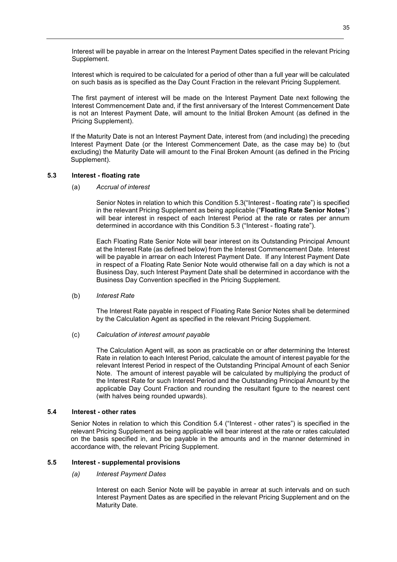Interest will be payable in arrear on the Interest Payment Dates specified in the relevant Pricing Supplement.

Interest which is required to be calculated for a period of other than a full year will be calculated on such basis as is specified as the Day Count Fraction in the relevant Pricing Supplement.

The first payment of interest will be made on the Interest Payment Date next following the Interest Commencement Date and, if the first anniversary of the Interest Commencement Date is not an Interest Payment Date, will amount to the Initial Broken Amount (as defined in the Pricing Supplement).

If the Maturity Date is not an Interest Payment Date, interest from (and including) the preceding Interest Payment Date (or the Interest Commencement Date, as the case may be) to (but excluding) the Maturity Date will amount to the Final Broken Amount (as defined in the Pricing Supplement).

## **5.3 Interest - floating rate**

(a) *Accrual of interest* 

Senior Notes in relation to which this Condition 5.3("Interest - floating rate") is specified in the relevant Pricing Supplement as being applicable ("**Floating Rate Senior Notes**") will bear interest in respect of each Interest Period at the rate or rates per annum determined in accordance with this Condition 5.3 ("Interest - floating rate").

Each Floating Rate Senior Note will bear interest on its Outstanding Principal Amount at the Interest Rate (as defined below) from the Interest Commencement Date. Interest will be payable in arrear on each Interest Payment Date. If any Interest Payment Date in respect of a Floating Rate Senior Note would otherwise fall on a day which is not a Business Day, such Interest Payment Date shall be determined in accordance with the Business Day Convention specified in the Pricing Supplement.

#### (b) *Interest Rate*

The Interest Rate payable in respect of Floating Rate Senior Notes shall be determined by the Calculation Agent as specified in the relevant Pricing Supplement.

#### (c) *Calculation of interest amount payable*

The Calculation Agent will, as soon as practicable on or after determining the Interest Rate in relation to each Interest Period, calculate the amount of interest payable for the relevant Interest Period in respect of the Outstanding Principal Amount of each Senior Note. The amount of interest payable will be calculated by multiplying the product of the Interest Rate for such Interest Period and the Outstanding Principal Amount by the applicable Day Count Fraction and rounding the resultant figure to the nearest cent (with halves being rounded upwards).

#### **5.4 Interest - other rates**

Senior Notes in relation to which this Condition 5.4 ("Interest - other rates") is specified in the relevant Pricing Supplement as being applicable will bear interest at the rate or rates calculated on the basis specified in, and be payable in the amounts and in the manner determined in accordance with, the relevant Pricing Supplement.

#### **5.5 Interest - supplemental provisions**

#### *(a) Interest Payment Dates*

Interest on each Senior Note will be payable in arrear at such intervals and on such Interest Payment Dates as are specified in the relevant Pricing Supplement and on the Maturity Date.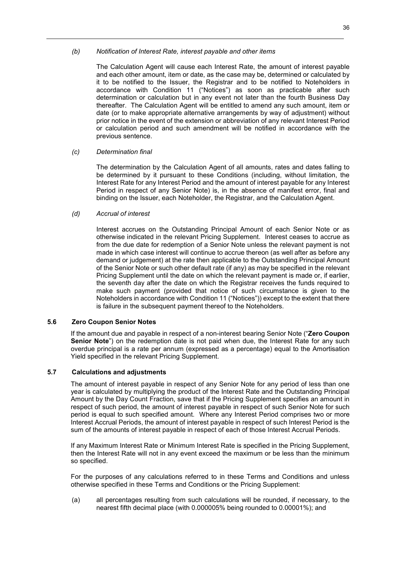## *(b) Notification of Interest Rate, interest payable and other items*

The Calculation Agent will cause each Interest Rate, the amount of interest payable and each other amount, item or date, as the case may be, determined or calculated by it to be notified to the Issuer, the Registrar and to be notified to Noteholders in accordance with Condition 11 ("Notices") as soon as practicable after such determination or calculation but in any event not later than the fourth Business Day thereafter. The Calculation Agent will be entitled to amend any such amount, item or date (or to make appropriate alternative arrangements by way of adjustment) without prior notice in the event of the extension or abbreviation of any relevant Interest Period or calculation period and such amendment will be notified in accordance with the previous sentence.

## *(c) Determination final*

The determination by the Calculation Agent of all amounts, rates and dates falling to be determined by it pursuant to these Conditions (including, without limitation, the Interest Rate for any Interest Period and the amount of interest payable for any Interest Period in respect of any Senior Note) is, in the absence of manifest error, final and binding on the Issuer, each Noteholder, the Registrar, and the Calculation Agent.

# *(d) Accrual of interest*

Interest accrues on the Outstanding Principal Amount of each Senior Note or as otherwise indicated in the relevant Pricing Supplement. Interest ceases to accrue as from the due date for redemption of a Senior Note unless the relevant payment is not made in which case interest will continue to accrue thereon (as well after as before any demand or judgement) at the rate then applicable to the Outstanding Principal Amount of the Senior Note or such other default rate (if any) as may be specified in the relevant Pricing Supplement until the date on which the relevant payment is made or, if earlier, the seventh day after the date on which the Registrar receives the funds required to make such payment (provided that notice of such circumstance is given to the Noteholders in accordance with Condition 11 ("Notices")) except to the extent that there is failure in the subsequent payment thereof to the Noteholders.

## **5.6 Zero Coupon Senior Notes**

If the amount due and payable in respect of a non-interest bearing Senior Note ("**Zero Coupon Senior Note**") on the redemption date is not paid when due, the Interest Rate for any such overdue principal is a rate per annum (expressed as a percentage) equal to the Amortisation Yield specified in the relevant Pricing Supplement.

## **5.7 Calculations and adjustments**

The amount of interest payable in respect of any Senior Note for any period of less than one year is calculated by multiplying the product of the Interest Rate and the Outstanding Principal Amount by the Day Count Fraction, save that if the Pricing Supplement specifies an amount in respect of such period, the amount of interest payable in respect of such Senior Note for such period is equal to such specified amount. Where any Interest Period comprises two or more Interest Accrual Periods, the amount of interest payable in respect of such Interest Period is the sum of the amounts of interest payable in respect of each of those Interest Accrual Periods.

If any Maximum Interest Rate or Minimum Interest Rate is specified in the Pricing Supplement, then the Interest Rate will not in any event exceed the maximum or be less than the minimum so specified.

For the purposes of any calculations referred to in these Terms and Conditions and unless otherwise specified in these Terms and Conditions or the Pricing Supplement:

(a) all percentages resulting from such calculations will be rounded, if necessary, to the nearest fifth decimal place (with 0.000005% being rounded to 0.00001%); and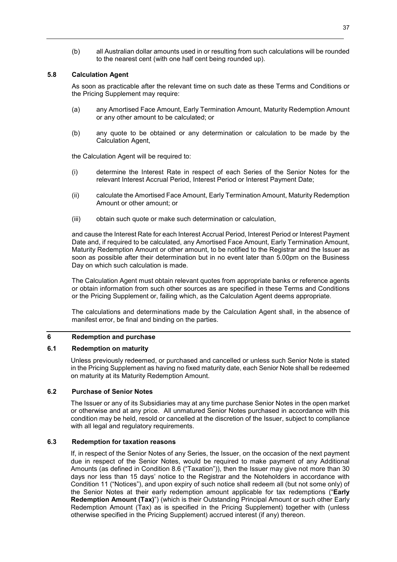(b) all Australian dollar amounts used in or resulting from such calculations will be rounded to the nearest cent (with one half cent being rounded up).

# **5.8 Calculation Agent**

As soon as practicable after the relevant time on such date as these Terms and Conditions or the Pricing Supplement may require:

- (a) any Amortised Face Amount, Early Termination Amount, Maturity Redemption Amount or any other amount to be calculated; or
- (b) any quote to be obtained or any determination or calculation to be made by the Calculation Agent,

the Calculation Agent will be required to:

- (i) determine the Interest Rate in respect of each Series of the Senior Notes for the relevant Interest Accrual Period, Interest Period or Interest Payment Date;
- (ii) calculate the Amortised Face Amount, Early Termination Amount, Maturity Redemption Amount or other amount; or
- (iii) obtain such quote or make such determination or calculation,

and cause the Interest Rate for each Interest Accrual Period, Interest Period or Interest Payment Date and, if required to be calculated, any Amortised Face Amount, Early Termination Amount, Maturity Redemption Amount or other amount, to be notified to the Registrar and the Issuer as soon as possible after their determination but in no event later than 5.00pm on the Business Day on which such calculation is made.

The Calculation Agent must obtain relevant quotes from appropriate banks or reference agents or obtain information from such other sources as are specified in these Terms and Conditions or the Pricing Supplement or, failing which, as the Calculation Agent deems appropriate.

The calculations and determinations made by the Calculation Agent shall, in the absence of manifest error, be final and binding on the parties.

# **6 Redemption and purchase**

# **6.1 Redemption on maturity**

Unless previously redeemed, or purchased and cancelled or unless such Senior Note is stated in the Pricing Supplement as having no fixed maturity date, each Senior Note shall be redeemed on maturity at its Maturity Redemption Amount.

## **6.2 Purchase of Senior Notes**

The Issuer or any of its Subsidiaries may at any time purchase Senior Notes in the open market or otherwise and at any price. All unmatured Senior Notes purchased in accordance with this condition may be held, resold or cancelled at the discretion of the Issuer, subject to compliance with all legal and regulatory requirements.

## **6.3 Redemption for taxation reasons**

If, in respect of the Senior Notes of any Series, the Issuer, on the occasion of the next payment due in respect of the Senior Notes, would be required to make payment of any Additional Amounts (as defined in Condition 8.6 ("Taxation")), then the Issuer may give not more than 30 days nor less than 15 days' notice to the Registrar and the Noteholders in accordance with Condition 11 ("Notices"), and upon expiry of such notice shall redeem all (but not some only) of the Senior Notes at their early redemption amount applicable for tax redemptions ("**Early Redemption Amount (Tax)**") (which is their Outstanding Principal Amount or such other Early Redemption Amount (Tax) as is specified in the Pricing Supplement) together with (unless otherwise specified in the Pricing Supplement) accrued interest (if any) thereon.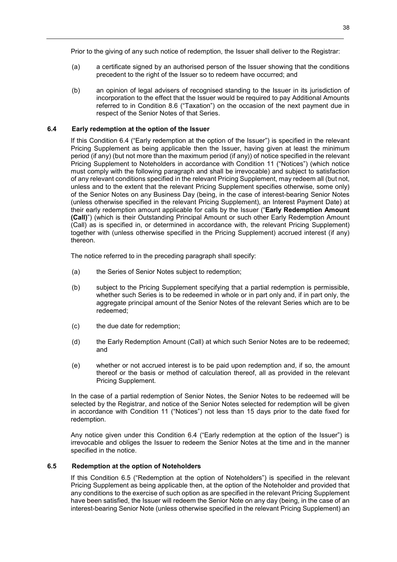Prior to the giving of any such notice of redemption, the Issuer shall deliver to the Registrar:

- (a) a certificate signed by an authorised person of the Issuer showing that the conditions precedent to the right of the Issuer so to redeem have occurred; and
- (b) an opinion of legal advisers of recognised standing to the Issuer in its jurisdiction of incorporation to the effect that the Issuer would be required to pay Additional Amounts referred to in Condition 8.6 ("Taxation") on the occasion of the next payment due in respect of the Senior Notes of that Series.

## **6.4 Early redemption at the option of the Issuer**

If this Condition 6.4 ("Early redemption at the option of the Issuer") is specified in the relevant Pricing Supplement as being applicable then the Issuer, having given at least the minimum period (if any) (but not more than the maximum period (if any)) of notice specified in the relevant Pricing Supplement to Noteholders in accordance with Condition 11 ("Notices") (which notice must comply with the following paragraph and shall be irrevocable) and subject to satisfaction of any relevant conditions specified in the relevant Pricing Supplement, may redeem all (but not, unless and to the extent that the relevant Pricing Supplement specifies otherwise, some only) of the Senior Notes on any Business Day (being, in the case of interest-bearing Senior Notes (unless otherwise specified in the relevant Pricing Supplement), an Interest Payment Date) at their early redemption amount applicable for calls by the Issuer ("**Early Redemption Amount (Call)**") (which is their Outstanding Principal Amount or such other Early Redemption Amount (Call) as is specified in, or determined in accordance with, the relevant Pricing Supplement) together with (unless otherwise specified in the Pricing Supplement) accrued interest (if any) thereon.

The notice referred to in the preceding paragraph shall specify:

- (a) the Series of Senior Notes subject to redemption;
- (b) subject to the Pricing Supplement specifying that a partial redemption is permissible, whether such Series is to be redeemed in whole or in part only and, if in part only, the aggregate principal amount of the Senior Notes of the relevant Series which are to be redeemed;
- (c) the due date for redemption;
- (d) the Early Redemption Amount (Call) at which such Senior Notes are to be redeemed; and
- (e) whether or not accrued interest is to be paid upon redemption and, if so, the amount thereof or the basis or method of calculation thereof, all as provided in the relevant Pricing Supplement.

In the case of a partial redemption of Senior Notes, the Senior Notes to be redeemed will be selected by the Registrar, and notice of the Senior Notes selected for redemption will be given in accordance with Condition 11 ("Notices") not less than 15 days prior to the date fixed for redemption.

Any notice given under this Condition 6.4 ("Early redemption at the option of the Issuer") is irrevocable and obliges the Issuer to redeem the Senior Notes at the time and in the manner specified in the notice.

## **6.5 Redemption at the option of Noteholders**

If this Condition 6.5 ("Redemption at the option of Noteholders") is specified in the relevant Pricing Supplement as being applicable then, at the option of the Noteholder and provided that any conditions to the exercise of such option as are specified in the relevant Pricing Supplement have been satisfied, the Issuer will redeem the Senior Note on any day (being, in the case of an interest-bearing Senior Note (unless otherwise specified in the relevant Pricing Supplement) an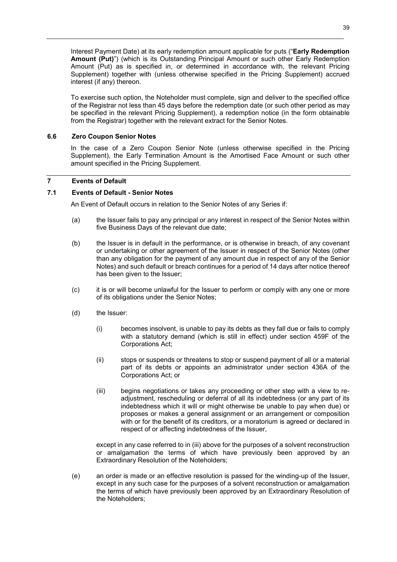Interest Payment Date) at its early redemption amount applicable for puts ("**Early Redemption Amount (Put)**") (which is its Outstanding Principal Amount or such other Early Redemption Amount (Put) as is specified in, or determined in accordance with, the relevant Pricing Supplement) together with (unless otherwise specified in the Pricing Supplement) accrued interest (if any) thereon.

To exercise such option, the Noteholder must complete, sign and deliver to the specified office of the Registrar not less than 45 days before the redemption date (or such other period as may be specified in the relevant Pricing Supplement), a redemption notice (in the form obtainable from the Registrar) together with the relevant extract for the Senior Notes.

# **6.6 Zero Coupon Senior Notes**

In the case of a Zero Coupon Senior Note (unless otherwise specified in the Pricing Supplement), the Early Termination Amount is the Amortised Face Amount or such other amount specified in the Pricing Supplement.

## **7 Events of Default**

## **7.1 Events of Default - Senior Notes**

An Event of Default occurs in relation to the Senior Notes of any Series if:

- (a) the Issuer fails to pay any principal or any interest in respect of the Senior Notes within five Business Days of the relevant due date;
- (b) the Issuer is in default in the performance, or is otherwise in breach, of any covenant or undertaking or other agreement of the Issuer in respect of the Senior Notes (other than any obligation for the payment of any amount due in respect of any of the Senior Notes) and such default or breach continues for a period of 14 days after notice thereof has been given to the Issuer;
- (c) it is or will become unlawful for the Issuer to perform or comply with any one or more of its obligations under the Senior Notes;
- (d) the Issuer:
	- (i) becomes insolvent, is unable to pay its debts as they fall due or fails to comply with a statutory demand (which is still in effect) under section 459F of the Corporations Act;
	- (ii) stops or suspends or threatens to stop or suspend payment of all or a material part of its debts or appoints an administrator under section 436A of the Corporations Act; or
	- (iii) begins negotiations or takes any proceeding or other step with a view to readjustment, rescheduling or deferral of all its indebtedness (or any part of its indebtedness which it will or might otherwise be unable to pay when due) or proposes or makes a general assignment or an arrangement or composition with or for the benefit of its creditors, or a moratorium is agreed or declared in respect of or affecting indebtedness of the Issuer,

except in any case referred to in (iii) above for the purposes of a solvent reconstruction or amalgamation the terms of which have previously been approved by an Extraordinary Resolution of the Noteholders;

(e) an order is made or an effective resolution is passed for the winding-up of the Issuer, except in any such case for the purposes of a solvent reconstruction or amalgamation the terms of which have previously been approved by an Extraordinary Resolution of the Noteholders;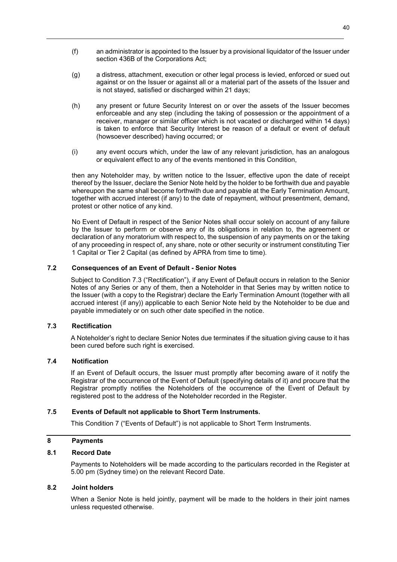- 40
- (f) an administrator is appointed to the Issuer by a provisional liquidator of the Issuer under section 436B of the Corporations Act;
- (g) a distress, attachment, execution or other legal process is levied, enforced or sued out against or on the Issuer or against all or a material part of the assets of the Issuer and is not stayed, satisfied or discharged within 21 days;
- (h) any present or future Security Interest on or over the assets of the Issuer becomes enforceable and any step (including the taking of possession or the appointment of a receiver, manager or similar officer which is not vacated or discharged within 14 days) is taken to enforce that Security Interest be reason of a default or event of default (howsoever described) having occurred; or
- (i) any event occurs which, under the law of any relevant jurisdiction, has an analogous or equivalent effect to any of the events mentioned in this Condition,

then any Noteholder may, by written notice to the Issuer, effective upon the date of receipt thereof by the Issuer, declare the Senior Note held by the holder to be forthwith due and payable whereupon the same shall become forthwith due and payable at the Early Termination Amount, together with accrued interest (if any) to the date of repayment, without presentment, demand, protest or other notice of any kind.

No Event of Default in respect of the Senior Notes shall occur solely on account of any failure by the Issuer to perform or observe any of its obligations in relation to, the agreement or declaration of any moratorium with respect to, the suspension of any payments on or the taking of any proceeding in respect of, any share, note or other security or instrument constituting Tier 1 Capital or Tier 2 Capital (as defined by APRA from time to time).

# **7.2 Consequences of an Event of Default - Senior Notes**

Subject to Condition 7.3 ("Rectification"), if any Event of Default occurs in relation to the Senior Notes of any Series or any of them, then a Noteholder in that Series may by written notice to the Issuer (with a copy to the Registrar) declare the Early Termination Amount (together with all accrued interest (if any)) applicable to each Senior Note held by the Noteholder to be due and payable immediately or on such other date specified in the notice.

# **7.3 Rectification**

A Noteholder's right to declare Senior Notes due terminates if the situation giving cause to it has been cured before such right is exercised.

# **7.4 Notification**

If an Event of Default occurs, the Issuer must promptly after becoming aware of it notify the Registrar of the occurrence of the Event of Default (specifying details of it) and procure that the Registrar promptly notifies the Noteholders of the occurrence of the Event of Default by registered post to the address of the Noteholder recorded in the Register.

# **7.5 Events of Default not applicable to Short Term Instruments.**

This Condition 7 ("Events of Default") is not applicable to Short Term Instruments.

## **8 Payments**

# **8.1 Record Date**

Payments to Noteholders will be made according to the particulars recorded in the Register at 5.00 pm (Sydney time) on the relevant Record Date.

## **8.2 Joint holders**

When a Senior Note is held jointly, payment will be made to the holders in their joint names unless requested otherwise.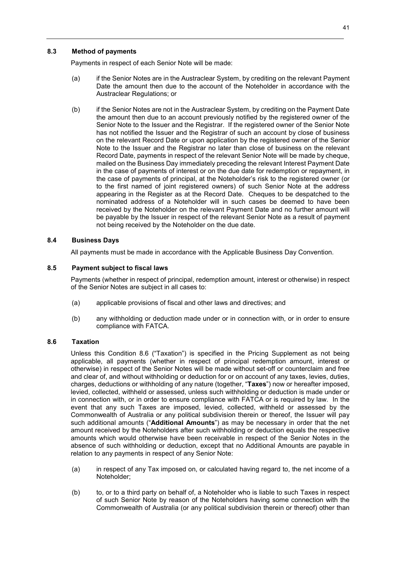# **8.3 Method of payments**

Payments in respect of each Senior Note will be made:

- (a) if the Senior Notes are in the Austraclear System, by crediting on the relevant Payment Date the amount then due to the account of the Noteholder in accordance with the Austraclear Regulations; or
- (b) if the Senior Notes are not in the Austraclear System, by crediting on the Payment Date the amount then due to an account previously notified by the registered owner of the Senior Note to the Issuer and the Registrar. If the registered owner of the Senior Note has not notified the Issuer and the Registrar of such an account by close of business on the relevant Record Date or upon application by the registered owner of the Senior Note to the Issuer and the Registrar no later than close of business on the relevant Record Date, payments in respect of the relevant Senior Note will be made by cheque, mailed on the Business Day immediately preceding the relevant Interest Payment Date in the case of payments of interest or on the due date for redemption or repayment, in the case of payments of principal, at the Noteholder's risk to the registered owner (or to the first named of joint registered owners) of such Senior Note at the address appearing in the Register as at the Record Date. Cheques to be despatched to the nominated address of a Noteholder will in such cases be deemed to have been received by the Noteholder on the relevant Payment Date and no further amount will be payable by the Issuer in respect of the relevant Senior Note as a result of payment not being received by the Noteholder on the due date.

## **8.4 Business Days**

All payments must be made in accordance with the Applicable Business Day Convention.

## **8.5 Payment subject to fiscal laws**

Payments (whether in respect of principal, redemption amount, interest or otherwise) in respect of the Senior Notes are subject in all cases to:

- (a) applicable provisions of fiscal and other laws and directives; and
- (b) any withholding or deduction made under or in connection with, or in order to ensure compliance with FATCA.

## **8.6 Taxation**

Unless this Condition 8.6 ("Taxation") is specified in the Pricing Supplement as not being applicable, all payments (whether in respect of principal redemption amount, interest or otherwise) in respect of the Senior Notes will be made without set-off or counterclaim and free and clear of, and without withholding or deduction for or on account of any taxes, levies, duties, charges, deductions or withholding of any nature (together, "**Taxes**") now or hereafter imposed, levied, collected, withheld or assessed, unless such withholding or deduction is made under or in connection with, or in order to ensure compliance with FATCA or is required by law. In the event that any such Taxes are imposed, levied, collected, withheld or assessed by the Commonwealth of Australia or any political subdivision therein or thereof, the Issuer will pay such additional amounts ("**Additional Amounts**") as may be necessary in order that the net amount received by the Noteholders after such withholding or deduction equals the respective amounts which would otherwise have been receivable in respect of the Senior Notes in the absence of such withholding or deduction, except that no Additional Amounts are payable in relation to any payments in respect of any Senior Note:

- (a) in respect of any Tax imposed on, or calculated having regard to, the net income of a Noteholder;
- (b) to, or to a third party on behalf of, a Noteholder who is liable to such Taxes in respect of such Senior Note by reason of the Noteholders having some connection with the Commonwealth of Australia (or any political subdivision therein or thereof) other than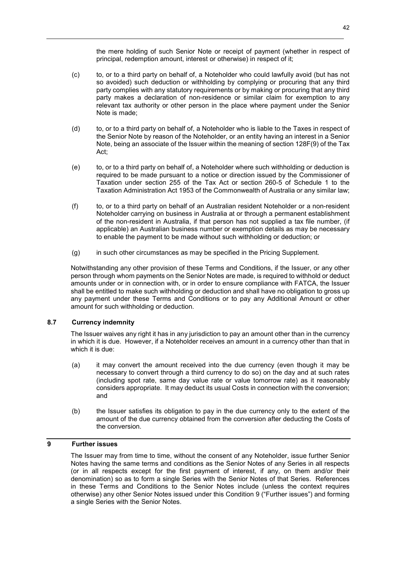the mere holding of such Senior Note or receipt of payment (whether in respect of principal, redemption amount, interest or otherwise) in respect of it;

- (c) to, or to a third party on behalf of, a Noteholder who could lawfully avoid (but has not so avoided) such deduction or withholding by complying or procuring that any third party complies with any statutory requirements or by making or procuring that any third party makes a declaration of non-residence or similar claim for exemption to any relevant tax authority or other person in the place where payment under the Senior Note is made;
- (d) to, or to a third party on behalf of, a Noteholder who is liable to the Taxes in respect of the Senior Note by reason of the Noteholder, or an entity having an interest in a Senior Note, being an associate of the Issuer within the meaning of section 128F(9) of the Tax Act;
- (e) to, or to a third party on behalf of, a Noteholder where such withholding or deduction is required to be made pursuant to a notice or direction issued by the Commissioner of Taxation under section 255 of the Tax Act or section 260-5 of Schedule 1 to the Taxation Administration Act 1953 of the Commonwealth of Australia or any similar law;
- (f) to, or to a third party on behalf of an Australian resident Noteholder or a non-resident Noteholder carrying on business in Australia at or through a permanent establishment of the non-resident in Australia, if that person has not supplied a tax file number, (if applicable) an Australian business number or exemption details as may be necessary to enable the payment to be made without such withholding or deduction; or
- (g) in such other circumstances as may be specified in the Pricing Supplement.

Notwithstanding any other provision of these Terms and Conditions, if the Issuer, or any other person through whom payments on the Senior Notes are made, is required to withhold or deduct amounts under or in connection with, or in order to ensure compliance with FATCA, the Issuer shall be entitled to make such withholding or deduction and shall have no obligation to gross up any payment under these Terms and Conditions or to pay any Additional Amount or other amount for such withholding or deduction.

# **8.7 Currency indemnity**

The Issuer waives any right it has in any jurisdiction to pay an amount other than in the currency in which it is due. However, if a Noteholder receives an amount in a currency other than that in which it is due:

- (a) it may convert the amount received into the due currency (even though it may be necessary to convert through a third currency to do so) on the day and at such rates (including spot rate, same day value rate or value tomorrow rate) as it reasonably considers appropriate. It may deduct its usual Costs in connection with the conversion; and
- (b) the Issuer satisfies its obligation to pay in the due currency only to the extent of the amount of the due currency obtained from the conversion after deducting the Costs of the conversion.

# **9 Further issues**

The Issuer may from time to time, without the consent of any Noteholder, issue further Senior Notes having the same terms and conditions as the Senior Notes of any Series in all respects (or in all respects except for the first payment of interest, if any, on them and/or their denomination) so as to form a single Series with the Senior Notes of that Series. References in these Terms and Conditions to the Senior Notes include (unless the context requires otherwise) any other Senior Notes issued under this Condition 9 ("Further issues") and forming a single Series with the Senior Notes.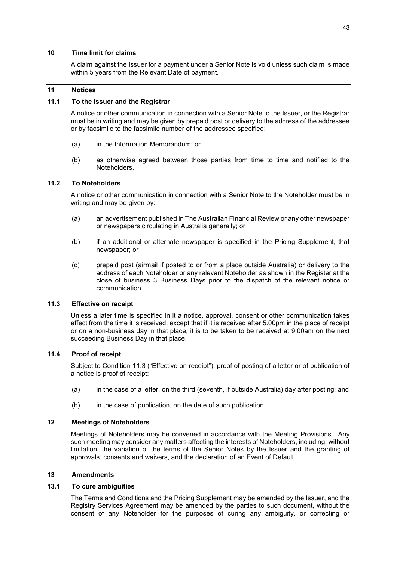#### **10 Time limit for claims**

A claim against the Issuer for a payment under a Senior Note is void unless such claim is made within 5 years from the Relevant Date of payment.

## **11 Notices**

## **11.1 To the Issuer and the Registrar**

A notice or other communication in connection with a Senior Note to the Issuer, or the Registrar must be in writing and may be given by prepaid post or delivery to the address of the addressee or by facsimile to the facsimile number of the addressee specified:

- (a) in the Information Memorandum; or
- (b) as otherwise agreed between those parties from time to time and notified to the Noteholders.

## **11.2 To Noteholders**

A notice or other communication in connection with a Senior Note to the Noteholder must be in writing and may be given by:

- (a) an advertisement published in The Australian Financial Review or any other newspaper or newspapers circulating in Australia generally; or
- (b) if an additional or alternate newspaper is specified in the Pricing Supplement, that newspaper; or
- (c) prepaid post (airmail if posted to or from a place outside Australia) or delivery to the address of each Noteholder or any relevant Noteholder as shown in the Register at the close of business 3 Business Days prior to the dispatch of the relevant notice or communication.

## **11.3 Effective on receipt**

Unless a later time is specified in it a notice, approval, consent or other communication takes effect from the time it is received, except that if it is received after 5.00pm in the place of receipt or on a non-business day in that place, it is to be taken to be received at 9.00am on the next succeeding Business Day in that place.

# **11.4 Proof of receipt**

Subject to Condition 11.3 ("Effective on receipt"), proof of posting of a letter or of publication of a notice is proof of receipt:

- (a) in the case of a letter, on the third (seventh, if outside Australia) day after posting; and
- (b) in the case of publication, on the date of such publication.

## **12 Meetings of Noteholders**

Meetings of Noteholders may be convened in accordance with the Meeting Provisions. Any such meeting may consider any matters affecting the interests of Noteholders, including, without limitation, the variation of the terms of the Senior Notes by the Issuer and the granting of approvals, consents and waivers, and the declaration of an Event of Default.

#### **13 Amendments**

## **13.1 To cure ambiguities**

The Terms and Conditions and the Pricing Supplement may be amended by the Issuer, and the Registry Services Agreement may be amended by the parties to such document, without the consent of any Noteholder for the purposes of curing any ambiguity, or correcting or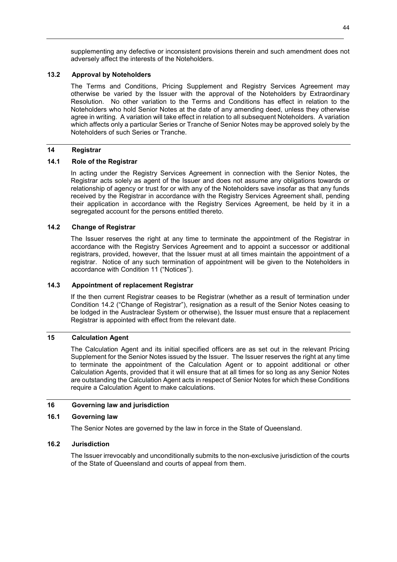supplementing any defective or inconsistent provisions therein and such amendment does not adversely affect the interests of the Noteholders.

# **13.2 Approval by Noteholders**

The Terms and Conditions, Pricing Supplement and Registry Services Agreement may otherwise be varied by the Issuer with the approval of the Noteholders by Extraordinary Resolution. No other variation to the Terms and Conditions has effect in relation to the Noteholders who hold Senior Notes at the date of any amending deed, unless they otherwise agree in writing. A variation will take effect in relation to all subsequent Noteholders. A variation which affects only a particular Series or Tranche of Senior Notes may be approved solely by the Noteholders of such Series or Tranche.

## **14 Registrar**

#### **14.1 Role of the Registrar**

In acting under the Registry Services Agreement in connection with the Senior Notes, the Registrar acts solely as agent of the Issuer and does not assume any obligations towards or relationship of agency or trust for or with any of the Noteholders save insofar as that any funds received by the Registrar in accordance with the Registry Services Agreement shall, pending their application in accordance with the Registry Services Agreement, be held by it in a segregated account for the persons entitled thereto.

## **14.2 Change of Registrar**

The Issuer reserves the right at any time to terminate the appointment of the Registrar in accordance with the Registry Services Agreement and to appoint a successor or additional registrars, provided, however, that the Issuer must at all times maintain the appointment of a registrar. Notice of any such termination of appointment will be given to the Noteholders in accordance with Condition 11 ("Notices").

## **14.3 Appointment of replacement Registrar**

If the then current Registrar ceases to be Registrar (whether as a result of termination under Condition 14.2 ("Change of Registrar"), resignation as a result of the Senior Notes ceasing to be lodged in the Austraclear System or otherwise), the Issuer must ensure that a replacement Registrar is appointed with effect from the relevant date.

# **15 Calculation Agent**

The Calculation Agent and its initial specified officers are as set out in the relevant Pricing Supplement for the Senior Notes issued by the Issuer. The Issuer reserves the right at any time to terminate the appointment of the Calculation Agent or to appoint additional or other Calculation Agents, provided that it will ensure that at all times for so long as any Senior Notes are outstanding the Calculation Agent acts in respect of Senior Notes for which these Conditions require a Calculation Agent to make calculations.

#### **16 Governing law and jurisdiction**

#### **16.1 Governing law**

The Senior Notes are governed by the law in force in the State of Queensland.

## **16.2 Jurisdiction**

The Issuer irrevocably and unconditionally submits to the non-exclusive jurisdiction of the courts of the State of Queensland and courts of appeal from them.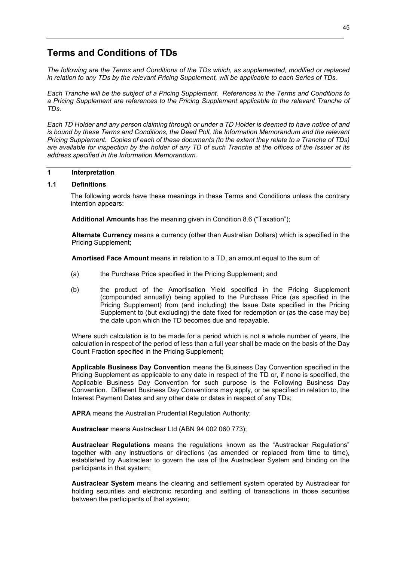# **Terms and Conditions of TDs**

*The following are the Terms and Conditions of the TDs which, as supplemented, modified or replaced in relation to any TDs by the relevant Pricing Supplement, will be applicable to each Series of TDs.*

*Each Tranche will be the subject of a Pricing Supplement. References in the Terms and Conditions to a Pricing Supplement are references to the Pricing Supplement applicable to the relevant Tranche of TDs.* 

*Each TD Holder and any person claiming through or under a TD Holder is deemed to have notice of and is bound by these Terms and Conditions, the Deed Poll, the Information Memorandum and the relevant Pricing Supplement. Copies of each of these documents (to the extent they relate to a Tranche of TDs) are available for inspection by the holder of any TD of such Tranche at the offices of the Issuer at its address specified in the Information Memorandum.* 

## **1 Interpretation**

## **1.1 Definitions**

The following words have these meanings in these Terms and Conditions unless the contrary intention appears:

**Additional Amounts** has the meaning given in Condition 8.6 ("Taxation");

**Alternate Currency** means a currency (other than Australian Dollars) which is specified in the Pricing Supplement;

**Amortised Face Amount** means in relation to a TD, an amount equal to the sum of:

- (a) the Purchase Price specified in the Pricing Supplement; and
- (b) the product of the Amortisation Yield specified in the Pricing Supplement (compounded annually) being applied to the Purchase Price (as specified in the Pricing Supplement) from (and including) the Issue Date specified in the Pricing Supplement to (but excluding) the date fixed for redemption or (as the case may be) the date upon which the TD becomes due and repayable.

Where such calculation is to be made for a period which is not a whole number of years, the calculation in respect of the period of less than a full year shall be made on the basis of the Day Count Fraction specified in the Pricing Supplement;

**Applicable Business Day Convention** means the Business Day Convention specified in the Pricing Supplement as applicable to any date in respect of the TD or, if none is specified, the Applicable Business Day Convention for such purpose is the Following Business Day Convention. Different Business Day Conventions may apply, or be specified in relation to, the Interest Payment Dates and any other date or dates in respect of any TDs;

**APRA** means the Australian Prudential Regulation Authority;

**Austraclear** means Austraclear Ltd (ABN 94 002 060 773);

**Austraclear Regulations** means the regulations known as the "Austraclear Regulations" together with any instructions or directions (as amended or replaced from time to time), established by Austraclear to govern the use of the Austraclear System and binding on the participants in that system;

**Austraclear System** means the clearing and settlement system operated by Austraclear for holding securities and electronic recording and settling of transactions in those securities between the participants of that system;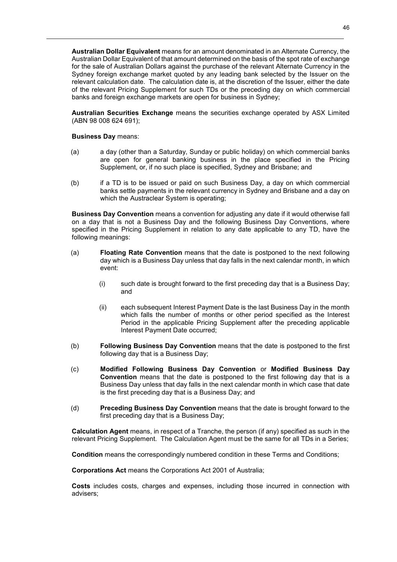**Australian Dollar Equivalent** means for an amount denominated in an Alternate Currency, the Australian Dollar Equivalent of that amount determined on the basis of the spot rate of exchange for the sale of Australian Dollars against the purchase of the relevant Alternate Currency in the Sydney foreign exchange market quoted by any leading bank selected by the Issuer on the relevant calculation date. The calculation date is, at the discretion of the Issuer, either the date of the relevant Pricing Supplement for such TDs or the preceding day on which commercial banks and foreign exchange markets are open for business in Sydney;

**Australian Securities Exchange** means the securities exchange operated by ASX Limited (ABN 98 008 624 691);

**Business Day** means:

- (a) a day (other than a Saturday, Sunday or public holiday) on which commercial banks are open for general banking business in the place specified in the Pricing Supplement, or, if no such place is specified, Sydney and Brisbane; and
- (b) if a TD is to be issued or paid on such Business Day, a day on which commercial banks settle payments in the relevant currency in Sydney and Brisbane and a day on which the Austraclear System is operating;

**Business Day Convention** means a convention for adjusting any date if it would otherwise fall on a day that is not a Business Day and the following Business Day Conventions, where specified in the Pricing Supplement in relation to any date applicable to any TD, have the following meanings:

- (a) **Floating Rate Convention** means that the date is postponed to the next following day which is a Business Day unless that day falls in the next calendar month, in which event:
	- (i) such date is brought forward to the first preceding day that is a Business Day; and
	- (ii) each subsequent Interest Payment Date is the last Business Day in the month which falls the number of months or other period specified as the Interest Period in the applicable Pricing Supplement after the preceding applicable Interest Payment Date occurred;
- (b) **Following Business Day Convention** means that the date is postponed to the first following day that is a Business Day;
- (c) **Modified Following Business Day Convention** or **Modified Business Day Convention** means that the date is postponed to the first following day that is a Business Day unless that day falls in the next calendar month in which case that date is the first preceding day that is a Business Day; and
- (d) **Preceding Business Day Convention** means that the date is brought forward to the first preceding day that is a Business Day;

**Calculation Agent** means, in respect of a Tranche, the person (if any) specified as such in the relevant Pricing Supplement. The Calculation Agent must be the same for all TDs in a Series;

**Condition** means the correspondingly numbered condition in these Terms and Conditions;

**Corporations Act** means the Corporations Act 2001 of Australia;

**Costs** includes costs, charges and expenses, including those incurred in connection with advisers;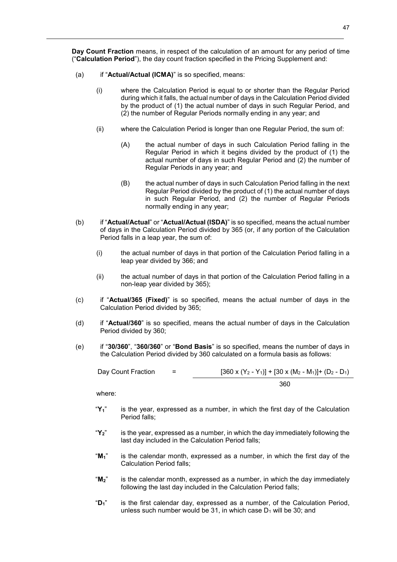**Day Count Fraction** means, in respect of the calculation of an amount for any period of time ("**Calculation Period**"), the day count fraction specified in the Pricing Supplement and:

- (a) if "**Actual/Actual (ICMA)**" is so specified, means:
	- (i) where the Calculation Period is equal to or shorter than the Regular Period during which it falls, the actual number of days in the Calculation Period divided by the product of (1) the actual number of days in such Regular Period, and (2) the number of Regular Periods normally ending in any year; and
	- (ii) where the Calculation Period is longer than one Regular Period, the sum of:
		- (A) the actual number of days in such Calculation Period falling in the Regular Period in which it begins divided by the product of (1) the actual number of days in such Regular Period and (2) the number of Regular Periods in any year; and
		- (B) the actual number of days in such Calculation Period falling in the next Regular Period divided by the product of (1) the actual number of days in such Regular Period, and (2) the number of Regular Periods normally ending in any year;
- (b) if "**Actual/Actual**" or "**Actual/Actual (ISDA)**" is so specified, means the actual number of days in the Calculation Period divided by 365 (or, if any portion of the Calculation Period falls in a leap year, the sum of:
	- (i) the actual number of days in that portion of the Calculation Period falling in a leap year divided by 366; and
	- (ii) the actual number of days in that portion of the Calculation Period falling in a non-leap year divided by 365);
- (c) if "**Actual/365 (Fixed)**" is so specified, means the actual number of days in the Calculation Period divided by 365;
- (d) if "**Actual/360**" is so specified, means the actual number of days in the Calculation Period divided by 360;
- (e) if "**30/360**", "**360/360**" or "**Bond Basis**" is so specified, means the number of days in the Calculation Period divided by 360 calculated on a formula basis as follows:

| Day Count Fraction | $=$ | $[360 \times (Y_2 - Y_1)] + [30 \times (M_2 - M_1)] + (D_2 - D_1)$ |
|--------------------|-----|--------------------------------------------------------------------|
|                    |     | 360                                                                |

where:

- "**Y1**" is the year, expressed as a number, in which the first day of the Calculation Period falls;
- "**Y2**" is the year, expressed as a number, in which the day immediately following the last day included in the Calculation Period falls;
- "**M1**" is the calendar month, expressed as a number, in which the first day of the Calculation Period falls;
- "**M2**" is the calendar month, expressed as a number, in which the day immediately following the last day included in the Calculation Period falls;
- "**D1**" is the first calendar day, expressed as a number, of the Calculation Period, unless such number would be 31, in which case  $D_1$  will be 30; and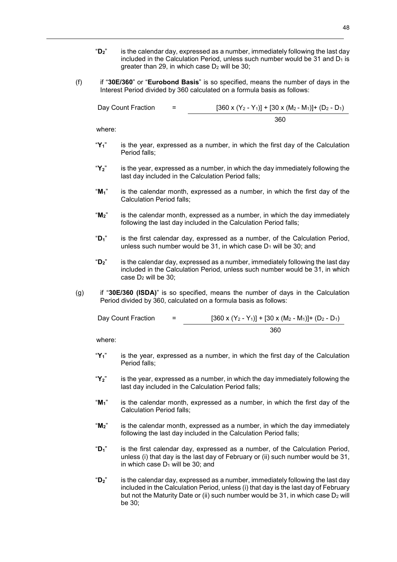- "**D2**" is the calendar day, expressed as a number, immediately following the last day included in the Calculation Period, unless such number would be 31 and  $D_1$  is greater than 29, in which case  $D_2$  will be 30;
- (f) if "**30E/360**" or "**Eurobond Basis**" is so specified, means the number of days in the Interest Period divided by 360 calculated on a formula basis as follows:

Day Count Fraction  $=$  [360 x  $(Y_2 - Y_1)$ ] + [30 x  $(M_2 - M_1)$ ] +  $(D_2 - D_1)$ 360

where:

- "**Y1**" is the year, expressed as a number, in which the first day of the Calculation Period falls;
- "**Y2**" is the year, expressed as a number, in which the day immediately following the last day included in the Calculation Period falls;
- "**M1**" is the calendar month, expressed as a number, in which the first day of the Calculation Period falls;
- "**M2**" is the calendar month, expressed as a number, in which the day immediately following the last day included in the Calculation Period falls;
- "**D1**" is the first calendar day, expressed as a number, of the Calculation Period, unless such number would be 31, in which case  $D_1$  will be 30; and
- "**D2**" is the calendar day, expressed as a number, immediately following the last day included in the Calculation Period, unless such number would be 31, in which case D2 will be 30;
- (g) if "**30E/360 (ISDA)**" is so specified, means the number of days in the Calculation Period divided by 360, calculated on a formula basis as follows:

| Day Count Fraction | = | $[360 \times (Y_2 - Y_1)] + [30 \times (M_2 - M_1)] + (D_2 - D_1)$ |
|--------------------|---|--------------------------------------------------------------------|
|                    |   | 360                                                                |

where:

- "**Y1**" is the year, expressed as a number, in which the first day of the Calculation Period falls;
- "**Y2**" is the year, expressed as a number, in which the day immediately following the last day included in the Calculation Period falls;
- "**M1**" is the calendar month, expressed as a number, in which the first day of the Calculation Period falls;
- "**M2**" is the calendar month, expressed as a number, in which the day immediately following the last day included in the Calculation Period falls;
- "**D1**" is the first calendar day, expressed as a number, of the Calculation Period, unless (i) that day is the last day of February or (ii) such number would be 31, in which case  $D_1$  will be 30; and
- "**D2**" is the calendar day, expressed as a number, immediately following the last day included in the Calculation Period, unless (i) that day is the last day of February but not the Maturity Date or (ii) such number would be 31, in which case D<sub>2</sub> will be 30;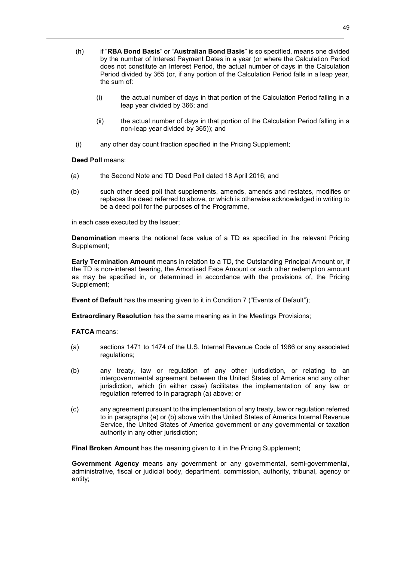- (h) if "**RBA Bond Basis**" or "**Australian Bond Basis**" is so specified, means one divided by the number of Interest Payment Dates in a year (or where the Calculation Period does not constitute an Interest Period, the actual number of days in the Calculation Period divided by 365 (or, if any portion of the Calculation Period falls in a leap year, the sum of:
	- (i) the actual number of days in that portion of the Calculation Period falling in a leap year divided by 366; and
	- (ii) the actual number of days in that portion of the Calculation Period falling in a non-leap year divided by 365)); and
- (i) any other day count fraction specified in the Pricing Supplement;

## **Deed Poll** means:

- (a) the Second Note and TD Deed Poll dated 18 April 2016; and
- (b) such other deed poll that supplements, amends, amends and restates, modifies or replaces the deed referred to above, or which is otherwise acknowledged in writing to be a deed poll for the purposes of the Programme,

in each case executed by the Issuer;

**Denomination** means the notional face value of a TD as specified in the relevant Pricing Supplement;

**Early Termination Amount** means in relation to a TD, the Outstanding Principal Amount or, if the TD is non-interest bearing, the Amortised Face Amount or such other redemption amount as may be specified in, or determined in accordance with the provisions of, the Pricing Supplement;

**Event of Default** has the meaning given to it in Condition 7 ("Events of Default");

**Extraordinary Resolution** has the same meaning as in the Meetings Provisions;

**FATCA** means:

- (a) sections 1471 to 1474 of the U.S. Internal Revenue Code of 1986 or any associated regulations;
- (b) any treaty, law or regulation of any other jurisdiction, or relating to an intergovernmental agreement between the United States of America and any other jurisdiction, which (in either case) facilitates the implementation of any law or regulation referred to in paragraph (a) above; or
- (c) any agreement pursuant to the implementation of any treaty, law or regulation referred to in paragraphs (a) or (b) above with the United States of America Internal Revenue Service, the United States of America government or any governmental or taxation authority in any other jurisdiction;

**Final Broken Amount** has the meaning given to it in the Pricing Supplement;

**Government Agency** means any government or any governmental, semi-governmental, administrative, fiscal or judicial body, department, commission, authority, tribunal, agency or entity;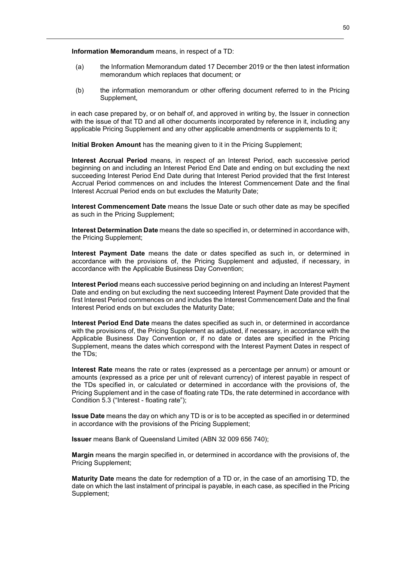**Information Memorandum** means, in respect of a TD:

- (a) the Information Memorandum dated 17 December 2019 or the then latest information memorandum which replaces that document; or
- (b) the information memorandum or other offering document referred to in the Pricing Supplement,

in each case prepared by, or on behalf of, and approved in writing by, the Issuer in connection with the issue of that TD and all other documents incorporated by reference in it, including any applicable Pricing Supplement and any other applicable amendments or supplements to it;

**Initial Broken Amount** has the meaning given to it in the Pricing Supplement;

**Interest Accrual Period** means, in respect of an Interest Period, each successive period beginning on and including an Interest Period End Date and ending on but excluding the next succeeding Interest Period End Date during that Interest Period provided that the first Interest Accrual Period commences on and includes the Interest Commencement Date and the final Interest Accrual Period ends on but excludes the Maturity Date;

**Interest Commencement Date** means the Issue Date or such other date as may be specified as such in the Pricing Supplement;

**Interest Determination Date** means the date so specified in, or determined in accordance with, the Pricing Supplement;

**Interest Payment Date** means the date or dates specified as such in, or determined in accordance with the provisions of, the Pricing Supplement and adjusted, if necessary, in accordance with the Applicable Business Day Convention;

**Interest Period** means each successive period beginning on and including an Interest Payment Date and ending on but excluding the next succeeding Interest Payment Date provided that the first Interest Period commences on and includes the Interest Commencement Date and the final Interest Period ends on but excludes the Maturity Date;

**Interest Period End Date** means the dates specified as such in, or determined in accordance with the provisions of, the Pricing Supplement as adjusted, if necessary, in accordance with the Applicable Business Day Convention or, if no date or dates are specified in the Pricing Supplement, means the dates which correspond with the Interest Payment Dates in respect of the TDs;

**Interest Rate** means the rate or rates (expressed as a percentage per annum) or amount or amounts (expressed as a price per unit of relevant currency) of interest payable in respect of the TDs specified in, or calculated or determined in accordance with the provisions of, the Pricing Supplement and in the case of floating rate TDs, the rate determined in accordance with Condition 5.3 ("Interest - floating rate");

**Issue Date** means the day on which any TD is or is to be accepted as specified in or determined in accordance with the provisions of the Pricing Supplement;

**Issuer** means Bank of Queensland Limited (ABN 32 009 656 740);

**Margin** means the margin specified in, or determined in accordance with the provisions of, the Pricing Supplement;

**Maturity Date** means the date for redemption of a TD or, in the case of an amortising TD, the date on which the last instalment of principal is payable, in each case, as specified in the Pricing Supplement;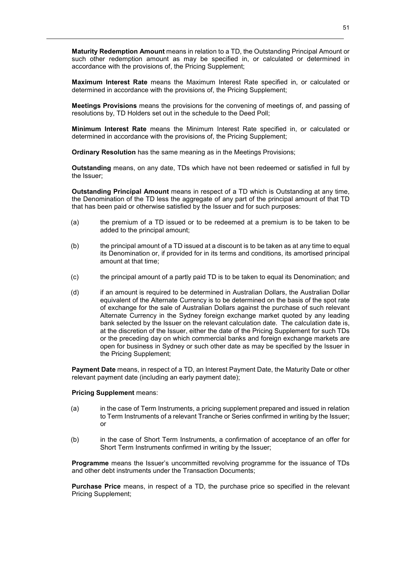**Maturity Redemption Amount** means in relation to a TD, the Outstanding Principal Amount or such other redemption amount as may be specified in, or calculated or determined in accordance with the provisions of, the Pricing Supplement;

**Maximum Interest Rate** means the Maximum Interest Rate specified in, or calculated or determined in accordance with the provisions of, the Pricing Supplement;

**Meetings Provisions** means the provisions for the convening of meetings of, and passing of resolutions by, TD Holders set out in the schedule to the Deed Poll;

**Minimum Interest Rate** means the Minimum Interest Rate specified in, or calculated or determined in accordance with the provisions of, the Pricing Supplement;

**Ordinary Resolution** has the same meaning as in the Meetings Provisions;

**Outstanding** means, on any date, TDs which have not been redeemed or satisfied in full by the Issuer;

**Outstanding Principal Amount** means in respect of a TD which is Outstanding at any time, the Denomination of the TD less the aggregate of any part of the principal amount of that TD that has been paid or otherwise satisfied by the Issuer and for such purposes:

- (a) the premium of a TD issued or to be redeemed at a premium is to be taken to be added to the principal amount;
- (b) the principal amount of a TD issued at a discount is to be taken as at any time to equal its Denomination or, if provided for in its terms and conditions, its amortised principal amount at that time;
- (c) the principal amount of a partly paid TD is to be taken to equal its Denomination; and
- (d) if an amount is required to be determined in Australian Dollars, the Australian Dollar equivalent of the Alternate Currency is to be determined on the basis of the spot rate of exchange for the sale of Australian Dollars against the purchase of such relevant Alternate Currency in the Sydney foreign exchange market quoted by any leading bank selected by the Issuer on the relevant calculation date. The calculation date is, at the discretion of the Issuer, either the date of the Pricing Supplement for such TDs or the preceding day on which commercial banks and foreign exchange markets are open for business in Sydney or such other date as may be specified by the Issuer in the Pricing Supplement;

**Payment Date** means, in respect of a TD, an Interest Payment Date, the Maturity Date or other relevant payment date (including an early payment date);

## **Pricing Supplement** means:

- (a) in the case of Term Instruments, a pricing supplement prepared and issued in relation to Term Instruments of a relevant Tranche or Series confirmed in writing by the Issuer; or
- (b) in the case of Short Term Instruments, a confirmation of acceptance of an offer for Short Term Instruments confirmed in writing by the Issuer;

**Programme** means the Issuer's uncommitted revolving programme for the issuance of TDs and other debt instruments under the Transaction Documents;

**Purchase Price** means, in respect of a TD, the purchase price so specified in the relevant Pricing Supplement;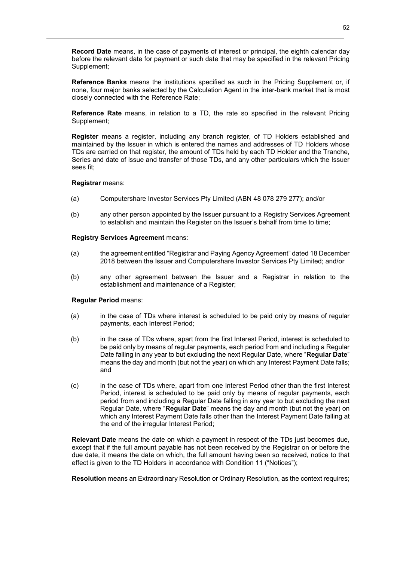**Record Date** means, in the case of payments of interest or principal, the eighth calendar day before the relevant date for payment or such date that may be specified in the relevant Pricing Supplement;

**Reference Banks** means the institutions specified as such in the Pricing Supplement or, if none, four major banks selected by the Calculation Agent in the inter-bank market that is most closely connected with the Reference Rate;

**Reference Rate** means, in relation to a TD, the rate so specified in the relevant Pricing Supplement;

**Register** means a register, including any branch register, of TD Holders established and maintained by the Issuer in which is entered the names and addresses of TD Holders whose TDs are carried on that register, the amount of TDs held by each TD Holder and the Tranche, Series and date of issue and transfer of those TDs, and any other particulars which the Issuer sees fit;

## **Registrar** means:

- (a) Computershare Investor Services Pty Limited (ABN 48 078 279 277); and/or
- (b) any other person appointed by the Issuer pursuant to a Registry Services Agreement to establish and maintain the Register on the Issuer's behalf from time to time;

## **Registry Services Agreement** means:

- (a) the agreement entitled "Registrar and Paying Agency Agreement" dated 18 December 2018 between the Issuer and Computershare Investor Services Pty Limited; and/or
- (b) any other agreement between the Issuer and a Registrar in relation to the establishment and maintenance of a Register;

## **Regular Period** means:

- (a) in the case of TDs where interest is scheduled to be paid only by means of regular payments, each Interest Period;
- (b) in the case of TDs where, apart from the first Interest Period, interest is scheduled to be paid only by means of regular payments, each period from and including a Regular Date falling in any year to but excluding the next Regular Date, where "**Regular Date**" means the day and month (but not the year) on which any Interest Payment Date falls; and
- (c) in the case of TDs where, apart from one Interest Period other than the first Interest Period, interest is scheduled to be paid only by means of regular payments, each period from and including a Regular Date falling in any year to but excluding the next Regular Date, where "**Regular Date**" means the day and month (but not the year) on which any Interest Payment Date falls other than the Interest Payment Date falling at the end of the irregular Interest Period;

**Relevant Date** means the date on which a payment in respect of the TDs just becomes due, except that if the full amount payable has not been received by the Registrar on or before the due date, it means the date on which, the full amount having been so received, notice to that effect is given to the TD Holders in accordance with Condition 11 ("Notices");

**Resolution** means an Extraordinary Resolution or Ordinary Resolution, as the context requires;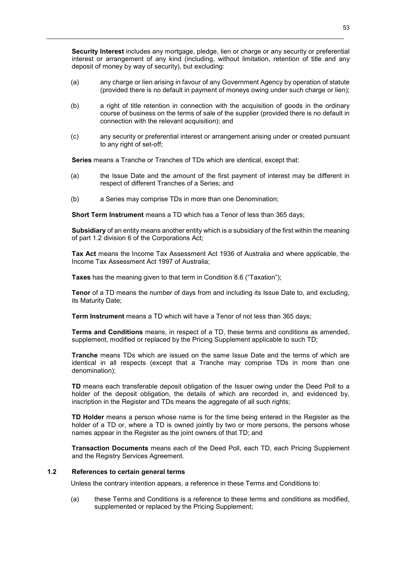**Security Interest** includes any mortgage, pledge, lien or charge or any security or preferential interest or arrangement of any kind (including, without limitation, retention of title and any deposit of money by way of security), but excluding:

- (a) any charge or lien arising in favour of any Government Agency by operation of statute (provided there is no default in payment of moneys owing under such charge or lien);
- (b) a right of title retention in connection with the acquisition of goods in the ordinary course of business on the terms of sale of the supplier (provided there is no default in connection with the relevant acquisition); and
- (c) any security or preferential interest or arrangement arising under or created pursuant to any right of set-off;

**Series** means a Tranche or Tranches of TDs which are identical, except that:

- (a) the Issue Date and the amount of the first payment of interest may be different in respect of different Tranches of a Series; and
- (b) a Series may comprise TDs in more than one Denomination;

**Short Term Instrument** means a TD which has a Tenor of less than 365 days;

**Subsidiary** of an entity means another entity which is a subsidiary of the first within the meaning of part 1.2 division 6 of the Corporations Act;

**Tax Act** means the Income Tax Assessment Act 1936 of Australia and where applicable, the Income Tax Assessment Act 1997 of Australia;

**Taxes** has the meaning given to that term in Condition 8.6 ("Taxation");

**Tenor** of a TD means the number of days from and including its Issue Date to, and excluding, its Maturity Date;

**Term Instrument** means a TD which will have a Tenor of not less than 365 days;

**Terms and Conditions** means, in respect of a TD, these terms and conditions as amended, supplement, modified or replaced by the Pricing Supplement applicable to such TD;

**Tranche** means TDs which are issued on the same Issue Date and the terms of which are identical in all respects (except that a Tranche may comprise TDs in more than one denomination);

**TD** means each transferable deposit obligation of the Issuer owing under the Deed Poll to a holder of the deposit obligation, the details of which are recorded in, and evidenced by, inscription in the Register and TDs means the aggregate of all such rights;

**TD Holder** means a person whose name is for the time being entered in the Register as the holder of a TD or, where a TD is owned jointly by two or more persons, the persons whose names appear in the Register as the joint owners of that TD; and

**Transaction Documents** means each of the Deed Poll, each TD, each Pricing Supplement and the Registry Services Agreement.

# **1.2 References to certain general terms**

Unless the contrary intention appears, a reference in these Terms and Conditions to:

(a) these Terms and Conditions is a reference to these terms and conditions as modified, supplemented or replaced by the Pricing Supplement;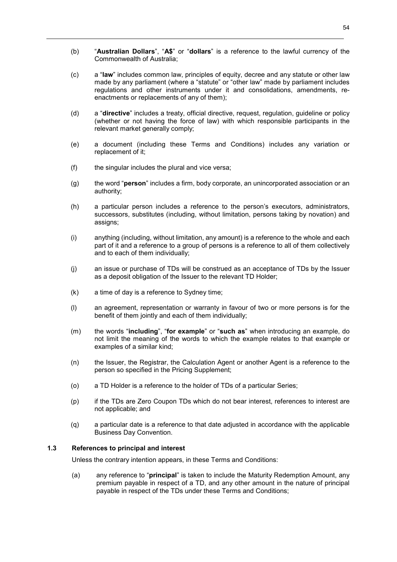- (b) "**Australian Dollars**", "**A\$**" or "**dollars**" is a reference to the lawful currency of the Commonwealth of Australia;
- (c) a "**law**" includes common law, principles of equity, decree and any statute or other law made by any parliament (where a "statute" or "other law" made by parliament includes regulations and other instruments under it and consolidations, amendments, reenactments or replacements of any of them);
- (d) a "**directive**" includes a treaty, official directive, request, regulation, guideline or policy (whether or not having the force of law) with which responsible participants in the relevant market generally comply;
- (e) a document (including these Terms and Conditions) includes any variation or replacement of it;
- (f) the singular includes the plural and vice versa;
- (g) the word "**person**" includes a firm, body corporate, an unincorporated association or an authority;
- (h) a particular person includes a reference to the person's executors, administrators, successors, substitutes (including, without limitation, persons taking by novation) and assigns;
- (i) anything (including, without limitation, any amount) is a reference to the whole and each part of it and a reference to a group of persons is a reference to all of them collectively and to each of them individually;
- (j) an issue or purchase of TDs will be construed as an acceptance of TDs by the Issuer as a deposit obligation of the Issuer to the relevant TD Holder;
- (k) a time of day is a reference to Sydney time;
- (l) an agreement, representation or warranty in favour of two or more persons is for the benefit of them jointly and each of them individually;
- (m) the words "**including**", "**for example**" or "**such as**" when introducing an example, do not limit the meaning of the words to which the example relates to that example or examples of a similar kind;
- (n) the Issuer, the Registrar, the Calculation Agent or another Agent is a reference to the person so specified in the Pricing Supplement;
- (o) a TD Holder is a reference to the holder of TDs of a particular Series;
- (p) if the TDs are Zero Coupon TDs which do not bear interest, references to interest are not applicable; and
- (q) a particular date is a reference to that date adjusted in accordance with the applicable Business Day Convention.

#### **1.3 References to principal and interest**

Unless the contrary intention appears, in these Terms and Conditions:

(a) any reference to "**principal**" is taken to include the Maturity Redemption Amount, any premium payable in respect of a TD, and any other amount in the nature of principal payable in respect of the TDs under these Terms and Conditions;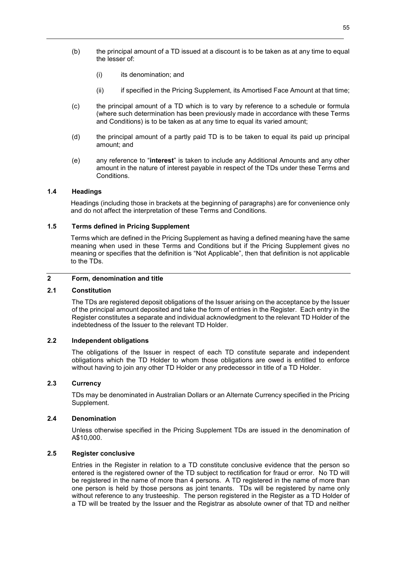- (b) the principal amount of a TD issued at a discount is to be taken as at any time to equal the lesser of:
	- (i) its denomination; and
	- (ii) if specified in the Pricing Supplement, its Amortised Face Amount at that time;
- (c) the principal amount of a TD which is to vary by reference to a schedule or formula (where such determination has been previously made in accordance with these Terms and Conditions) is to be taken as at any time to equal its varied amount;
- (d) the principal amount of a partly paid TD is to be taken to equal its paid up principal amount; and
- (e) any reference to "**interest**" is taken to include any Additional Amounts and any other amount in the nature of interest payable in respect of the TDs under these Terms and Conditions.

## **1.4 Headings**

Headings (including those in brackets at the beginning of paragraphs) are for convenience only and do not affect the interpretation of these Terms and Conditions.

## **1.5 Terms defined in Pricing Supplement**

Terms which are defined in the Pricing Supplement as having a defined meaning have the same meaning when used in these Terms and Conditions but if the Pricing Supplement gives no meaning or specifies that the definition is "Not Applicable", then that definition is not applicable to the TDs.

# **2 Form, denomination and title**

## **2.1 Constitution**

The TDs are registered deposit obligations of the Issuer arising on the acceptance by the Issuer of the principal amount deposited and take the form of entries in the Register. Each entry in the Register constitutes a separate and individual acknowledgment to the relevant TD Holder of the indebtedness of the Issuer to the relevant TD Holder.

# **2.2 Independent obligations**

The obligations of the Issuer in respect of each TD constitute separate and independent obligations which the TD Holder to whom those obligations are owed is entitled to enforce without having to join any other TD Holder or any predecessor in title of a TD Holder.

# **2.3 Currency**

TDs may be denominated in Australian Dollars or an Alternate Currency specified in the Pricing Supplement.

## **2.4 Denomination**

Unless otherwise specified in the Pricing Supplement TDs are issued in the denomination of A\$10,000.

## **2.5 Register conclusive**

Entries in the Register in relation to a TD constitute conclusive evidence that the person so entered is the registered owner of the TD subject to rectification for fraud or error. No TD will be registered in the name of more than 4 persons. A TD registered in the name of more than one person is held by those persons as joint tenants. TDs will be registered by name only without reference to any trusteeship. The person registered in the Register as a TD Holder of a TD will be treated by the Issuer and the Registrar as absolute owner of that TD and neither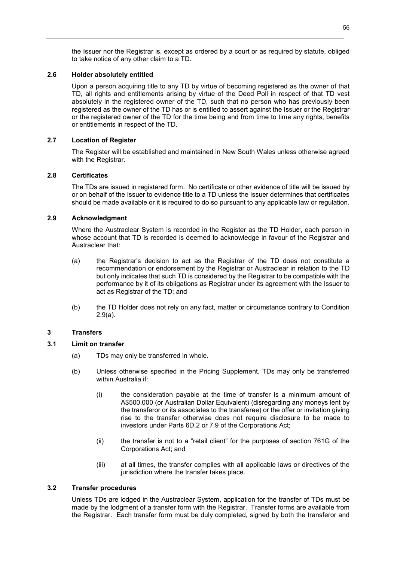the Issuer nor the Registrar is, except as ordered by a court or as required by statute, obliged to take notice of any other claim to a TD.

## **2.6 Holder absolutely entitled**

Upon a person acquiring title to any TD by virtue of becoming registered as the owner of that TD, all rights and entitlements arising by virtue of the Deed Poll in respect of that TD vest absolutely in the registered owner of the TD, such that no person who has previously been registered as the owner of the TD has or is entitled to assert against the Issuer or the Registrar or the registered owner of the TD for the time being and from time to time any rights, benefits or entitlements in respect of the TD.

## **2.7 Location of Register**

The Register will be established and maintained in New South Wales unless otherwise agreed with the Registrar.

## **2.8 Certificates**

The TDs are issued in registered form. No certificate or other evidence of title will be issued by or on behalf of the Issuer to evidence title to a TD unless the Issuer determines that certificates should be made available or it is required to do so pursuant to any applicable law or regulation.

## **2.9 Acknowledgment**

Where the Austraclear System is recorded in the Register as the TD Holder, each person in whose account that TD is recorded is deemed to acknowledge in favour of the Registrar and Austraclear that:

- (a) the Registrar's decision to act as the Registrar of the TD does not constitute a recommendation or endorsement by the Registrar or Austraclear in relation to the TD but only indicates that such TD is considered by the Registrar to be compatible with the performance by it of its obligations as Registrar under its agreement with the Issuer to act as Registrar of the TD; and
- (b) the TD Holder does not rely on any fact, matter or circumstance contrary to Condition 2.9(a).

# **3 Transfers**

# **3.1 Limit on transfer**

- (a) TDs may only be transferred in whole.
- (b) Unless otherwise specified in the Pricing Supplement, TDs may only be transferred within Australia if:
	- (i) the consideration payable at the time of transfer is a minimum amount of A\$500,000 (or Australian Dollar Equivalent) (disregarding any moneys lent by the transferor or its associates to the transferee) or the offer or invitation giving rise to the transfer otherwise does not require disclosure to be made to investors under Parts 6D.2 or 7.9 of the Corporations Act;
	- (ii) the transfer is not to a "retail client" for the purposes of section 761G of the Corporations Act; and
	- (iii) at all times, the transfer complies with all applicable laws or directives of the jurisdiction where the transfer takes place.

## **3.2 Transfer procedures**

Unless TDs are lodged in the Austraclear System, application for the transfer of TDs must be made by the lodgment of a transfer form with the Registrar. Transfer forms are available from the Registrar. Each transfer form must be duly completed, signed by both the transferor and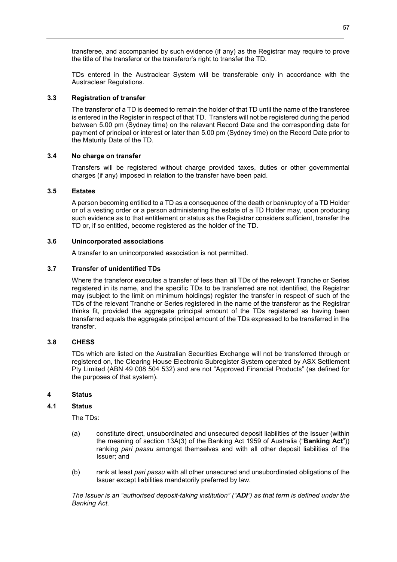transferee, and accompanied by such evidence (if any) as the Registrar may require to prove the title of the transferor or the transferor's right to transfer the TD.

TDs entered in the Austraclear System will be transferable only in accordance with the Austraclear Regulations.

## **3.3 Registration of transfer**

The transferor of a TD is deemed to remain the holder of that TD until the name of the transferee is entered in the Register in respect of that TD. Transfers will not be registered during the period between 5.00 pm (Sydney time) on the relevant Record Date and the corresponding date for payment of principal or interest or later than 5.00 pm (Sydney time) on the Record Date prior to the Maturity Date of the TD.

## **3.4 No charge on transfer**

Transfers will be registered without charge provided taxes, duties or other governmental charges (if any) imposed in relation to the transfer have been paid.

## **3.5 Estates**

A person becoming entitled to a TD as a consequence of the death or bankruptcy of a TD Holder or of a vesting order or a person administering the estate of a TD Holder may, upon producing such evidence as to that entitlement or status as the Registrar considers sufficient, transfer the TD or, if so entitled, become registered as the holder of the TD.

## **3.6 Unincorporated associations**

A transfer to an unincorporated association is not permitted.

## **3.7 Transfer of unidentified TDs**

Where the transferor executes a transfer of less than all TDs of the relevant Tranche or Series registered in its name, and the specific TDs to be transferred are not identified, the Registrar may (subject to the limit on minimum holdings) register the transfer in respect of such of the TDs of the relevant Tranche or Series registered in the name of the transferor as the Registrar thinks fit, provided the aggregate principal amount of the TDs registered as having been transferred equals the aggregate principal amount of the TDs expressed to be transferred in the transfer.

## **3.8 CHESS**

TDs which are listed on the Australian Securities Exchange will not be transferred through or registered on, the Clearing House Electronic Subregister System operated by ASX Settlement Pty Limited (ABN 49 008 504 532) and are not "Approved Financial Products" (as defined for the purposes of that system).

## **4 Status**

## **4.1 Status**

The TDs:

- (a) constitute direct, unsubordinated and unsecured deposit liabilities of the Issuer (within the meaning of section 13A(3) of the Banking Act 1959 of Australia ("**Banking Act**")) ranking *pari passu* amongst themselves and with all other deposit liabilities of the Issuer; and
- (b) rank at least *pari passu* with all other unsecured and unsubordinated obligations of the Issuer except liabilities mandatorily preferred by law.

*The Issuer is an "authorised deposit-taking institution" ("ADI") as that term is defined under the Banking Act.*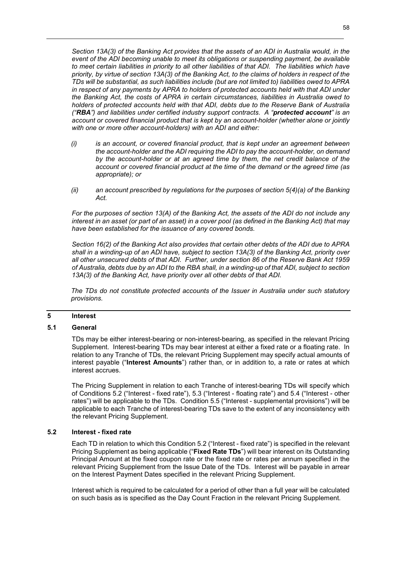58

*Section 13A(3) of the Banking Act provides that the assets of an ADI in Australia would, in the event of the ADI becoming unable to meet its obligations or suspending payment, be available to meet certain liabilities in priority to all other liabilities of that ADI. The liabilities which have priority, by virtue of section 13A(3) of the Banking Act, to the claims of holders in respect of the TDs will be substantial, as such liabilities include (but are not limited to) liabilities owed to APRA in respect of any payments by APRA to holders of protected accounts held with that ADI under the Banking Act, the costs of APRA in certain circumstances, liabilities in Australia owed to holders of protected accounts held with that ADI, debts due to the Reserve Bank of Australia ("RBA") and liabilities under certified industry support contracts. A "protected account" is an account or covered financial product that is kept by an account-holder (whether alone or jointly with one or more other account-holders) with an ADI and either:* 

- *(i) is an account, or covered financial product, that is kept under an agreement between the account-holder and the ADI requiring the ADI to pay the account-holder, on demand by the account-holder or at an agreed time by them, the net credit balance of the account or covered financial product at the time of the demand or the agreed time (as appropriate); or*
- *(ii) an account prescribed by regulations for the purposes of section 5(4)(a) of the Banking Act.*

*For the purposes of section 13(A) of the Banking Act, the assets of the ADI do not include any interest in an asset (or part of an asset) in a cover pool (as defined in the Banking Act) that may have been established for the issuance of any covered bonds.* 

*Section 16(2) of the Banking Act also provides that certain other debts of the ADI due to APRA shall in a winding-up of an ADI have, subject to section 13A(3) of the Banking Act, priority over all other unsecured debts of that ADI. Further, under section 86 of the Reserve Bank Act 1959 of Australia, debts due by an ADI to the RBA shall, in a winding-up of that ADI, subject to section 13A(3) of the Banking Act, have priority over all other debts of that ADI.*

*The TDs do not constitute protected accounts of the Issuer in Australia under such statutory provisions.* 

## **5 Interest**

## **5.1 General**

TDs may be either interest-bearing or non-interest-bearing, as specified in the relevant Pricing Supplement. Interest-bearing TDs may bear interest at either a fixed rate or a floating rate. In relation to any Tranche of TDs, the relevant Pricing Supplement may specify actual amounts of interest payable ("**Interest Amounts**") rather than, or in addition to, a rate or rates at which interest accrues.

The Pricing Supplement in relation to each Tranche of interest-bearing TDs will specify which of Conditions 5.2 ("Interest - fixed rate"), 5.3 ("Interest - floating rate") and 5.4 ("Interest - other rates") will be applicable to the TDs. Condition 5.5 ("Interest - supplemental provisions") will be applicable to each Tranche of interest-bearing TDs save to the extent of any inconsistency with the relevant Pricing Supplement.

# **5.2 Interest - fixed rate**

Each TD in relation to which this Condition 5.2 ("Interest - fixed rate") is specified in the relevant Pricing Supplement as being applicable ("**Fixed Rate TDs**") will bear interest on its Outstanding Principal Amount at the fixed coupon rate or the fixed rate or rates per annum specified in the relevant Pricing Supplement from the Issue Date of the TDs. Interest will be payable in arrear on the Interest Payment Dates specified in the relevant Pricing Supplement.

Interest which is required to be calculated for a period of other than a full year will be calculated on such basis as is specified as the Day Count Fraction in the relevant Pricing Supplement.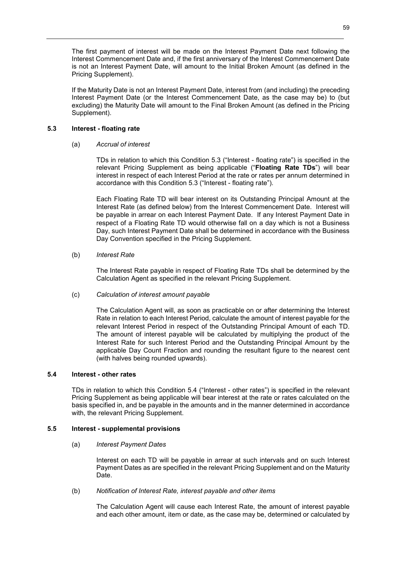The first payment of interest will be made on the Interest Payment Date next following the Interest Commencement Date and, if the first anniversary of the Interest Commencement Date is not an Interest Payment Date, will amount to the Initial Broken Amount (as defined in the Pricing Supplement).

If the Maturity Date is not an Interest Payment Date, interest from (and including) the preceding Interest Payment Date (or the Interest Commencement Date, as the case may be) to (but excluding) the Maturity Date will amount to the Final Broken Amount (as defined in the Pricing Supplement).

# **5.3 Interest - floating rate**

## (a) *Accrual of interest*

TDs in relation to which this Condition 5.3 ("Interest - floating rate") is specified in the relevant Pricing Supplement as being applicable ("**Floating Rate TDs**") will bear interest in respect of each Interest Period at the rate or rates per annum determined in accordance with this Condition 5.3 ("Interest - floating rate").

Each Floating Rate TD will bear interest on its Outstanding Principal Amount at the Interest Rate (as defined below) from the Interest Commencement Date. Interest will be payable in arrear on each Interest Payment Date. If any Interest Payment Date in respect of a Floating Rate TD would otherwise fall on a day which is not a Business Day, such Interest Payment Date shall be determined in accordance with the Business Day Convention specified in the Pricing Supplement.

## (b) *Interest Rate*

The Interest Rate payable in respect of Floating Rate TDs shall be determined by the Calculation Agent as specified in the relevant Pricing Supplement.

## (c) *Calculation of interest amount payable*

The Calculation Agent will, as soon as practicable on or after determining the Interest Rate in relation to each Interest Period, calculate the amount of interest payable for the relevant Interest Period in respect of the Outstanding Principal Amount of each TD. The amount of interest payable will be calculated by multiplying the product of the Interest Rate for such Interest Period and the Outstanding Principal Amount by the applicable Day Count Fraction and rounding the resultant figure to the nearest cent (with halves being rounded upwards).

## **5.4 Interest - other rates**

TDs in relation to which this Condition 5.4 ("Interest - other rates") is specified in the relevant Pricing Supplement as being applicable will bear interest at the rate or rates calculated on the basis specified in, and be payable in the amounts and in the manner determined in accordance with, the relevant Pricing Supplement.

## **5.5 Interest - supplemental provisions**

(a) *Interest Payment Dates*

Interest on each TD will be payable in arrear at such intervals and on such Interest Payment Dates as are specified in the relevant Pricing Supplement and on the Maturity Date.

(b) *Notification of Interest Rate, interest payable and other items* 

The Calculation Agent will cause each Interest Rate, the amount of interest payable and each other amount, item or date, as the case may be, determined or calculated by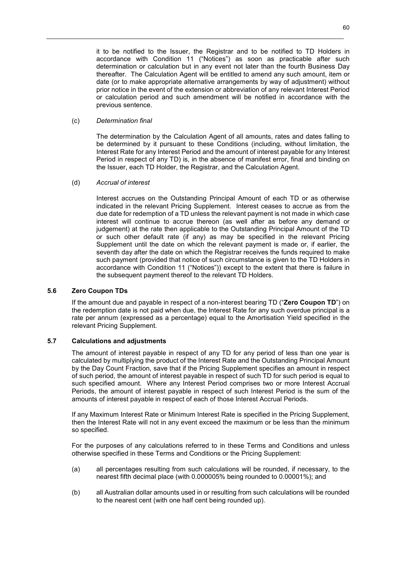it to be notified to the Issuer, the Registrar and to be notified to TD Holders in accordance with Condition 11 ("Notices") as soon as practicable after such determination or calculation but in any event not later than the fourth Business Day thereafter. The Calculation Agent will be entitled to amend any such amount, item or date (or to make appropriate alternative arrangements by way of adjustment) without prior notice in the event of the extension or abbreviation of any relevant Interest Period or calculation period and such amendment will be notified in accordance with the previous sentence.

## (c) *Determination final*

The determination by the Calculation Agent of all amounts, rates and dates falling to be determined by it pursuant to these Conditions (including, without limitation, the Interest Rate for any Interest Period and the amount of interest payable for any Interest Period in respect of any TD) is, in the absence of manifest error, final and binding on the Issuer, each TD Holder, the Registrar, and the Calculation Agent.

## (d) *Accrual of interest*

Interest accrues on the Outstanding Principal Amount of each TD or as otherwise indicated in the relevant Pricing Supplement. Interest ceases to accrue as from the due date for redemption of a TD unless the relevant payment is not made in which case interest will continue to accrue thereon (as well after as before any demand or judgement) at the rate then applicable to the Outstanding Principal Amount of the TD or such other default rate (if any) as may be specified in the relevant Pricing Supplement until the date on which the relevant payment is made or, if earlier, the seventh day after the date on which the Registrar receives the funds required to make such payment (provided that notice of such circumstance is given to the TD Holders in accordance with Condition 11 ("Notices")) except to the extent that there is failure in the subsequent payment thereof to the relevant TD Holders.

## **5.6 Zero Coupon TDs**

If the amount due and payable in respect of a non-interest bearing TD ("**Zero Coupon TD**") on the redemption date is not paid when due, the Interest Rate for any such overdue principal is a rate per annum (expressed as a percentage) equal to the Amortisation Yield specified in the relevant Pricing Supplement.

## **5.7 Calculations and adjustments**

The amount of interest payable in respect of any TD for any period of less than one year is calculated by multiplying the product of the Interest Rate and the Outstanding Principal Amount by the Day Count Fraction, save that if the Pricing Supplement specifies an amount in respect of such period, the amount of interest payable in respect of such TD for such period is equal to such specified amount. Where any Interest Period comprises two or more Interest Accrual Periods, the amount of interest payable in respect of such Interest Period is the sum of the amounts of interest payable in respect of each of those Interest Accrual Periods.

If any Maximum Interest Rate or Minimum Interest Rate is specified in the Pricing Supplement, then the Interest Rate will not in any event exceed the maximum or be less than the minimum so specified.

For the purposes of any calculations referred to in these Terms and Conditions and unless otherwise specified in these Terms and Conditions or the Pricing Supplement:

- (a) all percentages resulting from such calculations will be rounded, if necessary, to the nearest fifth decimal place (with 0.000005% being rounded to 0.00001%); and
- (b) all Australian dollar amounts used in or resulting from such calculations will be rounded to the nearest cent (with one half cent being rounded up).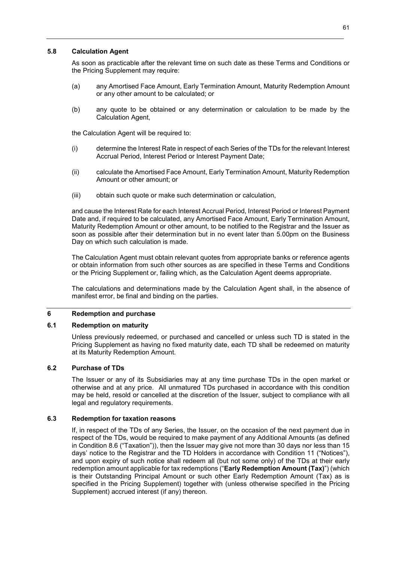## **5.8 Calculation Agent**

As soon as practicable after the relevant time on such date as these Terms and Conditions or the Pricing Supplement may require:

- (a) any Amortised Face Amount, Early Termination Amount, Maturity Redemption Amount or any other amount to be calculated; or
- (b) any quote to be obtained or any determination or calculation to be made by the Calculation Agent,

the Calculation Agent will be required to:

- (i) determine the Interest Rate in respect of each Series of the TDs for the relevant Interest Accrual Period, Interest Period or Interest Payment Date;
- (ii) calculate the Amortised Face Amount, Early Termination Amount, Maturity Redemption Amount or other amount; or
- (iii) obtain such quote or make such determination or calculation,

and cause the Interest Rate for each Interest Accrual Period, Interest Period or Interest Payment Date and, if required to be calculated, any Amortised Face Amount, Early Termination Amount, Maturity Redemption Amount or other amount, to be notified to the Registrar and the Issuer as soon as possible after their determination but in no event later than 5.00pm on the Business Day on which such calculation is made.

The Calculation Agent must obtain relevant quotes from appropriate banks or reference agents or obtain information from such other sources as are specified in these Terms and Conditions or the Pricing Supplement or, failing which, as the Calculation Agent deems appropriate.

The calculations and determinations made by the Calculation Agent shall, in the absence of manifest error, be final and binding on the parties.

## **6 Redemption and purchase**

## **6.1 Redemption on maturity**

Unless previously redeemed, or purchased and cancelled or unless such TD is stated in the Pricing Supplement as having no fixed maturity date, each TD shall be redeemed on maturity at its Maturity Redemption Amount.

## **6.2 Purchase of TDs**

The Issuer or any of its Subsidiaries may at any time purchase TDs in the open market or otherwise and at any price. All unmatured TDs purchased in accordance with this condition may be held, resold or cancelled at the discretion of the Issuer, subject to compliance with all legal and regulatory requirements.

## **6.3 Redemption for taxation reasons**

If, in respect of the TDs of any Series, the Issuer, on the occasion of the next payment due in respect of the TDs, would be required to make payment of any Additional Amounts (as defined in Condition 8.6 ("Taxation")), then the Issuer may give not more than 30 days nor less than 15 days' notice to the Registrar and the TD Holders in accordance with Condition 11 ("Notices"), and upon expiry of such notice shall redeem all (but not some only) of the TDs at their early redemption amount applicable for tax redemptions ("**Early Redemption Amount (Tax)**") (which is their Outstanding Principal Amount or such other Early Redemption Amount (Tax) as is specified in the Pricing Supplement) together with (unless otherwise specified in the Pricing Supplement) accrued interest (if any) thereon.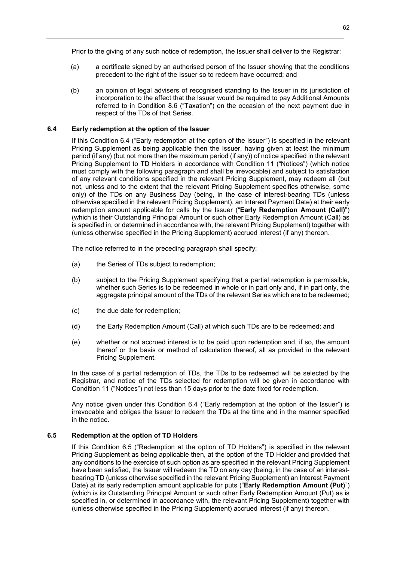Prior to the giving of any such notice of redemption, the Issuer shall deliver to the Registrar:

- (a) a certificate signed by an authorised person of the Issuer showing that the conditions precedent to the right of the Issuer so to redeem have occurred; and
- (b) an opinion of legal advisers of recognised standing to the Issuer in its jurisdiction of incorporation to the effect that the Issuer would be required to pay Additional Amounts referred to in Condition 8.6 ("Taxation") on the occasion of the next payment due in respect of the TDs of that Series.

## **6.4 Early redemption at the option of the Issuer**

If this Condition 6.4 ("Early redemption at the option of the Issuer") is specified in the relevant Pricing Supplement as being applicable then the Issuer, having given at least the minimum period (if any) (but not more than the maximum period (if any)) of notice specified in the relevant Pricing Supplement to TD Holders in accordance with Condition 11 ("Notices") (which notice must comply with the following paragraph and shall be irrevocable) and subject to satisfaction of any relevant conditions specified in the relevant Pricing Supplement, may redeem all (but not, unless and to the extent that the relevant Pricing Supplement specifies otherwise, some only) of the TDs on any Business Day (being, in the case of interest-bearing TDs (unless otherwise specified in the relevant Pricing Supplement), an Interest Payment Date) at their early redemption amount applicable for calls by the Issuer ("**Early Redemption Amount (Call)**") (which is their Outstanding Principal Amount or such other Early Redemption Amount (Call) as is specified in, or determined in accordance with, the relevant Pricing Supplement) together with (unless otherwise specified in the Pricing Supplement) accrued interest (if any) thereon.

The notice referred to in the preceding paragraph shall specify:

- (a) the Series of TDs subject to redemption;
- (b) subject to the Pricing Supplement specifying that a partial redemption is permissible, whether such Series is to be redeemed in whole or in part only and, if in part only, the aggregate principal amount of the TDs of the relevant Series which are to be redeemed;
- (c) the due date for redemption;
- (d) the Early Redemption Amount (Call) at which such TDs are to be redeemed; and
- (e) whether or not accrued interest is to be paid upon redemption and, if so, the amount thereof or the basis or method of calculation thereof, all as provided in the relevant Pricing Supplement.

In the case of a partial redemption of TDs, the TDs to be redeemed will be selected by the Registrar, and notice of the TDs selected for redemption will be given in accordance with Condition 11 ("Notices") not less than 15 days prior to the date fixed for redemption.

Any notice given under this Condition 6.4 ("Early redemption at the option of the Issuer") is irrevocable and obliges the Issuer to redeem the TDs at the time and in the manner specified in the notice.

# **6.5 Redemption at the option of TD Holders**

If this Condition 6.5 ("Redemption at the option of TD Holders") is specified in the relevant Pricing Supplement as being applicable then, at the option of the TD Holder and provided that any conditions to the exercise of such option as are specified in the relevant Pricing Supplement have been satisfied, the Issuer will redeem the TD on any day (being, in the case of an interestbearing TD (unless otherwise specified in the relevant Pricing Supplement) an Interest Payment Date) at its early redemption amount applicable for puts ("**Early Redemption Amount (Put)**") (which is its Outstanding Principal Amount or such other Early Redemption Amount (Put) as is specified in, or determined in accordance with, the relevant Pricing Supplement) together with (unless otherwise specified in the Pricing Supplement) accrued interest (if any) thereon.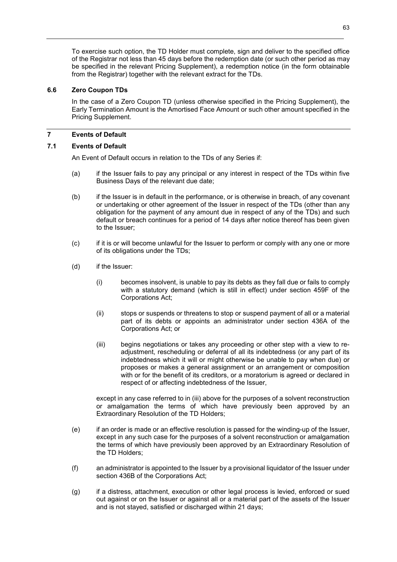To exercise such option, the TD Holder must complete, sign and deliver to the specified office of the Registrar not less than 45 days before the redemption date (or such other period as may be specified in the relevant Pricing Supplement), a redemption notice (in the form obtainable from the Registrar) together with the relevant extract for the TDs.

## **6.6 Zero Coupon TDs**

In the case of a Zero Coupon TD (unless otherwise specified in the Pricing Supplement), the Early Termination Amount is the Amortised Face Amount or such other amount specified in the Pricing Supplement.

# **7 Events of Default**

## **7.1 Events of Default**

An Event of Default occurs in relation to the TDs of any Series if:

- (a) if the Issuer fails to pay any principal or any interest in respect of the TDs within five Business Days of the relevant due date;
- (b) if the Issuer is in default in the performance, or is otherwise in breach, of any covenant or undertaking or other agreement of the Issuer in respect of the TDs (other than any obligation for the payment of any amount due in respect of any of the TDs) and such default or breach continues for a period of 14 days after notice thereof has been given to the Issuer;
- (c) if it is or will become unlawful for the Issuer to perform or comply with any one or more of its obligations under the TDs;
- (d) if the Issuer:
	- (i) becomes insolvent, is unable to pay its debts as they fall due or fails to comply with a statutory demand (which is still in effect) under section 459F of the Corporations Act;
	- (ii) stops or suspends or threatens to stop or suspend payment of all or a material part of its debts or appoints an administrator under section 436A of the Corporations Act; or
	- (iii) begins negotiations or takes any proceeding or other step with a view to readjustment, rescheduling or deferral of all its indebtedness (or any part of its indebtedness which it will or might otherwise be unable to pay when due) or proposes or makes a general assignment or an arrangement or composition with or for the benefit of its creditors, or a moratorium is agreed or declared in respect of or affecting indebtedness of the Issuer,

 except in any case referred to in (iii) above for the purposes of a solvent reconstruction or amalgamation the terms of which have previously been approved by an Extraordinary Resolution of the TD Holders;

- (e) if an order is made or an effective resolution is passed for the winding-up of the Issuer, except in any such case for the purposes of a solvent reconstruction or amalgamation the terms of which have previously been approved by an Extraordinary Resolution of the TD Holders;
- (f) an administrator is appointed to the Issuer by a provisional liquidator of the Issuer under section 436B of the Corporations Act;
- (g) if a distress, attachment, execution or other legal process is levied, enforced or sued out against or on the Issuer or against all or a material part of the assets of the Issuer and is not stayed, satisfied or discharged within 21 days;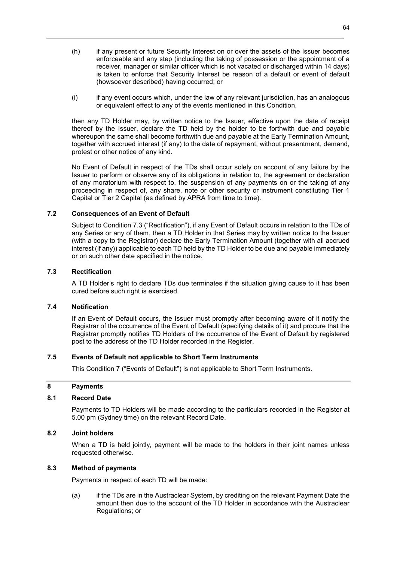- (h) if any present or future Security Interest on or over the assets of the Issuer becomes enforceable and any step (including the taking of possession or the appointment of a receiver, manager or similar officer which is not vacated or discharged within 14 days) is taken to enforce that Security Interest be reason of a default or event of default (howsoever described) having occurred; or
- (i) if any event occurs which, under the law of any relevant jurisdiction, has an analogous or equivalent effect to any of the events mentioned in this Condition,

then any TD Holder may, by written notice to the Issuer, effective upon the date of receipt thereof by the Issuer, declare the TD held by the holder to be forthwith due and payable whereupon the same shall become forthwith due and payable at the Early Termination Amount, together with accrued interest (if any) to the date of repayment, without presentment, demand, protest or other notice of any kind.

No Event of Default in respect of the TDs shall occur solely on account of any failure by the Issuer to perform or observe any of its obligations in relation to, the agreement or declaration of any moratorium with respect to, the suspension of any payments on or the taking of any proceeding in respect of, any share, note or other security or instrument constituting Tier 1 Capital or Tier 2 Capital (as defined by APRA from time to time).

## **7.2 Consequences of an Event of Default**

Subject to Condition 7.3 ("Rectification"), if any Event of Default occurs in relation to the TDs of any Series or any of them, then a TD Holder in that Series may by written notice to the Issuer (with a copy to the Registrar) declare the Early Termination Amount (together with all accrued interest (if any)) applicable to each TD held by the TD Holder to be due and payable immediately or on such other date specified in the notice.

## **7.3 Rectification**

A TD Holder's right to declare TDs due terminates if the situation giving cause to it has been cured before such right is exercised.

## **7.4 Notification**

If an Event of Default occurs, the Issuer must promptly after becoming aware of it notify the Registrar of the occurrence of the Event of Default (specifying details of it) and procure that the Registrar promptly notifies TD Holders of the occurrence of the Event of Default by registered post to the address of the TD Holder recorded in the Register.

## **7.5 Events of Default not applicable to Short Term Instruments**

This Condition 7 ("Events of Default") is not applicable to Short Term Instruments.

# **8 Payments**

# **8.1 Record Date**

Payments to TD Holders will be made according to the particulars recorded in the Register at 5.00 pm (Sydney time) on the relevant Record Date.

## **8.2 Joint holders**

When a TD is held jointly, payment will be made to the holders in their joint names unless requested otherwise.

# **8.3 Method of payments**

Payments in respect of each TD will be made:

(a) if the TDs are in the Austraclear System, by crediting on the relevant Payment Date the amount then due to the account of the TD Holder in accordance with the Austraclear Regulations; or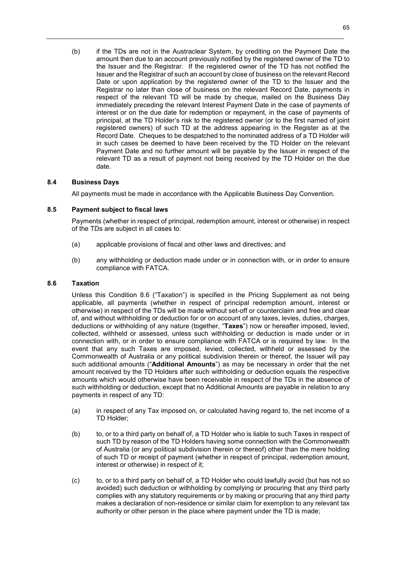(b) if the TDs are not in the Austraclear System, by crediting on the Payment Date the amount then due to an account previously notified by the registered owner of the TD to the Issuer and the Registrar. If the registered owner of the TD has not notified the Issuer and the Registrar of such an account by close of business on the relevant Record Date or upon application by the registered owner of the TD to the Issuer and the Registrar no later than close of business on the relevant Record Date, payments in respect of the relevant TD will be made by cheque, mailed on the Business Day immediately preceding the relevant Interest Payment Date in the case of payments of interest or on the due date for redemption or repayment, in the case of payments of principal, at the TD Holder's risk to the registered owner (or to the first named of joint registered owners) of such TD at the address appearing in the Register as at the Record Date. Cheques to be despatched to the nominated address of a TD Holder will in such cases be deemed to have been received by the TD Holder on the relevant Payment Date and no further amount will be payable by the Issuer in respect of the relevant TD as a result of payment not being received by the TD Holder on the due date.

# **8.4 Business Days**

All payments must be made in accordance with the Applicable Business Day Convention.

## **8.5 Payment subject to fiscal laws**

Payments (whether in respect of principal, redemption amount, interest or otherwise) in respect of the TDs are subject in all cases to:

- (a) applicable provisions of fiscal and other laws and directives; and
- (b) any withholding or deduction made under or in connection with, or in order to ensure compliance with FATCA.

## **8.6 Taxation**

Unless this Condition 8.6 ("Taxation") is specified in the Pricing Supplement as not being applicable, all payments (whether in respect of principal redemption amount, interest or otherwise) in respect of the TDs will be made without set-off or counterclaim and free and clear of, and without withholding or deduction for or on account of any taxes, levies, duties, charges, deductions or withholding of any nature (together, "**Taxes**") now or hereafter imposed, levied, collected, withheld or assessed, unless such withholding or deduction is made under or in connection with, or in order to ensure compliance with FATCA or is required by law. In the event that any such Taxes are imposed, levied, collected, withheld or assessed by the Commonwealth of Australia or any political subdivision therein or thereof, the Issuer will pay such additional amounts ("**Additional Amounts**") as may be necessary in order that the net amount received by the TD Holders after such withholding or deduction equals the respective amounts which would otherwise have been receivable in respect of the TDs in the absence of such withholding or deduction, except that no Additional Amounts are payable in relation to any payments in respect of any TD:

- (a) in respect of any Tax imposed on, or calculated having regard to, the net income of a TD Holder;
- (b) to, or to a third party on behalf of, a TD Holder who is liable to such Taxes in respect of such TD by reason of the TD Holders having some connection with the Commonwealth of Australia (or any political subdivision therein or thereof) other than the mere holding of such TD or receipt of payment (whether in respect of principal, redemption amount, interest or otherwise) in respect of it;
- (c) to, or to a third party on behalf of, a TD Holder who could lawfully avoid (but has not so avoided) such deduction or withholding by complying or procuring that any third party complies with any statutory requirements or by making or procuring that any third party makes a declaration of non-residence or similar claim for exemption to any relevant tax authority or other person in the place where payment under the TD is made;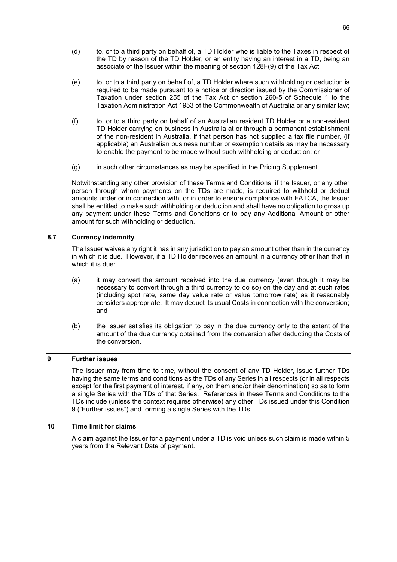- (d) to, or to a third party on behalf of, a TD Holder who is liable to the Taxes in respect of the TD by reason of the TD Holder, or an entity having an interest in a TD, being an associate of the Issuer within the meaning of section 128F(9) of the Tax Act;
- (e) to, or to a third party on behalf of, a TD Holder where such withholding or deduction is required to be made pursuant to a notice or direction issued by the Commissioner of Taxation under section 255 of the Tax Act or section 260-5 of Schedule 1 to the Taxation Administration Act 1953 of the Commonwealth of Australia or any similar law;
- (f) to, or to a third party on behalf of an Australian resident TD Holder or a non-resident TD Holder carrying on business in Australia at or through a permanent establishment of the non-resident in Australia, if that person has not supplied a tax file number, (if applicable) an Australian business number or exemption details as may be necessary to enable the payment to be made without such withholding or deduction; or
- (g) in such other circumstances as may be specified in the Pricing Supplement.

Notwithstanding any other provision of these Terms and Conditions, if the Issuer, or any other person through whom payments on the TDs are made, is required to withhold or deduct amounts under or in connection with, or in order to ensure compliance with FATCA, the Issuer shall be entitled to make such withholding or deduction and shall have no obligation to gross up any payment under these Terms and Conditions or to pay any Additional Amount or other amount for such withholding or deduction.

# **8.7 Currency indemnity**

The Issuer waives any right it has in any jurisdiction to pay an amount other than in the currency in which it is due. However, if a TD Holder receives an amount in a currency other than that in which it is due:

- (a) it may convert the amount received into the due currency (even though it may be necessary to convert through a third currency to do so) on the day and at such rates (including spot rate, same day value rate or value tomorrow rate) as it reasonably considers appropriate. It may deduct its usual Costs in connection with the conversion; and
- (b) the Issuer satisfies its obligation to pay in the due currency only to the extent of the amount of the due currency obtained from the conversion after deducting the Costs of the conversion.

# **9 Further issues**

The Issuer may from time to time, without the consent of any TD Holder, issue further TDs having the same terms and conditions as the TDs of any Series in all respects (or in all respects except for the first payment of interest, if any, on them and/or their denomination) so as to form a single Series with the TDs of that Series. References in these Terms and Conditions to the TDs include (unless the context requires otherwise) any other TDs issued under this Condition 9 ("Further issues") and forming a single Series with the TDs.

# **10 Time limit for claims**

A claim against the Issuer for a payment under a TD is void unless such claim is made within 5 years from the Relevant Date of payment.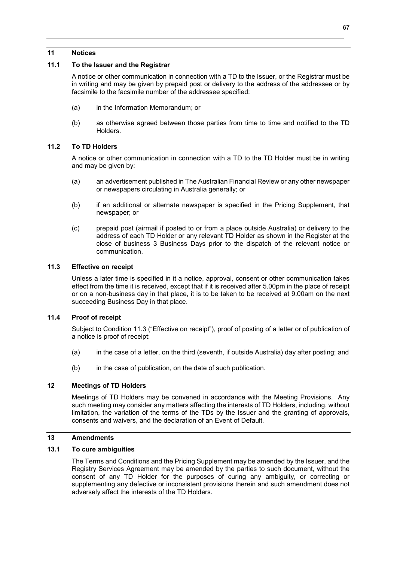## **11 Notices**

# **11.1 To the Issuer and the Registrar**

A notice or other communication in connection with a TD to the Issuer, or the Registrar must be in writing and may be given by prepaid post or delivery to the address of the addressee or by facsimile to the facsimile number of the addressee specified:

- (a) in the Information Memorandum; or
- (b) as otherwise agreed between those parties from time to time and notified to the TD Holders.

## **11.2 To TD Holders**

A notice or other communication in connection with a TD to the TD Holder must be in writing and may be given by:

- (a) an advertisement published in The Australian Financial Review or any other newspaper or newspapers circulating in Australia generally; or
- (b) if an additional or alternate newspaper is specified in the Pricing Supplement, that newspaper; or
- (c) prepaid post (airmail if posted to or from a place outside Australia) or delivery to the address of each TD Holder or any relevant TD Holder as shown in the Register at the close of business 3 Business Days prior to the dispatch of the relevant notice or communication.

# **11.3 Effective on receipt**

Unless a later time is specified in it a notice, approval, consent or other communication takes effect from the time it is received, except that if it is received after 5.00pm in the place of receipt or on a non-business day in that place, it is to be taken to be received at 9.00am on the next succeeding Business Day in that place.

## **11.4 Proof of receipt**

Subject to Condition 11.3 ("Effective on receipt"), proof of posting of a letter or of publication of a notice is proof of receipt:

- (a) in the case of a letter, on the third (seventh, if outside Australia) day after posting; and
- (b) in the case of publication, on the date of such publication.

# **12 Meetings of TD Holders**

Meetings of TD Holders may be convened in accordance with the Meeting Provisions. Any such meeting may consider any matters affecting the interests of TD Holders, including, without limitation, the variation of the terms of the TDs by the Issuer and the granting of approvals, consents and waivers, and the declaration of an Event of Default.

# **13 Amendments**

# **13.1 To cure ambiguities**

The Terms and Conditions and the Pricing Supplement may be amended by the Issuer, and the Registry Services Agreement may be amended by the parties to such document, without the consent of any TD Holder for the purposes of curing any ambiguity, or correcting or supplementing any defective or inconsistent provisions therein and such amendment does not adversely affect the interests of the TD Holders.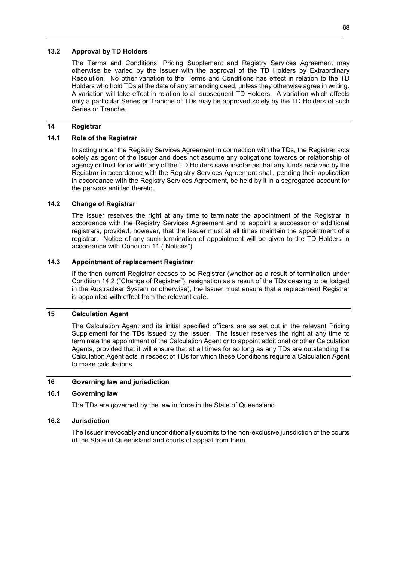#### **13.2 Approval by TD Holders**

The Terms and Conditions, Pricing Supplement and Registry Services Agreement may otherwise be varied by the Issuer with the approval of the TD Holders by Extraordinary Resolution. No other variation to the Terms and Conditions has effect in relation to the TD Holders who hold TDs at the date of any amending deed, unless they otherwise agree in writing. A variation will take effect in relation to all subsequent TD Holders. A variation which affects only a particular Series or Tranche of TDs may be approved solely by the TD Holders of such Series or Tranche.

## **14 Registrar**

# **14.1 Role of the Registrar**

In acting under the Registry Services Agreement in connection with the TDs, the Registrar acts solely as agent of the Issuer and does not assume any obligations towards or relationship of agency or trust for or with any of the TD Holders save insofar as that any funds received by the Registrar in accordance with the Registry Services Agreement shall, pending their application in accordance with the Registry Services Agreement, be held by it in a segregated account for the persons entitled thereto.

## **14.2 Change of Registrar**

The Issuer reserves the right at any time to terminate the appointment of the Registrar in accordance with the Registry Services Agreement and to appoint a successor or additional registrars, provided, however, that the Issuer must at all times maintain the appointment of a registrar. Notice of any such termination of appointment will be given to the TD Holders in accordance with Condition 11 ("Notices").

#### **14.3 Appointment of replacement Registrar**

If the then current Registrar ceases to be Registrar (whether as a result of termination under Condition 14.2 ("Change of Registrar"), resignation as a result of the TDs ceasing to be lodged in the Austraclear System or otherwise), the Issuer must ensure that a replacement Registrar is appointed with effect from the relevant date.

## **15 Calculation Agent**

The Calculation Agent and its initial specified officers are as set out in the relevant Pricing Supplement for the TDs issued by the Issuer. The Issuer reserves the right at any time to terminate the appointment of the Calculation Agent or to appoint additional or other Calculation Agents, provided that it will ensure that at all times for so long as any TDs are outstanding the Calculation Agent acts in respect of TDs for which these Conditions require a Calculation Agent to make calculations.

#### **16 Governing law and jurisdiction**

#### **16.1 Governing law**

The TDs are governed by the law in force in the State of Queensland.

## **16.2 Jurisdiction**

The Issuer irrevocably and unconditionally submits to the non-exclusive jurisdiction of the courts of the State of Queensland and courts of appeal from them.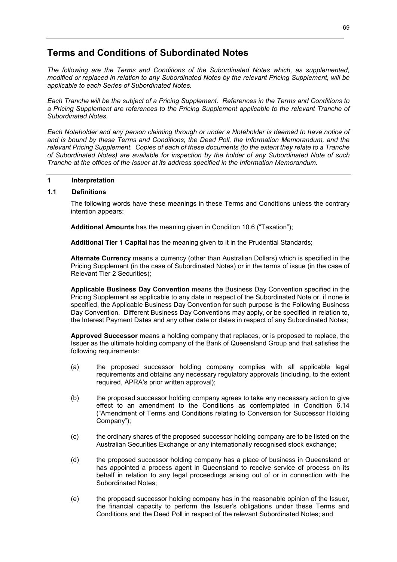# **Terms and Conditions of Subordinated Notes**

*The following are the Terms and Conditions of the Subordinated Notes which, as supplemented, modified or replaced in relation to any Subordinated Notes by the relevant Pricing Supplement, will be applicable to each Series of Subordinated Notes.* 

*Each Tranche will be the subject of a Pricing Supplement. References in the Terms and Conditions to a Pricing Supplement are references to the Pricing Supplement applicable to the relevant Tranche of Subordinated Notes.* 

*Each Noteholder and any person claiming through or under a Noteholder is deemed to have notice of and is bound by these Terms and Conditions, the Deed Poll, the Information Memorandum, and the relevant Pricing Supplement. Copies of each of these documents (to the extent they relate to a Tranche of Subordinated Notes) are available for inspection by the holder of any Subordinated Note of such Tranche at the offices of the Issuer at its address specified in the Information Memorandum.* 

# **1 Interpretation**

## **1.1 Definitions**

The following words have these meanings in these Terms and Conditions unless the contrary intention appears:

**Additional Amounts** has the meaning given in Condition 10.6 ("Taxation");

**Additional Tier 1 Capital** has the meaning given to it in the Prudential Standards;

**Alternate Currency** means a currency (other than Australian Dollars) which is specified in the Pricing Supplement (in the case of Subordinated Notes) or in the terms of issue (in the case of Relevant Tier 2 Securities);

**Applicable Business Day Convention** means the Business Day Convention specified in the Pricing Supplement as applicable to any date in respect of the Subordinated Note or, if none is specified, the Applicable Business Day Convention for such purpose is the Following Business Day Convention. Different Business Day Conventions may apply, or be specified in relation to, the Interest Payment Dates and any other date or dates in respect of any Subordinated Notes;

**Approved Successor** means a holding company that replaces, or is proposed to replace, the Issuer as the ultimate holding company of the Bank of Queensland Group and that satisfies the following requirements:

- (a) the proposed successor holding company complies with all applicable legal requirements and obtains any necessary regulatory approvals (including, to the extent required, APRA's prior written approval);
- (b) the proposed successor holding company agrees to take any necessary action to give effect to an amendment to the Conditions as contemplated in Condition 6.14 ("Amendment of Terms and Conditions relating to Conversion for Successor Holding Company");
- (c) the ordinary shares of the proposed successor holding company are to be listed on the Australian Securities Exchange or any internationally recognised stock exchange;
- (d) the proposed successor holding company has a place of business in Queensland or has appointed a process agent in Queensland to receive service of process on its behalf in relation to any legal proceedings arising out of or in connection with the Subordinated Notes;
- (e) the proposed successor holding company has in the reasonable opinion of the Issuer, the financial capacity to perform the Issuer's obligations under these Terms and Conditions and the Deed Poll in respect of the relevant Subordinated Notes; and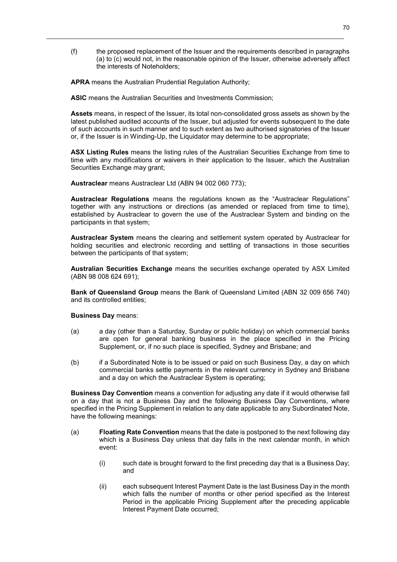(f) the proposed replacement of the Issuer and the requirements described in paragraphs (a) to (c) would not, in the reasonable opinion of the Issuer, otherwise adversely affect the interests of Noteholders;

**APRA** means the Australian Prudential Regulation Authority;

**ASIC** means the Australian Securities and Investments Commission;

**Assets** means, in respect of the Issuer, its total non-consolidated gross assets as shown by the latest published audited accounts of the Issuer, but adjusted for events subsequent to the date of such accounts in such manner and to such extent as two authorised signatories of the Issuer or, if the Issuer is in Winding-Up, the Liquidator may determine to be appropriate;

**ASX Listing Rules** means the listing rules of the Australian Securities Exchange from time to time with any modifications or waivers in their application to the Issuer, which the Australian Securities Exchange may grant;

**Austraclear** means Austraclear Ltd (ABN 94 002 060 773);

**Austraclear Regulations** means the regulations known as the "Austraclear Regulations" together with any instructions or directions (as amended or replaced from time to time), established by Austraclear to govern the use of the Austraclear System and binding on the participants in that system;

**Austraclear System** means the clearing and settlement system operated by Austraclear for holding securities and electronic recording and settling of transactions in those securities between the participants of that system;

**Australian Securities Exchange** means the securities exchange operated by ASX Limited (ABN 98 008 624 691);

**Bank of Queensland Group** means the Bank of Queensland Limited (ABN 32 009 656 740) and its controlled entities;

**Business Day** means:

- (a) a day (other than a Saturday, Sunday or public holiday) on which commercial banks are open for general banking business in the place specified in the Pricing Supplement, or, if no such place is specified, Sydney and Brisbane; and
- (b) if a Subordinated Note is to be issued or paid on such Business Day, a day on which commercial banks settle payments in the relevant currency in Sydney and Brisbane and a day on which the Austraclear System is operating;

**Business Day Convention** means a convention for adjusting any date if it would otherwise fall on a day that is not a Business Day and the following Business Day Conventions, where specified in the Pricing Supplement in relation to any date applicable to any Subordinated Note, have the following meanings:

- (a) **Floating Rate Convention** means that the date is postponed to the next following day which is a Business Day unless that day falls in the next calendar month, in which event:
	- (i) such date is brought forward to the first preceding day that is a Business Day; and
	- (ii) each subsequent Interest Payment Date is the last Business Day in the month which falls the number of months or other period specified as the Interest Period in the applicable Pricing Supplement after the preceding applicable Interest Payment Date occurred;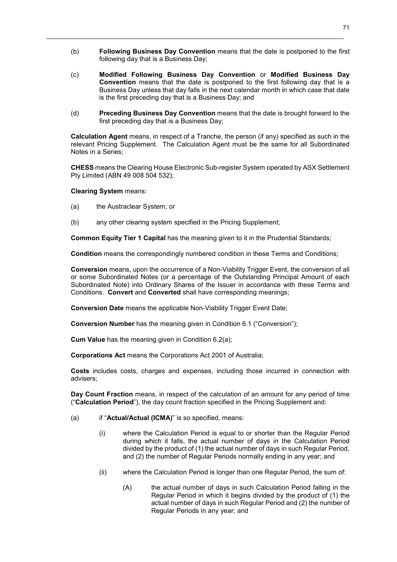- (b) **Following Business Day Convention** means that the date is postponed to the first following day that is a Business Day;
- (c) **Modified Following Business Day Convention** or **Modified Business Day Convention** means that the date is postponed to the first following day that is a Business Day unless that day falls in the next calendar month in which case that date is the first preceding day that is a Business Day; and
- (d) **Preceding Business Day Convention** means that the date is brought forward to the first preceding day that is a Business Day;

**Calculation Agent** means, in respect of a Tranche, the person (if any) specified as such in the relevant Pricing Supplement. The Calculation Agent must be the same for all Subordinated Notes in a Series;

**CHESS** means the Clearing House Electronic Sub-register System operated by ASX Settlement Pty Limited (ABN 49 008 504 532);

#### **Clearing System** means:

- (a) the Austraclear System; or
- (b) any other clearing system specified in the Pricing Supplement;

**Common Equity Tier 1 Capital** has the meaning given to it in the Prudential Standards;

**Condition** means the correspondingly numbered condition in these Terms and Conditions;

**Conversion** means, upon the occurrence of a Non-Viability Trigger Event, the conversion of all or some Subordinated Notes (or a percentage of the Outstanding Principal Amount of each Subordinated Note) into Ordinary Shares of the Issuer in accordance with these Terms and Conditions. **Convert** and **Converted** shall have corresponding meanings;

**Conversion Date** means the applicable Non-Viability Trigger Event Date;

**Conversion Number** has the meaning given in Condition 6.1 ("Conversion");

**Cum Value** has the meaning given in Condition 6.2(a);

**Corporations Act** means the Corporations Act 2001 of Australia;

**Costs** includes costs, charges and expenses, including those incurred in connection with advisers;

**Day Count Fraction** means, in respect of the calculation of an amount for any period of time ("**Calculation Period**"), the day count fraction specified in the Pricing Supplement and:

- (a) if "**Actual/Actual (ICMA)**" is so specified, means:
	- (i) where the Calculation Period is equal to or shorter than the Regular Period during which it falls, the actual number of days in the Calculation Period divided by the product of (1) the actual number of days in such Regular Period, and (2) the number of Regular Periods normally ending in any year; and
	- (ii) where the Calculation Period is longer than one Regular Period, the sum of:
		- (A) the actual number of days in such Calculation Period falling in the Regular Period in which it begins divided by the product of (1) the actual number of days in such Regular Period and (2) the number of Regular Periods in any year; and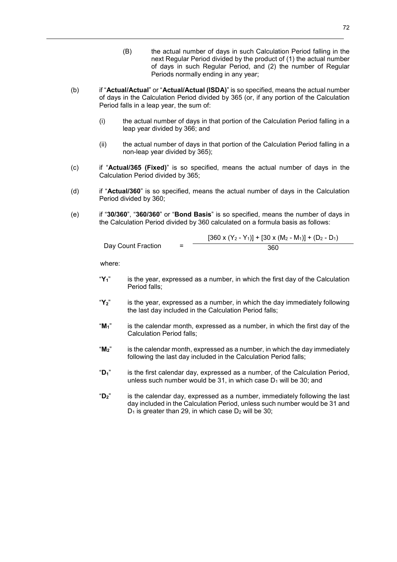- (B) the actual number of days in such Calculation Period falling in the next Regular Period divided by the product of (1) the actual number of days in such Regular Period, and (2) the number of Regular Periods normally ending in any year;
- (b) if "**Actual/Actual**" or "**Actual/Actual (ISDA)**" is so specified, means the actual number of days in the Calculation Period divided by 365 (or, if any portion of the Calculation Period falls in a leap year, the sum of:
	- (i) the actual number of days in that portion of the Calculation Period falling in a leap year divided by 366; and
	- (ii) the actual number of days in that portion of the Calculation Period falling in a non-leap year divided by 365);
- (c) if "**Actual/365 (Fixed)**" is so specified, means the actual number of days in the Calculation Period divided by 365;
- (d) if "**Actual/360**" is so specified, means the actual number of days in the Calculation Period divided by 360;
- (e) if "**30/360**", "**360/360**" or "**Bond Basis**" is so specified, means the number of days in the Calculation Period divided by 360 calculated on a formula basis as follows:

Day Count Fraction = 
$$
\frac{[360 \times (Y_2 - Y_1)] + [30 \times (M_2 - M_1)] + (D_2 - D_1)}{360}
$$

where:

- "**Y1**" is the year, expressed as a number, in which the first day of the Calculation Period falls;
- "**Y2**" is the year, expressed as a number, in which the day immediately following the last day included in the Calculation Period falls;
- "**M1**" is the calendar month, expressed as a number, in which the first day of the Calculation Period falls;
- "**M2**" is the calendar month, expressed as a number, in which the day immediately following the last day included in the Calculation Period falls;
- "**D1**" is the first calendar day, expressed as a number, of the Calculation Period, unless such number would be 31, in which case  $D_1$  will be 30; and
- "**D2**" is the calendar day, expressed as a number, immediately following the last day included in the Calculation Period, unless such number would be 31 and  $D_1$  is greater than 29, in which case  $D_2$  will be 30;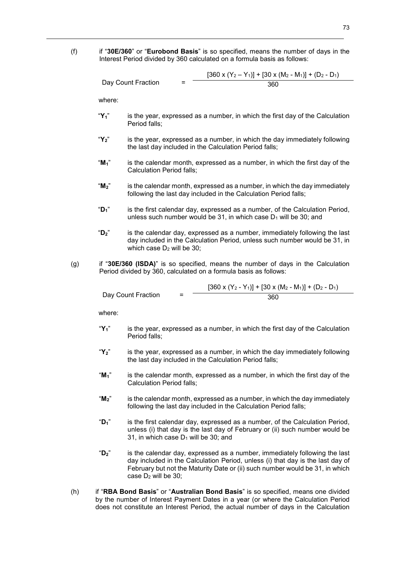(f) if "**30E/360**" or "**Eurobond Basis**" is so specified, means the number of days in the Interest Period divided by 360 calculated on a formula basis as follows:

Day Count Fraction = 
$$
\frac{[360 \times (Y_2 - Y_1)] + [30 \times (M_2 - M_1)] + (D_2 - D_1)}{360}
$$

where:

- "**Y1**" is the year, expressed as a number, in which the first day of the Calculation Period falls;
- "**Y2**" is the year, expressed as a number, in which the day immediately following the last day included in the Calculation Period falls;
- "**M1**" is the calendar month, expressed as a number, in which the first day of the Calculation Period falls;
- "**M2**" is the calendar month, expressed as a number, in which the day immediately following the last day included in the Calculation Period falls;
- "**D1**" is the first calendar day, expressed as a number, of the Calculation Period, unless such number would be 31, in which case  $D_1$  will be 30; and
- "**D2**" is the calendar day, expressed as a number, immediately following the last day included in the Calculation Period, unless such number would be 31, in which case  $D_2$  will be 30:
- (g) if "**30E/360 (ISDA)**" is so specified, means the number of days in the Calculation Period divided by 360, calculated on a formula basis as follows:

|                    | $[360 \times (Y_2 - Y_1)] + [30 \times (M_2 - M_1)] + (D_2 - D_1)$ |
|--------------------|--------------------------------------------------------------------|
| Day Count Fraction | 360                                                                |

where:

- "**Y1**" is the year, expressed as a number, in which the first day of the Calculation Period falls;
- "**Y2**" is the year, expressed as a number, in which the day immediately following the last day included in the Calculation Period falls;
- "**M1**" is the calendar month, expressed as a number, in which the first day of the Calculation Period falls;
- "**M2**" is the calendar month, expressed as a number, in which the day immediately following the last day included in the Calculation Period falls;
- "**D1**" is the first calendar day, expressed as a number, of the Calculation Period, unless (i) that day is the last day of February or (ii) such number would be 31, in which case  $D_1$  will be 30; and
- "**D2**" is the calendar day, expressed as a number, immediately following the last day included in the Calculation Period, unless (i) that day is the last day of February but not the Maturity Date or (ii) such number would be 31, in which case  $D_2$  will be 30:
- (h) if "**RBA Bond Basis**" or "**Australian Bond Basis**" is so specified, means one divided by the number of Interest Payment Dates in a year (or where the Calculation Period does not constitute an Interest Period, the actual number of days in the Calculation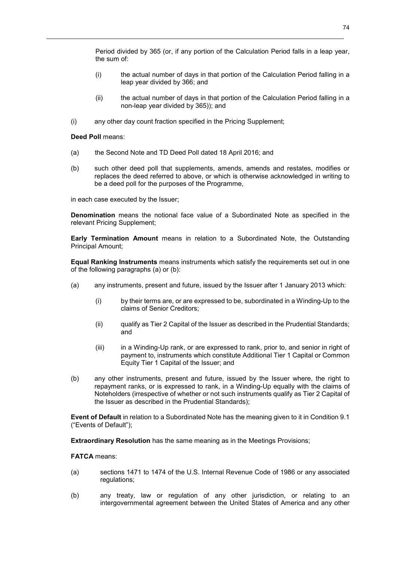Period divided by 365 (or, if any portion of the Calculation Period falls in a leap year, the sum of:

- (i) the actual number of days in that portion of the Calculation Period falling in a leap year divided by 366; and
- (ii) the actual number of days in that portion of the Calculation Period falling in a non-leap year divided by 365)); and
- (i) any other day count fraction specified in the Pricing Supplement;

# **Deed Poll** means:

- (a) the Second Note and TD Deed Poll dated 18 April 2016; and
- (b) such other deed poll that supplements, amends, amends and restates, modifies or replaces the deed referred to above, or which is otherwise acknowledged in writing to be a deed poll for the purposes of the Programme,

in each case executed by the Issuer;

**Denomination** means the notional face value of a Subordinated Note as specified in the relevant Pricing Supplement;

**Early Termination Amount** means in relation to a Subordinated Note, the Outstanding Principal Amount;

**Equal Ranking Instruments** means instruments which satisfy the requirements set out in one of the following paragraphs (a) or (b):

- (a) any instruments, present and future, issued by the Issuer after 1 January 2013 which:
	- (i) by their terms are, or are expressed to be, subordinated in a Winding-Up to the claims of Senior Creditors;
	- (ii) qualify as Tier 2 Capital of the Issuer as described in the Prudential Standards; and
	- (iii) in a Winding-Up rank, or are expressed to rank, prior to, and senior in right of payment to, instruments which constitute Additional Tier 1 Capital or Common Equity Tier 1 Capital of the Issuer; and
- (b) any other instruments, present and future, issued by the Issuer where, the right to repayment ranks, or is expressed to rank, in a Winding-Up equally with the claims of Noteholders (irrespective of whether or not such instruments qualify as Tier 2 Capital of the Issuer as described in the Prudential Standards);

**Event of Default** in relation to a Subordinated Note has the meaning given to it in Condition 9.1 ("Events of Default");

**Extraordinary Resolution** has the same meaning as in the Meetings Provisions;

# **FATCA** means:

- (a) sections 1471 to 1474 of the U.S. Internal Revenue Code of 1986 or any associated regulations;
- (b) any treaty, law or regulation of any other jurisdiction, or relating to an intergovernmental agreement between the United States of America and any other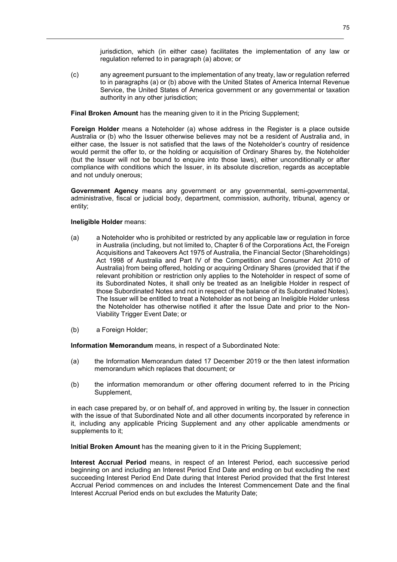jurisdiction, which (in either case) facilitates the implementation of any law or regulation referred to in paragraph (a) above; or

(c) any agreement pursuant to the implementation of any treaty, law or regulation referred to in paragraphs (a) or (b) above with the United States of America Internal Revenue Service, the United States of America government or any governmental or taxation authority in any other jurisdiction;

**Final Broken Amount** has the meaning given to it in the Pricing Supplement;

**Foreign Holder** means a Noteholder (a) whose address in the Register is a place outside Australia or (b) who the Issuer otherwise believes may not be a resident of Australia and, in either case, the Issuer is not satisfied that the laws of the Noteholder's country of residence would permit the offer to, or the holding or acquisition of Ordinary Shares by, the Noteholder (but the Issuer will not be bound to enquire into those laws), either unconditionally or after compliance with conditions which the Issuer, in its absolute discretion, regards as acceptable and not unduly onerous;

**Government Agency** means any government or any governmental, semi-governmental, administrative, fiscal or judicial body, department, commission, authority, tribunal, agency or entity;

### **Ineligible Holder** means:

- (a) a Noteholder who is prohibited or restricted by any applicable law or regulation in force in Australia (including, but not limited to, Chapter 6 of the Corporations Act, the Foreign Acquisitions and Takeovers Act 1975 of Australia, the Financial Sector (Shareholdings) Act 1998 of Australia and Part IV of the Competition and Consumer Act 2010 of Australia) from being offered, holding or acquiring Ordinary Shares (provided that if the relevant prohibition or restriction only applies to the Noteholder in respect of some of its Subordinated Notes, it shall only be treated as an Ineligible Holder in respect of those Subordinated Notes and not in respect of the balance of its Subordinated Notes). The Issuer will be entitled to treat a Noteholder as not being an Ineligible Holder unless the Noteholder has otherwise notified it after the Issue Date and prior to the Non-Viability Trigger Event Date; or
- (b) a Foreign Holder;

**Information Memorandum** means, in respect of a Subordinated Note:

- (a) the Information Memorandum dated 17 December 2019 or the then latest information memorandum which replaces that document; or
- (b) the information memorandum or other offering document referred to in the Pricing Supplement,

in each case prepared by, or on behalf of, and approved in writing by, the Issuer in connection with the issue of that Subordinated Note and all other documents incorporated by reference in it, including any applicable Pricing Supplement and any other applicable amendments or supplements to it;

**Initial Broken Amount** has the meaning given to it in the Pricing Supplement;

**Interest Accrual Period** means, in respect of an Interest Period, each successive period beginning on and including an Interest Period End Date and ending on but excluding the next succeeding Interest Period End Date during that Interest Period provided that the first Interest Accrual Period commences on and includes the Interest Commencement Date and the final Interest Accrual Period ends on but excludes the Maturity Date;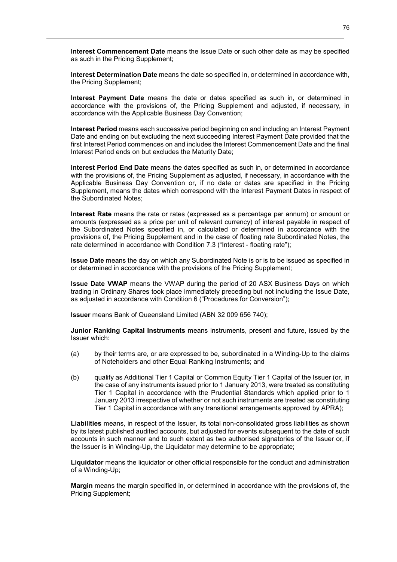**Interest Commencement Date** means the Issue Date or such other date as may be specified as such in the Pricing Supplement;

**Interest Determination Date** means the date so specified in, or determined in accordance with, the Pricing Supplement;

**Interest Payment Date** means the date or dates specified as such in, or determined in accordance with the provisions of, the Pricing Supplement and adjusted, if necessary, in accordance with the Applicable Business Day Convention;

**Interest Period** means each successive period beginning on and including an Interest Payment Date and ending on but excluding the next succeeding Interest Payment Date provided that the first Interest Period commences on and includes the Interest Commencement Date and the final Interest Period ends on but excludes the Maturity Date;

**Interest Period End Date** means the dates specified as such in, or determined in accordance with the provisions of, the Pricing Supplement as adjusted, if necessary, in accordance with the Applicable Business Day Convention or, if no date or dates are specified in the Pricing Supplement, means the dates which correspond with the Interest Payment Dates in respect of the Subordinated Notes;

**Interest Rate** means the rate or rates (expressed as a percentage per annum) or amount or amounts (expressed as a price per unit of relevant currency) of interest payable in respect of the Subordinated Notes specified in, or calculated or determined in accordance with the provisions of, the Pricing Supplement and in the case of floating rate Subordinated Notes, the rate determined in accordance with Condition 7.3 ("Interest - floating rate");

**Issue Date** means the day on which any Subordinated Note is or is to be issued as specified in or determined in accordance with the provisions of the Pricing Supplement;

**Issue Date VWAP** means the VWAP during the period of 20 ASX Business Days on which trading in Ordinary Shares took place immediately preceding but not including the Issue Date, as adjusted in accordance with Condition 6 ("Procedures for Conversion");

**Issuer** means Bank of Queensland Limited (ABN 32 009 656 740);

**Junior Ranking Capital Instruments** means instruments, present and future, issued by the Issuer which:

- (a) by their terms are, or are expressed to be, subordinated in a Winding-Up to the claims of Noteholders and other Equal Ranking Instruments; and
- (b) qualify as Additional Tier 1 Capital or Common Equity Tier 1 Capital of the Issuer (or, in the case of any instruments issued prior to 1 January 2013, were treated as constituting Tier 1 Capital in accordance with the Prudential Standards which applied prior to 1 January 2013 irrespective of whether or not such instruments are treated as constituting Tier 1 Capital in accordance with any transitional arrangements approved by APRA);

**Liabilities** means, in respect of the Issuer, its total non-consolidated gross liabilities as shown by its latest published audited accounts, but adjusted for events subsequent to the date of such accounts in such manner and to such extent as two authorised signatories of the Issuer or, if the Issuer is in Winding-Up, the Liquidator may determine to be appropriate;

**Liquidator** means the liquidator or other official responsible for the conduct and administration of a Winding-Up;

**Margin** means the margin specified in, or determined in accordance with the provisions of, the Pricing Supplement;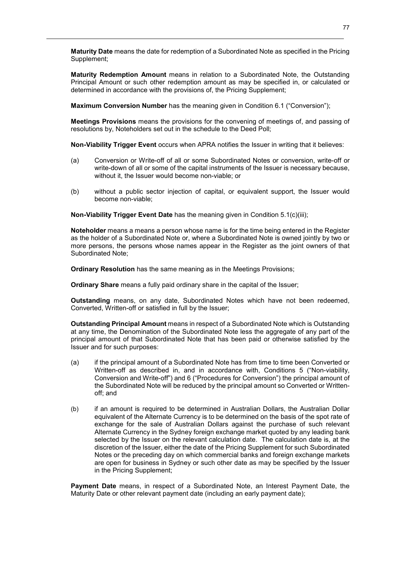**Maturity Date** means the date for redemption of a Subordinated Note as specified in the Pricing Supplement;

**Maturity Redemption Amount** means in relation to a Subordinated Note, the Outstanding Principal Amount or such other redemption amount as may be specified in, or calculated or determined in accordance with the provisions of, the Pricing Supplement;

**Maximum Conversion Number** has the meaning given in Condition 6.1 ("Conversion");

**Meetings Provisions** means the provisions for the convening of meetings of, and passing of resolutions by, Noteholders set out in the schedule to the Deed Poll;

**Non-Viability Trigger Event** occurs when APRA notifies the Issuer in writing that it believes:

- (a) Conversion or Write-off of all or some Subordinated Notes or conversion, write-off or write-down of all or some of the capital instruments of the Issuer is necessary because, without it, the Issuer would become non-viable; or
- (b) without a public sector injection of capital, or equivalent support, the Issuer would become non-viable;

**Non-Viability Trigger Event Date** has the meaning given in Condition 5.1(c)(iii);

**Noteholder** means a means a person whose name is for the time being entered in the Register as the holder of a Subordinated Note or, where a Subordinated Note is owned jointly by two or more persons, the persons whose names appear in the Register as the joint owners of that Subordinated Note;

**Ordinary Resolution** has the same meaning as in the Meetings Provisions;

**Ordinary Share** means a fully paid ordinary share in the capital of the Issuer;

**Outstanding** means, on any date, Subordinated Notes which have not been redeemed, Converted, Written-off or satisfied in full by the Issuer;

**Outstanding Principal Amount** means in respect of a Subordinated Note which is Outstanding at any time, the Denomination of the Subordinated Note less the aggregate of any part of the principal amount of that Subordinated Note that has been paid or otherwise satisfied by the Issuer and for such purposes:

- (a) if the principal amount of a Subordinated Note has from time to time been Converted or Written-off as described in, and in accordance with, Conditions 5 ("Non-viability, Conversion and Write-off") and 6 ("Procedures for Conversion") the principal amount of the Subordinated Note will be reduced by the principal amount so Converted or Writtenoff; and
- (b) if an amount is required to be determined in Australian Dollars, the Australian Dollar equivalent of the Alternate Currency is to be determined on the basis of the spot rate of exchange for the sale of Australian Dollars against the purchase of such relevant Alternate Currency in the Sydney foreign exchange market quoted by any leading bank selected by the Issuer on the relevant calculation date. The calculation date is, at the discretion of the Issuer, either the date of the Pricing Supplement for such Subordinated Notes or the preceding day on which commercial banks and foreign exchange markets are open for business in Sydney or such other date as may be specified by the Issuer in the Pricing Supplement;

**Payment Date** means, in respect of a Subordinated Note, an Interest Payment Date, the Maturity Date or other relevant payment date (including an early payment date);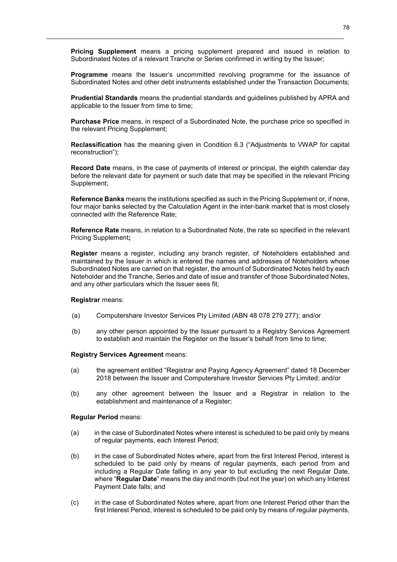**Pricing Supplement** means a pricing supplement prepared and issued in relation to Subordinated Notes of a relevant Tranche or Series confirmed in writing by the Issuer;

**Programme** means the Issuer's uncommitted revolving programme for the issuance of Subordinated Notes and other debt instruments established under the Transaction Documents;

**Prudential Standards** means the prudential standards and guidelines published by APRA and applicable to the Issuer from time to time;

**Purchase Price** means, in respect of a Subordinated Note, the purchase price so specified in the relevant Pricing Supplement;

**Reclassification** has the meaning given in Condition 6.3 ("Adjustments to VWAP for capital reconstruction");

**Record Date** means, in the case of payments of interest or principal, the eighth calendar day before the relevant date for payment or such date that may be specified in the relevant Pricing Supplement;

**Reference Banks** means the institutions specified as such in the Pricing Supplement or, if none, four major banks selected by the Calculation Agent in the inter-bank market that is most closely connected with the Reference Rate;

**Reference Rate** means, in relation to a Subordinated Note, the rate so specified in the relevant Pricing Supplement**;**

**Register** means a register, including any branch register, of Noteholders established and maintained by the Issuer in which is entered the names and addresses of Noteholders whose Subordinated Notes are carried on that register, the amount of Subordinated Notes held by each Noteholder and the Tranche, Series and date of issue and transfer of those Subordinated Notes, and any other particulars which the Issuer sees fit;

#### **Registrar** means:

- (a) Computershare Investor Services Pty Limited (ABN 48 078 279 277); and/or
- (b) any other person appointed by the Issuer pursuant to a Registry Services Agreement to establish and maintain the Register on the Issuer's behalf from time to time;

#### **Registry Services Agreement** means:

- (a) the agreement entitled "Registrar and Paying Agency Agreement" dated 18 December 2018 between the Issuer and Computershare Investor Services Pty Limited; and/or
- (b) any other agreement between the Issuer and a Registrar in relation to the establishment and maintenance of a Register;

#### **Regular Period** means:

- (a) in the case of Subordinated Notes where interest is scheduled to be paid only by means of regular payments, each Interest Period;
- (b) in the case of Subordinated Notes where, apart from the first Interest Period, interest is scheduled to be paid only by means of regular payments, each period from and including a Regular Date falling in any year to but excluding the next Regular Date, where "**Regular Date**" means the day and month (but not the year) on which any Interest Payment Date falls; and
- (c) in the case of Subordinated Notes where, apart from one Interest Period other than the first Interest Period, interest is scheduled to be paid only by means of regular payments,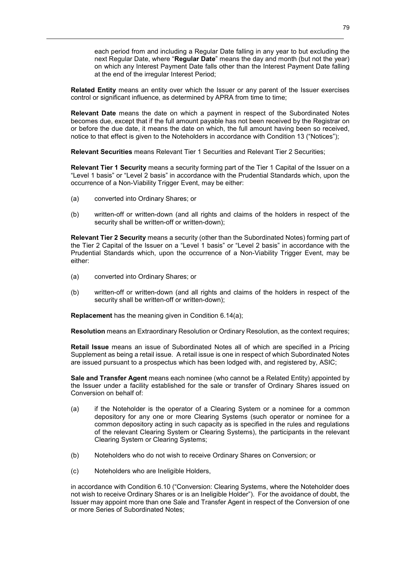each period from and including a Regular Date falling in any year to but excluding the next Regular Date, where "**Regular Date**" means the day and month (but not the year) on which any Interest Payment Date falls other than the Interest Payment Date falling at the end of the irregular Interest Period;

**Related Entity** means an entity over which the Issuer or any parent of the Issuer exercises control or significant influence, as determined by APRA from time to time;

**Relevant Date** means the date on which a payment in respect of the Subordinated Notes becomes due, except that if the full amount payable has not been received by the Registrar on or before the due date, it means the date on which, the full amount having been so received, notice to that effect is given to the Noteholders in accordance with Condition 13 ("Notices");

**Relevant Securities** means Relevant Tier 1 Securities and Relevant Tier 2 Securities;

**Relevant Tier 1 Security** means a security forming part of the Tier 1 Capital of the Issuer on a "Level 1 basis" or "Level 2 basis" in accordance with the Prudential Standards which, upon the occurrence of a Non-Viability Trigger Event, may be either:

- (a) converted into Ordinary Shares; or
- (b) written-off or written-down (and all rights and claims of the holders in respect of the security shall be written-off or written-down);

**Relevant Tier 2 Security** means a security (other than the Subordinated Notes) forming part of the Tier 2 Capital of the Issuer on a "Level 1 basis" or "Level 2 basis" in accordance with the Prudential Standards which, upon the occurrence of a Non-Viability Trigger Event, may be either:

- (a) converted into Ordinary Shares; or
- (b) written-off or written-down (and all rights and claims of the holders in respect of the security shall be written-off or written-down);

**Replacement** has the meaning given in Condition 6.14(a);

**Resolution** means an Extraordinary Resolution or Ordinary Resolution, as the context requires;

**Retail Issue** means an issue of Subordinated Notes all of which are specified in a Pricing Supplement as being a retail issue. A retail issue is one in respect of which Subordinated Notes are issued pursuant to a prospectus which has been lodged with, and registered by, ASIC;

**Sale and Transfer Agent** means each nominee (who cannot be a Related Entity) appointed by the Issuer under a facility established for the sale or transfer of Ordinary Shares issued on Conversion on behalf of:

- (a) if the Noteholder is the operator of a Clearing System or a nominee for a common depository for any one or more Clearing Systems (such operator or nominee for a common depository acting in such capacity as is specified in the rules and regulations of the relevant Clearing System or Clearing Systems), the participants in the relevant Clearing System or Clearing Systems;
- (b) Noteholders who do not wish to receive Ordinary Shares on Conversion; or
- (c) Noteholders who are Ineligible Holders,

in accordance with Condition 6.10 ("Conversion: Clearing Systems, where the Noteholder does not wish to receive Ordinary Shares or is an Ineligible Holder"). For the avoidance of doubt, the Issuer may appoint more than one Sale and Transfer Agent in respect of the Conversion of one or more Series of Subordinated Notes;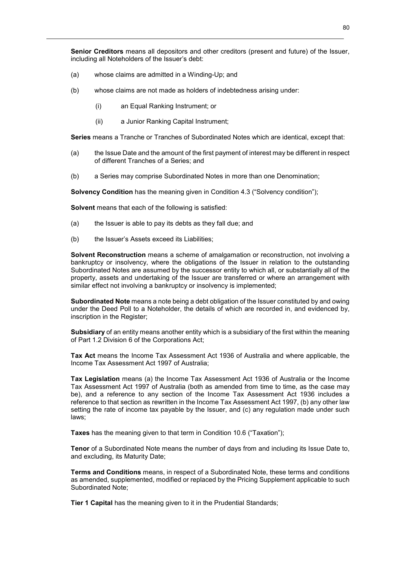**Senior Creditors** means all depositors and other creditors (present and future) of the Issuer, including all Noteholders of the Issuer's debt:

- (a) whose claims are admitted in a Winding-Up; and
- (b) whose claims are not made as holders of indebtedness arising under:
	- (i) an Equal Ranking Instrument; or
	- (ii) a Junior Ranking Capital Instrument;

**Series** means a Tranche or Tranches of Subordinated Notes which are identical, except that:

- (a) the Issue Date and the amount of the first payment of interest may be different in respect of different Tranches of a Series; and
- (b) a Series may comprise Subordinated Notes in more than one Denomination;

**Solvency Condition** has the meaning given in Condition 4.3 ("Solvency condition");

**Solvent** means that each of the following is satisfied:

- (a) the Issuer is able to pay its debts as they fall due; and
- (b) the Issuer's Assets exceed its Liabilities;

**Solvent Reconstruction** means a scheme of amalgamation or reconstruction, not involving a bankruptcy or insolvency, where the obligations of the Issuer in relation to the outstanding Subordinated Notes are assumed by the successor entity to which all, or substantially all of the property, assets and undertaking of the Issuer are transferred or where an arrangement with similar effect not involving a bankruptcy or insolvency is implemented;

**Subordinated Note** means a note being a debt obligation of the Issuer constituted by and owing under the Deed Poll to a Noteholder, the details of which are recorded in, and evidenced by, inscription in the Register;

**Subsidiary** of an entity means another entity which is a subsidiary of the first within the meaning of Part 1.2 Division 6 of the Corporations Act;

**Tax Act** means the Income Tax Assessment Act 1936 of Australia and where applicable, the Income Tax Assessment Act 1997 of Australia;

**Tax Legislation** means (a) the Income Tax Assessment Act 1936 of Australia or the Income Tax Assessment Act 1997 of Australia (both as amended from time to time, as the case may be), and a reference to any section of the Income Tax Assessment Act 1936 includes a reference to that section as rewritten in the Income Tax Assessment Act 1997, (b) any other law setting the rate of income tax payable by the Issuer, and (c) any regulation made under such laws;

**Taxes** has the meaning given to that term in Condition 10.6 ("Taxation");

**Tenor** of a Subordinated Note means the number of days from and including its Issue Date to, and excluding, its Maturity Date;

**Terms and Conditions** means, in respect of a Subordinated Note, these terms and conditions as amended, supplemented, modified or replaced by the Pricing Supplement applicable to such Subordinated Note;

**Tier 1 Capital** has the meaning given to it in the Prudential Standards;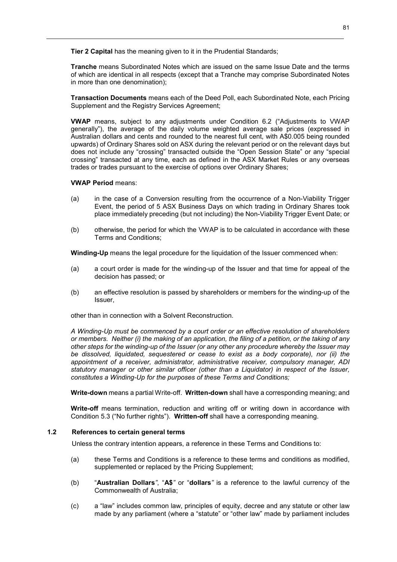**Tier 2 Capital** has the meaning given to it in the Prudential Standards;

**Tranche** means Subordinated Notes which are issued on the same Issue Date and the terms of which are identical in all respects (except that a Tranche may comprise Subordinated Notes in more than one denomination);

**Transaction Documents** means each of the Deed Poll, each Subordinated Note, each Pricing Supplement and the Registry Services Agreement;

**VWAP** means, subject to any adjustments under Condition 6.2 ("Adjustments to VWAP generally"), the average of the daily volume weighted average sale prices (expressed in Australian dollars and cents and rounded to the nearest full cent, with A\$0.005 being rounded upwards) of Ordinary Shares sold on ASX during the relevant period or on the relevant days but does not include any "crossing" transacted outside the "Open Session State" or any "special crossing" transacted at any time, each as defined in the ASX Market Rules or any overseas trades or trades pursuant to the exercise of options over Ordinary Shares;

# **VWAP Period** means:

- (a) in the case of a Conversion resulting from the occurrence of a Non-Viability Trigger Event, the period of 5 ASX Business Days on which trading in Ordinary Shares took place immediately preceding (but not including) the Non-Viability Trigger Event Date; or
- (b) otherwise, the period for which the VWAP is to be calculated in accordance with these Terms and Conditions;

**Winding-Up** means the legal procedure for the liquidation of the Issuer commenced when:

- (a) a court order is made for the winding-up of the Issuer and that time for appeal of the decision has passed; or
- (b) an effective resolution is passed by shareholders or members for the winding-up of the Issuer,

other than in connection with a Solvent Reconstruction.

*A Winding-Up must be commenced by a court order or an effective resolution of shareholders or members. Neither (i) the making of an application, the filing of a petition, or the taking of any other steps for the winding-up of the Issuer (or any other any procedure whereby the Issuer may be dissolved, liquidated, sequestered or cease to exist as a body corporate), nor (ii) the appointment of a receiver, administrator, administrative receiver, compulsory manager, ADI statutory manager or other similar officer (other than a Liquidator) in respect of the Issuer, constitutes a Winding-Up for the purposes of these Terms and Conditions;* 

**Write-down** means a partial Write-off. **Written-down** shall have a corresponding meaning; and

**Write-off** means termination, reduction and writing off or writing down in accordance with Condition 5.3 ("No further rights"). **Written-off** shall have a corresponding meaning.

### **1.2 References to certain general terms**

Unless the contrary intention appears, a reference in these Terms and Conditions to:

- (a) these Terms and Conditions is a reference to these terms and conditions as modified, supplemented or replaced by the Pricing Supplement;
- (b) "**Australian Dollars***"*, "**A\$***"* or "**dollars***"* is a reference to the lawful currency of the Commonwealth of Australia;
- (c) a "law" includes common law, principles of equity, decree and any statute or other law made by any parliament (where a "statute" or "other law" made by parliament includes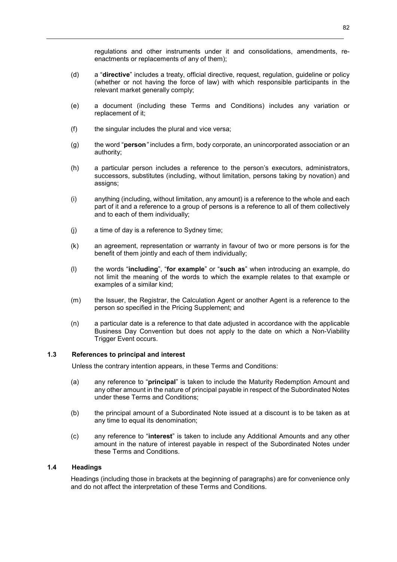regulations and other instruments under it and consolidations, amendments, reenactments or replacements of any of them);

- (d) a "**directive**" includes a treaty, official directive, request, regulation, guideline or policy (whether or not having the force of law) with which responsible participants in the relevant market generally comply;
- (e) a document (including these Terms and Conditions) includes any variation or replacement of it;
- (f) the singular includes the plural and vice versa;
- (g) the word "**person***"* includes a firm, body corporate, an unincorporated association or an authority;
- (h) a particular person includes a reference to the person's executors, administrators, successors, substitutes (including, without limitation, persons taking by novation) and assigns;
- (i) anything (including, without limitation, any amount) is a reference to the whole and each part of it and a reference to a group of persons is a reference to all of them collectively and to each of them individually;
- (j) a time of day is a reference to Sydney time;
- (k) an agreement, representation or warranty in favour of two or more persons is for the benefit of them jointly and each of them individually;
- (l) the words "**including**", "**for example**" or "**such as**" when introducing an example, do not limit the meaning of the words to which the example relates to that example or examples of a similar kind;
- (m) the Issuer, the Registrar, the Calculation Agent or another Agent is a reference to the person so specified in the Pricing Supplement; and
- (n) a particular date is a reference to that date adjusted in accordance with the applicable Business Day Convention but does not apply to the date on which a Non-Viability Trigger Event occurs.

# **1.3 References to principal and interest**

Unless the contrary intention appears, in these Terms and Conditions:

- (a) any reference to "**principal**" is taken to include the Maturity Redemption Amount and any other amount in the nature of principal payable in respect of the Subordinated Notes under these Terms and Conditions;
- (b) the principal amount of a Subordinated Note issued at a discount is to be taken as at any time to equal its denomination;
- (c) any reference to "**interest**" is taken to include any Additional Amounts and any other amount in the nature of interest payable in respect of the Subordinated Notes under these Terms and Conditions.

# **1.4 Headings**

Headings (including those in brackets at the beginning of paragraphs) are for convenience only and do not affect the interpretation of these Terms and Conditions.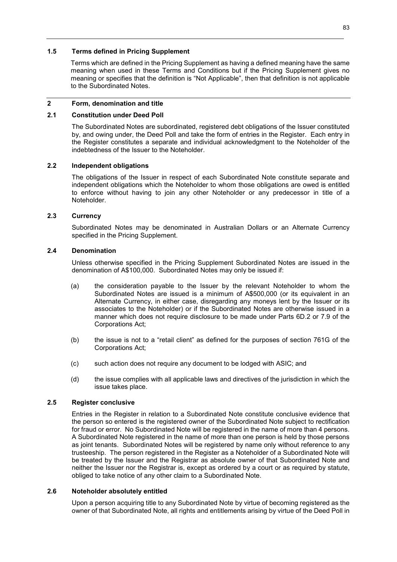# **1.5 Terms defined in Pricing Supplement**

Terms which are defined in the Pricing Supplement as having a defined meaning have the same meaning when used in these Terms and Conditions but if the Pricing Supplement gives no meaning or specifies that the definition is "Not Applicable", then that definition is not applicable to the Subordinated Notes.

# **2 Form, denomination and title**

# **2.1 Constitution under Deed Poll**

The Subordinated Notes are subordinated, registered debt obligations of the Issuer constituted by, and owing under, the Deed Poll and take the form of entries in the Register. Each entry in the Register constitutes a separate and individual acknowledgment to the Noteholder of the indebtedness of the Issuer to the Noteholder.

# **2.2 Independent obligations**

The obligations of the Issuer in respect of each Subordinated Note constitute separate and independent obligations which the Noteholder to whom those obligations are owed is entitled to enforce without having to join any other Noteholder or any predecessor in title of a Noteholder.

# **2.3 Currency**

Subordinated Notes may be denominated in Australian Dollars or an Alternate Currency specified in the Pricing Supplement.

# **2.4 Denomination**

Unless otherwise specified in the Pricing Supplement Subordinated Notes are issued in the denomination of A\$100,000. Subordinated Notes may only be issued if:

- (a) the consideration payable to the Issuer by the relevant Noteholder to whom the Subordinated Notes are issued is a minimum of A\$500,000 (or its equivalent in an Alternate Currency, in either case, disregarding any moneys lent by the Issuer or its associates to the Noteholder) or if the Subordinated Notes are otherwise issued in a manner which does not require disclosure to be made under Parts 6D.2 or 7.9 of the Corporations Act;
- (b) the issue is not to a "retail client" as defined for the purposes of section 761G of the Corporations Act;
- (c) such action does not require any document to be lodged with ASIC; and
- (d) the issue complies with all applicable laws and directives of the jurisdiction in which the issue takes place.

# **2.5 Register conclusive**

Entries in the Register in relation to a Subordinated Note constitute conclusive evidence that the person so entered is the registered owner of the Subordinated Note subject to rectification for fraud or error. No Subordinated Note will be registered in the name of more than 4 persons. A Subordinated Note registered in the name of more than one person is held by those persons as joint tenants. Subordinated Notes will be registered by name only without reference to any trusteeship. The person registered in the Register as a Noteholder of a Subordinated Note will be treated by the Issuer and the Registrar as absolute owner of that Subordinated Note and neither the Issuer nor the Registrar is, except as ordered by a court or as required by statute, obliged to take notice of any other claim to a Subordinated Note.

### **2.6 Noteholder absolutely entitled**

Upon a person acquiring title to any Subordinated Note by virtue of becoming registered as the owner of that Subordinated Note, all rights and entitlements arising by virtue of the Deed Poll in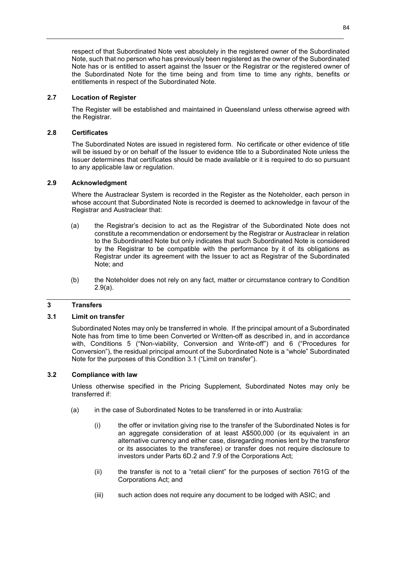respect of that Subordinated Note vest absolutely in the registered owner of the Subordinated Note, such that no person who has previously been registered as the owner of the Subordinated Note has or is entitled to assert against the Issuer or the Registrar or the registered owner of the Subordinated Note for the time being and from time to time any rights, benefits or entitlements in respect of the Subordinated Note.

# **2.7 Location of Register**

The Register will be established and maintained in Queensland unless otherwise agreed with the Registrar.

# **2.8 Certificates**

The Subordinated Notes are issued in registered form. No certificate or other evidence of title will be issued by or on behalf of the Issuer to evidence title to a Subordinated Note unless the Issuer determines that certificates should be made available or it is required to do so pursuant to any applicable law or regulation.

# **2.9 Acknowledgment**

Where the Austraclear System is recorded in the Register as the Noteholder, each person in whose account that Subordinated Note is recorded is deemed to acknowledge in favour of the Registrar and Austraclear that:

- (a) the Registrar's decision to act as the Registrar of the Subordinated Note does not constitute a recommendation or endorsement by the Registrar or Austraclear in relation to the Subordinated Note but only indicates that such Subordinated Note is considered by the Registrar to be compatible with the performance by it of its obligations as Registrar under its agreement with the Issuer to act as Registrar of the Subordinated Note; and
- (b) the Noteholder does not rely on any fact, matter or circumstance contrary to Condition 2.9(a).

# **3 Transfers**

### **3.1 Limit on transfer**

Subordinated Notes may only be transferred in whole. If the principal amount of a Subordinated Note has from time to time been Converted or Written-off as described in, and in accordance with, Conditions 5 ("Non-viability, Conversion and Write-off") and 6 ("Procedures for Conversion"), the residual principal amount of the Subordinated Note is a "whole" Subordinated Note for the purposes of this Condition 3.1 ("Limit on transfer").

### **3.2 Compliance with law**

Unless otherwise specified in the Pricing Supplement, Subordinated Notes may only be transferred if:

- (a) in the case of Subordinated Notes to be transferred in or into Australia:
	- (i) the offer or invitation giving rise to the transfer of the Subordinated Notes is for an aggregate consideration of at least A\$500,000 (or its equivalent in an alternative currency and either case, disregarding monies lent by the transferor or its associates to the transferee) or transfer does not require disclosure to investors under Parts 6D.2 and 7.9 of the Corporations Act;
	- (ii) the transfer is not to a "retail client" for the purposes of section 761G of the Corporations Act; and
	- (iii) such action does not require any document to be lodged with ASIC; and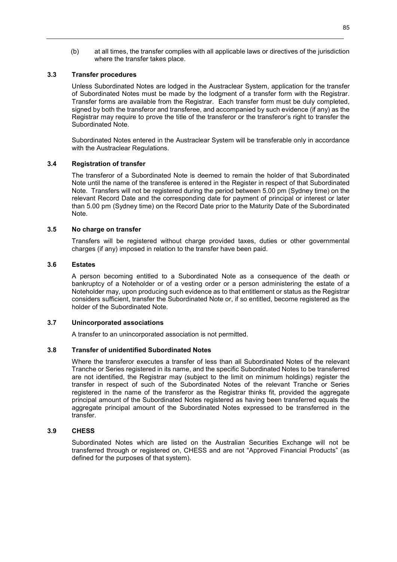(b) at all times, the transfer complies with all applicable laws or directives of the jurisdiction where the transfer takes place.

### **3.3 Transfer procedures**

Unless Subordinated Notes are lodged in the Austraclear System, application for the transfer of Subordinated Notes must be made by the lodgment of a transfer form with the Registrar. Transfer forms are available from the Registrar. Each transfer form must be duly completed, signed by both the transferor and transferee, and accompanied by such evidence (if any) as the Registrar may require to prove the title of the transferor or the transferor's right to transfer the Subordinated Note.

Subordinated Notes entered in the Austraclear System will be transferable only in accordance with the Austraclear Regulations.

### **3.4 Registration of transfer**

The transferor of a Subordinated Note is deemed to remain the holder of that Subordinated Note until the name of the transferee is entered in the Register in respect of that Subordinated Note. Transfers will not be registered during the period between 5.00 pm (Sydney time) on the relevant Record Date and the corresponding date for payment of principal or interest or later than 5.00 pm (Sydney time) on the Record Date prior to the Maturity Date of the Subordinated Note.

#### **3.5 No charge on transfer**

Transfers will be registered without charge provided taxes, duties or other governmental charges (if any) imposed in relation to the transfer have been paid.

#### **3.6 Estates**

A person becoming entitled to a Subordinated Note as a consequence of the death or bankruptcy of a Noteholder or of a vesting order or a person administering the estate of a Noteholder may, upon producing such evidence as to that entitlement or status as the Registrar considers sufficient, transfer the Subordinated Note or, if so entitled, become registered as the holder of the Subordinated Note.

#### **3.7 Unincorporated associations**

A transfer to an unincorporated association is not permitted.

#### **3.8 Transfer of unidentified Subordinated Notes**

Where the transferor executes a transfer of less than all Subordinated Notes of the relevant Tranche or Series registered in its name, and the specific Subordinated Notes to be transferred are not identified, the Registrar may (subject to the limit on minimum holdings) register the transfer in respect of such of the Subordinated Notes of the relevant Tranche or Series registered in the name of the transferor as the Registrar thinks fit, provided the aggregate principal amount of the Subordinated Notes registered as having been transferred equals the aggregate principal amount of the Subordinated Notes expressed to be transferred in the transfer.

#### **3.9 CHESS**

Subordinated Notes which are listed on the Australian Securities Exchange will not be transferred through or registered on, CHESS and are not "Approved Financial Products" (as defined for the purposes of that system).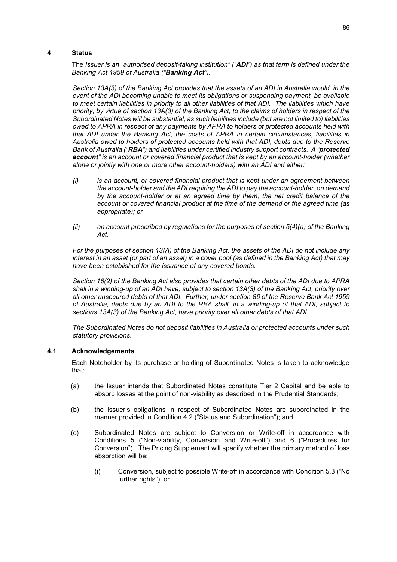#### **4 Status**

The *Issuer is an "authorised deposit-taking institution" ("ADI") as that term is defined under the Banking Act 1959 of Australia ("Banking Act").* 

*Section 13A(3) of the Banking Act provides that the assets of an ADI in Australia would, in the event of the ADI becoming unable to meet its obligations or suspending payment, be available to meet certain liabilities in priority to all other liabilities of that ADI. The liabilities which have priority, by virtue of section 13A(3) of the Banking Act, to the claims of holders in respect of the Subordinated Notes will be substantial, as such liabilities include (but are not limited to) liabilities owed to APRA in respect of any payments by APRA to holders of protected accounts held with that ADI under the Banking Act, the costs of APRA in certain circumstances, liabilities in Australia owed to holders of protected accounts held with that ADI, debts due to the Reserve Bank of Australia ("RBA") and liabilities under certified industry support contracts. A "protected account" is an account or covered financial product that is kept by an account-holder (whether alone or jointly with one or more other account-holders) with an ADI and either:* 

- *(i) is an account, or covered financial product that is kept under an agreement between the account-holder and the ADI requiring the ADI to pay the account-holder, on demand by the account-holder or at an agreed time by them, the net credit balance of the account or covered financial product at the time of the demand or the agreed time (as appropriate); or*
- *(ii) an account prescribed by regulations for the purposes of section 5(4)(a) of the Banking Act.*

*For the purposes of section 13(A) of the Banking Act, the assets of the ADI do not include any interest in an asset (or part of an asset) in a cover pool (as defined in the Banking Act) that may have been established for the issuance of any covered bonds.* 

*Section 16(2) of the Banking Act also provides that certain other debts of the ADI due to APRA shall in a winding-up of an ADI have, subject to section 13A(3) of the Banking Act, priority over all other unsecured debts of that ADI. Further, under section 86 of the Reserve Bank Act 1959 of Australia, debts due by an ADI to the RBA shall, in a winding-up of that ADI, subject to sections 13A(3) of the Banking Act, have priority over all other debts of that ADI.*

*The Subordinated Notes do not deposit liabilities in Australia or protected accounts under such statutory provisions.* 

### **4.1 Acknowledgements**

Each Noteholder by its purchase or holding of Subordinated Notes is taken to acknowledge that:

- (a) the Issuer intends that Subordinated Notes constitute Tier 2 Capital and be able to absorb losses at the point of non-viability as described in the Prudential Standards;
- (b) the Issuer's obligations in respect of Subordinated Notes are subordinated in the manner provided in Condition 4.2 ("Status and Subordination"); and
- (c) Subordinated Notes are subject to Conversion or Write-off in accordance with Conditions 5 ("Non-viability, Conversion and Write-off") and 6 ("Procedures for Conversion"). The Pricing Supplement will specify whether the primary method of loss absorption will be:
	- (i) Conversion, subject to possible Write-off in accordance with Condition 5.3 ("No further rights"); or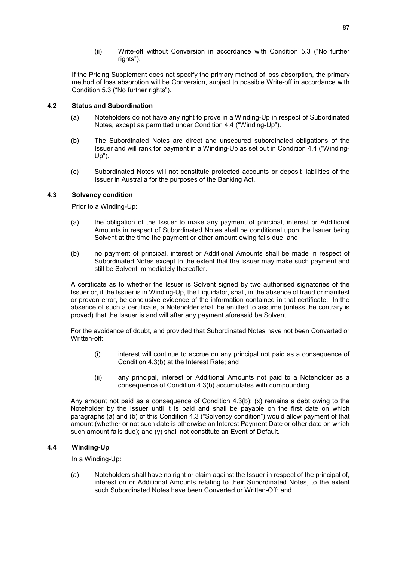(ii) Write-off without Conversion in accordance with Condition 5.3 ("No further rights").

If the Pricing Supplement does not specify the primary method of loss absorption, the primary method of loss absorption will be Conversion, subject to possible Write-off in accordance with Condition 5.3 ("No further rights").

# **4.2 Status and Subordination**

- (a) Noteholders do not have any right to prove in a Winding-Up in respect of Subordinated Notes, except as permitted under Condition 4.4 ("Winding-Up").
- (b) The Subordinated Notes are direct and unsecured subordinated obligations of the Issuer and will rank for payment in a Winding-Up as set out in Condition 4.4 ("Winding-Up").
- (c) Subordinated Notes will not constitute protected accounts or deposit liabilities of the Issuer in Australia for the purposes of the Banking Act.

# **4.3 Solvency condition**

Prior to a Winding-Up:

- (a) the obligation of the Issuer to make any payment of principal, interest or Additional Amounts in respect of Subordinated Notes shall be conditional upon the Issuer being Solvent at the time the payment or other amount owing falls due; and
- (b) no payment of principal, interest or Additional Amounts shall be made in respect of Subordinated Notes except to the extent that the Issuer may make such payment and still be Solvent immediately thereafter.

A certificate as to whether the Issuer is Solvent signed by two authorised signatories of the Issuer or, if the Issuer is in Winding-Up, the Liquidator, shall, in the absence of fraud or manifest or proven error, be conclusive evidence of the information contained in that certificate. In the absence of such a certificate, a Noteholder shall be entitled to assume (unless the contrary is proved) that the Issuer is and will after any payment aforesaid be Solvent.

For the avoidance of doubt, and provided that Subordinated Notes have not been Converted or Written-off:

- (i) interest will continue to accrue on any principal not paid as a consequence of Condition 4.3(b) at the Interest Rate; and
- (ii) any principal, interest or Additional Amounts not paid to a Noteholder as a consequence of Condition 4.3(b) accumulates with compounding.

Any amount not paid as a consequence of Condition 4.3(b): (x) remains a debt owing to the Noteholder by the Issuer until it is paid and shall be payable on the first date on which paragraphs (a) and (b) of this Condition 4.3 ("Solvency condition") would allow payment of that amount (whether or not such date is otherwise an Interest Payment Date or other date on which such amount falls due); and (y) shall not constitute an Event of Default.

# **4.4 Winding-Up**

In a Winding-Up:

(a) Noteholders shall have no right or claim against the Issuer in respect of the principal of, interest on or Additional Amounts relating to their Subordinated Notes, to the extent such Subordinated Notes have been Converted or Written-Off; and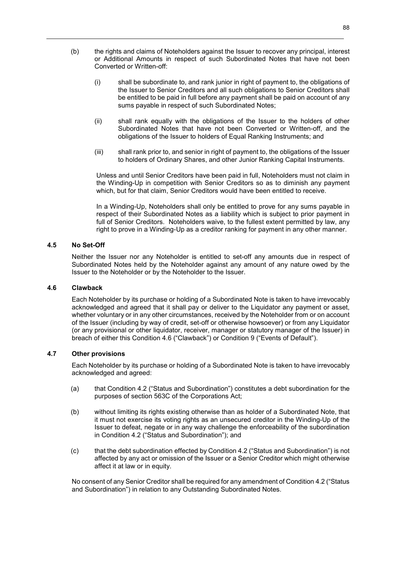- (b) the rights and claims of Noteholders against the Issuer to recover any principal, interest or Additional Amounts in respect of such Subordinated Notes that have not been Converted or Written-off:
	- (i) shall be subordinate to, and rank junior in right of payment to, the obligations of the Issuer to Senior Creditors and all such obligations to Senior Creditors shall be entitled to be paid in full before any payment shall be paid on account of any sums payable in respect of such Subordinated Notes;
	- (ii) shall rank equally with the obligations of the Issuer to the holders of other Subordinated Notes that have not been Converted or Written-off, and the obligations of the Issuer to holders of Equal Ranking Instruments; and
	- (iii) shall rank prior to, and senior in right of payment to, the obligations of the Issuer to holders of Ordinary Shares, and other Junior Ranking Capital Instruments.

Unless and until Senior Creditors have been paid in full, Noteholders must not claim in the Winding-Up in competition with Senior Creditors so as to diminish any payment which, but for that claim, Senior Creditors would have been entitled to receive.

In a Winding-Up, Noteholders shall only be entitled to prove for any sums payable in respect of their Subordinated Notes as a liability which is subject to prior payment in full of Senior Creditors. Noteholders waive, to the fullest extent permitted by law, any right to prove in a Winding-Up as a creditor ranking for payment in any other manner.

# **4.5 No Set-Off**

Neither the Issuer nor any Noteholder is entitled to set-off any amounts due in respect of Subordinated Notes held by the Noteholder against any amount of any nature owed by the Issuer to the Noteholder or by the Noteholder to the Issuer.

# **4.6 Clawback**

Each Noteholder by its purchase or holding of a Subordinated Note is taken to have irrevocably acknowledged and agreed that it shall pay or deliver to the Liquidator any payment or asset, whether voluntary or in any other circumstances, received by the Noteholder from or on account of the Issuer (including by way of credit, set-off or otherwise howsoever) or from any Liquidator (or any provisional or other liquidator, receiver, manager or statutory manager of the Issuer) in breach of either this Condition 4.6 ("Clawback") or Condition 9 ("Events of Default").

### **4.7 Other provisions**

Each Noteholder by its purchase or holding of a Subordinated Note is taken to have irrevocably acknowledged and agreed:

- (a) that Condition 4.2 ("Status and Subordination") constitutes a debt subordination for the purposes of section 563C of the Corporations Act;
- (b) without limiting its rights existing otherwise than as holder of a Subordinated Note, that it must not exercise its voting rights as an unsecured creditor in the Winding-Up of the Issuer to defeat, negate or in any way challenge the enforceability of the subordination in Condition 4.2 ("Status and Subordination"); and
- (c) that the debt subordination effected by Condition 4.2 ("Status and Subordination") is not affected by any act or omission of the Issuer or a Senior Creditor which might otherwise affect it at law or in equity.

No consent of any Senior Creditor shall be required for any amendment of Condition 4.2 ("Status and Subordination") in relation to any Outstanding Subordinated Notes.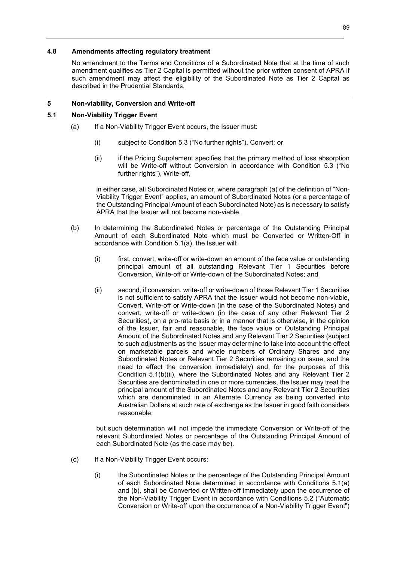# **4.8 Amendments affecting regulatory treatment**

No amendment to the Terms and Conditions of a Subordinated Note that at the time of such amendment qualifies as Tier 2 Capital is permitted without the prior written consent of APRA if such amendment may affect the eligibility of the Subordinated Note as Tier 2 Capital as described in the Prudential Standards.

# **5 Non-viability, Conversion and Write-off**

# **5.1 Non-Viability Trigger Event**

- (a) If a Non-Viability Trigger Event occurs, the Issuer must:
	- (i) subject to Condition 5.3 ("No further rights"), Convert; or
	- (ii) if the Pricing Supplement specifies that the primary method of loss absorption will be Write-off without Conversion in accordance with Condition 5.3 ("No further rights"), Write-off,

in either case, all Subordinated Notes or, where paragraph (a) of the definition of "Non-Viability Trigger Event" applies, an amount of Subordinated Notes (or a percentage of the Outstanding Principal Amount of each Subordinated Note) as is necessary to satisfy APRA that the Issuer will not become non-viable.

- (b) In determining the Subordinated Notes or percentage of the Outstanding Principal Amount of each Subordinated Note which must be Converted or Written-Off in accordance with Condition 5.1(a), the Issuer will:
	- (i) first, convert, write-off or write-down an amount of the face value or outstanding principal amount of all outstanding Relevant Tier 1 Securities before Conversion, Write-off or Write-down of the Subordinated Notes; and
	- (ii) second, if conversion, write-off or write-down of those Relevant Tier 1 Securities is not sufficient to satisfy APRA that the Issuer would not become non-viable, Convert, Write-off or Write-down (in the case of the Subordinated Notes) and convert, write-off or write-down (in the case of any other Relevant Tier 2 Securities), on a pro-rata basis or in a manner that is otherwise, in the opinion of the Issuer, fair and reasonable, the face value or Outstanding Principal Amount of the Subordinated Notes and any Relevant Tier 2 Securities (subject to such adjustments as the Issuer may determine to take into account the effect on marketable parcels and whole numbers of Ordinary Shares and any Subordinated Notes or Relevant Tier 2 Securities remaining on issue, and the need to effect the conversion immediately) and, for the purposes of this Condition 5.1(b)(ii), where the Subordinated Notes and any Relevant Tier 2 Securities are denominated in one or more currencies, the Issuer may treat the principal amount of the Subordinated Notes and any Relevant Tier 2 Securities which are denominated in an Alternate Currency as being converted into Australian Dollars at such rate of exchange as the Issuer in good faith considers reasonable,

but such determination will not impede the immediate Conversion or Write-off of the relevant Subordinated Notes or percentage of the Outstanding Principal Amount of each Subordinated Note (as the case may be).

- (c) If a Non-Viability Trigger Event occurs:
	- (i) the Subordinated Notes or the percentage of the Outstanding Principal Amount of each Subordinated Note determined in accordance with Conditions 5.1(a) and (b), shall be Converted or Written-off immediately upon the occurrence of the Non-Viability Trigger Event in accordance with Conditions 5.2 ("Automatic Conversion or Write-off upon the occurrence of a Non-Viability Trigger Event")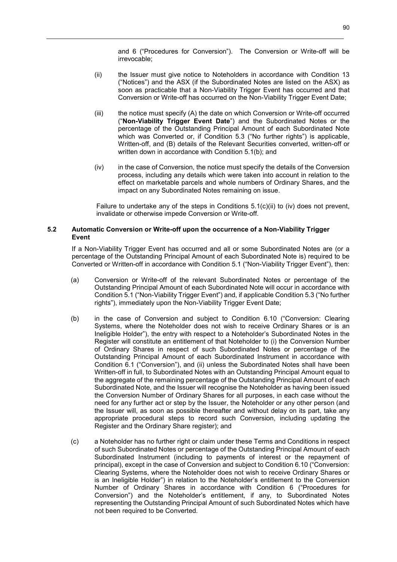and 6 ("Procedures for Conversion"). The Conversion or Write-off will be irrevocable;

- (ii) the Issuer must give notice to Noteholders in accordance with Condition 13 ("Notices") and the ASX (if the Subordinated Notes are listed on the ASX) as soon as practicable that a Non-Viability Trigger Event has occurred and that Conversion or Write-off has occurred on the Non-Viability Trigger Event Date;
- (iii) the notice must specify (A) the date on which Conversion or Write-off occurred ("**Non-Viability Trigger Event Date**") and the Subordinated Notes or the percentage of the Outstanding Principal Amount of each Subordinated Note which was Converted or, if Condition 5.3 ("No further rights") is applicable, Written-off, and (B) details of the Relevant Securities converted, written-off or written down in accordance with Condition 5.1(b); and
- (iv) in the case of Conversion, the notice must specify the details of the Conversion process, including any details which were taken into account in relation to the effect on marketable parcels and whole numbers of Ordinary Shares, and the impact on any Subordinated Notes remaining on issue.

Failure to undertake any of the steps in Conditions  $5.1(c)(ii)$  to (iv) does not prevent, invalidate or otherwise impede Conversion or Write-off.

### **5.2 Automatic Conversion or Write-off upon the occurrence of a Non-Viability Trigger Event**

If a Non-Viability Trigger Event has occurred and all or some Subordinated Notes are (or a percentage of the Outstanding Principal Amount of each Subordinated Note is) required to be Converted or Written-off in accordance with Condition 5.1 ("Non-Viability Trigger Event"), then:

- (a) Conversion or Write-off of the relevant Subordinated Notes or percentage of the Outstanding Principal Amount of each Subordinated Note will occur in accordance with Condition 5.1 ("Non-Viability Trigger Event") and, if applicable Condition 5.3 ("No further rights"), immediately upon the Non-Viability Trigger Event Date;
- (b) in the case of Conversion and subject to Condition 6.10 ("Conversion: Clearing Systems, where the Noteholder does not wish to receive Ordinary Shares or is an Ineligible Holder"), the entry with respect to a Noteholder's Subordinated Notes in the Register will constitute an entitlement of that Noteholder to (i) the Conversion Number of Ordinary Shares in respect of such Subordinated Notes or percentage of the Outstanding Principal Amount of each Subordinated Instrument in accordance with Condition 6.1 ("Conversion"), and (ii) unless the Subordinated Notes shall have been Written-off in full, to Subordinated Notes with an Outstanding Principal Amount equal to the aggregate of the remaining percentage of the Outstanding Principal Amount of each Subordinated Note, and the Issuer will recognise the Noteholder as having been issued the Conversion Number of Ordinary Shares for all purposes, in each case without the need for any further act or step by the Issuer, the Noteholder or any other person (and the Issuer will, as soon as possible thereafter and without delay on its part, take any appropriate procedural steps to record such Conversion, including updating the Register and the Ordinary Share register); and
- (c) a Noteholder has no further right or claim under these Terms and Conditions in respect of such Subordinated Notes or percentage of the Outstanding Principal Amount of each Subordinated Instrument (including to payments of interest or the repayment of principal), except in the case of Conversion and subject to Condition 6.10 ("Conversion: Clearing Systems, where the Noteholder does not wish to receive Ordinary Shares or is an Ineligible Holder") in relation to the Noteholder's entitlement to the Conversion Number of Ordinary Shares in accordance with Condition 6 ("Procedures for Conversion") and the Noteholder's entitlement, if any, to Subordinated Notes representing the Outstanding Principal Amount of such Subordinated Notes which have not been required to be Converted.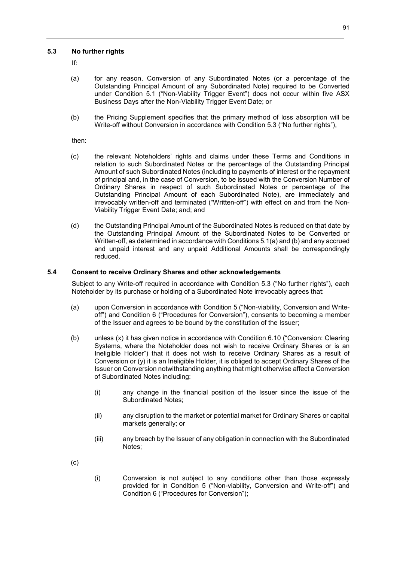# **5.3 No further rights**

If:

- (a) for any reason, Conversion of any Subordinated Notes (or a percentage of the Outstanding Principal Amount of any Subordinated Note) required to be Converted under Condition 5.1 ("Non-Viability Trigger Event") does not occur within five ASX Business Days after the Non-Viability Trigger Event Date; or
- (b) the Pricing Supplement specifies that the primary method of loss absorption will be Write-off without Conversion in accordance with Condition 5.3 ("No further rights"),

then:

- (c) the relevant Noteholders' rights and claims under these Terms and Conditions in relation to such Subordinated Notes or the percentage of the Outstanding Principal Amount of such Subordinated Notes (including to payments of interest or the repayment of principal and, in the case of Conversion, to be issued with the Conversion Number of Ordinary Shares in respect of such Subordinated Notes or percentage of the Outstanding Principal Amount of each Subordinated Note), are immediately and irrevocably written-off and terminated ("Written-off") with effect on and from the Non-Viability Trigger Event Date; and; and
- (d) the Outstanding Principal Amount of the Subordinated Notes is reduced on that date by the Outstanding Principal Amount of the Subordinated Notes to be Converted or Written-off, as determined in accordance with Conditions 5.1(a) and (b) and any accrued and unpaid interest and any unpaid Additional Amounts shall be correspondingly reduced.

# **5.4 Consent to receive Ordinary Shares and other acknowledgements**

Subject to any Write-off required in accordance with Condition 5.3 ("No further rights"), each Noteholder by its purchase or holding of a Subordinated Note irrevocably agrees that:

- (a) upon Conversion in accordance with Condition 5 ("Non-viability, Conversion and Writeoff") and Condition 6 ("Procedures for Conversion"), consents to becoming a member of the Issuer and agrees to be bound by the constitution of the Issuer;
- (b) unless (x) it has given notice in accordance with Condition 6.10 ("Conversion: Clearing Systems, where the Noteholder does not wish to receive Ordinary Shares or is an Ineligible Holder") that it does not wish to receive Ordinary Shares as a result of Conversion or (y) it is an Ineligible Holder, it is obliged to accept Ordinary Shares of the Issuer on Conversion notwithstanding anything that might otherwise affect a Conversion of Subordinated Notes including:
	- (i) any change in the financial position of the Issuer since the issue of the Subordinated Notes;
	- (ii) any disruption to the market or potential market for Ordinary Shares or capital markets generally; or
	- (iii) any breach by the Issuer of any obligation in connection with the Subordinated Notes;

(c)

(i) Conversion is not subject to any conditions other than those expressly provided for in Condition 5 ("Non-viability, Conversion and Write-off") and Condition 6 ("Procedures for Conversion");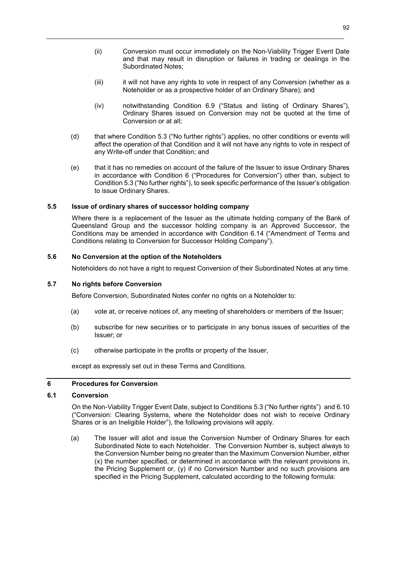- (ii) Conversion must occur immediately on the Non-Viability Trigger Event Date and that may result in disruption or failures in trading or dealings in the Subordinated Notes;
- (iii) it will not have any rights to vote in respect of any Conversion (whether as a Noteholder or as a prospective holder of an Ordinary Share); and
- (iv) notwithstanding Condition 6.9 ("Status and listing of Ordinary Shares"), Ordinary Shares issued on Conversion may not be quoted at the time of Conversion or at all;
- (d) that where Condition 5.3 ("No further rights") applies, no other conditions or events will affect the operation of that Condition and it will not have any rights to vote in respect of any Write-off under that Condition; and
- (e) that it has no remedies on account of the failure of the Issuer to issue Ordinary Shares in accordance with Condition 6 ("Procedures for Conversion") other than, subject to Condition 5.3 ("No further rights"), to seek specific performance of the Issuer's obligation to issue Ordinary Shares.

# **5.5 Issue of ordinary shares of successor holding company**

Where there is a replacement of the Issuer as the ultimate holding company of the Bank of Queensland Group and the successor holding company is an Approved Successor, the Conditions may be amended in accordance with Condition 6.14 ("Amendment of Terms and Conditions relating to Conversion for Successor Holding Company").

# **5.6 No Conversion at the option of the Noteholders**

Noteholders do not have a right to request Conversion of their Subordinated Notes at any time.

### **5.7 No rights before Conversion**

Before Conversion, Subordinated Notes confer no rights on a Noteholder to:

- (a) vote at, or receive notices of, any meeting of shareholders or members of the Issuer;
- (b) subscribe for new securities or to participate in any bonus issues of securities of the Issuer; or
- (c) otherwise participate in the profits or property of the Issuer,

except as expressly set out in these Terms and Conditions.

# **6 Procedures for Conversion**

# **6.1 Conversion**

On the Non-Viability Trigger Event Date, subject to Conditions 5.3 ("No further rights") and 6.10 ("Conversion: Clearing Systems, where the Noteholder does not wish to receive Ordinary Shares or is an Ineligible Holder"), the following provisions will apply.

(a) The Issuer will allot and issue the Conversion Number of Ordinary Shares for each Subordinated Note to each Noteholder. The Conversion Number is, subject always to the Conversion Number being no greater than the Maximum Conversion Number, either (x) the number specified, or determined in accordance with the relevant provisions in, the Pricing Supplement or, (y) if no Conversion Number and no such provisions are specified in the Pricing Supplement, calculated according to the following formula: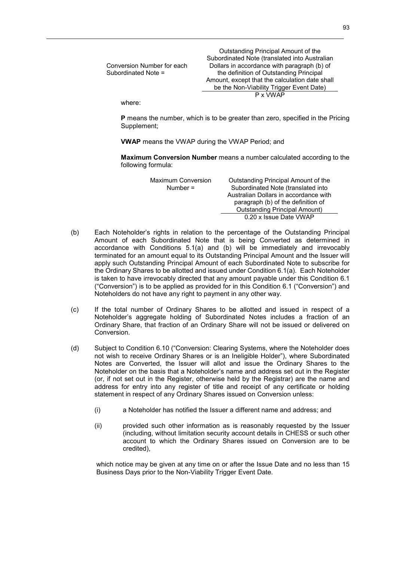| Conversion Number for each<br>Subordinated Note = | Outstanding Principal Amount of the<br>Subordinated Note (translated into Australian<br>Dollars in accordance with paragraph (b) of<br>the definition of Outstanding Principal<br>Amount, except that the calculation date shall<br>be the Non-Viability Trigger Event Date) |
|---------------------------------------------------|------------------------------------------------------------------------------------------------------------------------------------------------------------------------------------------------------------------------------------------------------------------------------|
|                                                   | P x VWAP                                                                                                                                                                                                                                                                     |
| submax                                            |                                                                                                                                                                                                                                                                              |

where:

**P** means the number, which is to be greater than zero, specified in the Pricing Supplement;

**VWAP** means the VWAP during the VWAP Period; and

**Maximum Conversion Number** means a number calculated according to the following formula:

| <b>Maximum Conversion</b> | Outstanding Principal Amount of the   |
|---------------------------|---------------------------------------|
| Number $=$                | Subordinated Note (translated into    |
|                           | Australian Dollars in accordance with |
|                           | paragraph (b) of the definition of    |
|                           | <b>Outstanding Principal Amount)</b>  |
|                           | 0.20 x Issue Date VWAP                |

- (b) Each Noteholder's rights in relation to the percentage of the Outstanding Principal Amount of each Subordinated Note that is being Converted as determined in accordance with Conditions 5.1(a) and (b) will be immediately and irrevocably terminated for an amount equal to its Outstanding Principal Amount and the Issuer will apply such Outstanding Principal Amount of each Subordinated Note to subscribe for the Ordinary Shares to be allotted and issued under Condition 6.1(a). Each Noteholder is taken to have irrevocably directed that any amount payable under this Condition 6.1 ("Conversion") is to be applied as provided for in this Condition 6.1 ("Conversion") and Noteholders do not have any right to payment in any other way.
- (c) If the total number of Ordinary Shares to be allotted and issued in respect of a Noteholder's aggregate holding of Subordinated Notes includes a fraction of an Ordinary Share, that fraction of an Ordinary Share will not be issued or delivered on Conversion.
- (d) Subject to Condition 6.10 ("Conversion: Clearing Systems, where the Noteholder does not wish to receive Ordinary Shares or is an Ineligible Holder"), where Subordinated Notes are Converted, the Issuer will allot and issue the Ordinary Shares to the Noteholder on the basis that a Noteholder's name and address set out in the Register (or, if not set out in the Register, otherwise held by the Registrar) are the name and address for entry into any register of title and receipt of any certificate or holding statement in respect of any Ordinary Shares issued on Conversion unless:
	- (i) a Noteholder has notified the Issuer a different name and address; and
	- (ii) provided such other information as is reasonably requested by the Issuer (including, without limitation security account details in CHESS or such other account to which the Ordinary Shares issued on Conversion are to be credited),

which notice may be given at any time on or after the Issue Date and no less than 15 Business Days prior to the Non-Viability Trigger Event Date.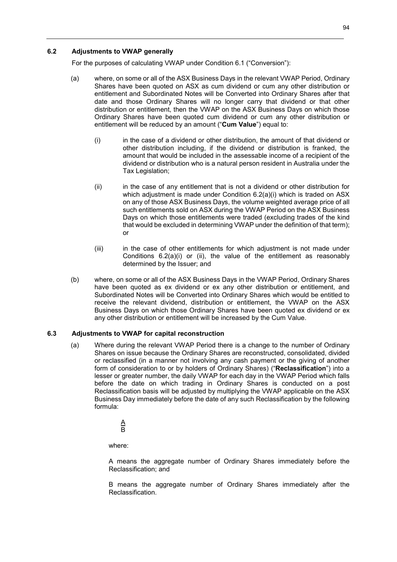# **6.2 Adjustments to VWAP generally**

For the purposes of calculating VWAP under Condition 6.1 ("Conversion"):

- (a) where, on some or all of the ASX Business Days in the relevant VWAP Period, Ordinary Shares have been quoted on ASX as cum dividend or cum any other distribution or entitlement and Subordinated Notes will be Converted into Ordinary Shares after that date and those Ordinary Shares will no longer carry that dividend or that other distribution or entitlement, then the VWAP on the ASX Business Days on which those Ordinary Shares have been quoted cum dividend or cum any other distribution or entitlement will be reduced by an amount ("**Cum Value**") equal to:
	- (i) in the case of a dividend or other distribution, the amount of that dividend or other distribution including, if the dividend or distribution is franked, the amount that would be included in the assessable income of a recipient of the dividend or distribution who is a natural person resident in Australia under the Tax Legislation;
	- (ii) in the case of any entitlement that is not a dividend or other distribution for which adjustment is made under Condition 6.2(a)(i) which is traded on ASX on any of those ASX Business Days, the volume weighted average price of all such entitlements sold on ASX during the VWAP Period on the ASX Business Days on which those entitlements were traded (excluding trades of the kind that would be excluded in determining VWAP under the definition of that term); or
	- (iii) in the case of other entitlements for which adjustment is not made under Conditions  $6.2(a)(i)$  or (ii), the value of the entitlement as reasonably determined by the Issuer; and
- (b) where, on some or all of the ASX Business Days in the VWAP Period, Ordinary Shares have been quoted as ex dividend or ex any other distribution or entitlement, and Subordinated Notes will be Converted into Ordinary Shares which would be entitled to receive the relevant dividend, distribution or entitlement, the VWAP on the ASX Business Days on which those Ordinary Shares have been quoted ex dividend or ex any other distribution or entitlement will be increased by the Cum Value.

### **6.3 Adjustments to VWAP for capital reconstruction**

(a) Where during the relevant VWAP Period there is a change to the number of Ordinary Shares on issue because the Ordinary Shares are reconstructed, consolidated, divided or reclassified (in a manner not involving any cash payment or the giving of another form of consideration to or by holders of Ordinary Shares) ("**Reclassification**") into a lesser or greater number, the daily VWAP for each day in the VWAP Period which falls before the date on which trading in Ordinary Shares is conducted on a post Reclassification basis will be adjusted by multiplying the VWAP applicable on the ASX Business Day immediately before the date of any such Reclassification by the following formula:

> $\overline{\mathsf{A}}$ B

where:

A means the aggregate number of Ordinary Shares immediately before the Reclassification; and

B means the aggregate number of Ordinary Shares immediately after the Reclassification.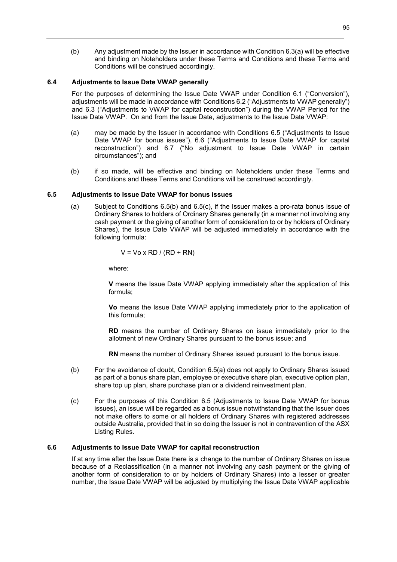(b) Any adjustment made by the Issuer in accordance with Condition 6.3(a) will be effective and binding on Noteholders under these Terms and Conditions and these Terms and Conditions will be construed accordingly.

# **6.4 Adjustments to Issue Date VWAP generally**

For the purposes of determining the Issue Date VWAP under Condition 6.1 ("Conversion"), adjustments will be made in accordance with Conditions 6.2 ("Adjustments to VWAP generally") and 6.3 ("Adjustments to VWAP for capital reconstruction") during the VWAP Period for the Issue Date VWAP. On and from the Issue Date, adjustments to the Issue Date VWAP:

- (a) may be made by the Issuer in accordance with Conditions 6.5 ("Adjustments to Issue Date VWAP for bonus issues"), 6.6 ("Adjustments to Issue Date VWAP for capital reconstruction") and 6.7 ("No adjustment to Issue Date VWAP in certain circumstances"); and
- (b) if so made, will be effective and binding on Noteholders under these Terms and Conditions and these Terms and Conditions will be construed accordingly.

# **6.5 Adjustments to Issue Date VWAP for bonus issues**

(a) Subject to Conditions 6.5(b) and 6.5(c), if the Issuer makes a pro-rata bonus issue of Ordinary Shares to holders of Ordinary Shares generally (in a manner not involving any cash payment or the giving of another form of consideration to or by holders of Ordinary Shares), the Issue Date VWAP will be adjusted immediately in accordance with the following formula:

$$
V = Vo \times RD / (RD + RN)
$$

where:

**V** means the Issue Date VWAP applying immediately after the application of this formula;

**Vo** means the Issue Date VWAP applying immediately prior to the application of this formula;

**RD** means the number of Ordinary Shares on issue immediately prior to the allotment of new Ordinary Shares pursuant to the bonus issue; and

**RN** means the number of Ordinary Shares issued pursuant to the bonus issue.

- (b) For the avoidance of doubt, Condition 6.5(a) does not apply to Ordinary Shares issued as part of a bonus share plan, employee or executive share plan, executive option plan, share top up plan, share purchase plan or a dividend reinvestment plan.
- (c) For the purposes of this Condition 6.5 (Adjustments to Issue Date VWAP for bonus issues), an issue will be regarded as a bonus issue notwithstanding that the Issuer does not make offers to some or all holders of Ordinary Shares with registered addresses outside Australia, provided that in so doing the Issuer is not in contravention of the ASX Listing Rules.

### **6.6 Adjustments to Issue Date VWAP for capital reconstruction**

If at any time after the Issue Date there is a change to the number of Ordinary Shares on issue because of a Reclassification (in a manner not involving any cash payment or the giving of another form of consideration to or by holders of Ordinary Shares) into a lesser or greater number, the Issue Date VWAP will be adjusted by multiplying the Issue Date VWAP applicable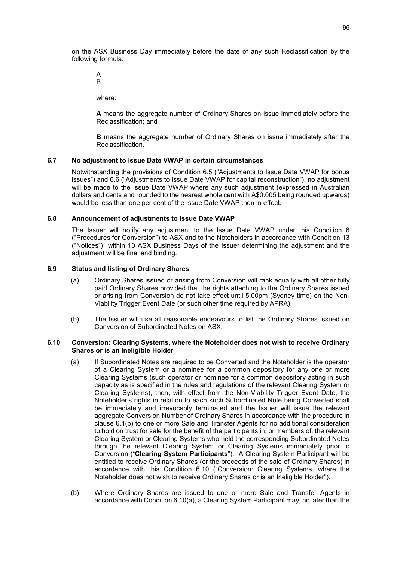on the ASX Business Day immediately before the date of any such Reclassification by the following formula:

 $\underline{\mathsf{A}}$ B

where:

**A** means the aggregate number of Ordinary Shares on issue immediately before the Reclassification; and

**B** means the aggregate number of Ordinary Shares on issue immediately after the Reclassification.

# **6.7 No adjustment to Issue Date VWAP in certain circumstances**

Notwithstanding the provisions of Condition 6.5 ("Adjustments to Issue Date VWAP for bonus issues") and 6.6 ("Adjustments to Issue Date VWAP for capital reconstruction"), no adjustment will be made to the Issue Date VWAP where any such adjustment (expressed in Australian dollars and cents and rounded to the nearest whole cent with A\$0.005 being rounded upwards) would be less than one per cent of the Issue Date VWAP then in effect.

### **6.8 Announcement of adjustments to Issue Date VWAP**

The Issuer will notify any adjustment to the Issue Date VWAP under this Condition 6 ("Procedures for Conversion") to ASX and to the Noteholders in accordance with Condition 13 ("Notices") within 10 ASX Business Days of the Issuer determining the adjustment and the adjustment will be final and binding.

# **6.9 Status and listing of Ordinary Shares**

- (a) Ordinary Shares issued or arising from Conversion will rank equally with all other fully paid Ordinary Shares provided that the rights attaching to the Ordinary Shares issued or arising from Conversion do not take effect until 5.00pm (Sydney time) on the Non-Viability Trigger Event Date (or such other time required by APRA).
- (b) The Issuer will use all reasonable endeavours to list the Ordinary Shares issued on Conversion of Subordinated Notes on ASX.

### **6.10 Conversion: Clearing Systems, where the Noteholder does not wish to receive Ordinary Shares or is an Ineligible Holder**

- (a) If Subordinated Notes are required to be Converted and the Noteholder is the operator of a Clearing System or a nominee for a common depository for any one or more Clearing Systems (such operator or nominee for a common depository acting in such capacity as is specified in the rules and regulations of the relevant Clearing System or Clearing Systems), then, with effect from the Non-Viability Trigger Event Date, the Noteholder's rights in relation to each such Subordinated Note being Converted shall be immediately and irrevocably terminated and the Issuer will issue the relevant aggregate Conversion Number of Ordinary Shares in accordance with the procedure in clause 6.1(b) to one or more Sale and Transfer Agents for no additional consideration to hold on trust for sale for the benefit of the participants in, or members of, the relevant Clearing System or Clearing Systems who held the corresponding Subordinated Notes through the relevant Clearing System or Clearing Systems immediately prior to Conversion ("**Clearing System Participants**"). A Clearing System Participant will be entitled to receive Ordinary Shares (or the proceeds of the sale of Ordinary Shares) in accordance with this Condition 6.10 ("Conversion: Clearing Systems, where the Noteholder does not wish to receive Ordinary Shares or is an Ineligible Holder").
- (b) Where Ordinary Shares are issued to one or more Sale and Transfer Agents in accordance with Condition 6.10(a), a Clearing System Participant may, no later than the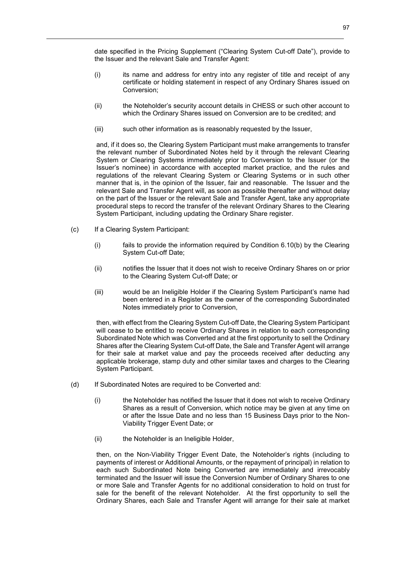date specified in the Pricing Supplement ("Clearing System Cut-off Date"), provide to the Issuer and the relevant Sale and Transfer Agent:

- (i) its name and address for entry into any register of title and receipt of any certificate or holding statement in respect of any Ordinary Shares issued on Conversion;
- (ii) the Noteholder's security account details in CHESS or such other account to which the Ordinary Shares issued on Conversion are to be credited; and
- (iii) such other information as is reasonably requested by the Issuer,

and, if it does so, the Clearing System Participant must make arrangements to transfer the relevant number of Subordinated Notes held by it through the relevant Clearing System or Clearing Systems immediately prior to Conversion to the Issuer (or the Issuer's nominee) in accordance with accepted market practice, and the rules and regulations of the relevant Clearing System or Clearing Systems or in such other manner that is, in the opinion of the Issuer, fair and reasonable. The Issuer and the relevant Sale and Transfer Agent will, as soon as possible thereafter and without delay on the part of the Issuer or the relevant Sale and Transfer Agent, take any appropriate procedural steps to record the transfer of the relevant Ordinary Shares to the Clearing System Participant, including updating the Ordinary Share register.

- (c) If a Clearing System Participant:
	- (i) fails to provide the information required by Condition 6.10(b) by the Clearing System Cut-off Date;
	- (ii) notifies the Issuer that it does not wish to receive Ordinary Shares on or prior to the Clearing System Cut-off Date; or
	- (iii) would be an Ineligible Holder if the Clearing System Participant's name had been entered in a Register as the owner of the corresponding Subordinated Notes immediately prior to Conversion,

then, with effect from the Clearing System Cut-off Date, the Clearing System Participant will cease to be entitled to receive Ordinary Shares in relation to each corresponding Subordinated Note which was Converted and at the first opportunity to sell the Ordinary Shares after the Clearing System Cut-off Date, the Sale and Transfer Agent will arrange for their sale at market value and pay the proceeds received after deducting any applicable brokerage, stamp duty and other similar taxes and charges to the Clearing System Participant.

- (d) If Subordinated Notes are required to be Converted and:
	- (i) the Noteholder has notified the Issuer that it does not wish to receive Ordinary Shares as a result of Conversion, which notice may be given at any time on or after the Issue Date and no less than 15 Business Days prior to the Non-Viability Trigger Event Date; or
	- (ii) the Noteholder is an Ineligible Holder,

then, on the Non-Viability Trigger Event Date, the Noteholder's rights (including to payments of interest or Additional Amounts, or the repayment of principal) in relation to each such Subordinated Note being Converted are immediately and irrevocably terminated and the Issuer will issue the Conversion Number of Ordinary Shares to one or more Sale and Transfer Agents for no additional consideration to hold on trust for sale for the benefit of the relevant Noteholder. At the first opportunity to sell the Ordinary Shares, each Sale and Transfer Agent will arrange for their sale at market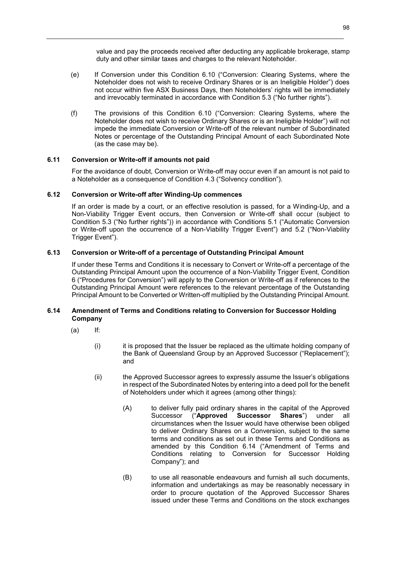value and pay the proceeds received after deducting any applicable brokerage, stamp duty and other similar taxes and charges to the relevant Noteholder.

- (e) If Conversion under this Condition 6.10 ("Conversion: Clearing Systems, where the Noteholder does not wish to receive Ordinary Shares or is an Ineligible Holder") does not occur within five ASX Business Days, then Noteholders' rights will be immediately and irrevocably terminated in accordance with Condition 5.3 ("No further rights").
- (f) The provisions of this Condition 6.10 ("Conversion: Clearing Systems, where the Noteholder does not wish to receive Ordinary Shares or is an Ineligible Holder") will not impede the immediate Conversion or Write-off of the relevant number of Subordinated Notes or percentage of the Outstanding Principal Amount of each Subordinated Note (as the case may be).

# **6.11 Conversion or Write-off if amounts not paid**

For the avoidance of doubt, Conversion or Write-off may occur even if an amount is not paid to a Noteholder as a consequence of Condition 4.3 ("Solvency condition").

### **6.12 Conversion or Write-off after Winding-Up commences**

If an order is made by a court, or an effective resolution is passed, for a Winding-Up, and a Non-Viability Trigger Event occurs, then Conversion or Write-off shall occur (subject to Condition 5.3 ("No further rights")) in accordance with Conditions 5.1 ("Automatic Conversion or Write-off upon the occurrence of a Non-Viability Trigger Event") and 5.2 ("Non-Viability Trigger Event").

# **6.13 Conversion or Write-off of a percentage of Outstanding Principal Amount**

If under these Terms and Conditions it is necessary to Convert or Write-off a percentage of the Outstanding Principal Amount upon the occurrence of a Non-Viability Trigger Event, Condition 6 ("Procedures for Conversion") will apply to the Conversion or Write-off as if references to the Outstanding Principal Amount were references to the relevant percentage of the Outstanding Principal Amount to be Converted or Written-off multiplied by the Outstanding Principal Amount.

# **6.14 Amendment of Terms and Conditions relating to Conversion for Successor Holding Company**

- (a) If:
	- (i) it is proposed that the Issuer be replaced as the ultimate holding company of the Bank of Queensland Group by an Approved Successor ("Replacement"); and
	- (ii) the Approved Successor agrees to expressly assume the Issuer's obligations in respect of the Subordinated Notes by entering into a deed poll for the benefit of Noteholders under which it agrees (among other things):
		- (A) to deliver fully paid ordinary shares in the capital of the Approved Successor ("**Approved Successor Shares**") under all circumstances when the Issuer would have otherwise been obliged to deliver Ordinary Shares on a Conversion, subject to the same terms and conditions as set out in these Terms and Conditions as amended by this Condition 6.14 ("Amendment of Terms and Conditions relating to Conversion for Successor Holding Company"); and
		- (B) to use all reasonable endeavours and furnish all such documents, information and undertakings as may be reasonably necessary in order to procure quotation of the Approved Successor Shares issued under these Terms and Conditions on the stock exchanges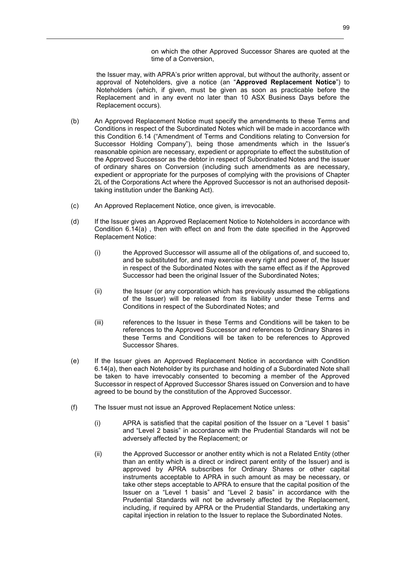on which the other Approved Successor Shares are quoted at the time of a Conversion,

the Issuer may, with APRA's prior written approval, but without the authority, assent or approval of Noteholders, give a notice (an "**Approved Replacement Notice**") to Noteholders (which, if given, must be given as soon as practicable before the Replacement and in any event no later than 10 ASX Business Days before the Replacement occurs).

- (b) An Approved Replacement Notice must specify the amendments to these Terms and Conditions in respect of the Subordinated Notes which will be made in accordance with this Condition 6.14 ("Amendment of Terms and Conditions relating to Conversion for Successor Holding Company"), being those amendments which in the Issuer's reasonable opinion are necessary, expedient or appropriate to effect the substitution of the Approved Successor as the debtor in respect of Subordinated Notes and the issuer of ordinary shares on Conversion (including such amendments as are necessary, expedient or appropriate for the purposes of complying with the provisions of Chapter 2L of the Corporations Act where the Approved Successor is not an authorised deposittaking institution under the Banking Act).
- (c) An Approved Replacement Notice, once given, is irrevocable.
- (d) If the Issuer gives an Approved Replacement Notice to Noteholders in accordance with Condition 6.14(a) , then with effect on and from the date specified in the Approved Replacement Notice:
	- (i) the Approved Successor will assume all of the obligations of, and succeed to, and be substituted for, and may exercise every right and power of, the Issuer in respect of the Subordinated Notes with the same effect as if the Approved Successor had been the original Issuer of the Subordinated Notes;
	- (ii) the Issuer (or any corporation which has previously assumed the obligations of the Issuer) will be released from its liability under these Terms and Conditions in respect of the Subordinated Notes; and
	- (iii) references to the Issuer in these Terms and Conditions will be taken to be references to the Approved Successor and references to Ordinary Shares in these Terms and Conditions will be taken to be references to Approved Successor Shares.
- (e) If the Issuer gives an Approved Replacement Notice in accordance with Condition 6.14(a), then each Noteholder by its purchase and holding of a Subordinated Note shall be taken to have irrevocably consented to becoming a member of the Approved Successor in respect of Approved Successor Shares issued on Conversion and to have agreed to be bound by the constitution of the Approved Successor.
- (f) The Issuer must not issue an Approved Replacement Notice unless:
	- (i) APRA is satisfied that the capital position of the Issuer on a "Level 1 basis" and "Level 2 basis" in accordance with the Prudential Standards will not be adversely affected by the Replacement; or
	- (ii) the Approved Successor or another entity which is not a Related Entity (other than an entity which is a direct or indirect parent entity of the Issuer) and is approved by APRA subscribes for Ordinary Shares or other capital instruments acceptable to APRA in such amount as may be necessary, or take other steps acceptable to APRA to ensure that the capital position of the Issuer on a "Level 1 basis" and "Level 2 basis" in accordance with the Prudential Standards will not be adversely affected by the Replacement, including, if required by APRA or the Prudential Standards, undertaking any capital injection in relation to the Issuer to replace the Subordinated Notes.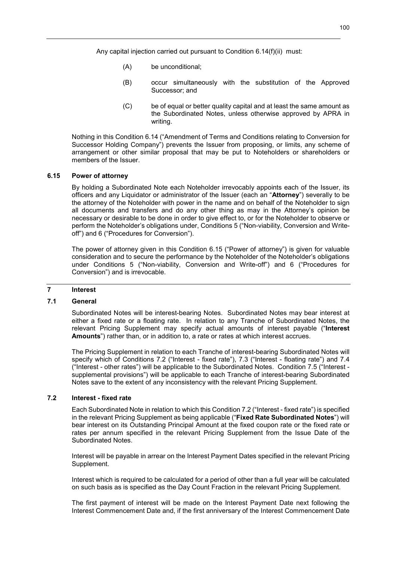Any capital injection carried out pursuant to Condition 6.14(f)(ii) must:

- (A) be unconditional;
- (B) occur simultaneously with the substitution of the Approved Successor; and
- (C) be of equal or better quality capital and at least the same amount as the Subordinated Notes, unless otherwise approved by APRA in writing.

Nothing in this Condition 6.14 ("Amendment of Terms and Conditions relating to Conversion for Successor Holding Company") prevents the Issuer from proposing, or limits, any scheme of arrangement or other similar proposal that may be put to Noteholders or shareholders or members of the Issuer.

#### **6.15 Power of attorney**

By holding a Subordinated Note each Noteholder irrevocably appoints each of the Issuer, its officers and any Liquidator or administrator of the Issuer (each an "**Attorney**") severally to be the attorney of the Noteholder with power in the name and on behalf of the Noteholder to sign all documents and transfers and do any other thing as may in the Attorney's opinion be necessary or desirable to be done in order to give effect to, or for the Noteholder to observe or perform the Noteholder's obligations under, Conditions 5 ("Non-viability, Conversion and Writeoff") and 6 ("Procedures for Conversion").

The power of attorney given in this Condition 6.15 ("Power of attorney") is given for valuable consideration and to secure the performance by the Noteholder of the Noteholder's obligations under Conditions 5 ("Non-viability, Conversion and Write-off") and 6 ("Procedures for Conversion") and is irrevocable.

### **7 Interest**

### **7.1 General**

Subordinated Notes will be interest-bearing Notes. Subordinated Notes may bear interest at either a fixed rate or a floating rate. In relation to any Tranche of Subordinated Notes, the relevant Pricing Supplement may specify actual amounts of interest payable ("**Interest Amounts**") rather than, or in addition to, a rate or rates at which interest accrues.

The Pricing Supplement in relation to each Tranche of interest-bearing Subordinated Notes will specify which of Conditions 7.2 ("Interest - fixed rate"), 7.3 ("Interest - floating rate") and 7.4 ("Interest - other rates") will be applicable to the Subordinated Notes. Condition 7.5 ("Interest supplemental provisions") will be applicable to each Tranche of interest-bearing Subordinated Notes save to the extent of any inconsistency with the relevant Pricing Supplement.

# **7.2 Interest - fixed rate**

Each Subordinated Note in relation to which this Condition 7.2 ("Interest - fixed rate") is specified in the relevant Pricing Supplement as being applicable ("**Fixed Rate Subordinated Notes**") will bear interest on its Outstanding Principal Amount at the fixed coupon rate or the fixed rate or rates per annum specified in the relevant Pricing Supplement from the Issue Date of the Subordinated Notes.

Interest will be payable in arrear on the Interest Payment Dates specified in the relevant Pricing Supplement.

Interest which is required to be calculated for a period of other than a full year will be calculated on such basis as is specified as the Day Count Fraction in the relevant Pricing Supplement.

The first payment of interest will be made on the Interest Payment Date next following the Interest Commencement Date and, if the first anniversary of the Interest Commencement Date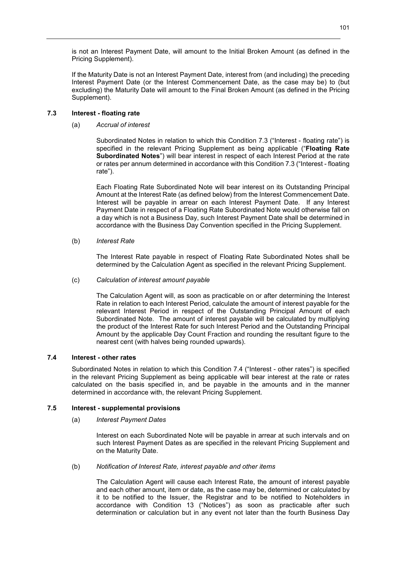is not an Interest Payment Date, will amount to the Initial Broken Amount (as defined in the Pricing Supplement).

If the Maturity Date is not an Interest Payment Date, interest from (and including) the preceding Interest Payment Date (or the Interest Commencement Date, as the case may be) to (but excluding) the Maturity Date will amount to the Final Broken Amount (as defined in the Pricing Supplement).

# **7.3 Interest - floating rate**

### (a) *Accrual of interest*

Subordinated Notes in relation to which this Condition 7.3 ("Interest - floating rate") is specified in the relevant Pricing Supplement as being applicable ("**Floating Rate Subordinated Notes**") will bear interest in respect of each Interest Period at the rate or rates per annum determined in accordance with this Condition 7.3 ("Interest - floating rate").

Each Floating Rate Subordinated Note will bear interest on its Outstanding Principal Amount at the Interest Rate (as defined below) from the Interest Commencement Date. Interest will be payable in arrear on each Interest Payment Date. If any Interest Payment Date in respect of a Floating Rate Subordinated Note would otherwise fall on a day which is not a Business Day, such Interest Payment Date shall be determined in accordance with the Business Day Convention specified in the Pricing Supplement.

# (b) *Interest Rate*

The Interest Rate payable in respect of Floating Rate Subordinated Notes shall be determined by the Calculation Agent as specified in the relevant Pricing Supplement.

# (c) *Calculation of interest amount payable*

The Calculation Agent will, as soon as practicable on or after determining the Interest Rate in relation to each Interest Period, calculate the amount of interest payable for the relevant Interest Period in respect of the Outstanding Principal Amount of each Subordinated Note. The amount of interest payable will be calculated by multiplying the product of the Interest Rate for such Interest Period and the Outstanding Principal Amount by the applicable Day Count Fraction and rounding the resultant figure to the nearest cent (with halves being rounded upwards).

# **7.4 Interest - other rates**

Subordinated Notes in relation to which this Condition 7.4 ("Interest - other rates") is specified in the relevant Pricing Supplement as being applicable will bear interest at the rate or rates calculated on the basis specified in, and be payable in the amounts and in the manner determined in accordance with, the relevant Pricing Supplement.

# **7.5 Interest - supplemental provisions**

### (a) *Interest Payment Dates*

Interest on each Subordinated Note will be payable in arrear at such intervals and on such Interest Payment Dates as are specified in the relevant Pricing Supplement and on the Maturity Date.

### (b) *Notification of Interest Rate, interest payable and other items*

The Calculation Agent will cause each Interest Rate, the amount of interest payable and each other amount, item or date, as the case may be, determined or calculated by it to be notified to the Issuer, the Registrar and to be notified to Noteholders in accordance with Condition 13 ("Notices") as soon as practicable after such determination or calculation but in any event not later than the fourth Business Day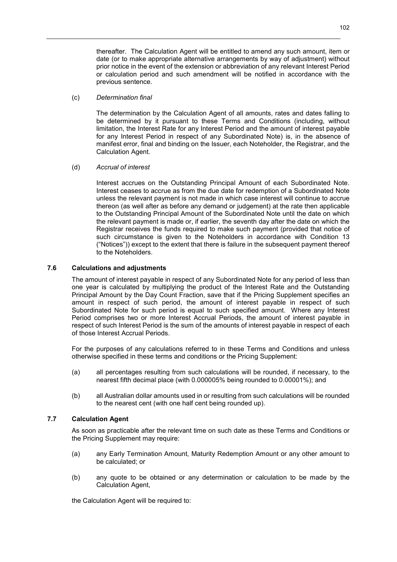thereafter. The Calculation Agent will be entitled to amend any such amount, item or date (or to make appropriate alternative arrangements by way of adjustment) without prior notice in the event of the extension or abbreviation of any relevant Interest Period or calculation period and such amendment will be notified in accordance with the previous sentence.

### (c) *Determination final*

The determination by the Calculation Agent of all amounts, rates and dates falling to be determined by it pursuant to these Terms and Conditions (including, without limitation, the Interest Rate for any Interest Period and the amount of interest payable for any Interest Period in respect of any Subordinated Note) is, in the absence of manifest error, final and binding on the Issuer, each Noteholder, the Registrar, and the Calculation Agent.

# (d) *Accrual of interest*

Interest accrues on the Outstanding Principal Amount of each Subordinated Note. Interest ceases to accrue as from the due date for redemption of a Subordinated Note unless the relevant payment is not made in which case interest will continue to accrue thereon (as well after as before any demand or judgement) at the rate then applicable to the Outstanding Principal Amount of the Subordinated Note until the date on which the relevant payment is made or, if earlier, the seventh day after the date on which the Registrar receives the funds required to make such payment (provided that notice of such circumstance is given to the Noteholders in accordance with Condition 13 ("Notices")) except to the extent that there is failure in the subsequent payment thereof to the Noteholders.

# **7.6 Calculations and adjustments**

The amount of interest payable in respect of any Subordinated Note for any period of less than one year is calculated by multiplying the product of the Interest Rate and the Outstanding Principal Amount by the Day Count Fraction, save that if the Pricing Supplement specifies an amount in respect of such period, the amount of interest payable in respect of such Subordinated Note for such period is equal to such specified amount. Where any Interest Period comprises two or more Interest Accrual Periods, the amount of interest payable in respect of such Interest Period is the sum of the amounts of interest payable in respect of each of those Interest Accrual Periods.

For the purposes of any calculations referred to in these Terms and Conditions and unless otherwise specified in these terms and conditions or the Pricing Supplement:

- (a) all percentages resulting from such calculations will be rounded, if necessary, to the nearest fifth decimal place (with 0.000005% being rounded to 0.00001%); and
- (b) all Australian dollar amounts used in or resulting from such calculations will be rounded to the nearest cent (with one half cent being rounded up).

# **7.7 Calculation Agent**

As soon as practicable after the relevant time on such date as these Terms and Conditions or the Pricing Supplement may require:

- (a) any Early Termination Amount, Maturity Redemption Amount or any other amount to be calculated; or
- (b) any quote to be obtained or any determination or calculation to be made by the Calculation Agent,

the Calculation Agent will be required to: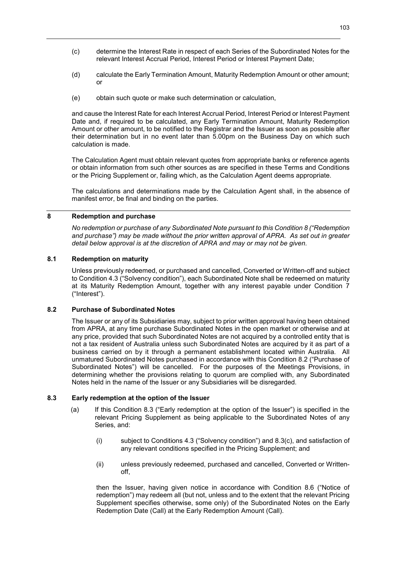- (c) determine the Interest Rate in respect of each Series of the Subordinated Notes for the relevant Interest Accrual Period, Interest Period or Interest Payment Date;
- (d) calculate the Early Termination Amount, Maturity Redemption Amount or other amount; or
- (e) obtain such quote or make such determination or calculation,

and cause the Interest Rate for each Interest Accrual Period, Interest Period or Interest Payment Date and, if required to be calculated, any Early Termination Amount, Maturity Redemption Amount or other amount, to be notified to the Registrar and the Issuer as soon as possible after their determination but in no event later than 5.00pm on the Business Day on which such calculation is made.

The Calculation Agent must obtain relevant quotes from appropriate banks or reference agents or obtain information from such other sources as are specified in these Terms and Conditions or the Pricing Supplement or, failing which, as the Calculation Agent deems appropriate.

The calculations and determinations made by the Calculation Agent shall, in the absence of manifest error, be final and binding on the parties.

# **8 Redemption and purchase**

*No redemption or purchase of any Subordinated Note pursuant to this Condition 8 ("Redemption and purchase") may be made without the prior written approval of APRA. As set out in greater detail below approval is at the discretion of APRA and may or may not be given.* 

# **8.1 Redemption on maturity**

Unless previously redeemed, or purchased and cancelled, Converted or Written-off and subject to Condition 4.3 ("Solvency condition"), each Subordinated Note shall be redeemed on maturity at its Maturity Redemption Amount, together with any interest payable under Condition 7 ("Interest").

### **8.2 Purchase of Subordinated Notes**

The Issuer or any of its Subsidiaries may, subject to prior written approval having been obtained from APRA, at any time purchase Subordinated Notes in the open market or otherwise and at any price, provided that such Subordinated Notes are not acquired by a controlled entity that is not a tax resident of Australia unless such Subordinated Notes are acquired by it as part of a business carried on by it through a permanent establishment located within Australia. All unmatured Subordinated Notes purchased in accordance with this Condition 8.2 ("Purchase of Subordinated Notes") will be cancelled. For the purposes of the Meetings Provisions, in determining whether the provisions relating to quorum are complied with, any Subordinated Notes held in the name of the Issuer or any Subsidiaries will be disregarded.

# **8.3 Early redemption at the option of the Issuer**

- (a) If this Condition 8.3 ("Early redemption at the option of the Issuer") is specified in the relevant Pricing Supplement as being applicable to the Subordinated Notes of any Series, and:
	- (i) subject to Conditions 4.3 ("Solvency condition") and 8.3(c), and satisfaction of any relevant conditions specified in the Pricing Supplement; and
	- (ii) unless previously redeemed, purchased and cancelled, Converted or Writtenoff,

then the Issuer, having given notice in accordance with Condition 8.6 ("Notice of redemption") may redeem all (but not, unless and to the extent that the relevant Pricing Supplement specifies otherwise, some only) of the Subordinated Notes on the Early Redemption Date (Call) at the Early Redemption Amount (Call).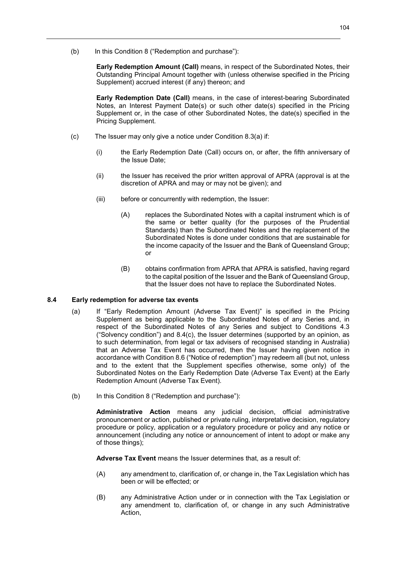(b) In this Condition 8 ("Redemption and purchase"):

**Early Redemption Amount (Call)** means, in respect of the Subordinated Notes, their Outstanding Principal Amount together with (unless otherwise specified in the Pricing Supplement) accrued interest (if any) thereon; and

**Early Redemption Date (Call)** means, in the case of interest-bearing Subordinated Notes, an Interest Payment Date(s) or such other date(s) specified in the Pricing Supplement or, in the case of other Subordinated Notes, the date(s) specified in the Pricing Supplement.

- (c) The Issuer may only give a notice under Condition 8.3(a) if:
	- (i) the Early Redemption Date (Call) occurs on, or after, the fifth anniversary of the Issue Date;
	- (ii) the Issuer has received the prior written approval of APRA (approval is at the discretion of APRA and may or may not be given); and
	- (iii) before or concurrently with redemption, the Issuer:
		- (A) replaces the Subordinated Notes with a capital instrument which is of the same or better quality (for the purposes of the Prudential Standards) than the Subordinated Notes and the replacement of the Subordinated Notes is done under conditions that are sustainable for the income capacity of the Issuer and the Bank of Queensland Group; or
		- (B) obtains confirmation from APRA that APRA is satisfied, having regard to the capital position of the Issuer and the Bank of Queensland Group, that the Issuer does not have to replace the Subordinated Notes.

### **8.4 Early redemption for adverse tax events**

- (a) If "Early Redemption Amount (Adverse Tax Event)" is specified in the Pricing Supplement as being applicable to the Subordinated Notes of any Series and, in respect of the Subordinated Notes of any Series and subject to Conditions 4.3 ("Solvency condition") and  $8.4(c)$ , the Issuer determines (supported by an opinion, as to such determination, from legal or tax advisers of recognised standing in Australia) that an Adverse Tax Event has occurred, then the Issuer having given notice in accordance with Condition 8.6 ("Notice of redemption") may redeem all (but not, unless and to the extent that the Supplement specifies otherwise, some only) of the Subordinated Notes on the Early Redemption Date (Adverse Tax Event) at the Early Redemption Amount (Adverse Tax Event).
- (b) In this Condition 8 ("Redemption and purchase"):

**Administrative Action** means any judicial decision, official administrative pronouncement or action, published or private ruling, interpretative decision, regulatory procedure or policy, application or a regulatory procedure or policy and any notice or announcement (including any notice or announcement of intent to adopt or make any of those things);

**Adverse Tax Event** means the Issuer determines that, as a result of:

- (A) any amendment to, clarification of, or change in, the Tax Legislation which has been or will be effected; or
- (B) any Administrative Action under or in connection with the Tax Legislation or any amendment to, clarification of, or change in any such Administrative Action,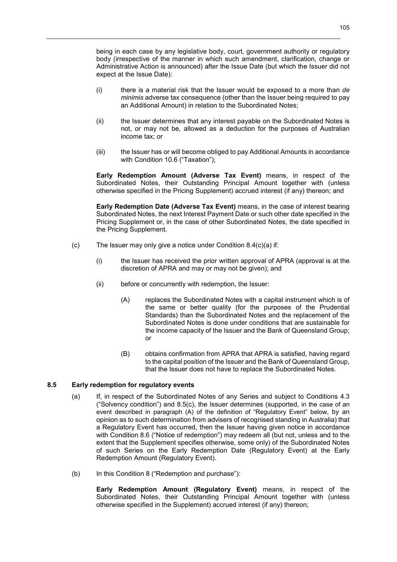being in each case by any legislative body, court, government authority or regulatory body (irrespective of the manner in which such amendment, clarification, change or Administrative Action is announced) after the Issue Date (but which the Issuer did not expect at the Issue Date):

- (i) there is a material risk that the Issuer would be exposed to a more than *de minimis* adverse tax consequence (other than the Issuer being required to pay an Additional Amount) in relation to the Subordinated Notes;
- (ii) the Issuer determines that any interest payable on the Subordinated Notes is not, or may not be, allowed as a deduction for the purposes of Australian income tax; or
- (iii) the Issuer has or will become obliged to pay Additional Amounts in accordance with Condition 10.6 ("Taxation");

**Early Redemption Amount (Adverse Tax Event)** means, in respect of the Subordinated Notes, their Outstanding Principal Amount together with (unless otherwise specified in the Pricing Supplement) accrued interest (if any) thereon; and

**Early Redemption Date (Adverse Tax Event)** means, in the case of interest bearing Subordinated Notes, the next Interest Payment Date or such other date specified in the Pricing Supplement or, in the case of other Subordinated Notes, the date specified in the Pricing Supplement.

- (c) The Issuer may only give a notice under Condition  $8.4(c)(a)$  if:
	- (i) the Issuer has received the prior written approval of APRA (approval is at the discretion of APRA and may or may not be given); and
	- (ii) before or concurrently with redemption, the Issuer:
		- (A) replaces the Subordinated Notes with a capital instrument which is of the same or better quality (for the purposes of the Prudential Standards) than the Subordinated Notes and the replacement of the Subordinated Notes is done under conditions that are sustainable for the income capacity of the Issuer and the Bank of Queensland Group; or
		- (B) obtains confirmation from APRA that APRA is satisfied, having regard to the capital position of the Issuer and the Bank of Queensland Group, that the Issuer does not have to replace the Subordinated Notes.

# **8.5 Early redemption for regulatory events**

- (a) If, in respect of the Subordinated Notes of any Series and subject to Conditions 4.3 ("Solvency condition") and 8.5(c), the Issuer determines (supported, in the case of an event described in paragraph (A) of the definition of "Regulatory Event" below, by an opinion as to such determination from advisers of recognised standing in Australia) that a Regulatory Event has occurred, then the Issuer having given notice in accordance with Condition 8.6 ("Notice of redemption") may redeem all (but not, unless and to the extent that the Supplement specifies otherwise, some only) of the Subordinated Notes of such Series on the Early Redemption Date (Regulatory Event) at the Early Redemption Amount (Regulatory Event).
- (b) In this Condition 8 ("Redemption and purchase"):

**Early Redemption Amount (Regulatory Event)** means, in respect of the Subordinated Notes, their Outstanding Principal Amount together with (unless otherwise specified in the Supplement) accrued interest (if any) thereon;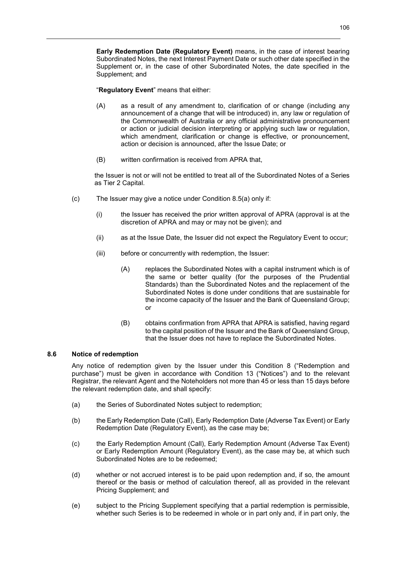**Early Redemption Date (Regulatory Event)** means, in the case of interest bearing Subordinated Notes, the next Interest Payment Date or such other date specified in the Supplement or, in the case of other Subordinated Notes, the date specified in the Supplement; and

"**Regulatory Event**" means that either:

- (A) as a result of any amendment to, clarification of or change (including any announcement of a change that will be introduced) in, any law or regulation of the Commonwealth of Australia or any official administrative pronouncement or action or judicial decision interpreting or applying such law or regulation, which amendment, clarification or change is effective, or pronouncement, action or decision is announced, after the Issue Date; or
- (B) written confirmation is received from APRA that,

the Issuer is not or will not be entitled to treat all of the Subordinated Notes of a Series as Tier 2 Capital.

- (c) The Issuer may give a notice under Condition 8.5(a) only if:
	- (i) the Issuer has received the prior written approval of APRA (approval is at the discretion of APRA and may or may not be given); and
	- (ii) as at the Issue Date, the Issuer did not expect the Regulatory Event to occur;
	- (iii) before or concurrently with redemption, the Issuer:
		- (A) replaces the Subordinated Notes with a capital instrument which is of the same or better quality (for the purposes of the Prudential Standards) than the Subordinated Notes and the replacement of the Subordinated Notes is done under conditions that are sustainable for the income capacity of the Issuer and the Bank of Queensland Group; or
		- (B) obtains confirmation from APRA that APRA is satisfied, having regard to the capital position of the Issuer and the Bank of Queensland Group, that the Issuer does not have to replace the Subordinated Notes.

# **8.6 Notice of redemption**

Any notice of redemption given by the Issuer under this Condition 8 ("Redemption and purchase") must be given in accordance with Condition 13 ("Notices") and to the relevant Registrar, the relevant Agent and the Noteholders not more than 45 or less than 15 days before the relevant redemption date, and shall specify:

- (a) the Series of Subordinated Notes subject to redemption;
- (b) the Early Redemption Date (Call), Early Redemption Date (Adverse Tax Event) or Early Redemption Date (Regulatory Event), as the case may be;
- (c) the Early Redemption Amount (Call), Early Redemption Amount (Adverse Tax Event) or Early Redemption Amount (Regulatory Event), as the case may be, at which such Subordinated Notes are to be redeemed;
- (d) whether or not accrued interest is to be paid upon redemption and, if so, the amount thereof or the basis or method of calculation thereof, all as provided in the relevant Pricing Supplement; and
- (e) subject to the Pricing Supplement specifying that a partial redemption is permissible, whether such Series is to be redeemed in whole or in part only and, if in part only, the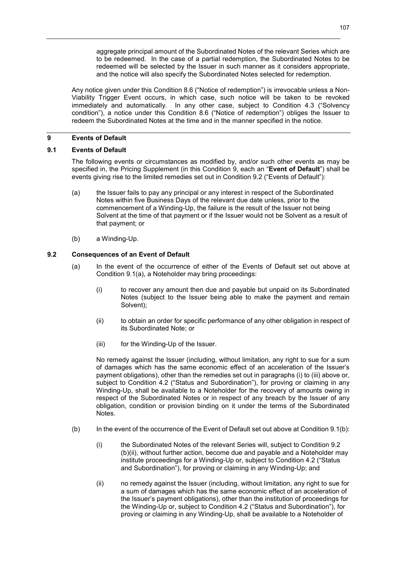aggregate principal amount of the Subordinated Notes of the relevant Series which are to be redeemed. In the case of a partial redemption, the Subordinated Notes to be redeemed will be selected by the Issuer in such manner as it considers appropriate, and the notice will also specify the Subordinated Notes selected for redemption.

Any notice given under this Condition 8.6 ("Notice of redemption") is irrevocable unless a Non-Viability Trigger Event occurs, in which case, such notice will be taken to be revoked immediately and automatically. In any other case, subject to Condition 4.3 ("Solvency condition"), a notice under this Condition 8.6 ("Notice of redemption") obliges the Issuer to redeem the Subordinated Notes at the time and in the manner specified in the notice.

# **9 Events of Default**

# **9.1 Events of Default**

The following events or circumstances as modified by, and/or such other events as may be specified in, the Pricing Supplement (in this Condition 9, each an "**Event of Default**") shall be events giving rise to the limited remedies set out in Condition 9.2 ("Events of Default"):

- (a) the Issuer fails to pay any principal or any interest in respect of the Subordinated Notes within five Business Days of the relevant due date unless, prior to the commencement of a Winding-Up, the failure is the result of the Issuer not being Solvent at the time of that payment or if the Issuer would not be Solvent as a result of that payment; or
- (b) a Winding-Up.

# **9.2 Consequences of an Event of Default**

- (a) In the event of the occurrence of either of the Events of Default set out above at Condition 9.1(a), a Noteholder may bring proceedings:
	- (i) to recover any amount then due and payable but unpaid on its Subordinated Notes (subject to the Issuer being able to make the payment and remain Solvent);
	- (ii) to obtain an order for specific performance of any other obligation in respect of its Subordinated Note; or
	- (iii) for the Winding-Up of the Issuer.

No remedy against the Issuer (including, without limitation, any right to sue for a sum of damages which has the same economic effect of an acceleration of the Issuer's payment obligations), other than the remedies set out in paragraphs (i) to (iii) above or, subject to Condition 4.2 ("Status and Subordination"), for proving or claiming in any Winding-Up, shall be available to a Noteholder for the recovery of amounts owing in respect of the Subordinated Notes or in respect of any breach by the Issuer of any obligation, condition or provision binding on it under the terms of the Subordinated Notes.

- (b) In the event of the occurrence of the Event of Default set out above at Condition 9.1(b):
	- (i) the Subordinated Notes of the relevant Series will, subject to Condition 9.2 (b)(ii), without further action, become due and payable and a Noteholder may institute proceedings for a Winding-Up or, subject to Condition 4.2 ("Status and Subordination"), for proving or claiming in any Winding-Up; and
	- (ii) no remedy against the Issuer (including, without limitation, any right to sue for a sum of damages which has the same economic effect of an acceleration of the Issuer's payment obligations), other than the institution of proceedings for the Winding-Up or, subject to Condition 4.2 ("Status and Subordination"), for proving or claiming in any Winding-Up, shall be available to a Noteholder of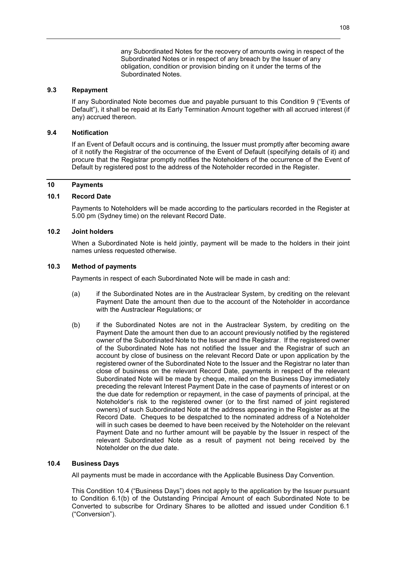any Subordinated Notes for the recovery of amounts owing in respect of the Subordinated Notes or in respect of any breach by the Issuer of any obligation, condition or provision binding on it under the terms of the Subordinated Notes.

## **9.3 Repayment**

If any Subordinated Note becomes due and payable pursuant to this Condition 9 ("Events of Default"), it shall be repaid at its Early Termination Amount together with all accrued interest (if any) accrued thereon.

#### **9.4 Notification**

If an Event of Default occurs and is continuing, the Issuer must promptly after becoming aware of it notify the Registrar of the occurrence of the Event of Default (specifying details of it) and procure that the Registrar promptly notifies the Noteholders of the occurrence of the Event of Default by registered post to the address of the Noteholder recorded in the Register.

## **10 Payments**

## **10.1 Record Date**

Payments to Noteholders will be made according to the particulars recorded in the Register at 5.00 pm (Sydney time) on the relevant Record Date.

## **10.2 Joint holders**

When a Subordinated Note is held jointly, payment will be made to the holders in their joint names unless requested otherwise.

## **10.3 Method of payments**

Payments in respect of each Subordinated Note will be made in cash and:

- (a) if the Subordinated Notes are in the Austraclear System, by crediting on the relevant Payment Date the amount then due to the account of the Noteholder in accordance with the Austraclear Regulations; or
- (b) if the Subordinated Notes are not in the Austraclear System, by crediting on the Payment Date the amount then due to an account previously notified by the registered owner of the Subordinated Note to the Issuer and the Registrar. If the registered owner of the Subordinated Note has not notified the Issuer and the Registrar of such an account by close of business on the relevant Record Date or upon application by the registered owner of the Subordinated Note to the Issuer and the Registrar no later than close of business on the relevant Record Date, payments in respect of the relevant Subordinated Note will be made by cheque, mailed on the Business Day immediately preceding the relevant Interest Payment Date in the case of payments of interest or on the due date for redemption or repayment, in the case of payments of principal, at the Noteholder's risk to the registered owner (or to the first named of joint registered owners) of such Subordinated Note at the address appearing in the Register as at the Record Date. Cheques to be despatched to the nominated address of a Noteholder will in such cases be deemed to have been received by the Noteholder on the relevant Payment Date and no further amount will be payable by the Issuer in respect of the relevant Subordinated Note as a result of payment not being received by the Noteholder on the due date.

## **10.4 Business Days**

All payments must be made in accordance with the Applicable Business Day Convention.

This Condition 10.4 ("Business Days") does not apply to the application by the Issuer pursuant to Condition 6.1(b) of the Outstanding Principal Amount of each Subordinated Note to be Converted to subscribe for Ordinary Shares to be allotted and issued under Condition 6.1 ("Conversion").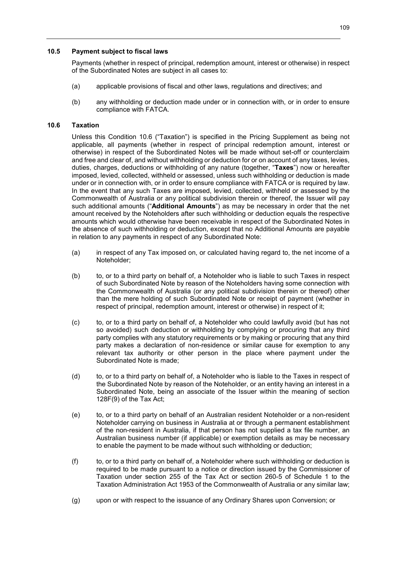### **10.5 Payment subject to fiscal laws**

Payments (whether in respect of principal, redemption amount, interest or otherwise) in respect of the Subordinated Notes are subject in all cases to:

- (a) applicable provisions of fiscal and other laws, regulations and directives; and
- (b) any withholding or deduction made under or in connection with, or in order to ensure compliance with FATCA.

## **10.6 Taxation**

Unless this Condition 10.6 ("Taxation") is specified in the Pricing Supplement as being not applicable, all payments (whether in respect of principal redemption amount, interest or otherwise) in respect of the Subordinated Notes will be made without set-off or counterclaim and free and clear of, and without withholding or deduction for or on account of any taxes, levies, duties, charges, deductions or withholding of any nature (together, "**Taxes**") now or hereafter imposed, levied, collected, withheld or assessed, unless such withholding or deduction is made under or in connection with, or in order to ensure compliance with FATCA or is required by law. In the event that any such Taxes are imposed, levied, collected, withheld or assessed by the Commonwealth of Australia or any political subdivision therein or thereof, the Issuer will pay such additional amounts ("**Additional Amounts**") as may be necessary in order that the net amount received by the Noteholders after such withholding or deduction equals the respective amounts which would otherwise have been receivable in respect of the Subordinated Notes in the absence of such withholding or deduction, except that no Additional Amounts are payable in relation to any payments in respect of any Subordinated Note:

- (a) in respect of any Tax imposed on, or calculated having regard to, the net income of a Noteholder;
- (b) to, or to a third party on behalf of, a Noteholder who is liable to such Taxes in respect of such Subordinated Note by reason of the Noteholders having some connection with the Commonwealth of Australia (or any political subdivision therein or thereof) other than the mere holding of such Subordinated Note or receipt of payment (whether in respect of principal, redemption amount, interest or otherwise) in respect of it;
- (c) to, or to a third party on behalf of, a Noteholder who could lawfully avoid (but has not so avoided) such deduction or withholding by complying or procuring that any third party complies with any statutory requirements or by making or procuring that any third party makes a declaration of non-residence or similar cause for exemption to any relevant tax authority or other person in the place where payment under the Subordinated Note is made;
- (d) to, or to a third party on behalf of, a Noteholder who is liable to the Taxes in respect of the Subordinated Note by reason of the Noteholder, or an entity having an interest in a Subordinated Note, being an associate of the Issuer within the meaning of section 128F(9) of the Tax Act;
- (e) to, or to a third party on behalf of an Australian resident Noteholder or a non-resident Noteholder carrying on business in Australia at or through a permanent establishment of the non-resident in Australia, if that person has not supplied a tax file number, an Australian business number (if applicable) or exemption details as may be necessary to enable the payment to be made without such withholding or deduction;
- (f) to, or to a third party on behalf of, a Noteholder where such withholding or deduction is required to be made pursuant to a notice or direction issued by the Commissioner of Taxation under section 255 of the Tax Act or section 260-5 of Schedule 1 to the Taxation Administration Act 1953 of the Commonwealth of Australia or any similar law;
- (g) upon or with respect to the issuance of any Ordinary Shares upon Conversion; or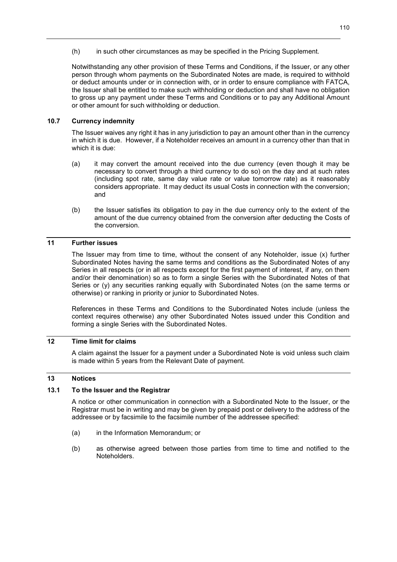(h) in such other circumstances as may be specified in the Pricing Supplement.

Notwithstanding any other provision of these Terms and Conditions, if the Issuer, or any other person through whom payments on the Subordinated Notes are made, is required to withhold or deduct amounts under or in connection with, or in order to ensure compliance with FATCA, the Issuer shall be entitled to make such withholding or deduction and shall have no obligation to gross up any payment under these Terms and Conditions or to pay any Additional Amount or other amount for such withholding or deduction.

## **10.7 Currency indemnity**

The Issuer waives any right it has in any jurisdiction to pay an amount other than in the currency in which it is due. However, if a Noteholder receives an amount in a currency other than that in which it is due:

- (a) it may convert the amount received into the due currency (even though it may be necessary to convert through a third currency to do so) on the day and at such rates (including spot rate, same day value rate or value tomorrow rate) as it reasonably considers appropriate. It may deduct its usual Costs in connection with the conversion; and
- (b) the Issuer satisfies its obligation to pay in the due currency only to the extent of the amount of the due currency obtained from the conversion after deducting the Costs of the conversion.

## **11 Further issues**

The Issuer may from time to time, without the consent of any Noteholder, issue (x) further Subordinated Notes having the same terms and conditions as the Subordinated Notes of any Series in all respects (or in all respects except for the first payment of interest, if any, on them and/or their denomination) so as to form a single Series with the Subordinated Notes of that Series or (y) any securities ranking equally with Subordinated Notes (on the same terms or otherwise) or ranking in priority or junior to Subordinated Notes.

References in these Terms and Conditions to the Subordinated Notes include (unless the context requires otherwise) any other Subordinated Notes issued under this Condition and forming a single Series with the Subordinated Notes.

## **12 Time limit for claims**

A claim against the Issuer for a payment under a Subordinated Note is void unless such claim is made within 5 years from the Relevant Date of payment.

## **13 Notices**

# **13.1 To the Issuer and the Registrar**

A notice or other communication in connection with a Subordinated Note to the Issuer, or the Registrar must be in writing and may be given by prepaid post or delivery to the address of the addressee or by facsimile to the facsimile number of the addressee specified:

- (a) in the Information Memorandum; or
- (b) as otherwise agreed between those parties from time to time and notified to the Noteholders.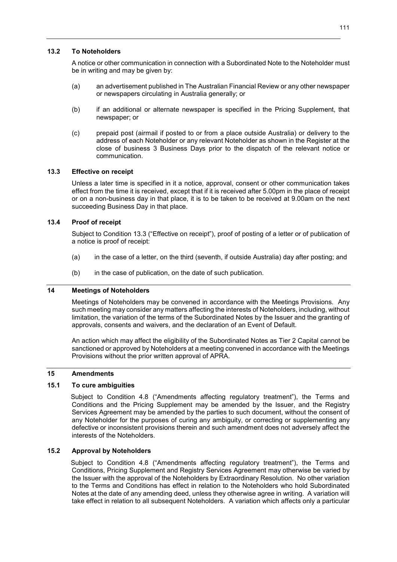## **13.2 To Noteholders**

A notice or other communication in connection with a Subordinated Note to the Noteholder must be in writing and may be given by:

- (a) an advertisement published in The Australian Financial Review or any other newspaper or newspapers circulating in Australia generally; or
- (b) if an additional or alternate newspaper is specified in the Pricing Supplement, that newspaper; or
- (c) prepaid post (airmail if posted to or from a place outside Australia) or delivery to the address of each Noteholder or any relevant Noteholder as shown in the Register at the close of business 3 Business Days prior to the dispatch of the relevant notice or communication.

## **13.3 Effective on receipt**

Unless a later time is specified in it a notice, approval, consent or other communication takes effect from the time it is received, except that if it is received after 5.00pm in the place of receipt or on a non-business day in that place, it is to be taken to be received at 9.00am on the next succeeding Business Day in that place.

## **13.4 Proof of receipt**

Subject to Condition 13.3 ("Effective on receipt"), proof of posting of a letter or of publication of a notice is proof of receipt:

- (a) in the case of a letter, on the third (seventh, if outside Australia) day after posting; and
- (b) in the case of publication, on the date of such publication.

#### **14 Meetings of Noteholders**

Meetings of Noteholders may be convened in accordance with the Meetings Provisions. Any such meeting may consider any matters affecting the interests of Noteholders, including, without limitation, the variation of the terms of the Subordinated Notes by the Issuer and the granting of approvals, consents and waivers, and the declaration of an Event of Default.

An action which may affect the eligibility of the Subordinated Notes as Tier 2 Capital cannot be sanctioned or approved by Noteholders at a meeting convened in accordance with the Meetings Provisions without the prior written approval of APRA.

## **15 Amendments**

# **15.1 To cure ambiguities**

Subject to Condition 4.8 ("Amendments affecting regulatory treatment"), the Terms and Conditions and the Pricing Supplement may be amended by the Issuer, and the Registry Services Agreement may be amended by the parties to such document, without the consent of any Noteholder for the purposes of curing any ambiguity, or correcting or supplementing any defective or inconsistent provisions therein and such amendment does not adversely affect the interests of the Noteholders.

## **15.2 Approval by Noteholders**

Subject to Condition 4.8 ("Amendments affecting regulatory treatment"), the Terms and Conditions, Pricing Supplement and Registry Services Agreement may otherwise be varied by the Issuer with the approval of the Noteholders by Extraordinary Resolution. No other variation to the Terms and Conditions has effect in relation to the Noteholders who hold Subordinated Notes at the date of any amending deed, unless they otherwise agree in writing. A variation will take effect in relation to all subsequent Noteholders. A variation which affects only a particular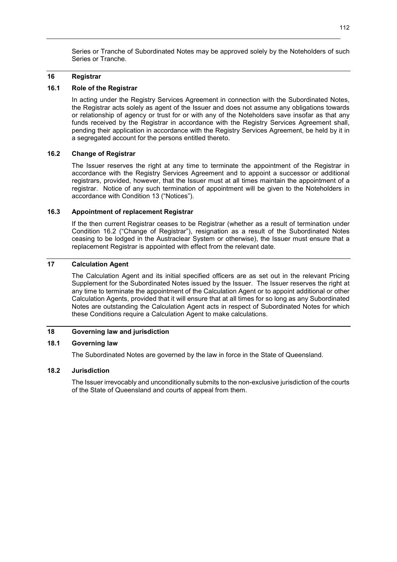Series or Tranche of Subordinated Notes may be approved solely by the Noteholders of such Series or Tranche.

#### **16 Registrar**

## **16.1 Role of the Registrar**

In acting under the Registry Services Agreement in connection with the Subordinated Notes, the Registrar acts solely as agent of the Issuer and does not assume any obligations towards or relationship of agency or trust for or with any of the Noteholders save insofar as that any funds received by the Registrar in accordance with the Registry Services Agreement shall, pending their application in accordance with the Registry Services Agreement, be held by it in a segregated account for the persons entitled thereto.

## **16.2 Change of Registrar**

The Issuer reserves the right at any time to terminate the appointment of the Registrar in accordance with the Registry Services Agreement and to appoint a successor or additional registrars, provided, however, that the Issuer must at all times maintain the appointment of a registrar. Notice of any such termination of appointment will be given to the Noteholders in accordance with Condition 13 ("Notices").

## **16.3 Appointment of replacement Registrar**

If the then current Registrar ceases to be Registrar (whether as a result of termination under Condition 16.2 ("Change of Registrar"), resignation as a result of the Subordinated Notes ceasing to be lodged in the Austraclear System or otherwise), the Issuer must ensure that a replacement Registrar is appointed with effect from the relevant date.

## **17 Calculation Agent**

The Calculation Agent and its initial specified officers are as set out in the relevant Pricing Supplement for the Subordinated Notes issued by the Issuer. The Issuer reserves the right at any time to terminate the appointment of the Calculation Agent or to appoint additional or other Calculation Agents, provided that it will ensure that at all times for so long as any Subordinated Notes are outstanding the Calculation Agent acts in respect of Subordinated Notes for which these Conditions require a Calculation Agent to make calculations.

## **18 Governing law and jurisdiction**

### **18.1 Governing law**

The Subordinated Notes are governed by the law in force in the State of Queensland.

#### **18.2 Jurisdiction**

The Issuer irrevocably and unconditionally submits to the non-exclusive jurisdiction of the courts of the State of Queensland and courts of appeal from them.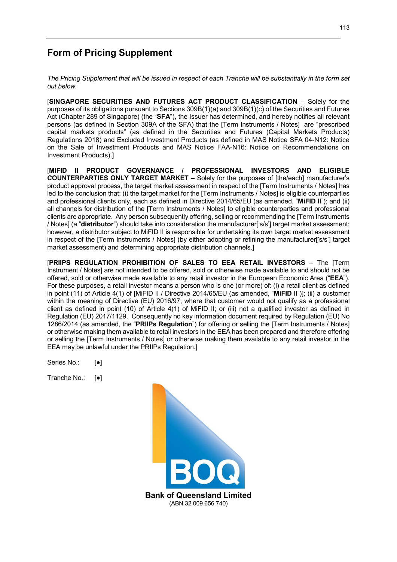# **Form of Pricing Supplement**

*The Pricing Supplement that will be issued in respect of each Tranche will be substantially in the form set out below.* 

**ISINGAPORE SECURITIES AND FUTURES ACT PRODUCT CLASSIFICATION – Solely for the** purposes of its obligations pursuant to Sections 309B(1)(a) and 309B(1)(c) of the Securities and Futures Act (Chapter 289 of Singapore) (the "**SFA**"), the Issuer has determined, and hereby notifies all relevant persons (as defined in Section 309A of the SFA) that the [Term Instruments / Notes] are "prescribed capital markets products" (as defined in the Securities and Futures (Capital Markets Products) Regulations 2018) and Excluded Investment Products (as defined in MAS Notice SFA 04-N12: Notice on the Sale of Investment Products and MAS Notice FAA-N16: Notice on Recommendations on Investment Products).]

[**MIFID II PRODUCT GOVERNANCE / PROFESSIONAL INVESTORS AND ELIGIBLE COUNTERPARTIES ONLY TARGET MARKET** – Solely for the purposes of [the/each] manufacturer's product approval process, the target market assessment in respect of the [Term Instruments / Notes] has led to the conclusion that: (i) the target market for the [Term Instruments / Notes] is eligible counterparties and professional clients only, each as defined in Directive 2014/65/EU (as amended, "**MiFID II**"); and (ii) all channels for distribution of the [Term Instruments / Notes] to eligible counterparties and professional clients are appropriate. Any person subsequently offering, selling or recommending the [Term Instruments / Notes] (a "**distributor**") should take into consideration the manufacturer['s/s'] target market assessment; however, a distributor subject to MiFID II is responsible for undertaking its own target market assessment in respect of the [Term Instruments / Notes] (by either adopting or refining the manufacturer['s/s'] target market assessment) and determining appropriate distribution channels.]

[**PRIIPS REGULATION PROHIBITION OF SALES TO EEA RETAIL INVESTORS** – The [Term Instrument / Notes] are not intended to be offered, sold or otherwise made available to and should not be offered, sold or otherwise made available to any retail investor in the European Economic Area ("**EEA**"). For these purposes, a retail investor means a person who is one (or more) of: (i) a retail client as defined in point (11) of Article 4(1) of [MiFID II / Directive 2014/65/EU (as amended, "**MiFID II**")]; (ii) a customer within the meaning of Directive (EU) 2016/97, where that customer would not qualify as a professional client as defined in point (10) of Article 4(1) of MiFID II; or (iii) not a qualified investor as defined in Regulation (EU) 2017/1129. Consequently no key information document required by Regulation (EU) No 1286/2014 (as amended, the "**PRIIPs Regulation**") for offering or selling the [Term Instruments / Notes] or otherwise making them available to retail investors in the EEA has been prepared and therefore offering or selling the [Term Instruments / Notes] or otherwise making them available to any retail investor in the EEA may be unlawful under the PRIIPs Regulation.]

Series No.: [●]

Tranche No.: [●]

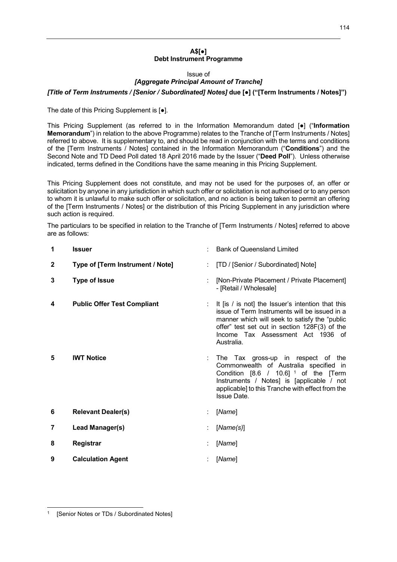#### **A\$[●] Debt Instrument Programme**

Issue of

#### *[Aggregate Principal Amount of Tranche]*

*[Title of Term Instruments / [Senior / Subordinated] Notes]* **due [●] ("[Term Instruments / Notes]")** 

The date of this Pricing Supplement is [●].

This Pricing Supplement (as referred to in the Information Memorandum dated [●] ("**Information Memorandum**") in relation to the above Programme) relates to the Tranche of [Term Instruments / Notes] referred to above. It is supplementary to, and should be read in conjunction with the terms and conditions of the [Term Instruments / Notes] contained in the Information Memorandum ("**Conditions**") and the Second Note and TD Deed Poll dated 18 April 2016 made by the Issuer ("**Deed Poll**"). Unless otherwise indicated, terms defined in the Conditions have the same meaning in this Pricing Supplement.

This Pricing Supplement does not constitute, and may not be used for the purposes of, an offer or solicitation by anyone in any jurisdiction in which such offer or solicitation is not authorised or to any person to whom it is unlawful to make such offer or solicitation, and no action is being taken to permit an offering of the [Term Instruments / Notes] or the distribution of this Pricing Supplement in any jurisdiction where such action is required.

The particulars to be specified in relation to the Tranche of [Term Instruments / Notes] referred to above are as follows:

| 1              | <b>Issuer</b>                      | <b>Bank of Queensland Limited</b>                                                                                                                                                                                                                           |
|----------------|------------------------------------|-------------------------------------------------------------------------------------------------------------------------------------------------------------------------------------------------------------------------------------------------------------|
| $\mathbf{2}$   | Type of [Term Instrument / Note]   | [TD / [Senior / Subordinated] Note]                                                                                                                                                                                                                         |
| 3              | <b>Type of Issue</b>               | [Non-Private Placement / Private Placement]<br>- [Retail / Wholesale]                                                                                                                                                                                       |
| 4              | <b>Public Offer Test Compliant</b> | It [is / is not] the Issuer's intention that this<br>issue of Term Instruments will be issued in a<br>manner which will seek to satisfy the "public"<br>offer" test set out in section 128F(3) of the<br>Income Tax Assessment Act 1936 of<br>Australia.    |
| 5              | <b>IWT Notice</b>                  | The Tax gross-up in respect of the<br>Commonwealth of Australia specified in<br>Condition $[8.6 / 10.6]$ <sup>1</sup> of the $[Term$<br>Instruments / Notes] is [applicable / not<br>applicable] to this Tranche with effect from the<br><b>Issue Date.</b> |
| 6              | <b>Relevant Dealer(s)</b>          | [Name]                                                                                                                                                                                                                                                      |
| $\overline{7}$ | Lead Manager(s)                    | [Name(s)]                                                                                                                                                                                                                                                   |
| 8              | Registrar                          | [Name]                                                                                                                                                                                                                                                      |
| 9              | <b>Calculation Agent</b>           | [Name]                                                                                                                                                                                                                                                      |

-

<sup>1</sup> [Senior Notes or TDs / Subordinated Notes]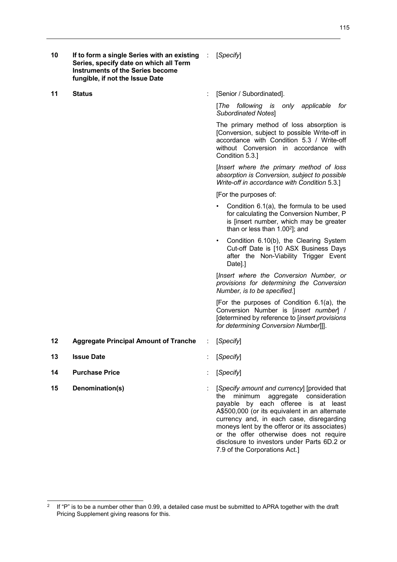| 10 | If to form a single Series with an existing :<br>Series, specify date on which all Term<br><b>Instruments of the Series become</b><br>fungible, if not the Issue Date |   | [Specify]                                                                                                                                                                                                                                                                                                                                                                                                 |
|----|-----------------------------------------------------------------------------------------------------------------------------------------------------------------------|---|-----------------------------------------------------------------------------------------------------------------------------------------------------------------------------------------------------------------------------------------------------------------------------------------------------------------------------------------------------------------------------------------------------------|
| 11 | <b>Status</b>                                                                                                                                                         |   | [Senior / Subordinated].                                                                                                                                                                                                                                                                                                                                                                                  |
|    |                                                                                                                                                                       |   | [The]<br>following is only applicable<br>for<br><b>Subordinated Notes]</b>                                                                                                                                                                                                                                                                                                                                |
|    |                                                                                                                                                                       |   | The primary method of loss absorption is<br>[Conversion, subject to possible Write-off in<br>accordance with Condition 5.3 / Write-off<br>without Conversion in accordance with<br>Condition 5.3.]                                                                                                                                                                                                        |
|    |                                                                                                                                                                       |   | [Insert where the primary method of loss<br>absorption is Conversion, subject to possible<br>Write-off in accordance with Condition 5.3.]                                                                                                                                                                                                                                                                 |
|    |                                                                                                                                                                       |   | [For the purposes of:                                                                                                                                                                                                                                                                                                                                                                                     |
|    |                                                                                                                                                                       |   | Condition 6.1(a), the formula to be used<br>for calculating the Conversion Number, P<br>is [insert number, which may be greater<br>than or less than $1.00^2$ ]; and                                                                                                                                                                                                                                      |
|    |                                                                                                                                                                       |   | Condition 6.10(b), the Clearing System<br>$\bullet$<br>Cut-off Date is [10 ASX Business Days<br>after the Non-Viability Trigger Event<br>Date].]                                                                                                                                                                                                                                                          |
|    |                                                                                                                                                                       |   | [Insert where the Conversion Number, or<br>provisions for determining the Conversion<br>Number, is to be specified.]                                                                                                                                                                                                                                                                                      |
|    |                                                                                                                                                                       |   | [For the purposes of Condition 6.1(a), the<br>Conversion Number is [insert number] /<br>[determined by reference to [insert provisions<br>for determining Conversion Number]].                                                                                                                                                                                                                            |
| 12 | <b>Aggregate Principal Amount of Tranche</b>                                                                                                                          | ÷ | [Specify]                                                                                                                                                                                                                                                                                                                                                                                                 |
| 13 | <b>Issue Date</b>                                                                                                                                                     |   | [Specify]                                                                                                                                                                                                                                                                                                                                                                                                 |
| 14 | <b>Purchase Price</b>                                                                                                                                                 |   | [Specify]                                                                                                                                                                                                                                                                                                                                                                                                 |
| 15 | Denomination(s)                                                                                                                                                       |   | [Specify amount and currency] [provided that<br>minimum<br>aggregate consideration<br>the<br>payable by each offeree is at least<br>A\$500,000 (or its equivalent in an alternate<br>currency and, in each case, disregarding<br>moneys lent by the offeror or its associates)<br>or the offer otherwise does not require<br>disclosure to investors under Parts 6D.2 or<br>7.9 of the Corporations Act.] |

 $\frac{1}{2}$  If "P" is to be a number other than 0.99, a detailed case must be submitted to APRA together with the draft Pricing Supplement giving reasons for this.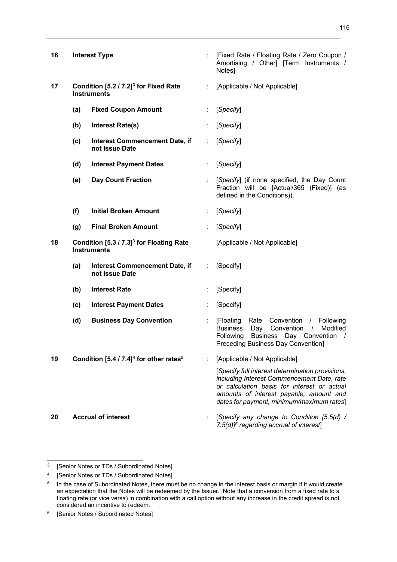| 16 |     | <b>Interest Type</b>                                                       |                           | [Fixed Rate / Floating Rate / Zero Coupon /<br>Amortising / Other] [Term Instruments /<br>Notes]                                                                                                                                      |
|----|-----|----------------------------------------------------------------------------|---------------------------|---------------------------------------------------------------------------------------------------------------------------------------------------------------------------------------------------------------------------------------|
| 17 |     | Condition [5.2 / 7.2] <sup>3</sup> for Fixed Rate<br><b>Instruments</b>    | ÷.                        | [Applicable / Not Applicable]                                                                                                                                                                                                         |
|    | (a) | <b>Fixed Coupon Amount</b>                                                 |                           | [Specify]                                                                                                                                                                                                                             |
|    | (b) | <b>Interest Rate(s)</b>                                                    |                           | [Specify]                                                                                                                                                                                                                             |
|    | (c) | <b>Interest Commencement Date, if</b><br>not Issue Date                    | ÷                         | [Specify]                                                                                                                                                                                                                             |
|    | (d) | <b>Interest Payment Dates</b>                                              | ÷                         | [Specify]                                                                                                                                                                                                                             |
|    | (e) | <b>Day Count Fraction</b>                                                  |                           | [Specify] (if none specified, the Day Count<br>Fraction will be [Actual/365 (Fixed)] (as<br>defined in the Conditions)).                                                                                                              |
|    | (f) | <b>Initial Broken Amount</b>                                               | ÷                         | [Specify]                                                                                                                                                                                                                             |
|    | (g) | <b>Final Broken Amount</b>                                                 |                           | [Specify]                                                                                                                                                                                                                             |
| 18 |     | Condition [5.3 / 7.3] <sup>3</sup> for Floating Rate<br><b>Instruments</b> |                           | [Applicable / Not Applicable]                                                                                                                                                                                                         |
|    | (a) | <b>Interest Commencement Date, if</b><br>not Issue Date                    | A.                        | [Specify]                                                                                                                                                                                                                             |
|    | (b) | <b>Interest Rate</b>                                                       |                           | [Specify]                                                                                                                                                                                                                             |
|    | (c) | <b>Interest Payment Dates</b>                                              |                           | [Specify]                                                                                                                                                                                                                             |
|    | (d) | <b>Business Day Convention</b>                                             | $\mathbb{R}^{\mathbb{Z}}$ | [Floating<br>Rate Convention / Following<br>Day Convention /<br><b>Business</b><br>Modified<br>Business Day Convention /<br>Following<br>Preceding Business Day Convention]                                                           |
| 19 |     | Condition [5.4 / 7.4] <sup>4</sup> for other rates <sup>5</sup>            | ÷                         | [Applicable / Not Applicable]                                                                                                                                                                                                         |
|    |     |                                                                            |                           | [Specify full interest determination provisions,<br>including Interest Commencement Date, rate<br>or calculation basis for interest or actual<br>amounts of interest payable, amount and<br>dates for payment, minimum/maximum rates] |
| 20 |     | <b>Accrual of interest</b>                                                 |                           | [Specify any change to Condition [5.5(d) /<br>7.5(d)] <sup>6</sup> regarding accrual of interest]                                                                                                                                     |

 $\frac{1}{3}$ [Senior Notes or TDs / Subordinated Notes]

<sup>4</sup> [Senior Notes or TDs / Subordinated Notes]

<sup>5</sup> In the case of Subordinated Notes, there must be no change in the interest basis or margin if it would create an expectation that the Notes will be redeemed by the Issuer. Note that a conversion from a fixed rate to a floating rate (or vice versa) in combination with a call option without any increase in the credit spread is not considered an incentive to redeem.

<sup>6</sup> [Senior Notes / Subordinated Notes]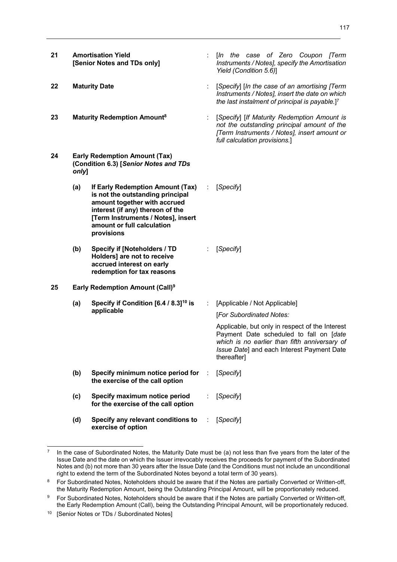- **21 Amortisation Yield [Senior Notes and TDs only]**
- 
- **23 Maturity Redemption Amount<sup>8</sup>**
- **24 Early Redemption Amount (Tax) (Condition 6.3) [***Senior Notes and TDs only***]**

**(a) If Early Redemption Amount (Tax) is not the outstanding principal amount together with accrued interest (if any) thereon of the [Term Instruments / Notes], insert amount or full calculation provisions**  : [*Specify*]

- **(b) Specify if [Noteholders / TD Holders] are not to receive accrued interest on early redemption for tax reasons**
- **25 Early Redemption Amount (Call)<sup>9</sup>**
	- **(a) Specify if Condition [6.4 / 8.3]<sup>10</sup> is applicable**  : [Applicable / Not Applicable] [*For Subordinated Notes:*
	- **(b) Specify minimum notice period for the exercise of the call option**
	- **(c) Specify maximum notice period for the exercise of the call option**  : [*Specify*]
	- **(d) Specify any relevant conditions to exercise of option**  : [*Specify*]

-

- : [*In the case of Zero Coupon [Term Instruments / Notes], specify the Amortisation Yield (Condition 5.6)*]
- **22 Maturity Date** : [*Specify*] [*In the case of an amortising [Term Instruments / Notes], insert the date on which the last instalment of principal is payable.*] 7
	- : [*Specify*] [*If Maturity Redemption Amount is not the outstanding principal amount of the [Term Instruments / Notes], insert amount or full calculation provisions.*]

: [*Specify*]

Applicable, but only in respect of the Interest Payment Date scheduled to fall on [*date which is no earlier than fifth anniversary of Issue Date*] and each Interest Payment Date

thereafter]

- : [*Specify*]
- 
- -

<sup>7</sup> In the case of Subordinated Notes, the Maturity Date must be (a) not less than five years from the later of the Issue Date and the date on which the Issuer irrevocably receives the proceeds for payment of the Subordinated Notes and (b) not more than 30 years after the Issue Date (and the Conditions must not include an unconditional right to extend the term of the Subordinated Notes beyond a total term of 30 years).

<sup>8</sup> For Subordinated Notes, Noteholders should be aware that if the Notes are partially Converted or Written-off, the Maturity Redemption Amount, being the Outstanding Principal Amount, will be proportionately reduced.

<sup>9</sup> For Subordinated Notes, Noteholders should be aware that if the Notes are partially Converted or Written-off, the Early Redemption Amount (Call), being the Outstanding Principal Amount, will be proportionately reduced.

<sup>&</sup>lt;sup>10</sup> [Senior Notes or TDs / Subordinated Notes]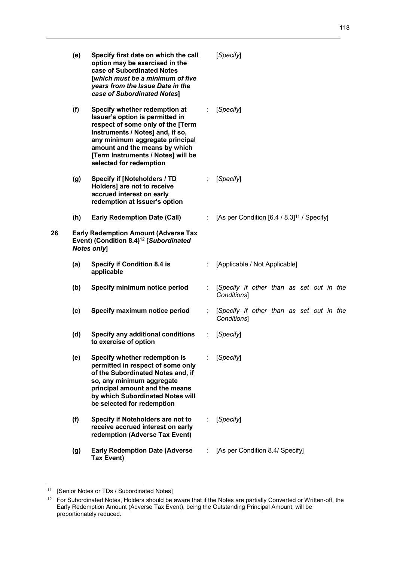|    | (e) | Specify first date on which the call<br>option may be exercised in the<br>case of Subordinated Notes<br>[which must be a minimum of five<br>years from the Issue Date in the<br>case of Subordinated Notes]                                                                    |    | [Specify]                                               |
|----|-----|--------------------------------------------------------------------------------------------------------------------------------------------------------------------------------------------------------------------------------------------------------------------------------|----|---------------------------------------------------------|
|    | (f) | Specify whether redemption at<br>Issuer's option is permitted in<br>respect of some only of the [Term<br>Instruments / Notes] and, if so,<br>any minimum aggregate principal<br>amount and the means by which<br>[Term Instruments / Notes] will be<br>selected for redemption | ÷  | [Specify]                                               |
|    | (g) | <b>Specify if [Noteholders / TD</b><br>Holders] are not to receive<br>accrued interest on early<br>redemption at Issuer's option                                                                                                                                               | ÷  | [Specify]                                               |
|    | (h) | <b>Early Redemption Date (Call)</b>                                                                                                                                                                                                                                            | ÷. | [As per Condition [6.4 / 8.3] <sup>11</sup> / Specify]  |
| 26 |     | <b>Early Redemption Amount (Adverse Tax</b><br>Event) (Condition 8.4) <sup>12</sup> [Subordinated<br><b>Notes only]</b>                                                                                                                                                        |    |                                                         |
|    | (a) | <b>Specify if Condition 8.4 is</b><br>applicable                                                                                                                                                                                                                               |    | [Applicable / Not Applicable]                           |
|    | (b) | Specify minimum notice period                                                                                                                                                                                                                                                  | ÷  | [Specify if other than as set out in the<br>Conditions] |
|    | (c) | Specify maximum notice period                                                                                                                                                                                                                                                  | ÷  | [Specify if other than as set out in the<br>Conditions] |
|    | (d) | <b>Specify any additional conditions</b><br>to exercise of option                                                                                                                                                                                                              |    | [Specify]                                               |
|    | (e) | Specify whether redemption is<br>permitted in respect of some only<br>of the Subordinated Notes and, if<br>so, any minimum aggregate<br>principal amount and the means<br>by which Subordinated Notes will<br>be selected for redemption                                       |    | [Specify]                                               |
|    | (f) | Specify if Noteholders are not to<br>receive accrued interest on early<br>redemption (Adverse Tax Event)                                                                                                                                                                       |    | [Specify]                                               |
|    | (g) | <b>Early Redemption Date (Adverse</b><br><b>Tax Event)</b>                                                                                                                                                                                                                     |    | [As per Condition 8.4/ Specify]                         |

1

<sup>&</sup>lt;sup>11</sup> [Senior Notes or TDs / Subordinated Notes]

 $12$  For Subordinated Notes, Holders should be aware that if the Notes are partially Converted or Written-off, the Early Redemption Amount (Adverse Tax Event), being the Outstanding Principal Amount, will be proportionately reduced.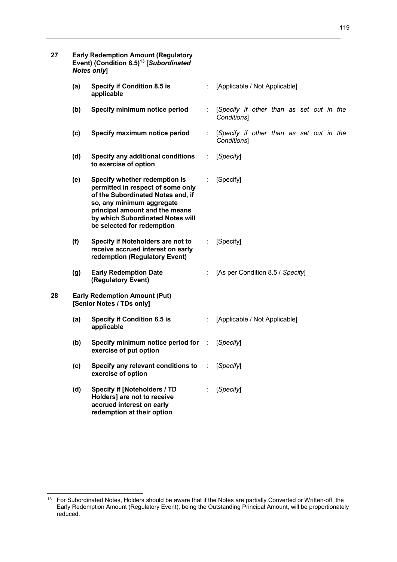| 27 |     | <b>Early Redemption Amount (Regulatory</b><br>Event) (Condition 8.5) <sup>13</sup> [Subordinated<br><b>Notes only]</b>                                                                                                                   |      |                                                         |
|----|-----|------------------------------------------------------------------------------------------------------------------------------------------------------------------------------------------------------------------------------------------|------|---------------------------------------------------------|
|    | (a) | <b>Specify if Condition 8.5 is</b><br>applicable                                                                                                                                                                                         |      | [Applicable / Not Applicable]                           |
|    | (b) | Specify minimum notice period                                                                                                                                                                                                            |      | [Specify if other than as set out in the<br>Conditions] |
|    | (c) | Specify maximum notice period                                                                                                                                                                                                            |      | [Specify if other than as set out in the<br>Conditions] |
|    | (d) | <b>Specify any additional conditions</b><br>to exercise of option                                                                                                                                                                        | ÷    | [Specify]                                               |
|    | (e) | Specify whether redemption is<br>permitted in respect of some only<br>of the Subordinated Notes and, if<br>so, any minimum aggregate<br>principal amount and the means<br>by which Subordinated Notes will<br>be selected for redemption |      | [Specify]                                               |
|    | (f) | Specify if Noteholders are not to<br>receive accrued interest on early<br>redemption (Regulatory Event)                                                                                                                                  |      | [Specify]                                               |
|    | (g) | <b>Early Redemption Date</b><br>(Regulatory Event)                                                                                                                                                                                       |      | [As per Condition 8.5 / Specify]                        |
| 28 |     | <b>Early Redemption Amount (Put)</b><br>[Senior Notes / TDs only]                                                                                                                                                                        |      |                                                         |
|    | (a) | <b>Specify if Condition 6.5 is</b><br>applicable                                                                                                                                                                                         |      | [Applicable / Not Applicable]                           |
|    | (b) | Specify minimum notice period for<br>exercise of put option                                                                                                                                                                              | - 17 | [Specify]                                               |
|    | (c) | Specify any relevant conditions to<br>exercise of option                                                                                                                                                                                 |      | [Specify]                                               |
|    | (d) | <b>Specify if [Noteholders / TD</b><br>Holders] are not to receive<br>accrued interest on early<br>redemption at their option                                                                                                            |      | [Specify]                                               |

 $13$ <sup>13</sup> For Subordinated Notes, Holders should be aware that if the Notes are partially Converted or Written-off, the Early Redemption Amount (Regulatory Event), being the Outstanding Principal Amount, will be proportionately reduced.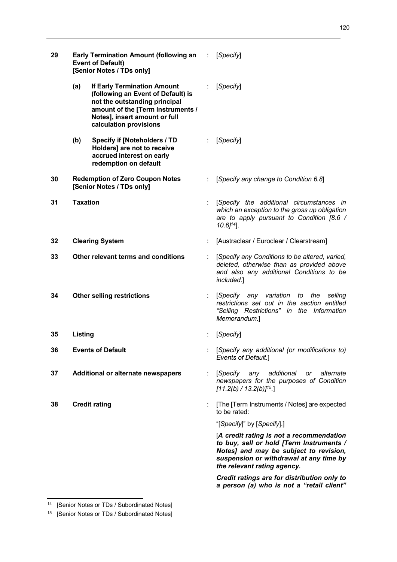120

| 29 | <b>Early Termination Amount (following an Fig. 1)</b><br><b>Event of Default)</b><br>[Senior Notes / TDs only] |                                                                                                                                                                                                           |   | [Specify]                                                                                                                                                                                                |
|----|----------------------------------------------------------------------------------------------------------------|-----------------------------------------------------------------------------------------------------------------------------------------------------------------------------------------------------------|---|----------------------------------------------------------------------------------------------------------------------------------------------------------------------------------------------------------|
|    | (a)                                                                                                            | <b>If Early Termination Amount</b><br>(following an Event of Default) is<br>not the outstanding principal<br>amount of the [Term Instruments /<br>Notes], insert amount or full<br>calculation provisions |   | [Specify]                                                                                                                                                                                                |
|    | (b)                                                                                                            | <b>Specify if [Noteholders / TD</b><br>Holders] are not to receive<br>accrued interest on early<br>redemption on default                                                                                  |   | [Specify]                                                                                                                                                                                                |
| 30 |                                                                                                                | <b>Redemption of Zero Coupon Notes</b><br>[Senior Notes / TDs only]                                                                                                                                       |   | [Specify any change to Condition 6.8]                                                                                                                                                                    |
| 31 | <b>Taxation</b>                                                                                                |                                                                                                                                                                                                           |   | [Specify the additional circumstances in<br>which an exception to the gross up obligation<br>are to apply pursuant to Condition [8.6 /<br>$10.6$ <sup><math>14</math></sup> ].                           |
| 32 | <b>Clearing System</b>                                                                                         |                                                                                                                                                                                                           |   | [Austraclear / Euroclear / Clearstream]                                                                                                                                                                  |
| 33 | Other relevant terms and conditions                                                                            |                                                                                                                                                                                                           |   | [Specify any Conditions to be altered, varied,<br>deleted, otherwise than as provided above<br>and also any additional Conditions to be<br>included.]                                                    |
| 34 |                                                                                                                | <b>Other selling restrictions</b>                                                                                                                                                                         |   | [Specify any variation to the<br>selling<br>restrictions set out in the section entitled<br>"Selling Restrictions" in the Information<br>Memorandum.]                                                    |
| 35 | Listing                                                                                                        |                                                                                                                                                                                                           |   | [Specify]                                                                                                                                                                                                |
| 36 |                                                                                                                | <b>Events of Default</b>                                                                                                                                                                                  |   | [Specify any additional (or modifications to)<br>Events of Default.]                                                                                                                                     |
| 37 |                                                                                                                | <b>Additional or alternate newspapers</b>                                                                                                                                                                 | ÷ | [Specify<br>additional<br>alternate<br>any<br>or<br>newspapers for the purposes of Condition<br>$[11.2(b) / 13.2(b)]^{15}$ .]                                                                            |
| 38 |                                                                                                                | <b>Credit rating</b>                                                                                                                                                                                      |   | [The [Term Instruments / Notes] are expected<br>to be rated:                                                                                                                                             |
|    |                                                                                                                |                                                                                                                                                                                                           |   | "[Specify]" by [Specify].]                                                                                                                                                                               |
|    |                                                                                                                |                                                                                                                                                                                                           |   | [A credit rating is not a recommendation<br>to buy, sell or hold [Term Instruments /<br>Notes] and may be subject to revision,<br>suspension or withdrawal at any time by<br>the relevant rating agency. |

*Credit ratings are for distribution only to a person (a) who is not a "retail client"* 

1

<sup>&</sup>lt;sup>14</sup> [Senior Notes or TDs / Subordinated Notes]

<sup>&</sup>lt;sup>15</sup> [Senior Notes or TDs / Subordinated Notes]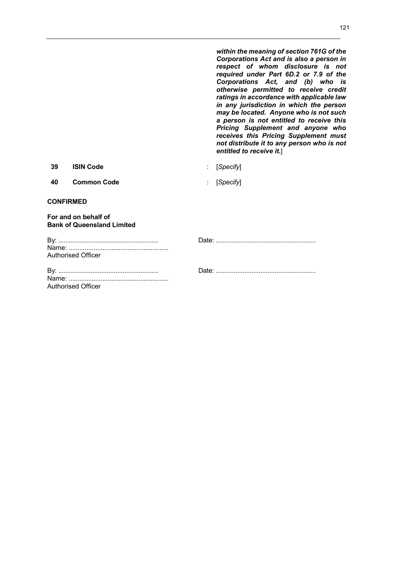*within the meaning of section 761G of the Corporations Act and is also a person in respect of whom disclosure is not required under Part 6D.2 or 7.9 of the Corporations Act, and (b) who is otherwise permitted to receive credit ratings in accordance with applicable law in any jurisdiction in which the person may be located. Anyone who is not such a person is not entitled to receive this Pricing Supplement and anyone who receives this Pricing Supplement must not distribute it to any person who is not entitled to receive it.*]

**39 ISIN Code** : [*Specify*]

**40 Common Code** : [*Specify*]

## **CONFIRMED**

## **For and on behalf of Bank of Queensland Limited**

| Authorised Officer |
|--------------------|

| Authorised Officer |
|--------------------|

By: ........................................................ Date: ........................................................

By: ........................................................ Date: ........................................................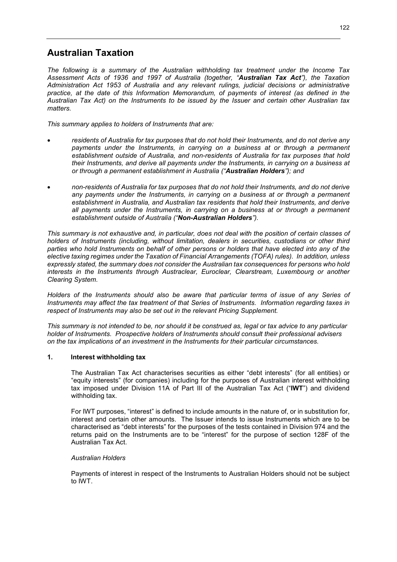# **Australian Taxation**

*The following is a summary of the Australian withholding tax treatment under the Income Tax Assessment Acts of 1936 and 1997 of Australia (together, "Australian Tax Act"), the Taxation Administration Act 1953 of Australia and any relevant rulings, judicial decisions or administrative practice, at the date of this Information Memorandum, of payments of interest (as defined in the Australian Tax Act) on the Instruments to be issued by the Issuer and certain other Australian tax matters.* 

*This summary applies to holders of Instruments that are:* 

- *residents of Australia for tax purposes that do not hold their Instruments, and do not derive any payments under the Instruments, in carrying on a business at or through a permanent establishment outside of Australia, and non-residents of Australia for tax purposes that hold their Instruments, and derive all payments under the Instruments, in carrying on a business at or through a permanent establishment in Australia ("Australian Holders"); and*
- *non-residents of Australia for tax purposes that do not hold their Instruments, and do not derive any payments under the Instruments, in carrying on a business at or through a permanent establishment in Australia, and Australian tax residents that hold their Instruments, and derive all payments under the Instruments, in carrying on a business at or through a permanent establishment outside of Australia ("Non-Australian Holders").*

*This summary is not exhaustive and, in particular, does not deal with the position of certain classes of holders of Instruments (including, without limitation, dealers in securities, custodians or other third parties who hold Instruments on behalf of other persons or holders that have elected into any of the elective taxing regimes under the Taxation of Financial Arrangements (TOFA) rules). In addition, unless expressly stated, the summary does not consider the Australian tax consequences for persons who hold interests in the Instruments through Austraclear, Euroclear, Clearstream, Luxembourg or another Clearing System.* 

Holders of the Instruments should also be aware that particular terms of issue of any Series of *Instruments may affect the tax treatment of that Series of Instruments. Information regarding taxes in respect of Instruments may also be set out in the relevant Pricing Supplement.* 

*This summary is not intended to be, nor should it be construed as, legal or tax advice to any particular holder of Instruments. Prospective holders of Instruments should consult their professional advisers on the tax implications of an investment in the Instruments for their particular circumstances.* 

## **1. Interest withholding tax**

The Australian Tax Act characterises securities as either "debt interests" (for all entities) or "equity interests" (for companies) including for the purposes of Australian interest withholding tax imposed under Division 11A of Part III of the Australian Tax Act ("**IWT**") and dividend withholding tax.

For IWT purposes, "interest" is defined to include amounts in the nature of, or in substitution for, interest and certain other amounts. The Issuer intends to issue Instruments which are to be characterised as "debt interests" for the purposes of the tests contained in Division 974 and the returns paid on the Instruments are to be "interest" for the purpose of section 128F of the Australian Tax Act.

#### *Australian Holders*

Payments of interest in respect of the Instruments to Australian Holders should not be subject to IWT.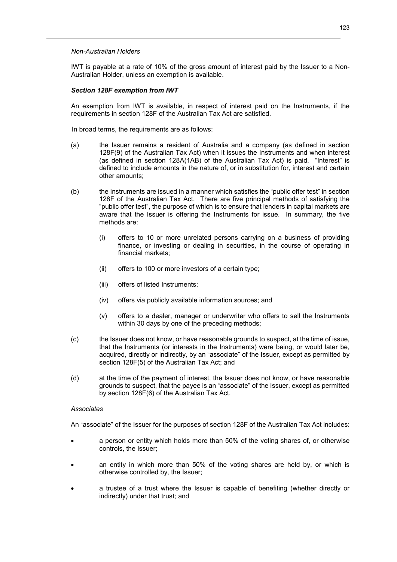#### *Non-Australian Holders*

IWT is payable at a rate of 10% of the gross amount of interest paid by the Issuer to a Non-Australian Holder, unless an exemption is available.

#### *Section 128F exemption from IWT*

An exemption from IWT is available, in respect of interest paid on the Instruments, if the requirements in section 128F of the Australian Tax Act are satisfied.

In broad terms, the requirements are as follows:

- (a) the Issuer remains a resident of Australia and a company (as defined in section 128F(9) of the Australian Tax Act) when it issues the Instruments and when interest (as defined in section 128A(1AB) of the Australian Tax Act) is paid. "Interest" is defined to include amounts in the nature of, or in substitution for, interest and certain other amounts;
- (b) the Instruments are issued in a manner which satisfies the "public offer test" in section 128F of the Australian Tax Act. There are five principal methods of satisfying the "public offer test", the purpose of which is to ensure that lenders in capital markets are aware that the Issuer is offering the Instruments for issue. In summary, the five methods are:
	- (i) offers to 10 or more unrelated persons carrying on a business of providing finance, or investing or dealing in securities, in the course of operating in financial markets;
	- (ii) offers to 100 or more investors of a certain type;
	- (iii) offers of listed Instruments;
	- (iv) offers via publicly available information sources; and
	- (v) offers to a dealer, manager or underwriter who offers to sell the Instruments within 30 days by one of the preceding methods;
- (c) the Issuer does not know, or have reasonable grounds to suspect, at the time of issue, that the Instruments (or interests in the Instruments) were being, or would later be, acquired, directly or indirectly, by an "associate" of the Issuer, except as permitted by section 128F(5) of the Australian Tax Act; and
- (d) at the time of the payment of interest, the Issuer does not know, or have reasonable grounds to suspect, that the payee is an "associate" of the Issuer, except as permitted by section 128F(6) of the Australian Tax Act.

#### *Associates*

An "associate" of the Issuer for the purposes of section 128F of the Australian Tax Act includes:

- a person or entity which holds more than 50% of the voting shares of, or otherwise controls, the Issuer;
- an entity in which more than 50% of the voting shares are held by, or which is otherwise controlled by, the Issuer;
- a trustee of a trust where the Issuer is capable of benefiting (whether directly or indirectly) under that trust; and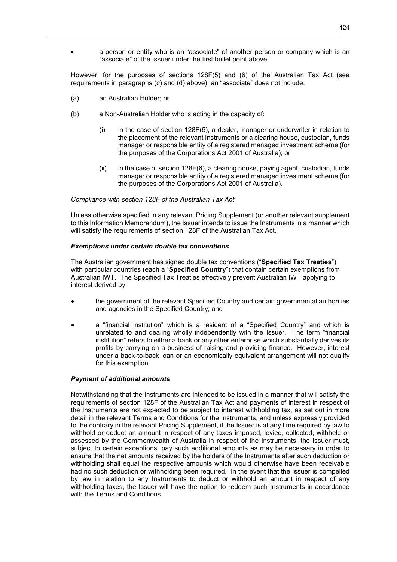a person or entity who is an "associate" of another person or company which is an "associate" of the Issuer under the first bullet point above.

However, for the purposes of sections 128F(5) and (6) of the Australian Tax Act (see requirements in paragraphs (c) and (d) above), an "associate" does not include:

- (a) an Australian Holder; or
- (b) a Non-Australian Holder who is acting in the capacity of:
	- $(i)$  in the case of section 128F(5), a dealer, manager or underwriter in relation to the placement of the relevant Instruments or a clearing house, custodian, funds manager or responsible entity of a registered managed investment scheme (for the purposes of the Corporations Act 2001 of Australia); or
	- $(i)$  in the case of section 128F(6), a clearing house, paying agent, custodian, funds manager or responsible entity of a registered managed investment scheme (for the purposes of the Corporations Act 2001 of Australia).

## *Compliance with section 128F of the Australian Tax Act*

Unless otherwise specified in any relevant Pricing Supplement (or another relevant supplement to this Information Memorandum), the Issuer intends to issue the Instruments in a manner which will satisfy the requirements of section 128F of the Australian Tax Act.

## *Exemptions under certain double tax conventions*

The Australian government has signed double tax conventions ("**Specified Tax Treaties**") with particular countries (each a "**Specified Country**") that contain certain exemptions from Australian IWT. The Specified Tax Treaties effectively prevent Australian IWT applying to interest derived by:

- the government of the relevant Specified Country and certain governmental authorities and agencies in the Specified Country; and
- a "financial institution" which is a resident of a "Specified Country" and which is unrelated to and dealing wholly independently with the Issuer. The term "financial institution" refers to either a bank or any other enterprise which substantially derives its profits by carrying on a business of raising and providing finance. However, interest under a back-to-back loan or an economically equivalent arrangement will not qualify for this exemption.

#### *Payment of additional amounts*

Notwithstanding that the Instruments are intended to be issued in a manner that will satisfy the requirements of section 128F of the Australian Tax Act and payments of interest in respect of the Instruments are not expected to be subject to interest withholding tax, as set out in more detail in the relevant Terms and Conditions for the Instruments, and unless expressly provided to the contrary in the relevant Pricing Supplement, if the Issuer is at any time required by law to withhold or deduct an amount in respect of any taxes imposed, levied, collected, withheld or assessed by the Commonwealth of Australia in respect of the Instruments, the Issuer must, subject to certain exceptions, pay such additional amounts as may be necessary in order to ensure that the net amounts received by the holders of the Instruments after such deduction or withholding shall equal the respective amounts which would otherwise have been receivable had no such deduction or withholding been required. In the event that the Issuer is compelled by law in relation to any Instruments to deduct or withhold an amount in respect of any withholding taxes, the Issuer will have the option to redeem such Instruments in accordance with the Terms and Conditions.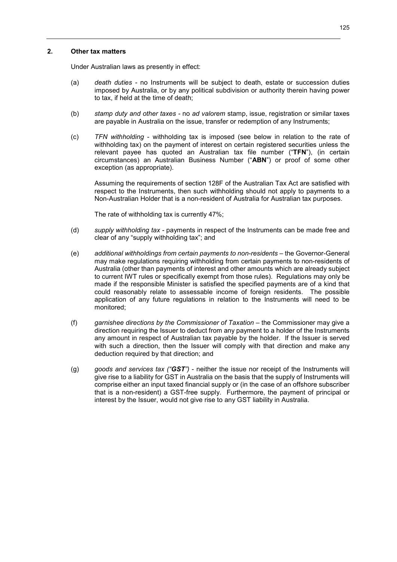#### **2. Other tax matters**

Under Australian laws as presently in effect:

- (a) *death duties* no Instruments will be subject to death, estate or succession duties imposed by Australia, or by any political subdivision or authority therein having power to tax, if held at the time of death;
- (b) *stamp duty and other taxes* no *ad valorem* stamp, issue, registration or similar taxes are payable in Australia on the issue, transfer or redemption of any Instruments;
- (c) *TFN withholding* withholding tax is imposed (see below in relation to the rate of withholding tax) on the payment of interest on certain registered securities unless the relevant payee has quoted an Australian tax file number ("**TFN**"), (in certain circumstances) an Australian Business Number ("**ABN**") or proof of some other exception (as appropriate).

Assuming the requirements of section 128F of the Australian Tax Act are satisfied with respect to the Instruments, then such withholding should not apply to payments to a Non-Australian Holder that is a non-resident of Australia for Australian tax purposes.

The rate of withholding tax is currently 47%;

- (d) *supply withholding tax* payments in respect of the Instruments can be made free and clear of any "supply withholding tax"; and
- (e) *additional withholdings from certain payments to non-residents* the Governor-General may make regulations requiring withholding from certain payments to non-residents of Australia (other than payments of interest and other amounts which are already subject to current IWT rules or specifically exempt from those rules). Regulations may only be made if the responsible Minister is satisfied the specified payments are of a kind that could reasonably relate to assessable income of foreign residents. The possible application of any future regulations in relation to the Instruments will need to be monitored;
- (f) *garnishee directions by the Commissioner of Taxation* the Commissioner may give a direction requiring the Issuer to deduct from any payment to a holder of the Instruments any amount in respect of Australian tax payable by the holder. If the Issuer is served with such a direction, then the Issuer will comply with that direction and make any deduction required by that direction; and
- (g) *goods and services tax ("GST")* neither the issue nor receipt of the Instruments will give rise to a liability for GST in Australia on the basis that the supply of Instruments will comprise either an input taxed financial supply or (in the case of an offshore subscriber that is a non-resident) a GST-free supply. Furthermore, the payment of principal or interest by the Issuer, would not give rise to any GST liability in Australia.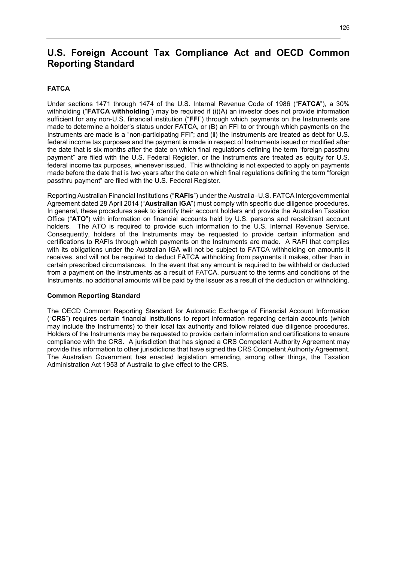# **U.S. Foreign Account Tax Compliance Act and OECD Common Reporting Standard**

# **FATCA**

Under sections 1471 through 1474 of the U.S. Internal Revenue Code of 1986 ("**FATCA**"), a 30% withholding ("**FATCA withholding**") may be required if (i)(A) an investor does not provide information sufficient for any non-U.S. financial institution ("**FFI**") through which payments on the Instruments are made to determine a holder's status under FATCA, or (B) an FFI to or through which payments on the Instruments are made is a "non-participating FFI"; and (ii) the Instruments are treated as debt for U.S. federal income tax purposes and the payment is made in respect of Instruments issued or modified after the date that is six months after the date on which final regulations defining the term "foreign passthru payment" are filed with the U.S. Federal Register, or the Instruments are treated as equity for U.S. federal income tax purposes, whenever issued. This withholding is not expected to apply on payments made before the date that is two years after the date on which final regulations defining the term "foreign passthru payment" are filed with the U.S. Federal Register.

Reporting Australian Financial Institutions ("**RAFIs**") under the Australia–U.S. FATCA Intergovernmental Agreement dated 28 April 2014 ("**Australian IGA**") must comply with specific due diligence procedures. In general, these procedures seek to identify their account holders and provide the Australian Taxation Office ("**ATO**") with information on financial accounts held by U.S. persons and recalcitrant account holders. The ATO is required to provide such information to the U.S. Internal Revenue Service. Consequently, holders of the Instruments may be requested to provide certain information and certifications to RAFIs through which payments on the Instruments are made. A RAFI that complies with its obligations under the Australian IGA will not be subject to FATCA withholding on amounts it receives, and will not be required to deduct FATCA withholding from payments it makes, other than in certain prescribed circumstances. In the event that any amount is required to be withheld or deducted from a payment on the Instruments as a result of FATCA, pursuant to the terms and conditions of the Instruments, no additional amounts will be paid by the Issuer as a result of the deduction or withholding.

#### **Common Reporting Standard**

The OECD Common Reporting Standard for Automatic Exchange of Financial Account Information ("**CRS**") requires certain financial institutions to report information regarding certain accounts (which may include the Instruments) to their local tax authority and follow related due diligence procedures. Holders of the Instruments may be requested to provide certain information and certifications to ensure compliance with the CRS. A jurisdiction that has signed a CRS Competent Authority Agreement may provide this information to other jurisdictions that have signed the CRS Competent Authority Agreement. The Australian Government has enacted legislation amending, among other things, the Taxation Administration Act 1953 of Australia to give effect to the CRS.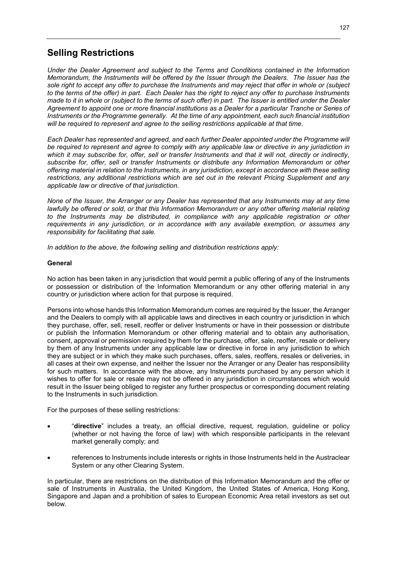# **Selling Restrictions**

*Under the Dealer Agreement and subject to the Terms and Conditions contained in the Information Memorandum, the Instruments will be offered by the Issuer through the Dealers. The Issuer has the sole right to accept any offer to purchase the Instruments and may reject that offer in whole or (subject to the terms of the offer) in part. Each Dealer has the right to reject any offer to purchase Instruments made to it in whole or (subject to the terms of such offer) in part. The Issuer is entitled under the Dealer Agreement to appoint one or more financial institutions as a Dealer for a particular Tranche or Series of Instruments or the Programme generally. At the time of any appointment, each such financial institution will be required to represent and agree to the selling restrictions applicable at that time.* 

*Each Dealer has represented and agreed, and each further Dealer appointed under the Programme will be required to represent and agree to comply with any applicable law or directive in any jurisdiction in which it may subscribe for, offer, sell or transfer Instruments and that it will not, directly or indirectly, subscribe for, offer, sell or transfer Instruments or distribute any Information Memorandum or other offering material in relation to the Instruments, in any jurisdiction, except in accordance with these selling restrictions, any additional restrictions which are set out in the relevant Pricing Supplement and any applicable law or directive of that jurisdiction.* 

*None of the Issuer, the Arranger or any Dealer has represented that any Instruments may at any time lawfully be offered or sold, or that this Information Memorandum or any other offering material relating*  to the Instruments may be distributed, in compliance with any applicable registration or other *requirements in any jurisdiction, or in accordance with any available exemption, or assumes any responsibility for facilitating that sale.* 

*In addition to the above, the following selling and distribution restrictions apply:* 

## **General**

No action has been taken in any jurisdiction that would permit a public offering of any of the Instruments or possession or distribution of the Information Memorandum or any other offering material in any country or jurisdiction where action for that purpose is required.

Persons into whose hands this Information Memorandum comes are required by the Issuer, the Arranger and the Dealers to comply with all applicable laws and directives in each country or jurisdiction in which they purchase, offer, sell, resell, reoffer or deliver Instruments or have in their possession or distribute or publish the Information Memorandum or other offering material and to obtain any authorisation, consent, approval or permission required by them for the purchase, offer, sale, reoffer, resale or delivery by them of any Instruments under any applicable law or directive in force in any jurisdiction to which they are subject or in which they make such purchases, offers, sales, reoffers, resales or deliveries, in all cases at their own expense, and neither the Issuer nor the Arranger or any Dealer has responsibility for such matters. In accordance with the above, any Instruments purchased by any person which it wishes to offer for sale or resale may not be offered in any jurisdiction in circumstances which would result in the Issuer being obliged to register any further prospectus or corresponding document relating to the Instruments in such jurisdiction.

For the purposes of these selling restrictions:

- "**directive**" includes a treaty, an official directive, request, regulation, guideline or policy (whether or not having the force of law) with which responsible participants in the relevant market generally comply; and
- references to Instruments include interests or rights in those Instruments held in the Austraclear System or any other Clearing System.

In particular, there are restrictions on the distribution of this Information Memorandum and the offer or sale of Instruments in Australia, the United Kingdom, the United States of America, Hong Kong, Singapore and Japan and a prohibition of sales to European Economic Area retail investors as set out below.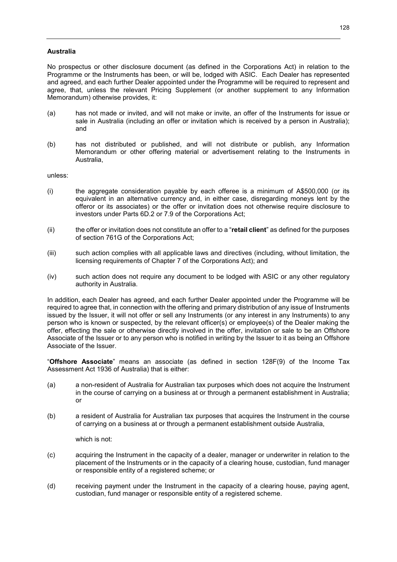## **Australia**

No prospectus or other disclosure document (as defined in the Corporations Act) in relation to the Programme or the Instruments has been, or will be, lodged with ASIC. Each Dealer has represented and agreed, and each further Dealer appointed under the Programme will be required to represent and agree, that, unless the relevant Pricing Supplement (or another supplement to any Information Memorandum) otherwise provides, it:

- (a) has not made or invited, and will not make or invite, an offer of the Instruments for issue or sale in Australia (including an offer or invitation which is received by a person in Australia); and
- (b) has not distributed or published, and will not distribute or publish, any Information Memorandum or other offering material or advertisement relating to the Instruments in **Australia**

unless:

- (i) the aggregate consideration payable by each offeree is a minimum of A\$500,000 (or its equivalent in an alternative currency and, in either case, disregarding moneys lent by the offeror or its associates) or the offer or invitation does not otherwise require disclosure to investors under Parts 6D.2 or 7.9 of the Corporations Act;
- (ii) the offer or invitation does not constitute an offer to a "**retail client**" as defined for the purposes of section 761G of the Corporations Act;
- (iii) such action complies with all applicable laws and directives (including, without limitation, the licensing requirements of Chapter 7 of the Corporations Act); and
- (iv) such action does not require any document to be lodged with ASIC or any other regulatory authority in Australia.

In addition, each Dealer has agreed, and each further Dealer appointed under the Programme will be required to agree that, in connection with the offering and primary distribution of any issue of Instruments issued by the Issuer, it will not offer or sell any Instruments (or any interest in any Instruments) to any person who is known or suspected, by the relevant officer(s) or employee(s) of the Dealer making the offer, effecting the sale or otherwise directly involved in the offer, invitation or sale to be an Offshore Associate of the Issuer or to any person who is notified in writing by the Issuer to it as being an Offshore Associate of the Issuer.

"**Offshore Associate**" means an associate (as defined in section 128F(9) of the Income Tax Assessment Act 1936 of Australia) that is either:

- (a) a non-resident of Australia for Australian tax purposes which does not acquire the Instrument in the course of carrying on a business at or through a permanent establishment in Australia; or
- (b) a resident of Australia for Australian tax purposes that acquires the Instrument in the course of carrying on a business at or through a permanent establishment outside Australia,

which is not:

- (c) acquiring the Instrument in the capacity of a dealer, manager or underwriter in relation to the placement of the Instruments or in the capacity of a clearing house, custodian, fund manager or responsible entity of a registered scheme; or
- (d) receiving payment under the Instrument in the capacity of a clearing house, paying agent, custodian, fund manager or responsible entity of a registered scheme.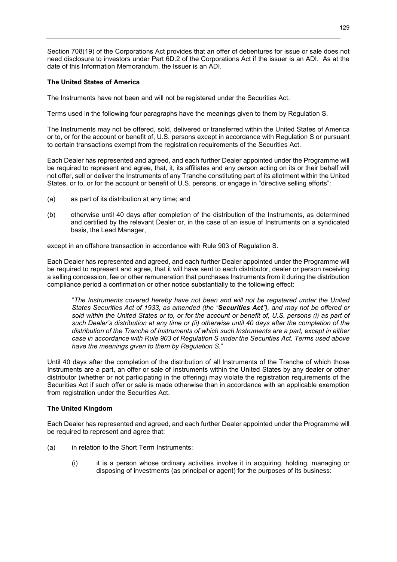Section 708(19) of the Corporations Act provides that an offer of debentures for issue or sale does not need disclosure to investors under Part 6D.2 of the Corporations Act if the issuer is an ADI. As at the date of this Information Memorandum, the Issuer is an ADI.

## **The United States of America**

The Instruments have not been and will not be registered under the Securities Act.

Terms used in the following four paragraphs have the meanings given to them by Regulation S.

The Instruments may not be offered, sold, delivered or transferred within the United States of America or to, or for the account or benefit of, U.S. persons except in accordance with Regulation S or pursuant to certain transactions exempt from the registration requirements of the Securities Act.

Each Dealer has represented and agreed, and each further Dealer appointed under the Programme will be required to represent and agree, that, it, its affiliates and any person acting on its or their behalf will not offer, sell or deliver the Instruments of any Tranche constituting part of its allotment within the United States, or to, or for the account or benefit of U.S. persons, or engage in "directive selling efforts":

- (a) as part of its distribution at any time; and
- (b) otherwise until 40 days after completion of the distribution of the Instruments, as determined and certified by the relevant Dealer or, in the case of an issue of Instruments on a syndicated basis, the Lead Manager,

except in an offshore transaction in accordance with Rule 903 of Regulation S.

Each Dealer has represented and agreed, and each further Dealer appointed under the Programme will be required to represent and agree, that it will have sent to each distributor, dealer or person receiving a selling concession, fee or other remuneration that purchases Instruments from it during the distribution compliance period a confirmation or other notice substantially to the following effect:

"*The Instruments covered hereby have not been and will not be registered under the United States Securities Act of 1933, as amended (the "Securities Act"), and may not be offered or sold within the United States or to, or for the account or benefit of, U.S. persons (i) as part of such Dealer's distribution at any time or (ii) otherwise until 40 days after the completion of the distribution of the Tranche of Instruments of which such Instruments are a part, except in either case in accordance with Rule 903 of Regulation S under the Securities Act. Terms used above have the meanings given to them by Regulation S.*"

Until 40 days after the completion of the distribution of all Instruments of the Tranche of which those Instruments are a part, an offer or sale of Instruments within the United States by any dealer or other distributor (whether or not participating in the offering) may violate the registration requirements of the Securities Act if such offer or sale is made otherwise than in accordance with an applicable exemption from registration under the Securities Act.

#### **The United Kingdom**

Each Dealer has represented and agreed, and each further Dealer appointed under the Programme will be required to represent and agree that:

- (a) in relation to the Short Term Instruments:
	- (i) it is a person whose ordinary activities involve it in acquiring, holding, managing or disposing of investments (as principal or agent) for the purposes of its business: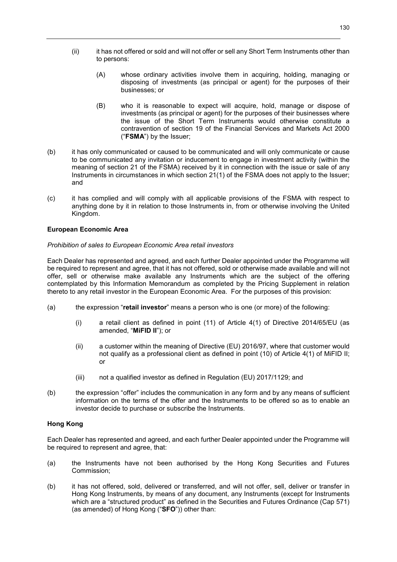- (ii) it has not offered or sold and will not offer or sell any Short Term Instruments other than to persons:
	- (A) whose ordinary activities involve them in acquiring, holding, managing or disposing of investments (as principal or agent) for the purposes of their businesses; or
	- (B) who it is reasonable to expect will acquire, hold, manage or dispose of investments (as principal or agent) for the purposes of their businesses where the issue of the Short Term Instruments would otherwise constitute a contravention of section 19 of the Financial Services and Markets Act 2000 ("**FSMA**") by the Issuer;
- (b) it has only communicated or caused to be communicated and will only communicate or cause to be communicated any invitation or inducement to engage in investment activity (within the meaning of section 21 of the FSMA) received by it in connection with the issue or sale of any Instruments in circumstances in which section 21(1) of the FSMA does not apply to the Issuer; and
- (c) it has complied and will comply with all applicable provisions of the FSMA with respect to anything done by it in relation to those Instruments in, from or otherwise involving the United Kingdom.

## **European Economic Area**

#### *Prohibition of sales to European Economic Area retail investors*

Each Dealer has represented and agreed, and each further Dealer appointed under the Programme will be required to represent and agree, that it has not offered, sold or otherwise made available and will not offer, sell or otherwise make available any Instruments which are the subject of the offering contemplated by this Information Memorandum as completed by the Pricing Supplement in relation thereto to any retail investor in the European Economic Area. For the purposes of this provision:

- (a) the expression "**retail investor**" means a person who is one (or more) of the following:
	- (i) a retail client as defined in point (11) of Article 4(1) of Directive 2014/65/EU (as amended, "**MiFID II**"); or
	- (ii) a customer within the meaning of Directive (EU) 2016/97, where that customer would not qualify as a professional client as defined in point (10) of Article 4(1) of MiFID II; or
	- (iii) not a qualified investor as defined in Regulation (EU) 2017/1129; and
- (b) the expression "offer" includes the communication in any form and by any means of sufficient information on the terms of the offer and the Instruments to be offered so as to enable an investor decide to purchase or subscribe the Instruments.

## **Hong Kong**

Each Dealer has represented and agreed, and each further Dealer appointed under the Programme will be required to represent and agree, that:

- (a) the Instruments have not been authorised by the Hong Kong Securities and Futures Commission;
- (b) it has not offered, sold, delivered or transferred, and will not offer, sell, deliver or transfer in Hong Kong Instruments, by means of any document, any Instruments (except for Instruments which are a "structured product" as defined in the Securities and Futures Ordinance (Cap 571) (as amended) of Hong Kong ("**SFO**")) other than: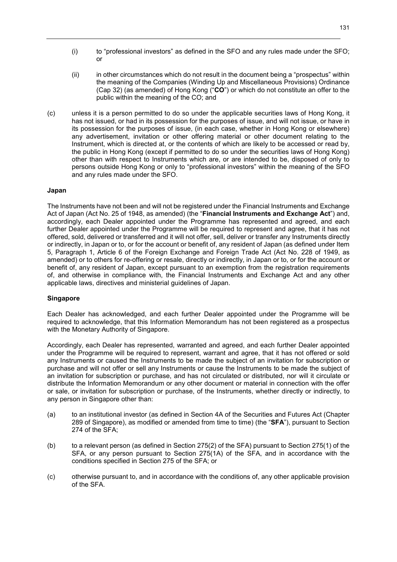- (i) to "professional investors" as defined in the SFO and any rules made under the SFO; or
- (ii) in other circumstances which do not result in the document being a "prospectus" within the meaning of the Companies (Winding Up and Miscellaneous Provisions) Ordinance (Cap 32) (as amended) of Hong Kong ("**CO**") or which do not constitute an offer to the public within the meaning of the CO; and
- (c) unless it is a person permitted to do so under the applicable securities laws of Hong Kong, it has not issued, or had in its possession for the purposes of issue, and will not issue, or have in its possession for the purposes of issue, (in each case, whether in Hong Kong or elsewhere) any advertisement, invitation or other offering material or other document relating to the Instrument, which is directed at, or the contents of which are likely to be accessed or read by, the public in Hong Kong (except if permitted to do so under the securities laws of Hong Kong) other than with respect to Instruments which are, or are intended to be, disposed of only to persons outside Hong Kong or only to "professional investors" within the meaning of the SFO and any rules made under the SFO.

#### **Japan**

The Instruments have not been and will not be registered under the Financial Instruments and Exchange Act of Japan (Act No. 25 of 1948, as amended) (the "**Financial Instruments and Exchange Act**") and, accordingly, each Dealer appointed under the Programme has represented and agreed, and each further Dealer appointed under the Programme will be required to represent and agree, that it has not offered, sold, delivered or transferred and it will not offer, sell, deliver or transfer any Instruments directly or indirectly, in Japan or to, or for the account or benefit of, any resident of Japan (as defined under Item 5, Paragraph 1, Article 6 of the Foreign Exchange and Foreign Trade Act (Act No. 228 of 1949, as amended) or to others for re-offering or resale, directly or indirectly, in Japan or to, or for the account or benefit of, any resident of Japan, except pursuant to an exemption from the registration requirements of, and otherwise in compliance with, the Financial Instruments and Exchange Act and any other applicable laws, directives and ministerial guidelines of Japan.

#### **Singapore**

Each Dealer has acknowledged, and each further Dealer appointed under the Programme will be required to acknowledge, that this Information Memorandum has not been registered as a prospectus with the Monetary Authority of Singapore.

Accordingly, each Dealer has represented, warranted and agreed, and each further Dealer appointed under the Programme will be required to represent, warrant and agree, that it has not offered or sold any Instruments or caused the Instruments to be made the subject of an invitation for subscription or purchase and will not offer or sell any Instruments or cause the Instruments to be made the subject of an invitation for subscription or purchase, and has not circulated or distributed, nor will it circulate or distribute the Information Memorandum or any other document or material in connection with the offer or sale, or invitation for subscription or purchase, of the Instruments, whether directly or indirectly, to any person in Singapore other than:

- (a) to an institutional investor (as defined in Section 4A of the Securities and Futures Act (Chapter 289 of Singapore), as modified or amended from time to time) (the "**SFA**"), pursuant to Section 274 of the SFA;
- (b) to a relevant person (as defined in Section 275(2) of the SFA) pursuant to Section 275(1) of the SFA, or any person pursuant to Section 275(1A) of the SFA, and in accordance with the conditions specified in Section 275 of the SFA; or
- (c) otherwise pursuant to, and in accordance with the conditions of, any other applicable provision of the SFA.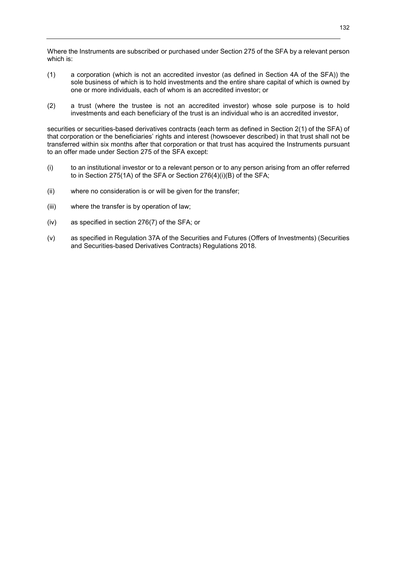Where the Instruments are subscribed or purchased under Section 275 of the SFA by a relevant person which is:

- (1) a corporation (which is not an accredited investor (as defined in Section 4A of the SFA)) the sole business of which is to hold investments and the entire share capital of which is owned by one or more individuals, each of whom is an accredited investor; or
- (2) a trust (where the trustee is not an accredited investor) whose sole purpose is to hold investments and each beneficiary of the trust is an individual who is an accredited investor,

securities or securities-based derivatives contracts (each term as defined in Section 2(1) of the SFA) of that corporation or the beneficiaries' rights and interest (howsoever described) in that trust shall not be transferred within six months after that corporation or that trust has acquired the Instruments pursuant to an offer made under Section 275 of the SFA except:

- (i) to an institutional investor or to a relevant person or to any person arising from an offer referred to in Section 275(1A) of the SFA or Section 276(4)(i)(B) of the SFA;
- (ii) where no consideration is or will be given for the transfer;
- (iii) where the transfer is by operation of law;
- (iv) as specified in section 276(7) of the SFA; or
- (v) as specified in Regulation 37A of the Securities and Futures (Offers of Investments) (Securities and Securities-based Derivatives Contracts) Regulations 2018.